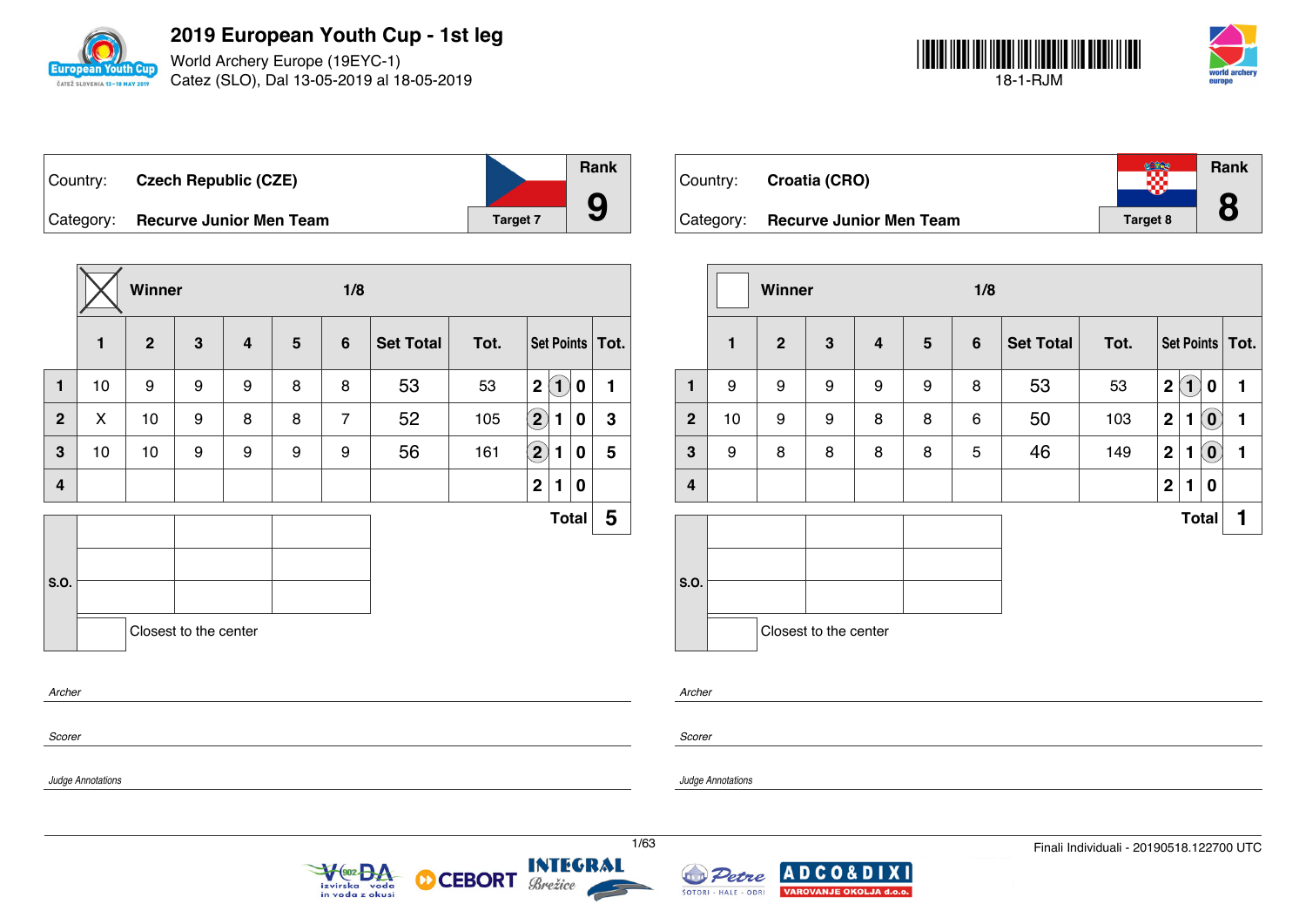

World Archery Europe (19EYC-1) Catez (SLO), Dal 13-05-2019 al 18-05-2019



| Country: | <b>Czech Republic (CZE)</b>       |                 | <b>Rank</b> |
|----------|-----------------------------------|-----------------|-------------|
|          | Category: Recurve Junior Men Team | <b>Target 7</b> |             |

|                |    | Winner       |                       |                  |   | 1/8            |                  |      |                    |                   |   |                   |
|----------------|----|--------------|-----------------------|------------------|---|----------------|------------------|------|--------------------|-------------------|---|-------------------|
|                | 1  | $\mathbf{2}$ | $\mathbf{3}$          | $\boldsymbol{4}$ | 5 | $6\phantom{1}$ | <b>Set Total</b> | Tot. |                    |                   |   | Set Points   Tot. |
| $\mathbf{1}$   | 10 | 9            | 9                     | 9                | 8 | 8              | 53               | 53   | $\mathbf 2$        | $\left( 1\right)$ | 0 | 1                 |
| $\overline{2}$ | X  | 10           | 9                     | 8                | 8 | $\overline{7}$ | 52               | 105  | $\mathbf{2}$       | 1                 | 0 | $\mathbf 3$       |
| $\mathbf{3}$   | 10 | 10           | 9                     | 9                | 9 | 9              | 56               | 161  | $\bf \overline{2}$ | 1                 | 0 | 5                 |
| $\overline{4}$ |    |              |                       |                  |   |                |                  |      | $\mathbf 2$        | 1                 | 0 |                   |
|                |    |              |                       |                  |   |                |                  |      |                    | <b>Total</b>      |   | 5                 |
|                |    |              |                       |                  |   |                |                  |      |                    |                   |   |                   |
| S.O.           |    |              |                       |                  |   |                |                  |      |                    |                   |   |                   |
|                |    |              | Closest to the center |                  |   |                |                  |      |                    |                   |   |                   |
| Archer         |    |              |                       |                  |   |                |                  |      |                    |                   |   |                   |
| Scorer         |    |              |                       |                  |   |                |                  |      |                    |                   |   |                   |

| Country:  | Croatia (CRO)                  |          | Rank<br>O |
|-----------|--------------------------------|----------|-----------|
| Category: | <b>Recurve Junior Men Team</b> | Target 8 | Ŏ         |

|                |              | Winner         |                       |                         |                | 1/8            |                  |      |             |              |                            |                   |  |
|----------------|--------------|----------------|-----------------------|-------------------------|----------------|----------------|------------------|------|-------------|--------------|----------------------------|-------------------|--|
|                | $\mathbf{1}$ | $\overline{2}$ | 3                     | $\overline{\mathbf{4}}$ | $5\phantom{1}$ | $6\phantom{1}$ | <b>Set Total</b> | Tot. |             |              |                            | Set Points   Tot. |  |
| $\mathbf{1}$   | 9            | 9              | 9                     | 9                       | 9              | 8              | 53               | 53   | $\mathbf 2$ | $\ket{1}$    | $\bf{0}$                   | 1                 |  |
| $\overline{2}$ | 10           | 9              | 9                     | 8                       | 8              | 6              | 50               | 103  | $\mathbf 2$ | 1            | $\left( \mathbf{0}\right)$ | 1                 |  |
| $\mathbf{3}$   | 9            | 8              | 8                     | 8                       | 8              | 5              | 46               | 149  | $\mathbf 2$ | 1            | $\left( \mathbf{0}\right)$ | 1                 |  |
| 4              |              |                |                       |                         |                |                |                  |      | $\mathbf 2$ | 1            | 0                          |                   |  |
|                |              |                |                       |                         |                |                |                  |      |             | <b>Total</b> |                            | 1                 |  |
| S.O.           |              |                |                       |                         |                |                |                  |      |             |              |                            |                   |  |
|                |              |                | Closest to the center |                         |                |                |                  |      |             |              |                            |                   |  |

*Archer*

*Scorer*

*Judge Annotations*

*Judge Annotations*





**CEBORT** 

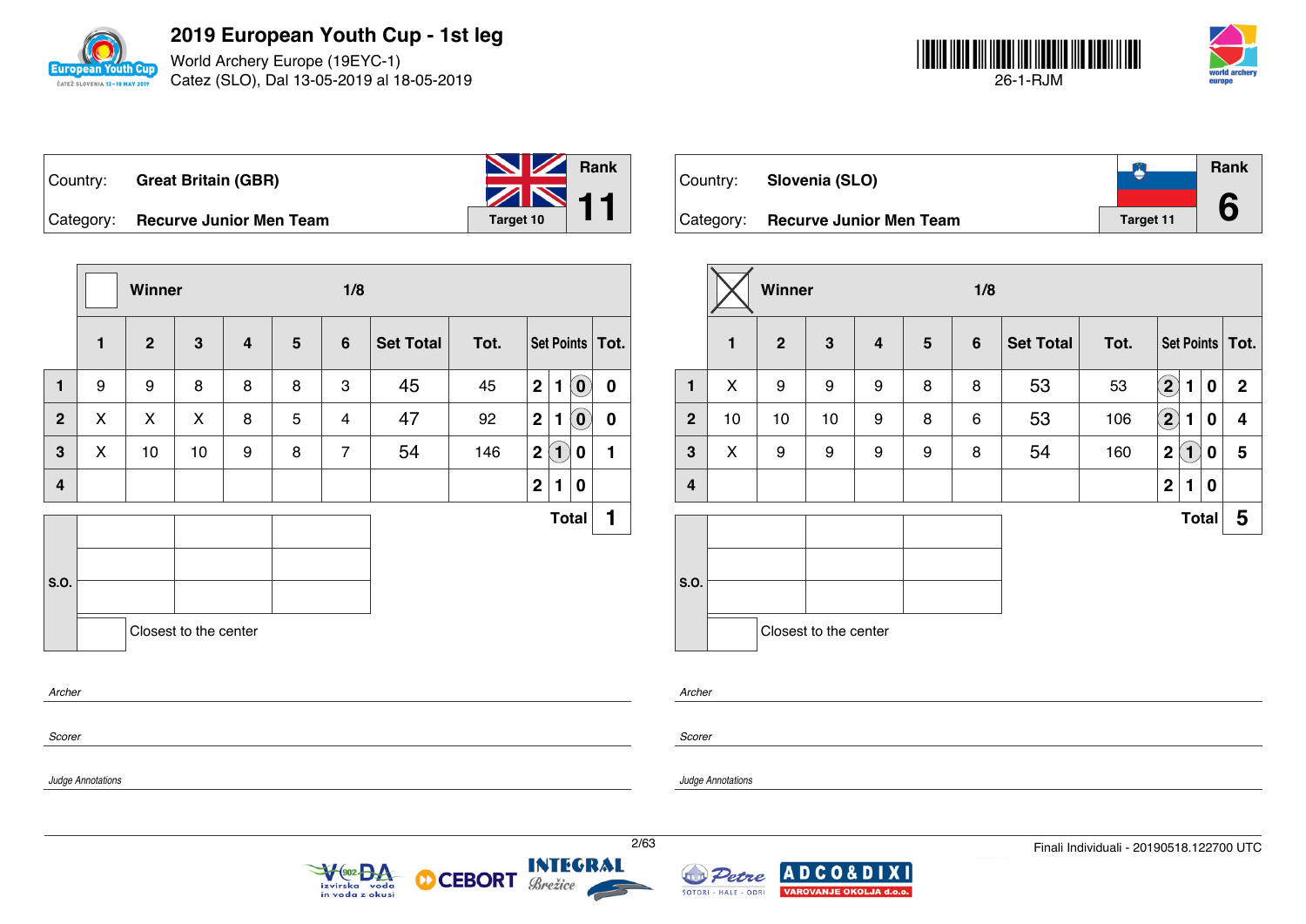

World Archery Europe (19EYC-1) Catez (SLO), Dal 13-05-2019 al 18-05-2019



|           | Country: Great Britain (GBR)   | <b>No. 7 Rank</b>            |  |
|-----------|--------------------------------|------------------------------|--|
|           |                                | $\sum_{\text{Target 10}}$ 11 |  |
| Category: | <b>Recurve Junior Men Team</b> | Target 10                    |  |

**Winner 1/8 1 2 3 4 5 6 Set Total Tot. Set Points Tot. 1** 9 9 8 8 8 3 45 45 **2 1 0 0 2** X X X 8 5 4 47 92 **2 1 0 0 3** X 10 10 9 8 7 54 146 **2 1 0 1 4 2 1 0 S.O. Total 1** Closest to the center *Archer*

 $902<sub>0</sub>$ 

izvirska voda<br>in voda z okusi

| Country:  | Slovenia (SLO)                 |           | Rank |
|-----------|--------------------------------|-----------|------|
| Category: | <b>Recurve Junior Men Team</b> | Target 11 |      |

|                  |              | Winner       |                       |                         |                | 1/8            |                  |      |              |              |          |                   |
|------------------|--------------|--------------|-----------------------|-------------------------|----------------|----------------|------------------|------|--------------|--------------|----------|-------------------|
|                  | $\mathbf{1}$ | $\mathbf{2}$ | $\mathbf{3}$          | $\overline{\mathbf{4}}$ | $5\phantom{1}$ | $6\phantom{1}$ | <b>Set Total</b> | Tot. |              |              |          | Set Points   Tot. |
| $\mathbf{1}$     | X            | 9            | 9                     | 9                       | 8              | 8              | 53               | 53   | $\mathbf{2}$ | 1            | 0        | $\mathbf 2$       |
| $\overline{2}$   | 10           | 10           | 10                    | 9                       | 8              | 6              | 53               | 106  | $\Large 2$   | 1            | 0        | 4                 |
| $\mathbf{3}$     | X            | 9            | 9                     | 9                       | 9              | 8              | 54               | 160  | $\mathbf 2$  | $\boxed{1}$  | 0        | 5                 |
| $\boldsymbol{4}$ |              |              |                       |                         |                |                |                  |      | $\mathbf 2$  | 1            | $\bf{0}$ |                   |
|                  |              |              |                       |                         |                |                |                  |      |              | <b>Total</b> |          | 5                 |
| S.O.             |              |              | Closest to the center |                         |                |                |                  |      |              |              |          |                   |

*Archer*

*Judge Annotations*

*Scorer*

*Judge Annotations*

*Scorer*

**INTEGRAL** 

Brežice

**CEBORT** 

М

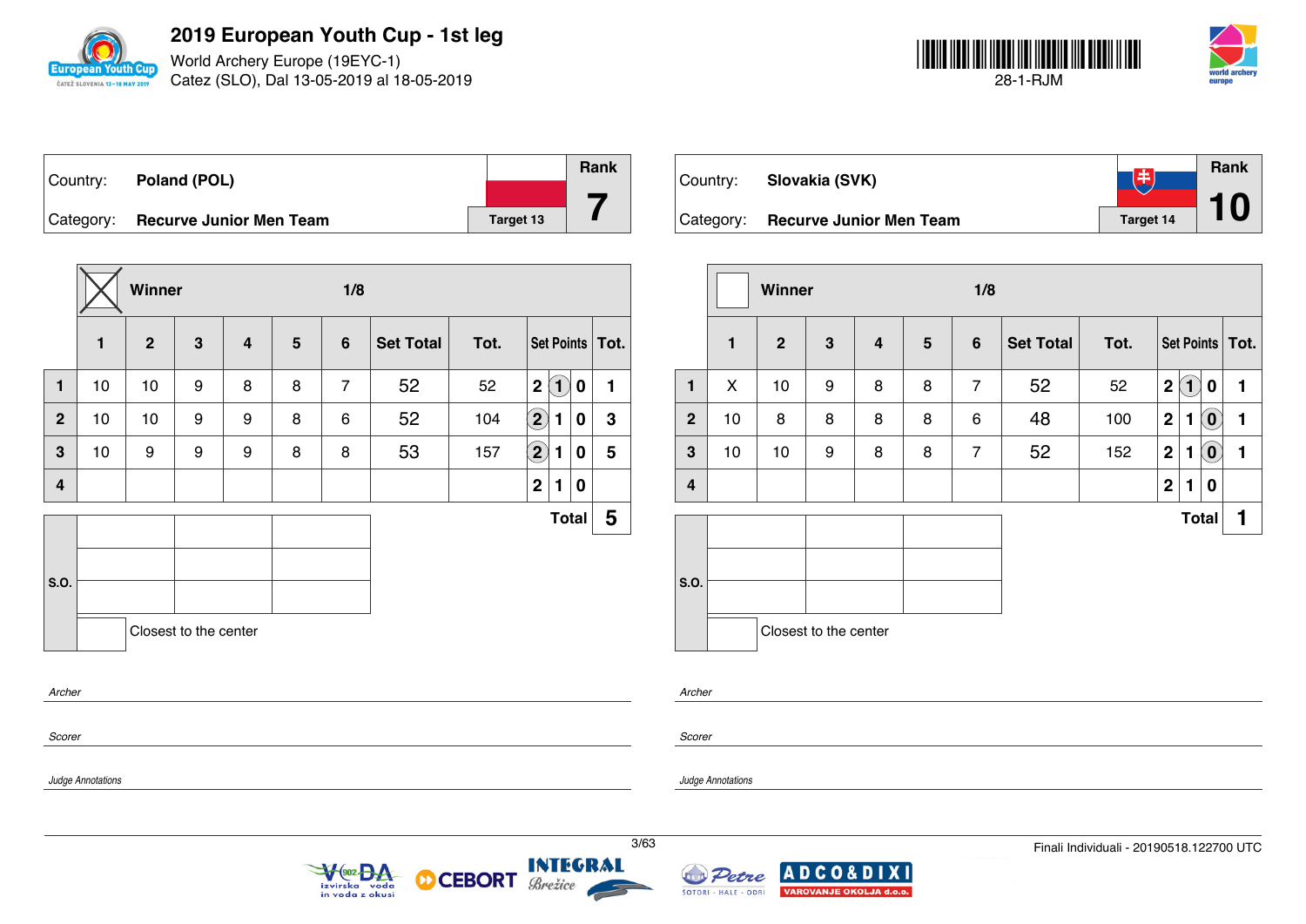

World Archery Europe (19EYC-1) Catez (SLO), Dal 13-05-2019 al 18-05-2019



| ∣Country: | Poland (POL)                   |           | Rank |
|-----------|--------------------------------|-----------|------|
|           |                                |           |      |
| Category: | <b>Recurve Junior Men Team</b> | Target 13 |      |

|                |    | Winner         |                       |   |                | 1/8            |                  |      |                            |                   |              |                   |
|----------------|----|----------------|-----------------------|---|----------------|----------------|------------------|------|----------------------------|-------------------|--------------|-------------------|
|                | 1  | $\overline{2}$ | 3                     | 4 | $5\phantom{1}$ | $6\phantom{1}$ | <b>Set Total</b> | Tot. |                            |                   |              | Set Points   Tot. |
| $\mathbf{1}$   | 10 | 10             | 9                     | 8 | 8              | $\overline{7}$ | 52               | 52   | $\overline{2}$             | $\left( 1\right)$ | 0            | 1                 |
| $\overline{2}$ | 10 | 10             | 9                     | 9 | 8              | 6              | 52               | 104  | $\left( \mathbf{2}\right)$ | 1                 | 0            | 3                 |
| 3              | 10 | 9              | 9                     | 9 | 8              | 8              | 53               | 157  | $\left( 2\right)$          | 1                 | 0            | 5                 |
| 4              |    |                |                       |   |                |                |                  |      | $\mathbf{2}$               | 1                 | 0            |                   |
|                |    |                |                       |   |                |                |                  |      |                            |                   | <b>Total</b> | 5                 |
|                |    |                |                       |   |                |                |                  |      |                            |                   |              |                   |
| S.O.           |    |                |                       |   |                |                |                  |      |                            |                   |              |                   |
|                |    |                | Closest to the center |   |                |                |                  |      |                            |                   |              |                   |
| Archer         |    |                |                       |   |                |                |                  |      |                            |                   |              |                   |
|                |    |                |                       |   |                |                |                  |      |                            |                   |              |                   |

V<sub>(902</sub> BA

izvirska voda<br>in voda z okusi

| Country:  | Slovakia (SVK)                 | 丰                | Rank |
|-----------|--------------------------------|------------------|------|
| Category: | <b>Recurve Junior Men Team</b> | <b>Target 14</b> |      |

|                |              | Winner         |                       |                         |                | 1/8            |                  |      |              |              |                            |                   |  |
|----------------|--------------|----------------|-----------------------|-------------------------|----------------|----------------|------------------|------|--------------|--------------|----------------------------|-------------------|--|
|                | $\mathbf{1}$ | $\overline{2}$ | $\mathbf{3}$          | $\overline{\mathbf{4}}$ | $5\phantom{1}$ | $6\phantom{1}$ | <b>Set Total</b> | Tot. |              |              |                            | Set Points   Tot. |  |
| 1              | X            | 10             | 9                     | 8                       | 8              | $\overline{7}$ | 52               | 52   | $\mathbf{2}$ | $\mathbf{1}$ | $\mathbf 0$                | 1                 |  |
| $\overline{2}$ | 10           | 8              | 8                     | 8                       | 8              | 6              | 48               | 100  | $\mathbf{2}$ | 1            | $\left( \textbf{0}\right)$ | 1                 |  |
| $\mathbf{3}$   | 10           | 10             | 9                     | 8                       | 8              | $\overline{7}$ | 52               | 152  | $\mathbf{2}$ | 1            | $\left( \textbf{0}\right)$ | 1                 |  |
| 4              |              |                |                       |                         |                |                |                  |      | $\mathbf{2}$ | 1            | 0                          |                   |  |
|                |              |                |                       |                         |                |                |                  |      |              |              | <b>Total</b>               | 1                 |  |
|                |              |                |                       |                         |                |                |                  |      |              |              |                            |                   |  |
| S.O.           |              |                |                       |                         |                |                |                  |      |              |              |                            |                   |  |
|                |              |                |                       |                         |                |                |                  |      |              |              |                            |                   |  |
|                |              |                | Closest to the center |                         |                |                |                  |      |              |              |                            |                   |  |

*Archer*

*Judge Annotations*

*Scorer*

*Judge Annotations*

*Scorer*

**INTEGRAL** 

Brežice

**CEBORT** 

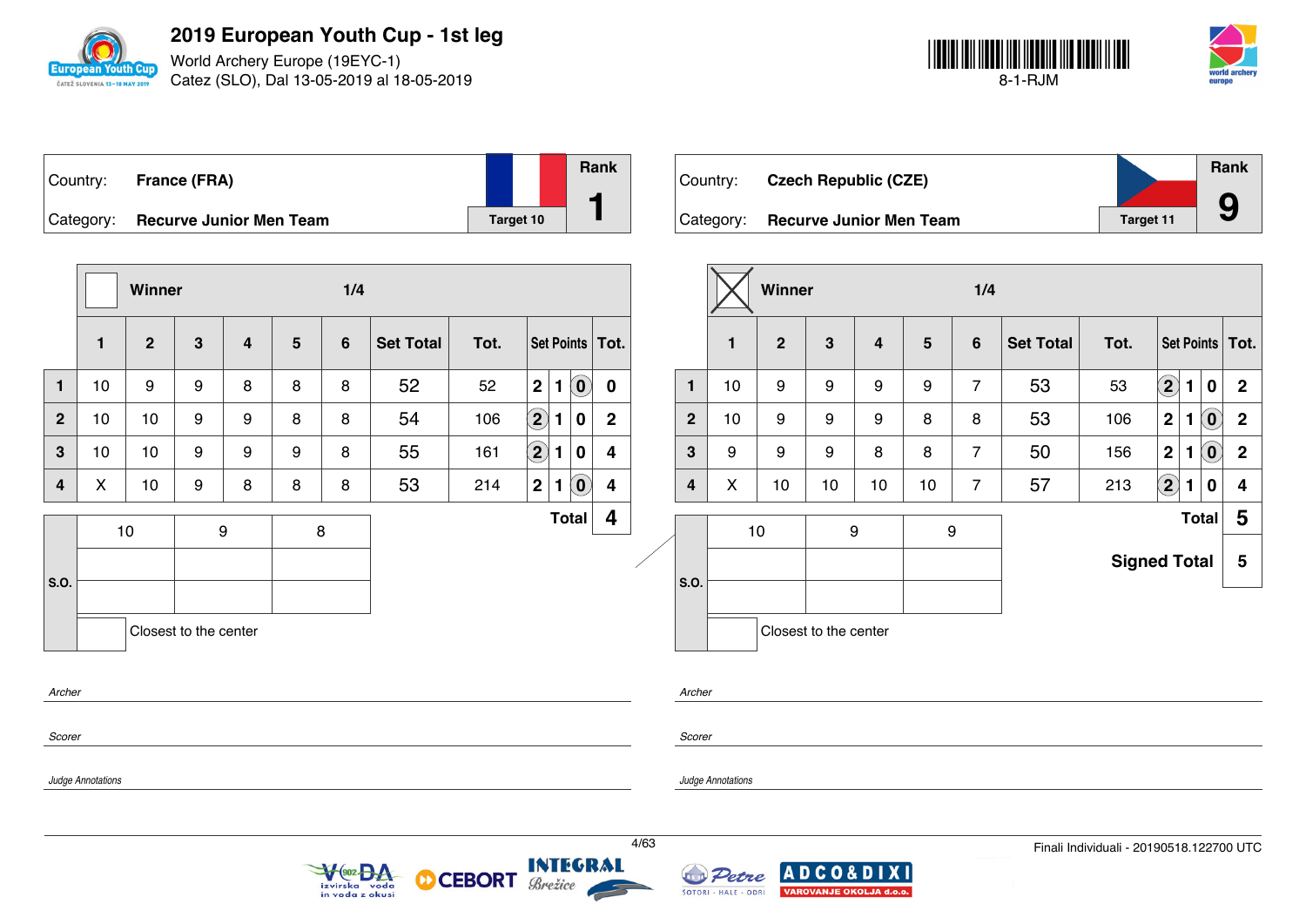

World Archery Europe (19EYC-1) Catez (SLO), Dal 13-05-2019 al 18-05-2019



| Country:  | <b>France (FRA)</b>            |           | <b>Rank</b> |
|-----------|--------------------------------|-----------|-------------|
| Category: | <b>Recurve Junior Men Team</b> | Target 10 |             |

|                |              | Winner         |                       |                         | 1/4            |                |                  |      |                   |              |                                                         |                         |                |
|----------------|--------------|----------------|-----------------------|-------------------------|----------------|----------------|------------------|------|-------------------|--------------|---------------------------------------------------------|-------------------------|----------------|
|                | $\mathbf{1}$ | $\overline{2}$ | $\mathbf{3}$          | $\overline{\mathbf{4}}$ | $5\phantom{1}$ | $6\phantom{1}$ | <b>Set Total</b> | Tot. |                   |              |                                                         | Set Points   Tot.       |                |
| $\mathbf{1}$   | 10           | 9              | 9                     | 8                       | 8              | 8              | 52               | 52   | $\mathbf 2$       | $\mathbf{1}$ | $\left( \begin{matrix} \textbf{0} \end{matrix} \right)$ | $\mathbf 0$             | $\mathbf{1}$   |
| $\overline{2}$ | 10           | 10             | 9                     | 9                       | 8              | 8              | 54               | 106  | $\left( 2\right)$ | 1            | $\bf{0}$                                                | $\mathbf 2$             | $\overline{2}$ |
| $\mathbf{3}$   | 10           | 10             | 9                     | 9                       | 9              | 8              | 55               | 161  | $\boxed{2}$       | 1            | 0                                                       | $\overline{\mathbf{4}}$ | 3              |
| 4              | X            | 10             | 9                     | 8                       | 8              | 8              | 53               | 214  | $\mathbf{2}$      | $\mathbf{1}$ | $\left( \mathbf{0}\right)$                              | $\overline{\mathbf{4}}$ | 4              |
| S.O.           |              | 10             |                       | $\boldsymbol{9}$        |                | 8              |                  |      |                   |              | <b>Total</b>                                            | 4                       | S.O.           |
|                |              |                | Closest to the center |                         |                |                |                  |      |                   |              |                                                         |                         |                |
| Archer         |              |                |                       |                         |                |                |                  |      |                   |              |                                                         |                         | Archer         |

VeozBA

izvirska voda<br>in voda z okusi

| ∣Country: | <b>Czech Republic (CZE)</b>    |                  | Rank |
|-----------|--------------------------------|------------------|------|
| Category: | <b>Recurve Junior Men Team</b> | <b>Target 11</b> |      |

|                |    | Winner         |                       |    |    | 1/4            |                  |                     |                   |   |                            |                   |
|----------------|----|----------------|-----------------------|----|----|----------------|------------------|---------------------|-------------------|---|----------------------------|-------------------|
|                | 1  | $\overline{2}$ | 3                     | 4  | 5  | 6              | <b>Set Total</b> | Tot.                |                   |   |                            | Set Points   Tot. |
| 1              | 10 | 9              | 9                     | 9  | 9  | $\overline{7}$ | 53               | 53                  | $\left( 2\right)$ | 1 | $\mathbf 0$                | $\mathbf{2}$      |
| $\overline{2}$ | 10 | 9              | 9                     | 9  | 8  | 8              | 53               | 106                 | $\mathbf 2$       | 1 | $(\mathbf{0})$             | $\mathbf 2$       |
| 3              | 9  | 9              | 9                     | 8  | 8  | $\overline{7}$ | 50               | 156                 | $\mathbf 2$       | 1 | $\left( \mathbf{0}\right)$ | $\mathbf 2$       |
| 4              | X  | 10             | 10                    | 10 | 10 | $\overline{7}$ | 57               | 213                 | $\left( 2\right)$ | 1 | 0                          | 4                 |
|                |    | 10             | 9                     |    |    | 9              | <b>Total</b>     |                     |                   |   |                            | 5                 |
|                |    |                |                       |    |    |                |                  | <b>Signed Total</b> |                   |   |                            | 5                 |
| S.O.           |    |                |                       |    |    |                |                  |                     |                   |   |                            |                   |
|                |    |                | Closest to the center |    |    |                |                  |                     |                   |   |                            |                   |

*Scorer*

*Scorer*

*Judge Annotations*

*Judge Annotations*

**INTEGRAL** 

Brežice

**CEBORT** 

М

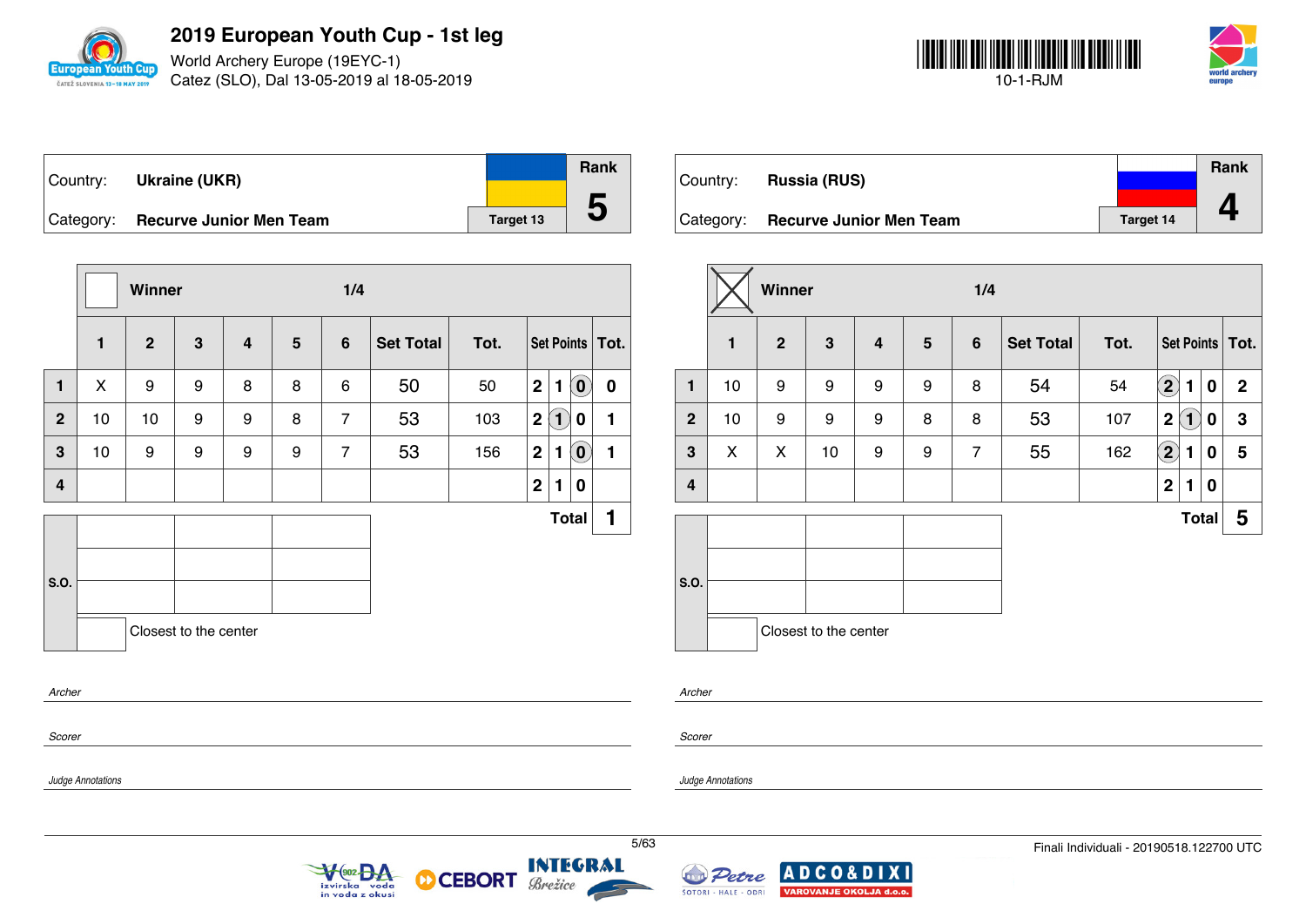

World Archery Europe (19EYC-1) Catez (SLO), Dal 13-05-2019 al 18-05-2019



| Country: | Ukraine (UKR)                     |           | <b>Rank</b> |
|----------|-----------------------------------|-----------|-------------|
|          | Category: Recurve Junior Men Team | Target 13 | C           |

|                |              | Winner       |                       |                |                | 1/4            |                  |      |             |              |                                   |                   |
|----------------|--------------|--------------|-----------------------|----------------|----------------|----------------|------------------|------|-------------|--------------|-----------------------------------|-------------------|
|                | $\mathbf{1}$ | $\mathbf{2}$ | $\mathbf{3}$          | $\overline{4}$ | $5\phantom{1}$ | $6\phantom{1}$ | <b>Set Total</b> | Tot. |             |              |                                   | Set Points   Tot. |
| $\mathbf{1}$   | X            | 9            | 9                     | 8              | 8              | 6              | 50               | 50   | $\mathbf 2$ | 1            | $\left( \mathbf{0}\right)$        | $\mathbf 0$       |
| $\mathbf{2}$   | 10           | 10           | 9                     | 9              | 8              | $\overline{7}$ | 53               | 103  | $\mathbf 2$ | $\bf(1)$     | 0                                 | 1                 |
| 3              | 10           | 9            | 9                     | 9              | 9              | $\overline{7}$ | 53               | 156  | $\mathbf 2$ | 1            | $\left  \mathbf{0} \right\rangle$ | 1                 |
| $\overline{4}$ |              |              |                       |                |                |                |                  |      | $\mathbf 2$ | 1            | $\bf{0}$                          |                   |
|                |              |              |                       |                |                |                |                  |      |             | <b>Total</b> |                                   | 1                 |
| S.O.           |              |              |                       |                |                |                |                  |      |             |              |                                   |                   |
|                |              |              | Closest to the center |                |                |                |                  |      |             |              |                                   |                   |
|                | Archer       |              |                       |                |                |                |                  |      |             |              |                                   |                   |
| Scorer         |              |              |                       |                |                |                |                  |      |             |              |                                   |                   |

V<sub>(902</sub> BA

izvirska voda<br>in voda z okusi

**CEBORT** 

Brežice

М

|           |                                |                  | Rank |
|-----------|--------------------------------|------------------|------|
| Country:  | <b>Russia (RUS)</b>            |                  |      |
| Category: | <b>Recurve Junior Men Team</b> | <b>Target 14</b> |      |

|                         |              | Winner         |                       |                         |                | 1/4            |                  |      |                                 |              |                   |  |  |  |
|-------------------------|--------------|----------------|-----------------------|-------------------------|----------------|----------------|------------------|------|---------------------------------|--------------|-------------------|--|--|--|
|                         | $\mathbf{1}$ | $\overline{2}$ | 3                     | $\overline{\mathbf{4}}$ | $5\phantom{1}$ | $6\phantom{1}$ | <b>Set Total</b> | Tot. |                                 |              | Set Points   Tot. |  |  |  |
| $\mathbf{1}$            | 10           | 9              | 9                     | 9                       | 9              | 8              | 54               | 54   | $\mathbf{2}$<br>1               | $\mathbf 0$  | $\mathbf{2}$      |  |  |  |
| 2 <sup>2</sup>          | 10           | 9              | 9                     | 9                       | 8              | 8              | 53               | 107  | $\mathbf{1}$<br>$\mathbf 2$     | 0            | $\mathbf 3$       |  |  |  |
| $\mathbf{3}$            | X            | X              | 10                    | 9                       | 9              | $\overline{7}$ | 55               | 162  | $\left( \mathbf{2}\right)$<br>1 | 0            | 5                 |  |  |  |
| $\overline{\mathbf{4}}$ |              |                |                       |                         |                |                |                  |      | $\mathbf 2$<br>1                | 0            |                   |  |  |  |
|                         |              |                |                       |                         |                |                |                  |      |                                 | <b>Total</b> | 5                 |  |  |  |
| S.O.                    |              |                |                       |                         |                |                |                  |      |                                 |              |                   |  |  |  |
|                         |              |                | Closest to the center |                         |                |                |                  |      |                                 |              |                   |  |  |  |

*Archer*

*Scorer*

*Judge Annotations*

*Judge Annotations*



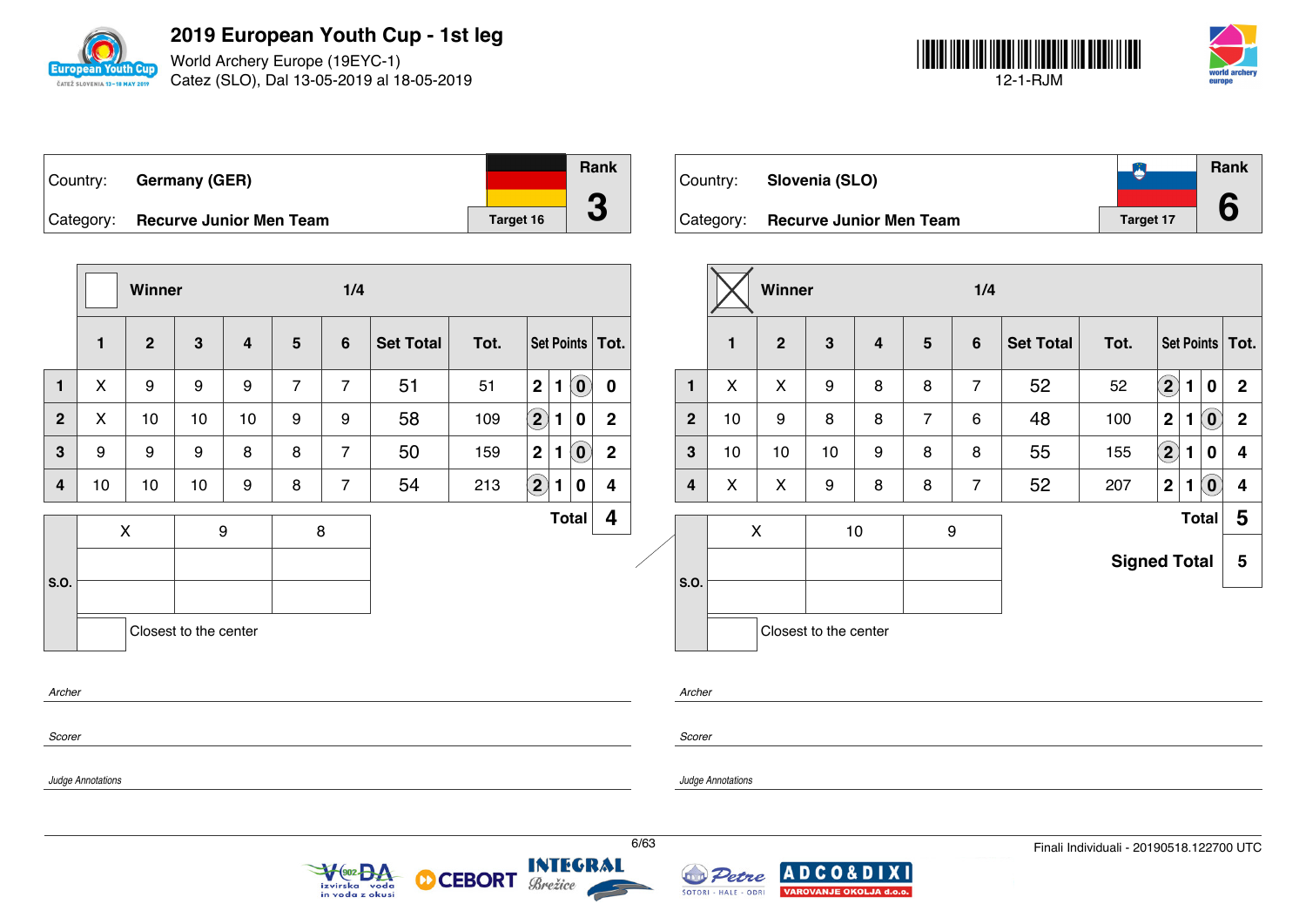

World Archery Europe (19EYC-1) Catez (SLO), Dal 13-05-2019 al 18-05-2019



| Country: | <b>Germany (GER)</b>              |                  | Rank |
|----------|-----------------------------------|------------------|------|
|          |                                   |                  |      |
|          | Category: Recurve Junior Men Team | <b>Target 16</b> |      |

|                |                | Winner         |                       |                  |                | 1/4             |                  |      |                      |    |                            |                   |  |                |              | Winn             |
|----------------|----------------|----------------|-----------------------|------------------|----------------|-----------------|------------------|------|----------------------|----|----------------------------|-------------------|--|----------------|--------------|------------------|
|                | $\mathbf{1}$   | $\overline{2}$ | $\mathbf{3}$          | $\overline{4}$   | $5\phantom{.}$ | $6\phantom{1}6$ | <b>Set Total</b> | Tot. |                      |    |                            | Set Points   Tot. |  |                | $\mathbf{1}$ | $\overline{2}$   |
| $\blacksquare$ | X              | 9              | 9                     | 9                | $\overline{7}$ | $\overline{7}$  | 51               | 51   | $\boldsymbol{2}$     | 1  | $\mathbf{O}^{\prime}$      | 0                 |  | 1              | X            | X                |
| $\overline{2}$ | X              | 10             | 10                    | 10               | 9              | 9               | 58               | 109  | $\Large{\textbf{2}}$ | 1. | $\bf{0}$                   | $\mathbf{2}$      |  | $\overline{2}$ | 10           | $\boldsymbol{9}$ |
| 3              | 9              | 9              | 9                     | 8                | 8              | $\overline{7}$  | 50               | 159  | $\mathbf 2$          | 1  | $\left( \mathbf{0}\right)$ | $\mathbf 2$       |  | $\mathbf{3}$   | 10           | 10               |
| 4              | 10             | 10             | 10                    | 9                | 8              | $\overline{7}$  | 54               | 213  | $\left( 2\right)$    | 1. | $\bf{0}$                   | 4                 |  | 4              | X            | X                |
|                | $\pmb{\times}$ |                |                       | $\boldsymbol{9}$ |                | $\,8\,$         |                  |      |                      |    | <b>Total</b>               | 4                 |  |                |              | $\pmb{\times}$   |
| .0.            |                |                |                       |                  |                |                 |                  |      |                      |    |                            |                   |  | S.O.           |              |                  |
|                |                |                | Closest to the center |                  |                |                 |                  |      |                      |    |                            |                   |  |                |              | Closes           |

 $\sqrt{\frac{602}{2}}$ 

izvirska voda<br>in voda z okusi

| Country:  | Slovenia (SLO)                 |                  | Rank |
|-----------|--------------------------------|------------------|------|
| Category: | <b>Recurve Junior Men Team</b> | <b>Target 17</b> |      |

|              |    | Winner         |                       |                |                | 1/4            |                  |                     |                   |   |                |                   |
|--------------|----|----------------|-----------------------|----------------|----------------|----------------|------------------|---------------------|-------------------|---|----------------|-------------------|
|              | 1  | $\overline{2}$ | 3                     | $\overline{4}$ | 5              | 6              | <b>Set Total</b> | Tot.                |                   |   |                | Set Points   Tot. |
| 1            | X  | X              | 9                     | 8              | 8              | $\overline{7}$ | 52               | 52                  | $\mathbf{2)}$     | 1 | $\mathbf 0$    | $\mathbf 2$       |
| $\mathbf{2}$ | 10 | 9              | 8                     | 8              | $\overline{7}$ | 6              | 48               | 100                 | $\mathbf 2$       | 1 | $(\mathbf{0})$ | $\mathbf 2$       |
| 3            | 10 | 10             | 10                    | 9              | 8              | 8              | 55               | 155                 | $\left( 2\right)$ | 1 | $\bf{0}$       | 4                 |
| 4            | X  | X              | 9                     | 8              | 8              | $\overline{7}$ | 52               | 207                 | $\mathbf 2$       | 1 | $(\mathbf{0})$ | 4                 |
|              |    | X              |                       | 10             |                | 9              |                  |                     |                   |   | <b>Total</b>   | 5                 |
| S.O.         |    |                |                       |                |                |                |                  | <b>Signed Total</b> |                   |   |                | 5                 |
|              |    |                | Closest to the center |                |                |                |                  |                     |                   |   |                |                   |

*Archer*

**S.O.**

*Scorer*

*Scorer*

*Archer*

*Judge Annotations*

*Judge Annotations*

**INTEGRAL** 

Brežice

**CEBORT** 

D

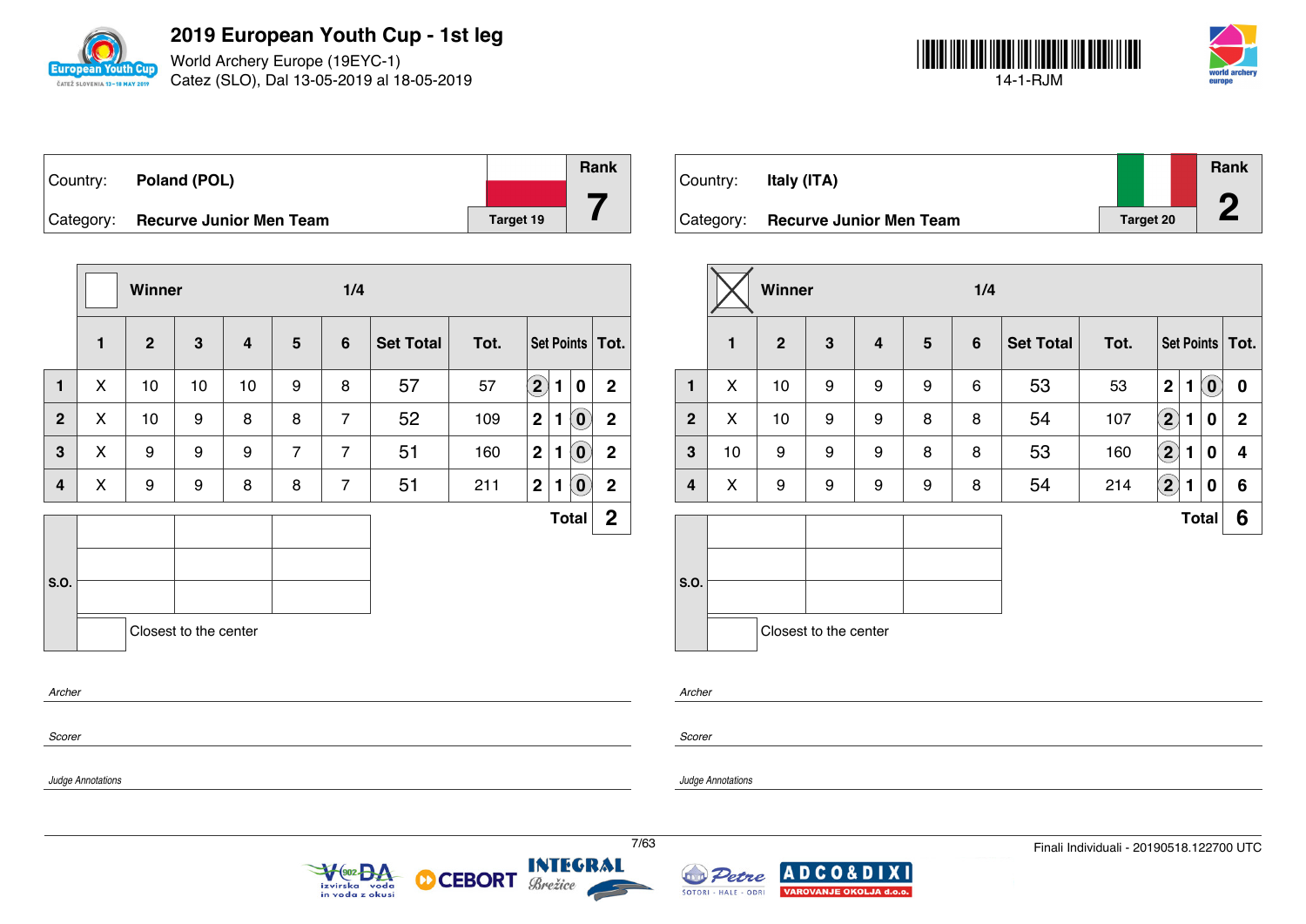

*Judge Annotations*

**2019 European Youth Cup - 1st leg**

World Archery Europe (19EYC-1) Catez (SLO), Dal 13-05-2019 al 18-05-2019



| Country: | Poland (POL)                      |           | <b>Rank</b> |
|----------|-----------------------------------|-----------|-------------|
|          |                                   |           |             |
|          | Category: Recurve Junior Men Team | Target 19 |             |

|                |              | Winner         |                       |    |                | 1/4            |                  |      |                   |              |                                   |                |  |  |
|----------------|--------------|----------------|-----------------------|----|----------------|----------------|------------------|------|-------------------|--------------|-----------------------------------|----------------|--|--|
|                | $\mathbf{1}$ | $\overline{2}$ | $\mathbf{3}$          | 4  | 5              | $6\phantom{1}$ | <b>Set Total</b> | Tot. | Set Points   Tot. |              |                                   |                |  |  |
| $\mathbf{1}$   | X            | 10             | 10                    | 10 | 9              | 8              | 57               | 57   | $\left( 2\right)$ | 1            | $\boldsymbol{0}$                  | $\overline{2}$ |  |  |
| $\overline{2}$ | X            | 10             | 9                     | 8  | 8              | $\overline{7}$ | 52               | 109  | $\mathbf{2}$      | 1            | $\left  \mathbf{0} \right\rangle$ | $\mathbf 2$    |  |  |
| 3              | X            | 9              | 9                     | 9  | $\overline{7}$ | $\overline{7}$ | 51               | 160  | $\overline{2}$    | $\mathbf{1}$ | $\left( 0\right)$                 | $\overline{2}$ |  |  |
| 4              | X            | 9              | 9                     | 8  | 8              | $\overline{7}$ | 51               | 211  | $\mathbf{2}$      | 1            | $\left  \mathbf{0} \right\rangle$ | $\mathbf 2$    |  |  |
|                |              |                |                       |    |                |                |                  |      |                   |              | <b>Total</b>                      | $\mathbf{2}$   |  |  |
| S.O.           |              |                |                       |    |                |                |                  |      |                   |              |                                   |                |  |  |
|                |              |                | Closest to the center |    |                |                |                  |      |                   |              |                                   |                |  |  |
| Archer         |              |                |                       |    |                |                |                  |      |                   |              |                                   |                |  |  |
| Scorer         |              |                |                       |    |                |                |                  |      |                   |              |                                   |                |  |  |

Country: **Italy (ITA)** Category: **Recurve Junior Men Team Target 20 Rank 2**

|                |    | Winner         |                       |   |                 | 1/4            |                  |      |                      |   |                            |                   |
|----------------|----|----------------|-----------------------|---|-----------------|----------------|------------------|------|----------------------|---|----------------------------|-------------------|
|                | 1  | $\overline{2}$ | $\mathbf{3}$          | 4 | $5\phantom{.0}$ | $6\phantom{1}$ | <b>Set Total</b> | Tot. |                      |   |                            | Set Points   Tot. |
| $\mathbf{1}$   | X  | 10             | 9                     | 9 | 9               | 6              | 53               | 53   | $\mathbf 2$          | 1 | $\left( \mathbf{0}\right)$ | 0                 |
| $\overline{2}$ | X  | 10             | 9                     | 9 | 8               | 8              | 54               | 107  | $\Large{\textbf{2}}$ | 1 | 0                          | $\mathbf{2}$      |
| 3              | 10 | 9              | 9                     | 9 | 8               | 8              | 53               | 160  | $\bf \overline{2}$   | 1 | 0                          | 4                 |
| 4              | X  | 9              | 9                     | 9 | 9               | 8              | 54               | 214  | $\bf(2)$             | 1 | 0                          | 6                 |
|                |    |                |                       |   |                 |                |                  |      |                      |   | <b>Total</b>               | 6                 |
|                |    |                |                       |   |                 |                |                  |      |                      |   |                            |                   |
| S.O.           |    |                |                       |   |                 |                |                  |      |                      |   |                            |                   |
|                |    |                | Closest to the center |   |                 |                |                  |      |                      |   |                            |                   |

*Scorer*

*Archer*

*Judge Annotations*





**CEBORT** 

М

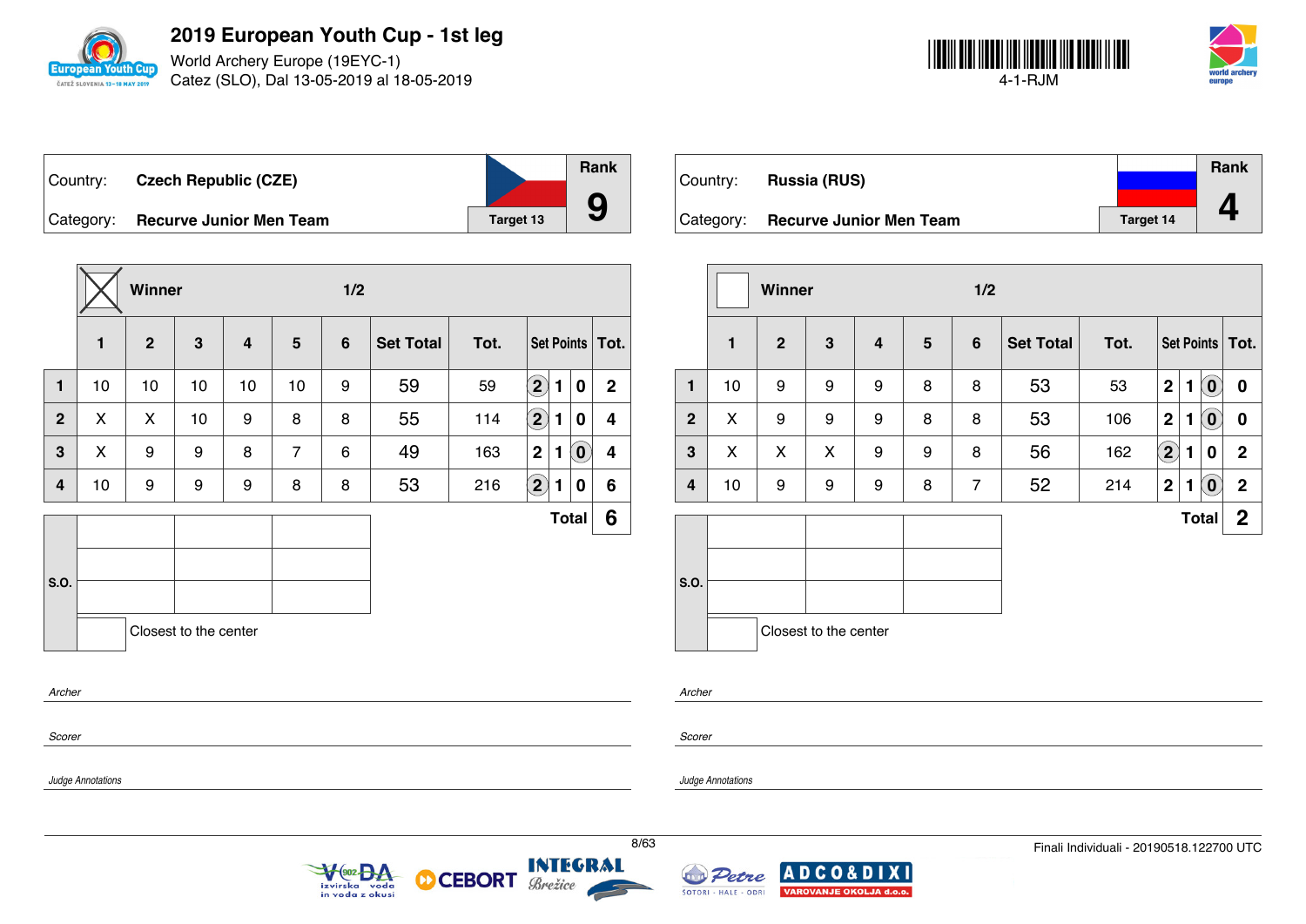

World Archery Europe (19EYC-1) Catez (SLO), Dal 13-05-2019 al 18-05-2019



| Country:  | <b>Czech Republic (CZE)</b>    |           | <b>Rank</b> |
|-----------|--------------------------------|-----------|-------------|
| Category: | <b>Recurve Junior Men Team</b> | Target 13 |             |

|              |    | Winner       |                       |                |                |                |                  |      |                            |              |          |                   |
|--------------|----|--------------|-----------------------|----------------|----------------|----------------|------------------|------|----------------------------|--------------|----------|-------------------|
|              | 1  | $\mathbf{2}$ | 3                     | $\overline{4}$ | 5              | $6\phantom{1}$ | <b>Set Total</b> | Tot. |                            |              |          | Set Points   Tot. |
| $\mathbf{1}$ | 10 | 10           | 10                    | 10             | 10             | 9              | 59               | 59   | $\left( 2\right)$          | 1            | 0        | $\mathbf{2}$      |
| $\mathbf{2}$ | X  | X            | 10                    | 9              | 8              | 8              | 55               | 114  | $\left( \mathbf{2}\right)$ | 1            | 0        | 4                 |
| 3            | X  | 9            | 9                     | 8              | $\overline{7}$ | 6              | 49               | 163  | $\mathbf 2$                | 1            | $\bm{0}$ | 4                 |
| 4            | 10 | 9            | 9                     | 9              | 8              | 8              | 53               | 216  | $\bigcirc$                 | 1            | 0        | 6                 |
|              |    |              |                       |                |                |                |                  |      |                            | <b>Total</b> |          | 6                 |
| S.O.         |    |              |                       |                |                |                |                  |      |                            |              |          |                   |
|              |    |              | Closest to the center |                |                |                |                  |      |                            |              |          |                   |
| Archer       |    |              |                       |                |                |                |                  |      |                            |              |          |                   |
| Scorer       |    |              |                       |                |                |                |                  |      |                            |              |          |                   |

 $\sqrt{\frac{602}{902}}$ 

izvirska voda<br>in voda z okusi

**CEBORT** 

М

|           |                                |                  | Rank |
|-----------|--------------------------------|------------------|------|
| Country:  | <b>Russia (RUS)</b>            |                  |      |
|           |                                |                  |      |
| Category: | <b>Recurve Junior Men Team</b> | <b>Target 14</b> |      |

|                         |              | <b>Winner</b>  |                       |                         |                | 1/2            |                  |      |                   |   |                            |                 |  |  |
|-------------------------|--------------|----------------|-----------------------|-------------------------|----------------|----------------|------------------|------|-------------------|---|----------------------------|-----------------|--|--|
|                         | $\mathbf{1}$ | $\overline{2}$ | 3                     | $\overline{\mathbf{4}}$ | $5\phantom{1}$ | $6\phantom{1}$ | <b>Set Total</b> | Tot. |                   |   |                            | Set Points Tot. |  |  |
| $\mathbf{1}$            | 10           | 9              | 9                     | 9                       | 8              | 8              | 53               | 53   | $\mathbf 2$       | 1 | $\left( \mathbf{0}\right)$ | $\bf{0}$        |  |  |
| $\mathbf{2}$            | X            | 9              | 9                     | 9                       | 8              | 8              | 53               | 106  | $\mathbf 2$       | 1 | $\left( \mathbf{0}\right)$ | $\bf{0}$        |  |  |
| $\mathbf{3}$            | X            | X              | X                     | 9                       | 9              | 8              | 56               | 162  | $\left( 2\right)$ | 1 | 0                          | $\mathbf 2$     |  |  |
| $\overline{\mathbf{4}}$ | 10           | 9              | 9                     | 9                       | 8              | $\overline{7}$ | 52               | 214  | $\mathbf 2$       | 1 | $\left( \mathbf{0}\right)$ | $\mathbf 2$     |  |  |
|                         |              |                |                       |                         |                |                |                  |      |                   |   | <b>Total</b>               | $\mathbf{2}$    |  |  |
|                         |              |                |                       |                         |                |                |                  |      |                   |   |                            |                 |  |  |
| S.O.                    |              |                |                       |                         |                |                |                  |      |                   |   |                            |                 |  |  |
|                         |              |                | Closest to the center |                         |                |                |                  |      |                   |   |                            |                 |  |  |
|                         |              |                |                       |                         |                |                |                  |      |                   |   |                            |                 |  |  |

*Archer*

*Scorer*

*Judge Annotations*

*Judge Annotations*



Brežice

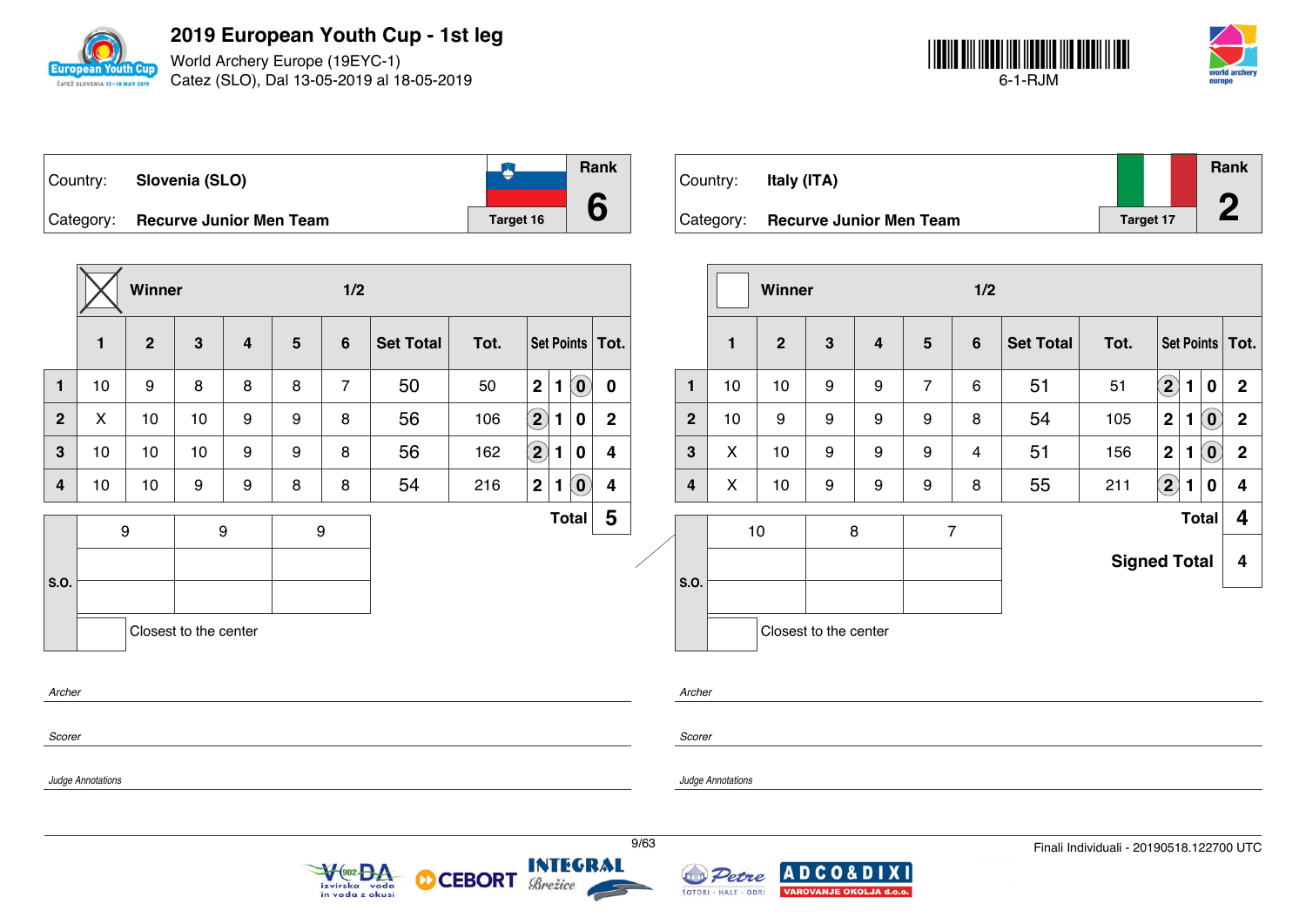

World Archery Europe (19EYC-1) Catez (SLO), Dal 13-05-2019 al 18-05-2019



**Rank**

**2**

|                                   |           | Ra |
|-----------------------------------|-----------|----|
| Country: Slovenia (SLO)           |           |    |
|                                   |           |    |
| Category: Recurve Junior Men Team | Target 16 |    |

**Rank 6** Country: **Italy (ITA)** Category: **Recurve Junior Men Team Target 17** Target 17

|                         |                   | Winner       |                       |                         |                 | 1/2                        |                  |                         |                   |              |                                                         |                       |      |                |                      | Winner       |                       |                                            |                | 1/2            |                  |                                          |           |                     |   |                         |
|-------------------------|-------------------|--------------|-----------------------|-------------------------|-----------------|----------------------------|------------------|-------------------------|-------------------|--------------|---------------------------------------------------------|-----------------------|------|----------------|----------------------|--------------|-----------------------|--------------------------------------------|----------------|----------------|------------------|------------------------------------------|-----------|---------------------|---|-------------------------|
|                         | 1                 | $\mathbf{2}$ | 3                     | $\overline{\mathbf{4}}$ | $5\phantom{.0}$ | $6\phantom{1}$             | <b>Set Total</b> | Tot.                    |                   |              |                                                         | Set Points   Tot.     |      |                | $\mathbf 1$          | $\mathbf{2}$ | $\mathbf{3}$          | $\overline{\mathbf{4}}$                    | $5\phantom{1}$ | $6\phantom{1}$ | <b>Set Total</b> | Tot.                                     |           |                     |   | Set Points   Tot.       |
| $\mathbf{1}$            | 10                | 9            | 8                     | 8                       | 8               | $\overline{7}$             | 50               | 50                      | 2                 | $\mathbf{1}$ | $\left( \begin{matrix} \textbf{0} \end{matrix} \right)$ | $\mathbf 0$           |      | $\mathbf{1}$   | 10                   | 10           | 9                     | 9                                          | $\overline{7}$ | 6              | 51               | 51                                       | $\odot$ 1 |                     | 0 | $\overline{2}$          |
| $\overline{2}$          | X                 | 10           | 10                    | 9                       | 9               | 8                          | 56               | 106                     | $\bigcircled{2}$  | 1            | $\mathbf 0$                                             | $\mathbf{2}$          |      | $\overline{2}$ | 10                   | 9            | 9                     | 9                                          | 9              | 8              | 54               | 105                                      |           | 2 1 0               |   | $\mathbf{2}$            |
| $\mathbf{3}$            | 10                | 10           | 10                    | 9                       | 9               | 8                          | 56               | 162                     | $\bigcirc \!\! 2$ | 1            | 0                                                       | 4                     |      | 3              | X                    | 10           | 9                     | 9                                          | 9              | 4              | 51               | 156                                      | 2         | $\vert$ 1 $\vert$ 0 |   | $\overline{2}$          |
| $\overline{\mathbf{4}}$ | 10                | 10           | 9                     | 9                       | 8               | 8                          | 54               | 216                     | 2                 | 1            | $\left( \begin{matrix} \textbf{0} \end{matrix} \right)$ | 4                     |      | $\overline{4}$ | X                    | 10           | 9                     | 9                                          | 9              | 8              | 55               | 211                                      | $\odot$ 1 |                     | 0 | 4                       |
|                         |                   | 9            |                       | 9                       |                 | 9                          |                  |                         |                   |              |                                                         | Total $\vert 5 \vert$ |      |                |                      | 10           |                       | 8                                          |                | $\overline{7}$ |                  |                                          |           | Total               |   | $\overline{\mathbf{4}}$ |
| S.O.                    |                   |              |                       |                         |                 |                            |                  |                         |                   |              |                                                         |                       |      | <b>S.O.</b>    |                      |              |                       |                                            |                |                |                  | <b>Signed Total</b>                      |           |                     |   | 4                       |
|                         |                   |              | Closest to the center |                         |                 |                            |                  |                         |                   |              |                                                         |                       |      |                |                      |              | Closest to the center |                                            |                |                |                  |                                          |           |                     |   |                         |
| Archer                  |                   |              |                       |                         |                 |                            |                  |                         |                   |              |                                                         |                       |      | Archer         |                      |              |                       |                                            |                |                |                  |                                          |           |                     |   |                         |
| Scorer                  |                   |              |                       |                         |                 |                            |                  |                         |                   |              |                                                         |                       |      | Scorer         |                      |              |                       |                                            |                |                |                  |                                          |           |                     |   |                         |
|                         | Judge Annotations |              |                       |                         |                 |                            |                  |                         |                   |              |                                                         |                       |      |                | Judge Annotations    |              |                       |                                            |                |                |                  |                                          |           |                     |   |                         |
|                         |                   |              |                       |                         |                 | VOO2 DA<br>in voda z okusi |                  | <b>O CEBORT Brezice</b> |                   |              |                                                         |                       | 9/63 |                | ŠOTORI - HALE - ODRI |              |                       | Petre ADCO&DIXI<br>VAROVANJE OKOLJA d.o.o. |                |                |                  | Finali Individuali - 20190518.122700 UTC |           |                     |   |                         |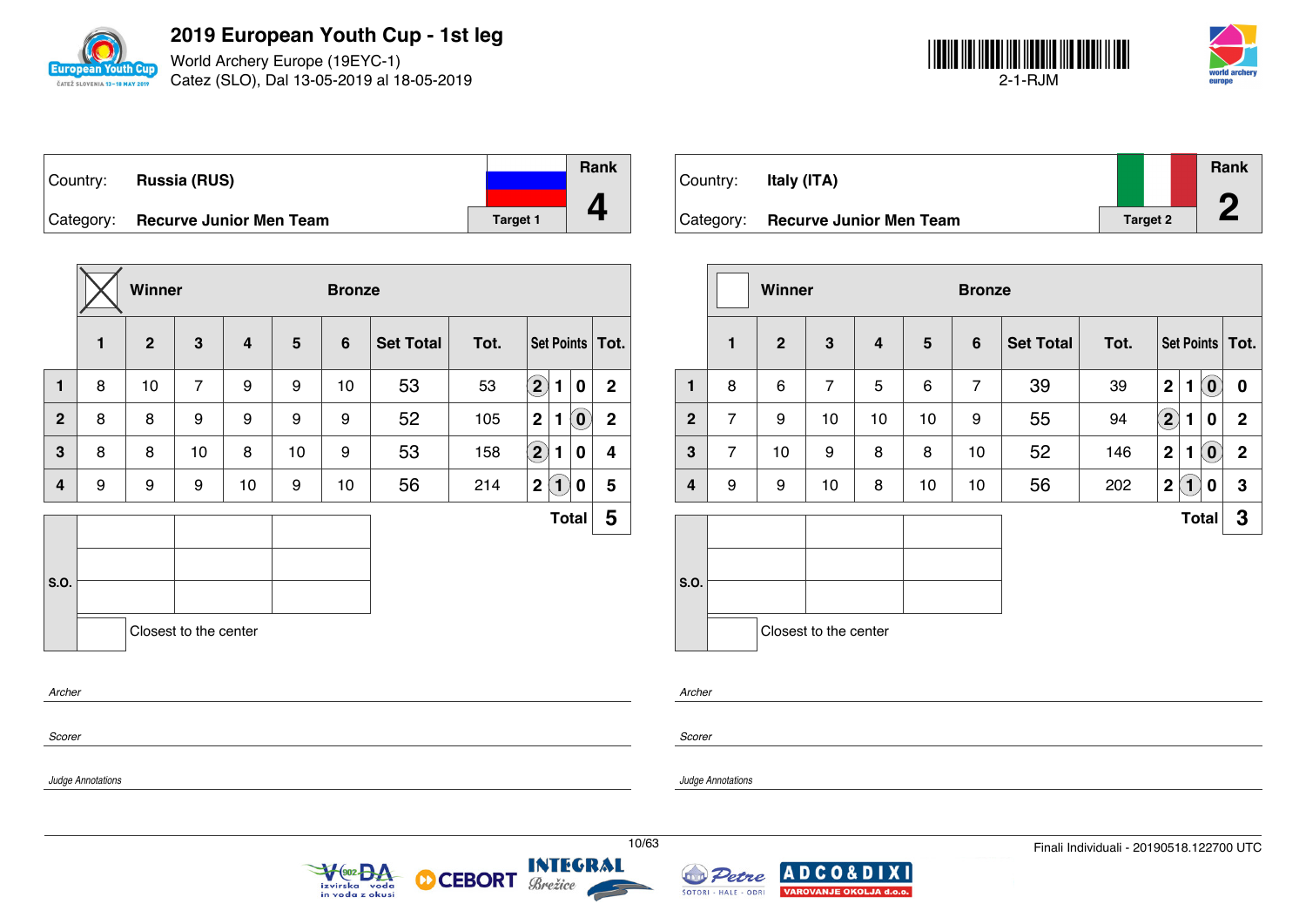

World Archery Europe (19EYC-1) Catez (SLO), Dal 13-05-2019 al 18-05-2019



| Country: | <b>Russia (RUS)</b>               |                 | <b>Rank</b> |
|----------|-----------------------------------|-----------------|-------------|
|          |                                   |                 |             |
|          | Category: Recurve Junior Men Team | <b>Target 1</b> |             |

|                |              | Winner         |                       |                |    | <b>Bronze</b> |                  |      |                            |                |                            |                   |
|----------------|--------------|----------------|-----------------------|----------------|----|---------------|------------------|------|----------------------------|----------------|----------------------------|-------------------|
|                | $\mathbf{1}$ | $\overline{2}$ | 3                     | $\overline{4}$ | 5  | 6             | <b>Set Total</b> | Tot. |                            |                |                            | Set Points   Tot. |
| 1              | 8            | 10             | $\overline{7}$        | 9              | 9  | 10            | 53               | 53   | $\left( \mathbf{2}\right)$ | $\blacksquare$ | $\boldsymbol{0}$           | $\overline{2}$    |
| $\overline{2}$ | 8            | 8              | 9                     | 9              | 9  | 9             | 52               | 105  | $\mathbf 2$                | 1              | $\left( \mathbf{0}\right)$ | $\mathbf 2$       |
| 3              | 8            | 8              | 10                    | 8              | 10 | 9             | 53               | 158  | $\left( 2\right)$          | 1              | 0                          | 4                 |
| 4              | 9            | 9              | 9                     | 10             | 9  | 10            | 56               | 214  | $\mathbf 2$                | $\mathbf{1}$   | 0                          | 5                 |
|                |              |                |                       |                |    |               |                  |      |                            | <b>Total</b>   |                            | 5                 |
|                |              |                |                       |                |    |               |                  |      |                            |                |                            |                   |
| S.O.           |              |                |                       |                |    |               |                  |      |                            |                |                            |                   |
|                |              |                | Closest to the center |                |    |               |                  |      |                            |                |                            |                   |
| Archer         |              |                |                       |                |    |               |                  |      |                            |                |                            |                   |
|                |              |                |                       |                |    |               |                  |      |                            |                |                            |                   |

 $\sqrt{\frac{902}{904}}$ 

izvirska voda<br>in voda z okusi

**CEBORT** 

Brežice

М

| Country:  | Italy (ITA)                    |                 | Rank |
|-----------|--------------------------------|-----------------|------|
| Category: | <b>Recurve Junior Men Team</b> | <b>Target 2</b> |      |

|                |                | <b>Winner</b> |                       |    |    | <b>Bronze</b>  |                  |      |                            |              |                            |                   |
|----------------|----------------|---------------|-----------------------|----|----|----------------|------------------|------|----------------------------|--------------|----------------------------|-------------------|
|                | $\mathbf{1}$   | $\mathbf{2}$  | 3                     | 4  | 5  | $6\phantom{1}$ | <b>Set Total</b> | Tot. |                            |              |                            | Set Points   Tot. |
| $\mathbf{1}$   | 8              | 6             | $\overline{7}$        | 5  | 6  | $\overline{7}$ | 39               | 39   | $\overline{2}$             | 1            | $\left( \mathbf{0}\right)$ | $\bf{0}$          |
| $\overline{2}$ | $\overline{7}$ | 9             | 10                    | 10 | 10 | 9              | 55               | 94   | $\left( \mathbf{2}\right)$ | 1            | 0                          | $\mathbf 2$       |
| 3              | $\overline{7}$ | 10<br>9       |                       | 8  | 8  | 10             | 52               | 146  | $\overline{2}$             | 1            | $\left( \mathbf{0}\right)$ | $\mathbf 2$       |
| 4              | 9              | 9             | 10                    | 8  | 10 | 10             | 56               | 202  | $\mathbf 2$                | $\mathbf{1}$ | 0                          | $\mathbf 3$       |
|                |                |               |                       |    |    |                |                  |      |                            |              | <b>Total</b>               | 3                 |
| S.O.           |                |               |                       |    |    |                |                  |      |                            |              |                            |                   |
|                |                |               | Closest to the center |    |    |                |                  |      |                            |              |                            |                   |

*Archer*

*Scorer*

*Judge Annotations*

*Scorer*

*Judge Annotations*



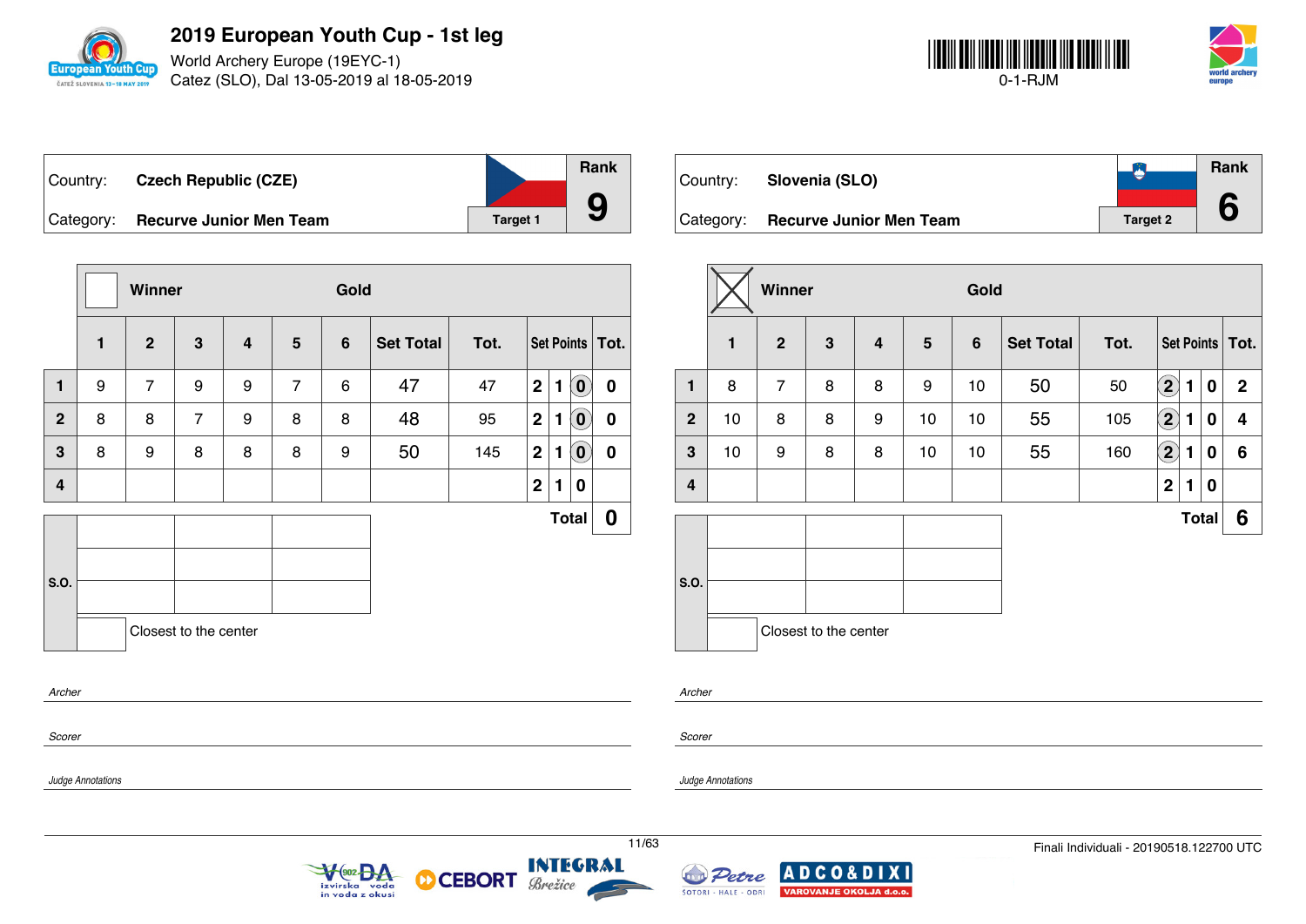

*Judge Annotations*

**2019 European Youth Cup - 1st leg**

World Archery Europe (19EYC-1) Catez (SLO), Dal 13-05-2019 al 18-05-2019



| ⊺Country: | <b>Czech Republic (CZE)</b>    |                 | <b>Rank</b> |
|-----------|--------------------------------|-----------------|-------------|
| Category: | <b>Recurve Junior Men Team</b> | <b>Target 1</b> |             |

|                  |   | Winner         |                       |   |                | Gold |                  |      |             |   |                            |                   |
|------------------|---|----------------|-----------------------|---|----------------|------|------------------|------|-------------|---|----------------------------|-------------------|
|                  | 1 | $\mathbf 2$    | $\mathbf 3$           | 4 | $5\phantom{1}$ | 6    | <b>Set Total</b> | Tot. |             |   |                            | Set Points   Tot. |
| $\mathbf{1}$     | 9 | $\overline{7}$ | 9                     | 9 | $\overline{7}$ | 6    | 47               | 47   | $\mathbf 2$ | 1 | $\mathbf{O}$               | $\pmb{0}$         |
| $\overline{2}$   | 8 | 8              | $\overline{7}$        | 9 | 8              | 8    | 48               | 95   | $\mathbf 2$ | 1 | $\left( \mathbf{0}\right)$ | $\bf{0}$          |
| 3                | 8 | 9              | 8                     | 8 | 8              | 9    | 50               | 145  | $\mathbf 2$ | 1 | $\left( \mathbf{0}\right)$ | $\boldsymbol{0}$  |
| $\boldsymbol{4}$ |   |                |                       |   |                |      |                  |      | $\mathbf 2$ | 1 | 0                          |                   |
|                  |   |                |                       |   |                |      |                  |      |             |   | <b>Total</b>               | $\boldsymbol{0}$  |
|                  |   |                |                       |   |                |      |                  |      |             |   |                            |                   |
| S.O.             |   |                |                       |   |                |      |                  |      |             |   |                            |                   |
|                  |   |                | Closest to the center |   |                |      |                  |      |             |   |                            |                   |
| Archer           |   |                |                       |   |                |      |                  |      |             |   |                            |                   |
| Scorer           |   |                |                       |   |                |      |                  |      |             |   |                            |                   |

| Country: | Slovenia (SLO)                    |                 | <b>Rank</b> |
|----------|-----------------------------------|-----------------|-------------|
|          | Category: Recurve Junior Men Team | <b>Target 2</b> |             |

|                |              | Winner         |                       |                         |                |                |                  |      |                      |                |                  |                   |
|----------------|--------------|----------------|-----------------------|-------------------------|----------------|----------------|------------------|------|----------------------|----------------|------------------|-------------------|
|                | $\mathbf{1}$ | $\overline{2}$ | $\mathbf{3}$          | $\overline{\mathbf{4}}$ | $5\phantom{1}$ | $6\phantom{1}$ | <b>Set Total</b> | Tot. |                      |                |                  | Set Points   Tot. |
| 1              | 8            | $\overline{7}$ | 8                     | 8                       | 9              | 10             | 50               | 50   | $\mathbf{2}$         | $\blacksquare$ | $\boldsymbol{0}$ | $\mathbf{2}$      |
| $\overline{2}$ | 10           | 8              | 8                     | 9                       | 10             | 10             | 55               | 105  | $\Large{\textbf{2}}$ | 1              | $\bf{0}$         | 4                 |
| $\mathbf{3}$   | 10           | 9              | 8                     | 8                       | 10             | 10             | 55               | 160  | $\boxed{2}$          | 1              | $\bf{0}$         | 6                 |
| 4              |              |                |                       |                         |                |                |                  |      | $\mathbf 2$          | 1              | $\bf{0}$         |                   |
|                |              |                |                       |                         |                |                |                  |      |                      |                | <b>Total</b>     | 6                 |
|                |              |                |                       |                         |                |                |                  |      |                      |                |                  |                   |
| S.O.           |              |                |                       |                         |                |                |                  |      |                      |                |                  |                   |
|                |              |                | Closest to the center |                         |                |                |                  |      |                      |                |                  |                   |
|                |              |                |                       |                         |                |                |                  |      |                      |                |                  |                   |

*Scorer*

*Archer*

*Judge Annotations*



**CEBORT** 



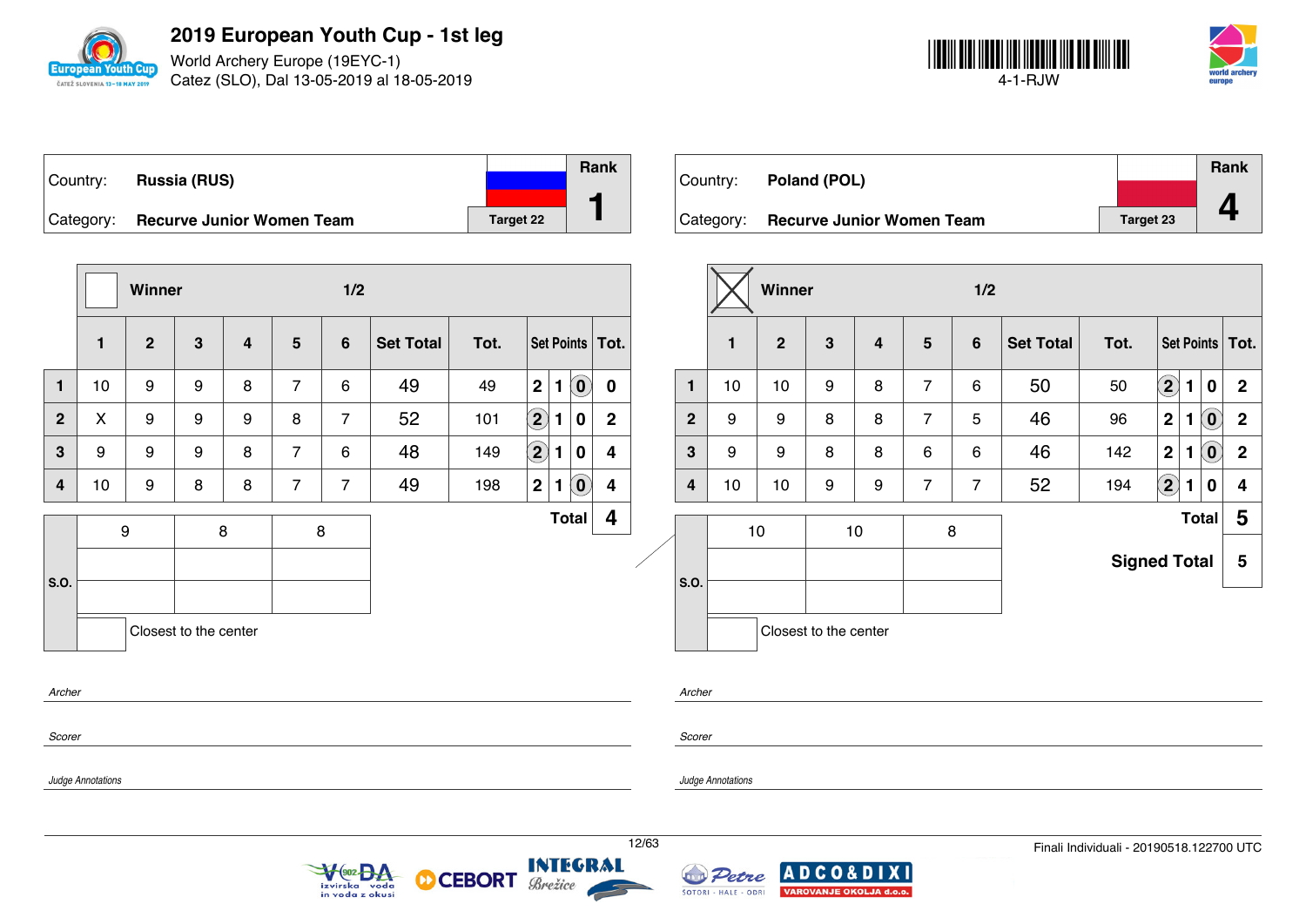

World Archery Europe (19EYC-1) Catez (SLO), Dal 13-05-2019 al 18-05-2019



|               |                                  |                  | Rank |
|---------------|----------------------------------|------------------|------|
| Country:      | <b>Russia (RUS)</b>              |                  |      |
| $ $ Category: | <b>Recurve Junior Women Team</b> | <b>Target 22</b> |      |

|                               |              | Winner         |              |   |                | 1/2            |                  |      |                            |              |                            |                         |  |
|-------------------------------|--------------|----------------|--------------|---|----------------|----------------|------------------|------|----------------------------|--------------|----------------------------|-------------------------|--|
|                               | $\mathbf{1}$ | $\overline{2}$ | $\mathbf{3}$ | 4 | $5\phantom{1}$ | $6\phantom{1}$ | <b>Set Total</b> | Tot. |                            |              |                            | Set Points   Tot.       |  |
| $\mathbf{1}$                  | 10           | 9              | 9            | 8 | $\overline{7}$ | 6              | 49               | 49   | $\mathbf 2$                | $\mathbf{1}$ | $\left( \mathbf{0}\right)$ | $\mathbf 0$             |  |
| $\overline{2}$                | X.           | 9              | 9            | 9 | 8              | 7              | 52               | 101  | $\left( \mathbf{2}\right)$ | 1            | 0                          | $\mathbf{2}$            |  |
| 3                             | 9            | 9              | 9            | 8 | $\overline{7}$ | 6              | 48               | 149  | $\bf \overline{2}$         | 1            | $\bf{0}$                   | $\overline{\mathbf{4}}$ |  |
| $\overline{\mathbf{4}}$       | 10           | 9              | 8            | 8 | $\overline{7}$ | $\overline{7}$ | 49               | 198  | $\mathbf 2$                | $\mathbf{1}$ | $\left( \mathbf{0}\right)$ | 4                       |  |
| 9<br>8                        |              |                |              |   |                | 8              |                  |      |                            |              | <b>Total</b>               | 4                       |  |
| S.O.<br>Closest to the center |              |                |              |   |                |                |                  |      |                            |              |                            |                         |  |
| Archer                        |              |                |              |   |                |                |                  |      |                            |              |                            |                         |  |
| Scorer                        |              |                |              |   |                |                |                  |      |                            |              |                            |                         |  |

 $\sqrt{\frac{902}{2}}$ 

izvirska voda<br>in voda z okusi



|                |              | <b>Winner</b>  |                       |         | 1/2            |                 |                  |                     |                            |              |                            |                   |
|----------------|--------------|----------------|-----------------------|---------|----------------|-----------------|------------------|---------------------|----------------------------|--------------|----------------------------|-------------------|
|                | $\mathbf{1}$ | $\overline{2}$ | $\mathbf{3}$          | 4       | $5\phantom{1}$ | $6\phantom{1}6$ | <b>Set Total</b> | Tot.                |                            |              |                            | Set Points   Tot. |
| $\mathbf{1}$   | 10           | 10             | 9                     | 8       | $\overline{7}$ | 6               | 50               | 50                  | $\left( \mathbf{2}\right)$ | 1            | $\bf{0}$                   | $\mathbf{2}$      |
| $\overline{2}$ | 9            | 9              | 8                     | 8       | $\overline{7}$ | 5               | 46               | 96                  | $\mathbf{2}$               | 1            | $\left( \mathbf{0}\right)$ | $\mathbf 2$       |
| 3              | 9            | 9              | 8                     | 8       | 6              | 6               | 46               | 142                 | $\mathbf{2}$               | 1            | $\left( \mathbf{0}\right)$ | $\mathbf 2$       |
| 4              | 10           | 10             | 9                     | 9       | $\overline{7}$ | $\overline{7}$  | 52               | 194                 | $\bf(2)$                   | $\mathbf{1}$ | $\bf{0}$                   | 4                 |
|                |              | 10             |                       | 8<br>10 |                |                 |                  |                     |                            |              | <b>Total</b>               | 5                 |
|                |              |                |                       |         |                |                 |                  | <b>Signed Total</b> |                            |              |                            | 5                 |
| S.O.           |              |                |                       |         |                |                 |                  |                     |                            |              |                            |                   |
|                |              |                | Closest to the center |         |                |                 |                  |                     |                            |              |                            |                   |

*Archer*

*Scorer*

*Judge Annotations*

*Judge Annotations*

**INTEGRAL** 

Brežice

**CEBORT** 

М

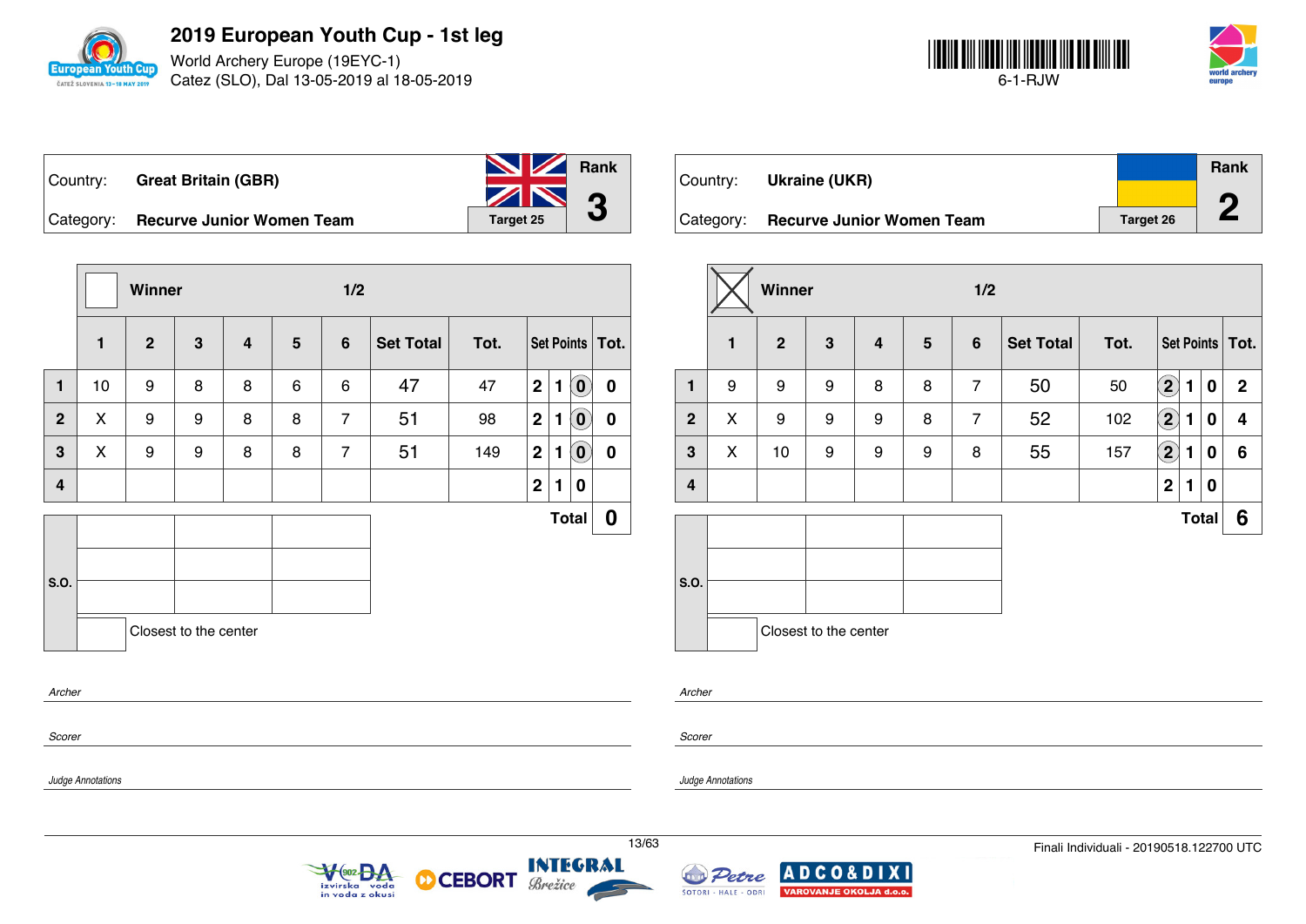

World Archery Europe (19EYC-1) Catez (SLO), Dal 13-05-2019 al 18-05-2019



| Country: _ | <b>Great Britain (GBR)</b>       | <b>No. 7 Rank</b> |  |
|------------|----------------------------------|-------------------|--|
|            |                                  | $\mathbb{Z}$ 3    |  |
| Category:  | <b>Recurve Junior Women Team</b> | Target 25         |  |

**Winner 1/2 1 2 3 4 5 6 Set Total Tot. Set Points Tot. 1** 10 9 8 8 6 6 47 47 **2 1 0 0 2** X 9 9 8 8 7 51 98 **2 1 0 0 3** X 9 9 8 8 7 51 149 **2 1 0 0 4 2 1 0 S.O. Total 0** Closest to the center

| Country:  | Ukraine (UKR)                    |                  | Rank |
|-----------|----------------------------------|------------------|------|
| Category: | <b>Recurve Junior Women Team</b> | <b>Target 26</b> |      |

|                  |              | Winner       |                       |   |                 | 1/2            |                  |      |                            |              |          |                   |
|------------------|--------------|--------------|-----------------------|---|-----------------|----------------|------------------|------|----------------------------|--------------|----------|-------------------|
|                  | $\mathbf{1}$ | $\mathbf{2}$ | $\mathbf{3}$          | 4 | $5\phantom{.0}$ | 6              | <b>Set Total</b> | Tot. |                            |              |          | Set Points   Tot. |
| 1                | 9            | 9            | 9                     | 8 | 8               | $\overline{7}$ | 50               | 50   | $\left( \mathbf{2}\right)$ | 1            | $\bf{0}$ | $\mathbf 2$       |
| $\overline{2}$   | X            | 9            | 9                     | 9 | 8               | $\overline{7}$ | 52               | 102  | $\left( \bf{2}\right)$     | 1            | 0        | 4                 |
| $\mathbf{3}$     | X            | 10           | 9                     | 9 | 9               | 8              | 55               | 157  | $\bigcirc$                 | 1            | 0        | 6                 |
| $\boldsymbol{4}$ |              |              |                       |   |                 |                |                  |      | $\mathbf 2$                | 1            | 0        |                   |
|                  |              |              |                       |   |                 |                |                  |      |                            | <b>Total</b> |          | 6                 |
| S.O.             |              |              | Closest to the center |   |                 |                |                  |      |                            |              |          |                   |

*Archer*

*Scorer*

*Scorer*

*Archer*

*Judge Annotations*

*Judge Annotations*





**CEBORT** 

м

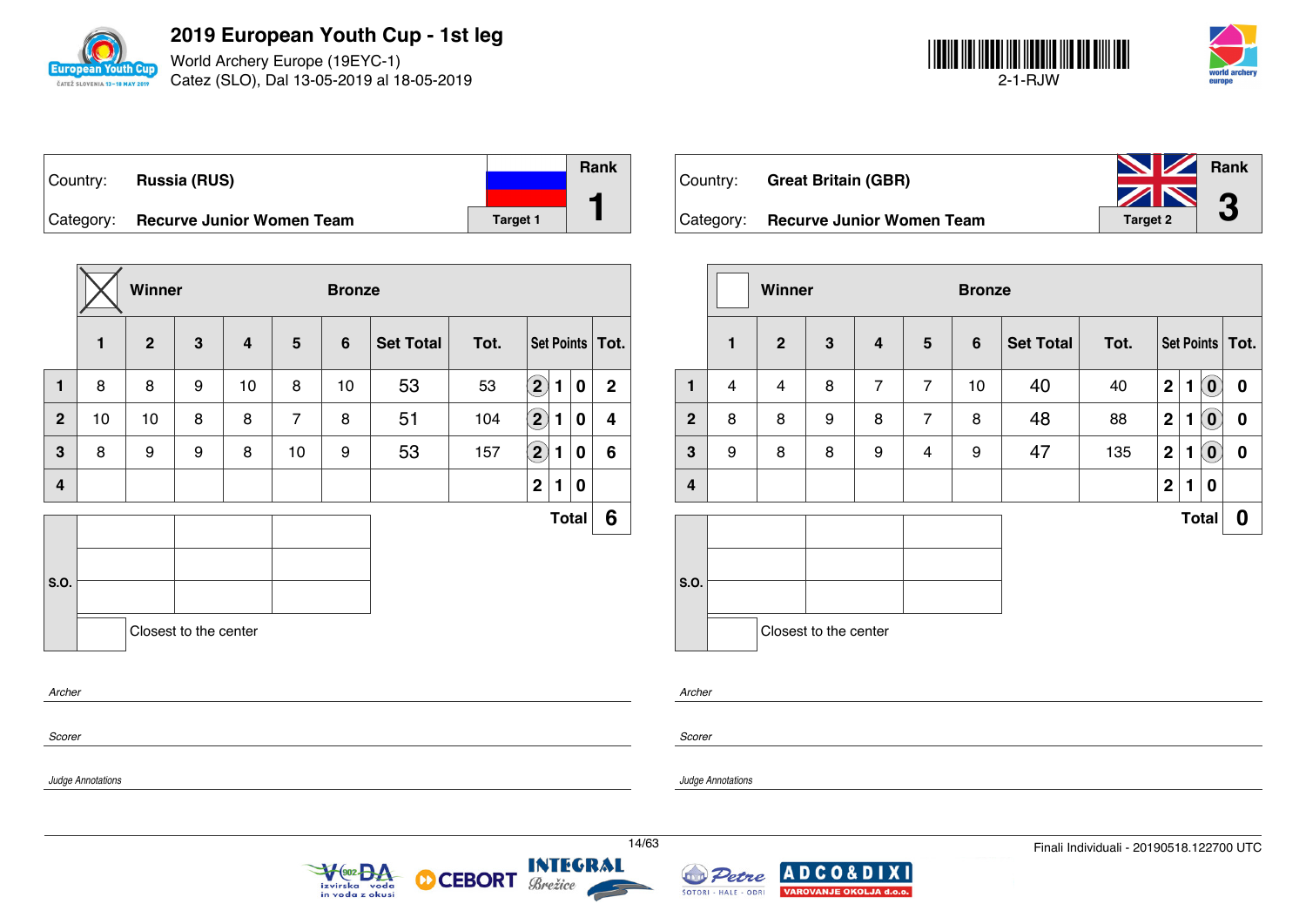

World Archery Europe (19EYC-1) Catez (SLO), Dal 13-05-2019 al 18-05-2019



| Country:  | <b>Russia (RUS)</b>              |          | <b>Rank</b> |
|-----------|----------------------------------|----------|-------------|
| Category: | <b>Recurve Junior Women Team</b> | Target 1 |             |

|                       |    | Winner       |              |                         |                | <b>Bronze</b>  |                  |      |                      |   |              |                   |
|-----------------------|----|--------------|--------------|-------------------------|----------------|----------------|------------------|------|----------------------|---|--------------|-------------------|
|                       | 1  | $\mathbf{2}$ | $\mathbf{3}$ | $\overline{\mathbf{4}}$ | 5              | $6\phantom{1}$ | <b>Set Total</b> | Tot. |                      |   |              | Set Points   Tot. |
| 1                     | 8  | 8            | 9            | 10                      | 8              | 10             | 53               | 53   | $\bf \overline{2}$   | 1 | 0            | $\mathbf{2}$      |
| $\mathbf{2}$          | 10 | 10           | 8            | 8                       | $\overline{7}$ | 8              | 51               | 104  | $\bigcirc$           | 1 | 0            | 4                 |
| 3                     | 8  | 9            | 9            | 8                       | 10             | 9              | 53               | 157  | $\Large{\textbf{2}}$ | 1 | 0            | 6                 |
| 4                     |    |              |              |                         |                |                |                  |      | $\boldsymbol{2}$     | 1 | 0            |                   |
|                       |    |              |              |                         |                |                |                  |      |                      |   | <b>Total</b> | 6                 |
| S.O.                  |    |              |              |                         |                |                |                  |      |                      |   |              |                   |
| Closest to the center |    |              |              |                         |                |                |                  |      |                      |   |              |                   |
| Archer                |    |              |              |                         |                |                |                  |      |                      |   |              |                   |
| Scorer                |    |              |              |                         |                |                |                  |      |                      |   |              |                   |

| Country: | <b>Great Britain (GBR)</b>          | <b>No. 7 Rank</b><br>ZN 0 |   |
|----------|-------------------------------------|---------------------------|---|
|          | Category: Recurve Junior Women Team | <b>Target 2</b>           | J |

|                |              | Winner       |                       |                         |                 | <b>Bronze</b>  |                  |      |             |   |                                                     |                   |
|----------------|--------------|--------------|-----------------------|-------------------------|-----------------|----------------|------------------|------|-------------|---|-----------------------------------------------------|-------------------|
|                | $\mathbf{1}$ | $\mathbf{2}$ | 3                     | $\overline{\mathbf{4}}$ | $5\phantom{.0}$ | $6\phantom{1}$ | <b>Set Total</b> | Tot. |             |   |                                                     | Set Points   Tot. |
| 1              | 4            | 4            | 8                     | $\overline{7}$          | $\overline{7}$  | 10             | 40               | 40   | $\mathbf 2$ | 1 | $\left( \begin{matrix} 0 \\ 0 \end{matrix} \right)$ | $\bf{0}$          |
| $\overline{2}$ | 8            | 8            | 9                     | 8                       | $\overline{7}$  | 8              | 48               | 88   | $\mathbf 2$ | 1 | $\left( \mathbf{0}\right)$                          | 0                 |
| $\mathbf{3}$   | 9            | 8            | 8                     | 9                       | 4               | 9              | 47               | 135  | $\mathbf 2$ | 1 | $(\mathbf{0})$                                      | $\boldsymbol{0}$  |
| $\overline{4}$ |              |              |                       |                         |                 |                |                  |      | $\mathbf 2$ | 1 | $\bf{0}$                                            |                   |
|                |              |              |                       |                         |                 |                |                  |      |             |   | <b>Total</b>                                        | 0                 |
| S.O.           |              |              | Closest to the center |                         |                 |                |                  |      |             |   |                                                     |                   |

*Archer*

*Judge Annotations*

*Scorer*

*Judge Annotations*





**CEBORT** 

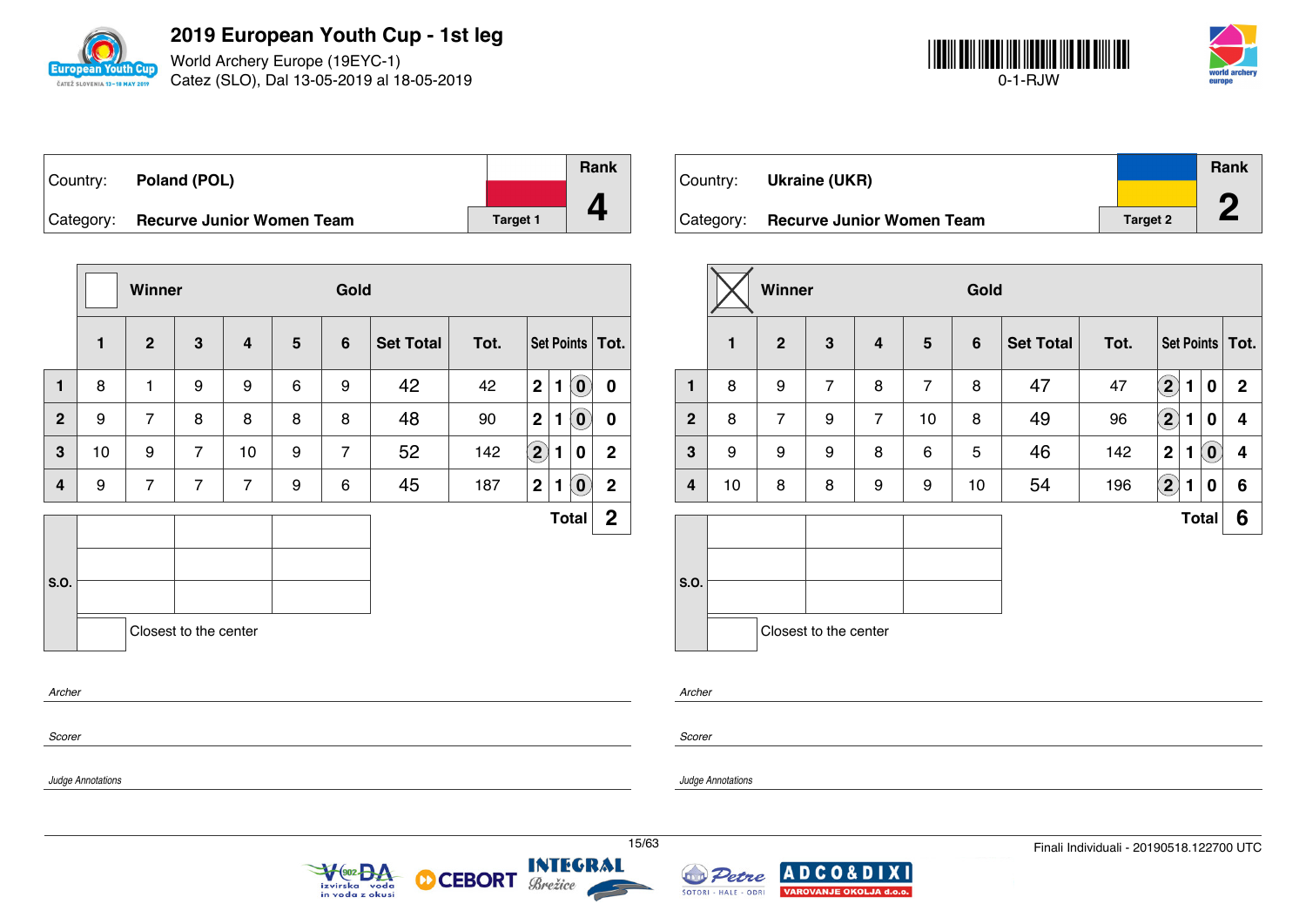

World Archery Europe (19EYC-1) Catez (SLO), Dal 13-05-2019 al 18-05-2019



| Country:  | Poland (POL)                     |          | Rank |
|-----------|----------------------------------|----------|------|
|           |                                  |          |      |
| Category: | <b>Recurve Junior Women Team</b> | Target 1 |      |

|              |    | Winner         |                       |                |   | Gold           |                  |      |                |   |                                   |                   |
|--------------|----|----------------|-----------------------|----------------|---|----------------|------------------|------|----------------|---|-----------------------------------|-------------------|
|              | 1  | $\mathbf{2}$   | 3                     | 4              | 5 | $6\phantom{1}$ | <b>Set Total</b> | Tot. |                |   |                                   | Set Points   Tot. |
| 1            | 8  | 1              | 9                     | 9              | 6 | 9              | 42               | 42   | $\overline{2}$ | 1 | $\left( \mathbf{0}\right)$        | $\boldsymbol{0}$  |
| $\mathbf{2}$ | 9  | $\overline{7}$ | 8                     | 8              | 8 | 8              | 48               | 90   | $\mathbf{2}$   | 1 | $\left  \mathbf{0} \right\rangle$ | $\boldsymbol{0}$  |
| 3            | 10 | 9              | $\overline{7}$        | 10             | 9 | $\overline{7}$ | 52               | 142  | $\boxed{2}$    | 1 | 0                                 | $\mathbf 2$       |
| 4            | 9  | $\overline{7}$ | $\overline{7}$        | $\overline{7}$ | 9 | 6              | 45               | 187  | 2              | 1 | $\left( \mathbf{0}\right)$        | $\mathbf 2$       |
|              |    |                |                       |                |   |                |                  |      |                |   | <b>Total</b>                      | $\mathbf{2}$      |
|              |    |                |                       |                |   |                |                  |      |                |   |                                   |                   |
| S.O.         |    |                |                       |                |   |                |                  |      |                |   |                                   |                   |
|              |    |                | Closest to the center |                |   |                |                  |      |                |   |                                   |                   |
| Archer       |    |                |                       |                |   |                |                  |      |                |   |                                   |                   |

*Scorer*

*Judge Annotations*

Country: **Ukraine (UKR)** Category: **Recurve Junior Women Team Target 2** Target 2 **Rank 2**

|                |              | Winner         |                       |                         |                | Gold           |                  |      |                            |              |                            |                   |
|----------------|--------------|----------------|-----------------------|-------------------------|----------------|----------------|------------------|------|----------------------------|--------------|----------------------------|-------------------|
|                | $\mathbf{1}$ | $\overline{2}$ | $\mathbf{3}$          | $\overline{\mathbf{4}}$ | 5              | $6\phantom{1}$ | <b>Set Total</b> | Tot. |                            |              |                            | Set Points   Tot. |
| $\mathbf{1}$   | 8            | 9              | $\overline{7}$        | 8                       | $\overline{7}$ | 8              | 47               | 47   | $\left( \mathbf{2}\right)$ | 1            | 0                          | $\mathbf 2$       |
| $\overline{2}$ | 8            | $\overline{7}$ | 9                     | $\overline{7}$          | 10             | 8              | 49               | 96   | $\mathbf{2}$               | 1            | 0                          | 4                 |
| 3              | 9            | 9              | 9                     | 8                       | 6              | 5              | 46               | 142  | $\overline{2}$             | 1            | $\left( \mathbf{0}\right)$ | 4                 |
| 4              | 10           | 8              | 8                     | 9                       | 9              | 10             | 54               | 196  | $\mathbf{2}$               | 1            | 0                          | 6                 |
|                |              |                |                       |                         |                |                |                  |      |                            | <b>Total</b> |                            | 6                 |
| S.O.           |              |                |                       |                         |                |                |                  |      |                            |              |                            |                   |
|                |              |                | Closest to the center |                         |                |                |                  |      |                            |              |                            |                   |

*Archer*

*Scorer*

*Judge Annotations*





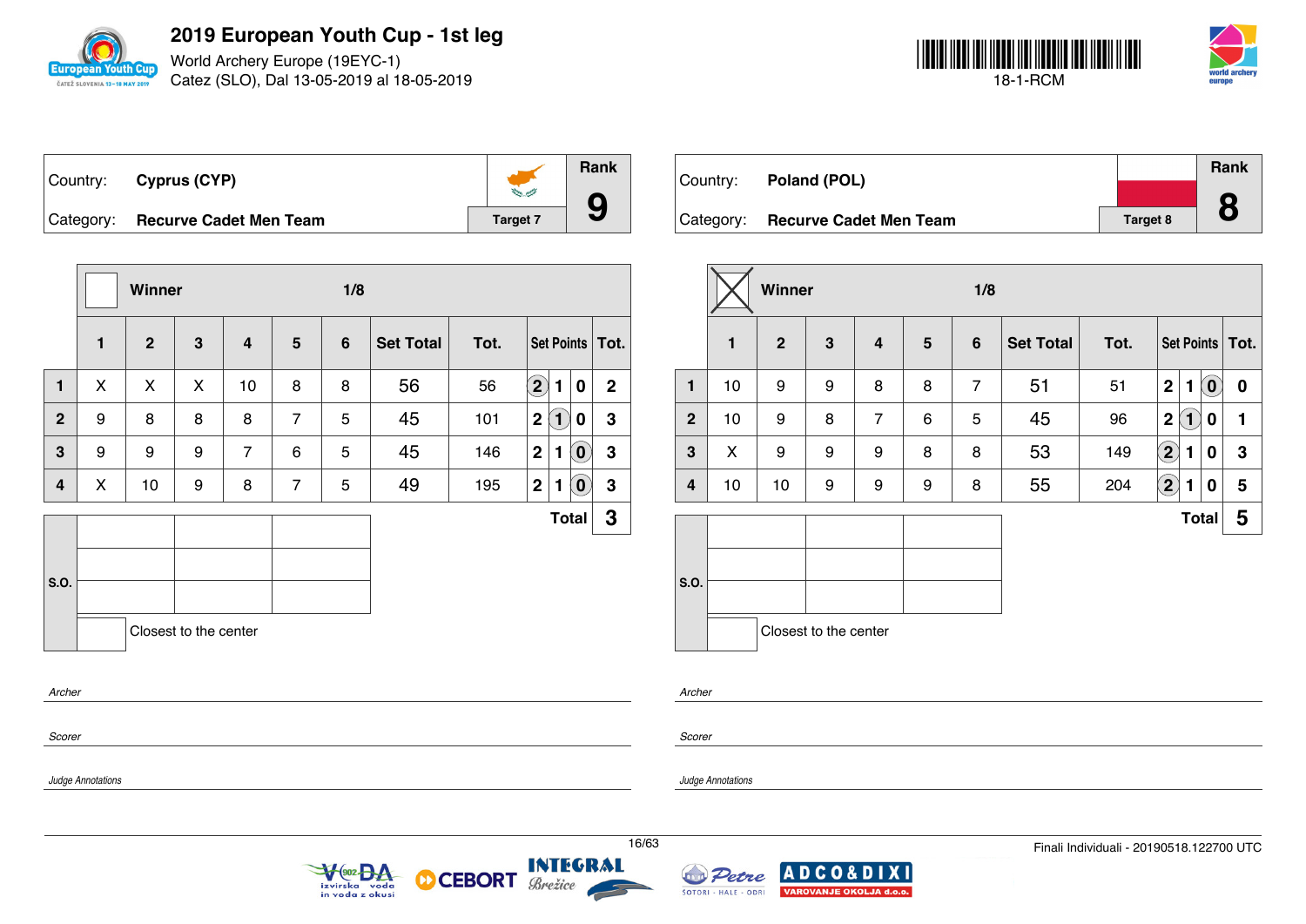

World Archery Europe (19EYC-1) Catez (SLO), Dal 13-05-2019 al 18-05-2019



| Country: Cyprus (CYP)            | $250 - 10$ | Rank |
|----------------------------------|------------|------|
| Category: Recurve Cadet Men Team | Target 7   |      |

|              |   | Winner       |                       |                |                | 1/8            |                  |      |                      |                   |                            |                   |
|--------------|---|--------------|-----------------------|----------------|----------------|----------------|------------------|------|----------------------|-------------------|----------------------------|-------------------|
|              | 1 | $\mathbf{2}$ | $\mathbf{3}$          | 4              | $5\phantom{1}$ | $6\phantom{1}$ | <b>Set Total</b> | Tot. |                      |                   |                            | Set Points   Tot. |
| 1            | X | X            | X                     | 10             | 8              | 8              | 56               | 56   | $\Large{\textbf{2}}$ | $\blacksquare$    | 0                          | $\mathbf{2}$      |
| $\mathbf{2}$ | 9 | 8            | 8                     | 8              | $\overline{7}$ | 5              | 45               | 101  | 2                    | $\left( 1\right)$ | 0                          | $\mathbf 3$       |
| 3            | 9 | 9            | 9                     | $\overline{7}$ | 6              | 5              | 45               | 146  | $\overline{2}$       | 1                 | $\left( \mathbf{0}\right)$ | 3                 |
| 4            | X | 10           | 9                     | 8              | $\overline{7}$ | 5              | 49               | 195  | $\mathbf{2}$         | 1                 | $\left( \mathbf{0}\right)$ | $\mathbf 3$       |
|              |   |              |                       |                |                |                |                  |      |                      |                   | <b>Total</b>               | 3                 |
| <b>S.O.</b>  |   |              |                       |                |                |                |                  |      |                      |                   |                            |                   |
| Archer       |   |              | Closest to the center |                |                |                |                  |      |                      |                   |                            |                   |
| Scorer       |   |              |                       |                |                |                |                  |      |                      |                   |                            |                   |

| Country: Poland (POL)            |          | Rank      |
|----------------------------------|----------|-----------|
|                                  |          | $\bullet$ |
| Category: Recurve Cadet Men Team | Target 8 | Ŏ         |

|                |              | Winner         |                       |                |                 | 1/8             |                  |      |                   |                             |                            |                   |
|----------------|--------------|----------------|-----------------------|----------------|-----------------|-----------------|------------------|------|-------------------|-----------------------------|----------------------------|-------------------|
|                | $\mathbf{1}$ | $\overline{2}$ | 3                     | 4              | $5\phantom{.0}$ | $6\phantom{1}6$ | <b>Set Total</b> | Tot. |                   |                             |                            | Set Points   Tot. |
| 1              | 10           | 9              | 9                     | 8              | 8               | $\overline{7}$  | 51               | 51   | $\mathbf 2$       | 1                           | $\left( \mathbf{0}\right)$ | $\boldsymbol{0}$  |
| $\overline{2}$ | 10           | 9              | 8                     | $\overline{7}$ | 6               | 5               | 45               | 96   | $\mathbf 2$       | $\left  \mathbf{1} \right $ | 0                          | 1                 |
| 3              | X            | 9              | 9                     | 9              | 8               | 8               | 53               | 149  | $\left( 2\right)$ | 1                           | 0                          | 3                 |
| 4              | 10           | 10             | 9                     | 9              | 9               | 8               | 55               | 204  | $\left( 2\right)$ | 1                           | 0                          | 5                 |
|                |              |                |                       |                |                 |                 |                  |      |                   | <b>Total</b>                |                            | 5                 |
| S.O.           |              |                |                       |                |                 |                 |                  |      |                   |                             |                            |                   |
|                |              |                | Closest to the center |                |                 |                 |                  |      |                   |                             |                            |                   |

| Archer |
|--------|
|        |

*Scorer*

*Judge Annotations*

*Judge Annotations*





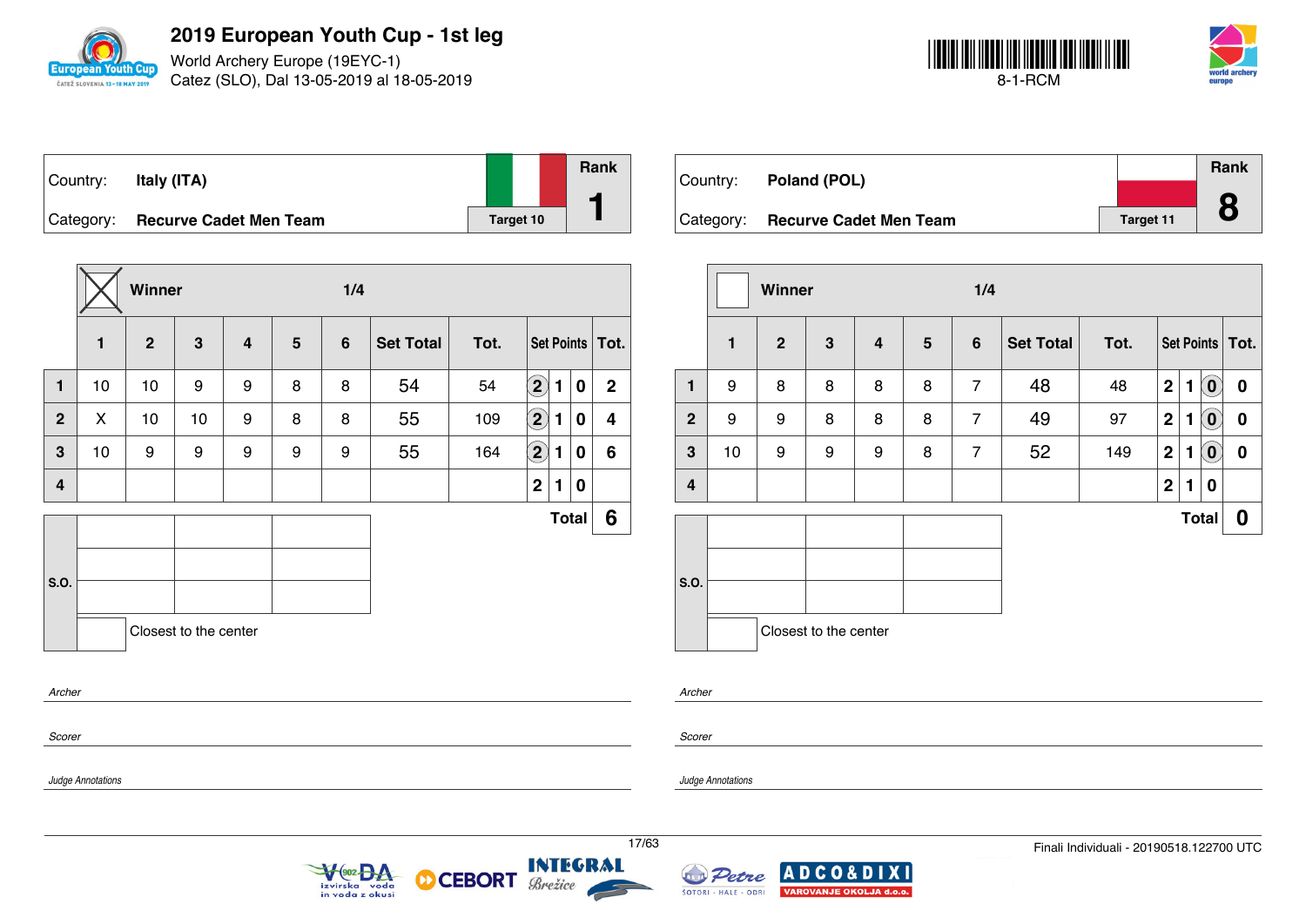

World Archery Europe (19EYC-1) Catez (SLO), Dal 13-05-2019 al 18-05-2019



| Country:  | Italy (ITA)                   |           | Rank |
|-----------|-------------------------------|-----------|------|
| Category: | <b>Recurve Cadet Men Team</b> | Target 10 |      |

|                |    | Winner         |                       |                |                | 1/4            |                  |      |                            |              |              |                   |
|----------------|----|----------------|-----------------------|----------------|----------------|----------------|------------------|------|----------------------------|--------------|--------------|-------------------|
|                | 1  | $\overline{2}$ | 3                     | $\overline{4}$ | $5\phantom{1}$ | $6\phantom{1}$ | <b>Set Total</b> | Tot. |                            |              |              | Set Points   Tot. |
| $\mathbf{1}$   | 10 | 10             | 9                     | 9              | 8              | 8              | 54               | 54   | $\left( \mathbf{2}\right)$ | $\mathbf{1}$ | $\bf{0}$     | $\mathbf{2}$      |
| $\overline{2}$ | X  | 10             | 10                    | 9              | 8              | 8              | 55               | 109  | $\left( 2\right)$          | 1            | $\bf{0}$     | 4                 |
| $\overline{3}$ | 10 | 9              | 9                     | 9              | 9              | 9              | 55               | 164  | $\overline{\mathbf{2}}$    | 1.           | $\mathbf 0$  | 6                 |
| 4              |    |                |                       |                |                |                |                  |      | $\mathbf 2$                | 1.           | 0            |                   |
| S.O.           |    |                |                       |                |                |                |                  |      |                            |              | <b>Total</b> | 6                 |
|                |    |                | Closest to the center |                |                |                |                  |      |                            |              |              |                   |
| Archer         |    |                |                       |                |                |                |                  |      |                            |              |              |                   |
| Scorer         |    |                |                       |                |                |                |                  |      |                            |              |              |                   |

| Country:  | Poland (POL)                  |                  | <b>Rank</b> |
|-----------|-------------------------------|------------------|-------------|
|           |                               |                  |             |
| Category: | <b>Recurve Cadet Men Team</b> | <b>Target 11</b> |             |

|                         |              | Winner         |                       |                         |                | 1/4            |                  |      |                |                |                       |                   |
|-------------------------|--------------|----------------|-----------------------|-------------------------|----------------|----------------|------------------|------|----------------|----------------|-----------------------|-------------------|
|                         | $\mathbf{1}$ | $\overline{2}$ | $\mathbf{3}$          | $\overline{\mathbf{4}}$ | $5\phantom{1}$ | $6\phantom{1}$ | <b>Set Total</b> | Tot. |                |                |                       | Set Points   Tot. |
| 1                       | 9            | 8              | 8                     | 8                       | 8              | $\overline{7}$ | 48               | 48   | $\overline{2}$ | 1              | $\mathbf{0}^{\prime}$ | $\mathbf 0$       |
| $\overline{2}$          | 9            | 9              | 8                     | 8                       | 8              | $\overline{7}$ | 49               | 97   | $\mathbf 2$    | 1              | $\left( 0 \right)$    | $\bf{0}$          |
| $\mathbf{3}$            | 10           | 9              | 9                     | 9                       | 8              | $\overline{7}$ | 52               | 149  | $\mathbf 2$    | 1              | $(\mathbf{0})$        | $\boldsymbol{0}$  |
| $\overline{\mathbf{4}}$ |              |                |                       |                         |                |                |                  |      | $\overline{2}$ | $\blacksquare$ | $\bf{0}$              |                   |
|                         |              |                |                       |                         |                |                |                  |      |                |                | <b>Total</b>          | 0                 |
| S.O.                    |              |                |                       |                         |                |                |                  |      |                |                |                       |                   |
|                         |              |                | Closest to the center |                         |                |                |                  |      |                |                |                       |                   |

*Archer*

*Scorer*

*Judge Annotations*



**CEBORT** 



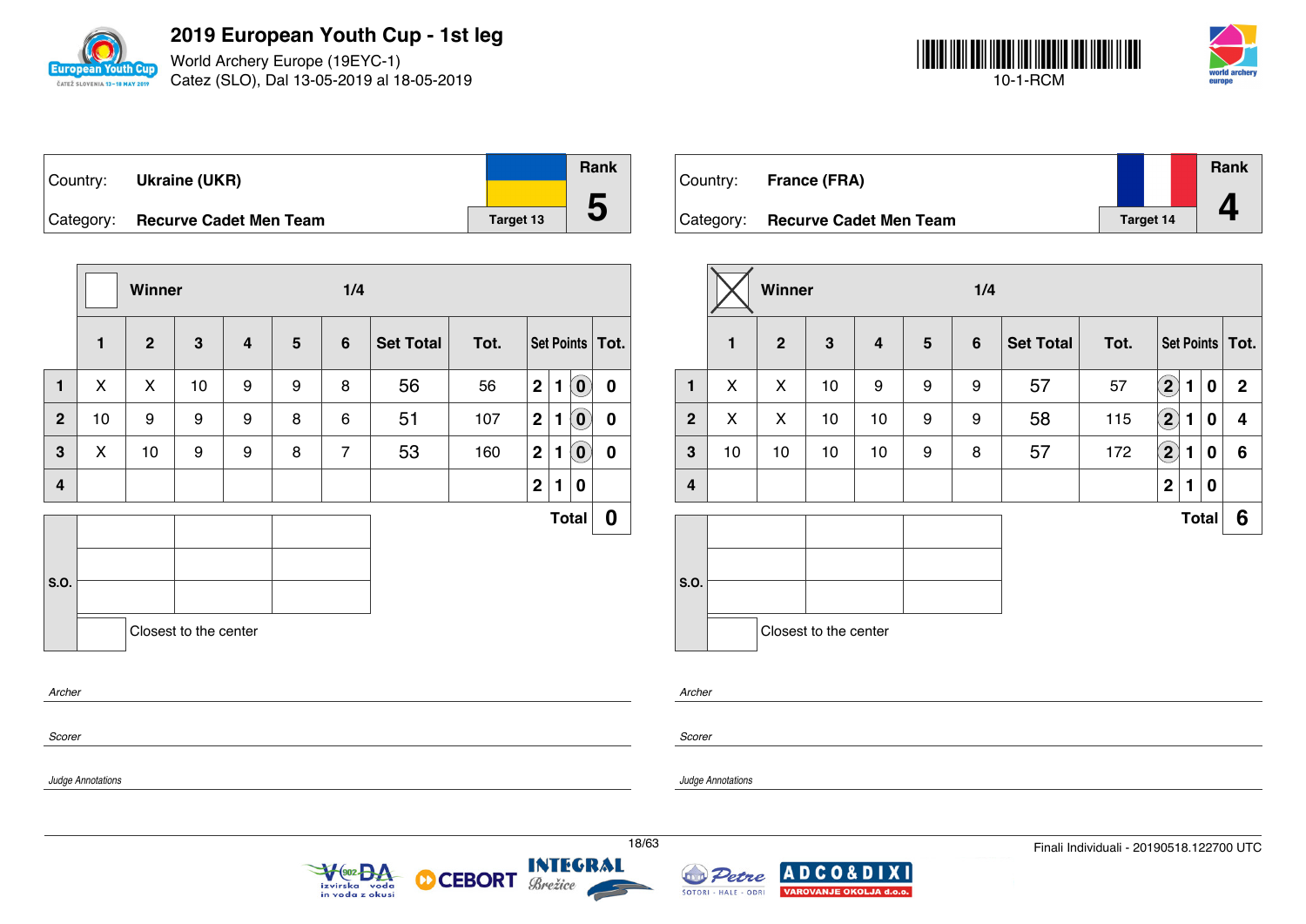

World Archery Europe (19EYC-1) Catez (SLO), Dal 13-05-2019 al 18-05-2019



| ⊺Country: | <b>Ukraine (UKR)</b>             |                  | Rank |
|-----------|----------------------------------|------------------|------|
|           | Category: Recurve Cadet Men Team | <b>Target 13</b> | IJ   |

|              |              |    |                         |                       | 1/4            |                  |      |             |   |                            |                                                                 |
|--------------|--------------|----|-------------------------|-----------------------|----------------|------------------|------|-------------|---|----------------------------|-----------------------------------------------------------------|
| $\mathbf{1}$ | $\mathbf{2}$ | 3  | $\overline{\mathbf{4}}$ | $5\phantom{1}$        | $6\phantom{1}$ | <b>Set Total</b> | Tot. |             |   |                            |                                                                 |
| X            | X            | 10 | 9                       | 9                     | 8              | 56               | 56   | $\mathbf 2$ | 1 | $\left( \mathbf{0}\right)$ | $\bf{0}$                                                        |
| 10           | 9            | 9  | 9                       | 8                     | 6              | 51               | 107  | $\mathbf 2$ | 1 |                            | 0                                                               |
| X            | 10           | 9  | 9                       | 8                     | $\overline{7}$ | 53               | 160  | $\mathbf 2$ | 1 | $\left( \mathbf{0}\right)$ | 0                                                               |
|              |              |    |                         |                       |                |                  |      | $\mathbf 2$ | 1 | 0                          |                                                                 |
|              |              |    |                         |                       |                |                  |      |             |   |                            | 0                                                               |
|              |              |    |                         |                       |                |                  |      |             |   |                            |                                                                 |
|              |              |    |                         |                       |                |                  |      |             |   |                            |                                                                 |
|              |              |    |                         |                       |                |                  |      |             |   |                            |                                                                 |
|              |              |    |                         | Closest to the center |                |                  |      |             |   |                            | Set Points   Tot.<br>$\left( \mathbf{0}\right)$<br><b>Total</b> |

 $\sqrt{\frac{602}{9}}$ A

izvirska voda<br>in voda z okusi

|           | Country: France (FRA)         |                  | <b>Rank</b> |
|-----------|-------------------------------|------------------|-------------|
| Category: | <b>Recurve Cadet Men Team</b> | <b>Target 14</b> |             |

|                         |              | Winner         |                       |                |                | 1/4            |                  |      |                            |              |          |                   |
|-------------------------|--------------|----------------|-----------------------|----------------|----------------|----------------|------------------|------|----------------------------|--------------|----------|-------------------|
|                         | $\mathbf{1}$ | $\overline{2}$ | $\mathbf{3}$          | $\overline{4}$ | $5\phantom{1}$ | $6\phantom{1}$ | <b>Set Total</b> | Tot. |                            |              |          | Set Points   Tot. |
| $\mathbf{1}$            | X            | X              | 10                    | 9              | 9              | 9              | 57               | 57   | $\left( \mathbf{2}\right)$ | 1            | $\bf{0}$ | $\mathbf{2}$      |
| $\overline{2}$          | X            | X              | 10                    | 10             | 9              | 9              | 58               | 115  | $\mathbf{2}$               | 1            | $\bf{0}$ | 4                 |
| $\mathbf{3}$            | 10           | 10             | 10                    | 10             | 9              | 8              | 57               | 172  | $\mathbf{2}$               | 1            | $\bf{0}$ | 6                 |
| $\overline{\mathbf{4}}$ |              |                |                       |                |                |                |                  |      | $\mathbf 2$                | 1            | 0        |                   |
|                         |              |                |                       |                |                |                |                  |      |                            | <b>Total</b> |          | 6                 |
|                         |              |                |                       |                |                |                |                  |      |                            |              |          |                   |
| S.O.                    |              |                |                       |                |                |                |                  |      |                            |              |          |                   |
|                         |              |                | Closest to the center |                |                |                |                  |      |                            |              |          |                   |

*Archer*

*Scorer*

*Judge Annotations*

*Judge Annotations*



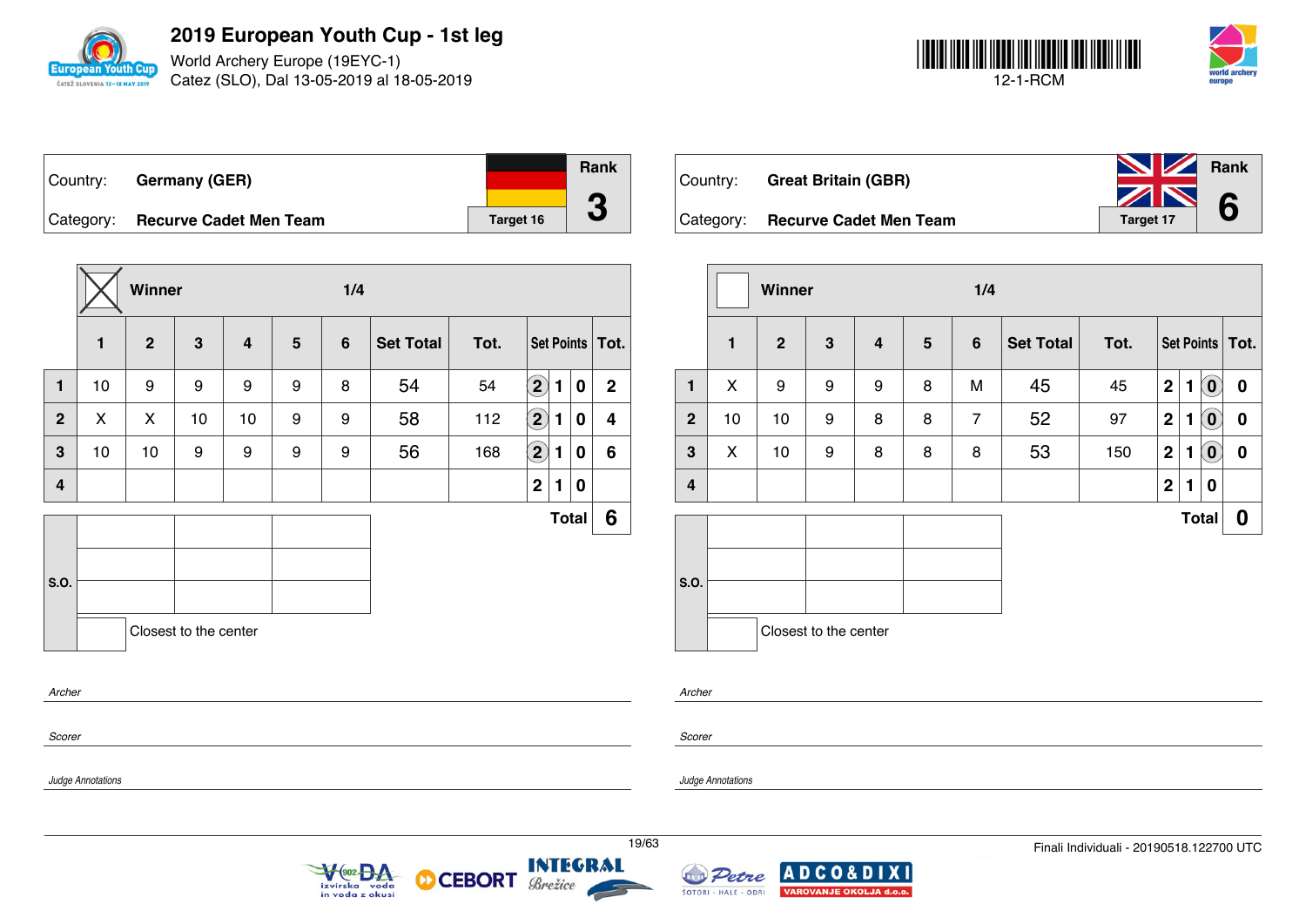

World Archery Europe (19EYC-1) Catez (SLO), Dal 13-05-2019 al 18-05-2019



| ∣Country: | <b>Germany (GER)</b>             |                  | <b>Rank</b> |
|-----------|----------------------------------|------------------|-------------|
|           | Category: Recurve Cadet Men Team | <b>Target 16</b> |             |

|                |    | Winner         |                       |                         |   | 1/4            |                  |      |                            |              |   |                         |
|----------------|----|----------------|-----------------------|-------------------------|---|----------------|------------------|------|----------------------------|--------------|---|-------------------------|
|                | 1  | $\overline{2}$ | $\mathbf 3$           | $\overline{\mathbf{4}}$ | 5 | $6\phantom{1}$ | <b>Set Total</b> | Tot. |                            |              |   | Set Points   Tot.       |
| $\mathbf{1}$   | 10 | 9              | 9                     | 9                       | 9 | 8              | 54               | 54   | $\left( \mathbf{2}\right)$ | 1            | 0 | $\mathbf{2}$            |
| $\overline{2}$ | X  | X              | 10                    | 10                      | 9 | 9              | 58               | 112  | $\bigcirc$                 | 1            | 0 | $\overline{\mathbf{4}}$ |
| 3              | 10 | 10             | 9                     | 9                       | 9 | 9              | 56               | 168  | $\left( \mathbf{2}\right)$ | 1            | 0 | 6                       |
| 4              |    |                |                       |                         |   |                |                  |      | $\mathbf 2$                | 1            | 0 |                         |
|                |    |                |                       |                         |   |                |                  |      |                            | <b>Total</b> |   | 6                       |
| S.O.           |    |                |                       |                         |   |                |                  |      |                            |              |   |                         |
|                |    |                |                       |                         |   |                |                  |      |                            |              |   |                         |
|                |    |                | Closest to the center |                         |   |                |                  |      |                            |              |   |                         |
| Archer         |    |                |                       |                         |   |                |                  |      |                            |              |   |                         |
| Scorer         |    |                |                       |                         |   |                |                  |      |                            |              |   |                         |

Veo2BA

izvirska voda<br>in voda z okusi

| Country: Great Britain (GBR)     | <b>No. 7 Rank</b><br>ZN | 6 |
|----------------------------------|-------------------------|---|
| Category: Recurve Cadet Men Team | <b>Target 17</b>        |   |

|                |              | Winner         |                       |                         |                 | 1/4            |                  |      |              |   |                            |                   |
|----------------|--------------|----------------|-----------------------|-------------------------|-----------------|----------------|------------------|------|--------------|---|----------------------------|-------------------|
|                | $\mathbf{1}$ | $\overline{2}$ | 3                     | $\overline{\mathbf{4}}$ | $5\phantom{.0}$ | $6\phantom{1}$ | <b>Set Total</b> | Tot. |              |   |                            | Set Points   Tot. |
| 1              | X            | 9              | 9                     | 9                       | 8               | M              | 45               | 45   | $\mathbf{2}$ | 1 | $\left( \mathbf{0}\right)$ | 0                 |
| $\overline{2}$ | 10           | 10             | 9                     | 8                       | 8               | $\overline{7}$ | 52               | 97   | $\mathbf{2}$ | 1 | $\left( \mathbf{0}\right)$ | 0                 |
| $\mathbf{3}$   | X            | 10             | 9                     | 8                       | 8               | 8              | 53               | 150  | $\mathbf{2}$ | 1 | $\left( \mathbf{0}\right)$ | 0                 |
| 4              |              |                |                       |                         |                 |                |                  |      | $\mathbf{2}$ | 1 | 0                          |                   |
|                |              |                |                       |                         |                 |                |                  |      |              |   | <b>Total</b>               | 0                 |
| S.O.           |              |                | Closest to the center |                         |                 |                |                  |      |              |   |                            |                   |

*Archer*

*Scorer*

*Judge Annotations*

*Judge Annotations*

**INTEGRAL** 

Brežice

**CEBORT** 

М

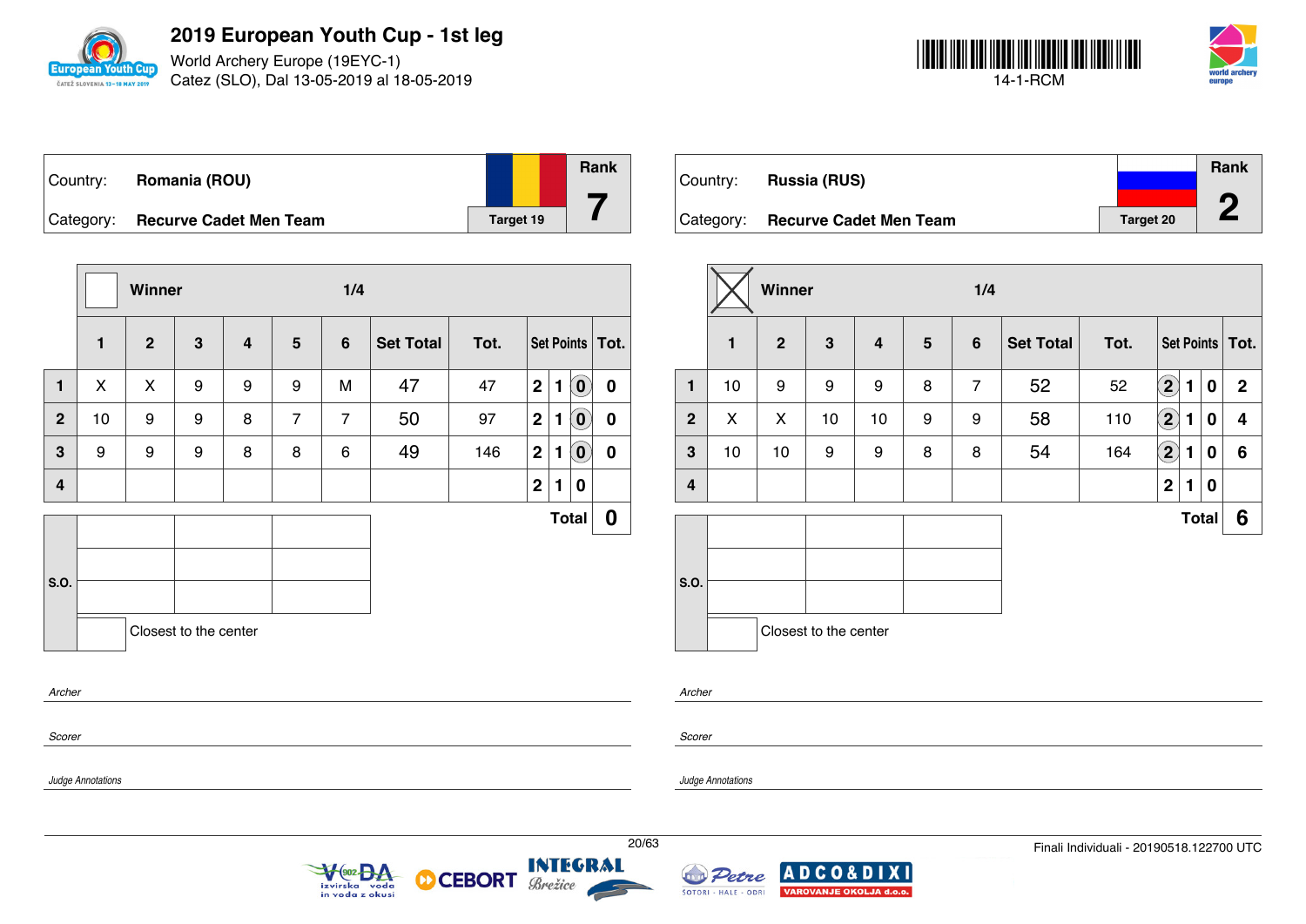

World Archery Europe (19EYC-1) Catez (SLO), Dal 13-05-2019 al 18-05-2019



| Country:  | Romania (ROU)                 |                  | <b>Rank</b> |
|-----------|-------------------------------|------------------|-------------|
| Category: | <b>Recurve Cadet Men Team</b> | <b>Target 19</b> |             |

|              |              | Winner       |                       |   |                 | 1/4            |                  |      |                         |              |                            |                   |
|--------------|--------------|--------------|-----------------------|---|-----------------|----------------|------------------|------|-------------------------|--------------|----------------------------|-------------------|
|              | $\mathbf{1}$ | $\mathbf{2}$ | $\mathbf{3}$          | 4 | $5\phantom{.0}$ | $6\phantom{1}$ | <b>Set Total</b> | Tot. |                         |              |                            | Set Points   Tot. |
| 1            | X            | X            | 9                     | 9 | 9               | M              | 47               | 47   | $\mathbf{2}$            | $\mathbf{1}$ | $\left( \mathbf{0}\right)$ | $\boldsymbol{0}$  |
| $\mathbf{2}$ | 10           | 9            | 9                     | 8 | $\overline{7}$  | $\overline{7}$ | 50               | 97   | $\mathbf{2}$            | 1            | $\mathbf{0}$               | $\mathbf 0$       |
| 3            | 9            | 9            | 9                     | 8 | 8               | 6              | 49               | 146  | 2 <sup>1</sup>          | $\mathbf{1}$ | $\left( \mathbf{0}\right)$ | 0                 |
| 4            |              |              |                       |   |                 |                |                  |      | $\overline{\mathbf{2}}$ | 1            | 0                          |                   |
|              |              |              |                       |   |                 |                |                  |      |                         |              | <b>Total</b>               | $\boldsymbol{0}$  |
|              |              |              |                       |   |                 |                |                  |      |                         |              |                            |                   |
| S.O.         |              |              |                       |   |                 |                |                  |      |                         |              |                            |                   |
|              |              |              | Closest to the center |   |                 |                |                  |      |                         |              |                            |                   |
| Archer       |              |              |                       |   |                 |                |                  |      |                         |              |                            |                   |
|              |              |              |                       |   |                 |                |                  |      |                         |              |                            |                   |

VOO2 DA

izvirska voda<br>in voda z okusi

| Country:  | <b>Russia (RUS)</b>           |                  | <b>Rank</b> |
|-----------|-------------------------------|------------------|-------------|
| Category: | <b>Recurve Cadet Men Team</b> | <b>Target 20</b> | n           |

|                         |              | Winner         |                       |                         |                | 1/4            |                  |      |                            |              |              |                   |
|-------------------------|--------------|----------------|-----------------------|-------------------------|----------------|----------------|------------------|------|----------------------------|--------------|--------------|-------------------|
|                         | $\mathbf{1}$ | $\overline{2}$ | $\mathbf{3}$          | $\overline{\mathbf{4}}$ | $5\phantom{1}$ | $6\phantom{1}$ | <b>Set Total</b> | Tot. |                            |              |              | Set Points   Tot. |
| 1                       | 10           | 9              | 9                     | 9                       | 8              | $\overline{7}$ | 52               | 52   | $\mathbf{2}$               | 1            | 0            | $\mathbf 2$       |
| $\mathbf{2}$            | X            | X              | 10                    | 10                      | 9              | 9              | 58               | 110  | $\left( \mathbf{2}\right)$ | 1            | 0            | 4                 |
| $\mathbf{3}$            | 10           | 10             | 9                     | 9                       | 8              | 8              | 54               | 164  | $\left( \mathbf{2}\right)$ | 1            | 0            | 6                 |
| $\overline{\mathbf{4}}$ |              |                |                       |                         |                |                |                  |      | $\mathbf 2$                | $\mathbf{1}$ | $\bf{0}$     |                   |
|                         |              |                |                       |                         |                |                |                  |      |                            |              | <b>Total</b> | 6                 |
|                         |              |                |                       |                         |                |                |                  |      |                            |              |              |                   |
| S.O.                    |              |                |                       |                         |                |                |                  |      |                            |              |              |                   |
|                         |              |                | Closest to the center |                         |                |                |                  |      |                            |              |              |                   |

*Archer*

*Judge Annotations*

*Scorer*

*Judge Annotations*

*Scorer*

**INTEGRAL** 

Brežice

**CEBORT** 

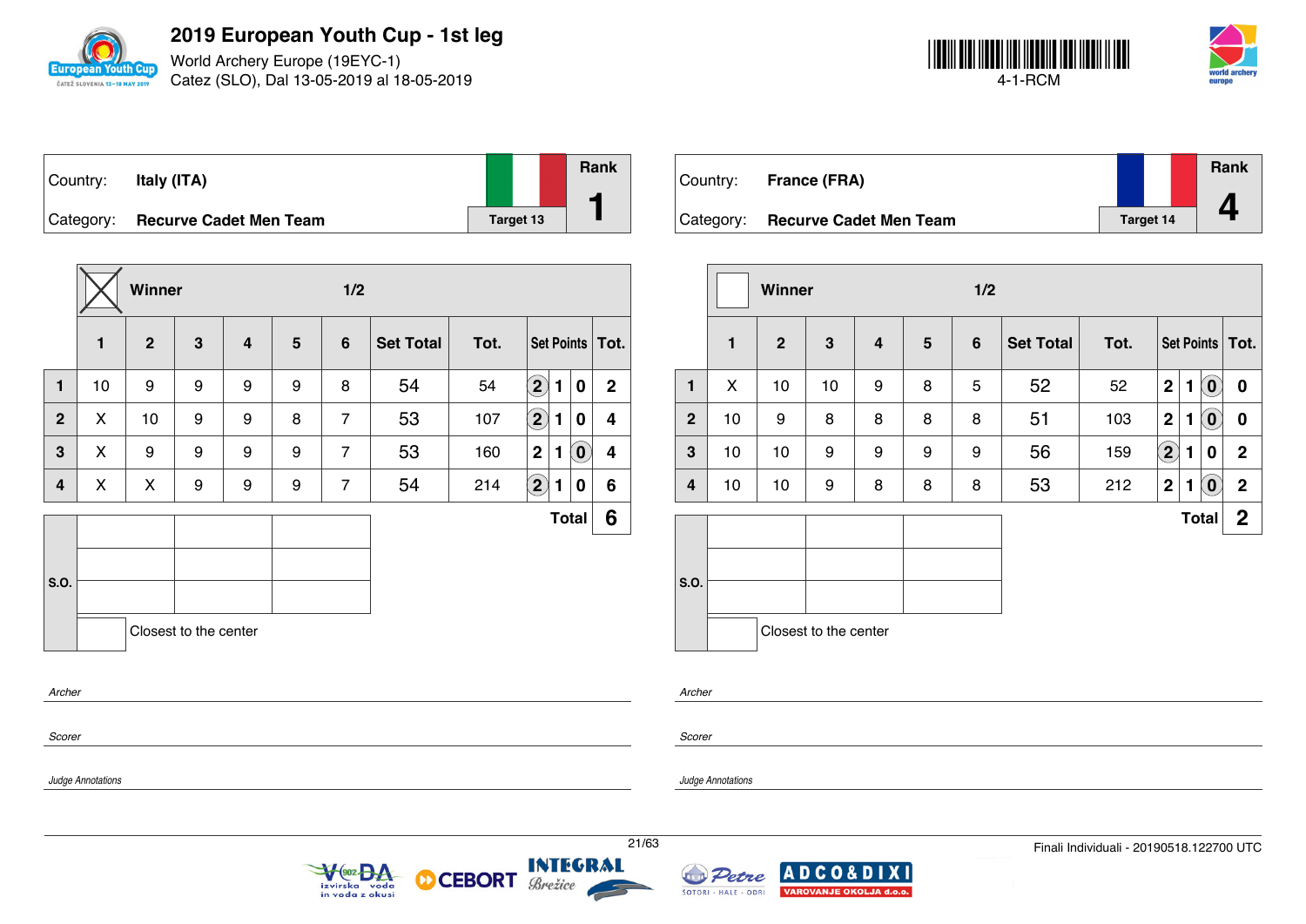

World Archery Europe (19EYC-1) Catez (SLO), Dal 13-05-2019 al 18-05-2019



| Country: | Italy (ITA)                      |                  | Rank |
|----------|----------------------------------|------------------|------|
|          | Category: Recurve Cadet Men Team | <b>Target 13</b> |      |

|              |    | Winner       |                       |                |   | 1/2            |                  |      |                            |   |                            |                   |
|--------------|----|--------------|-----------------------|----------------|---|----------------|------------------|------|----------------------------|---|----------------------------|-------------------|
|              | 1  | $\mathbf{2}$ | 3                     | $\overline{4}$ | 5 | $6\phantom{1}$ | <b>Set Total</b> | Tot. |                            |   |                            | Set Points   Tot. |
| $\mathbf{1}$ | 10 | 9            | 9                     | 9              | 9 | 8              | 54               | 54   | $\bf \overline{2}$         | 1 | 0                          | $\mathbf{2}$      |
| $\mathbf{2}$ | X  | 10           | 9                     | 9              | 8 | $\overline{7}$ | 53               | 107  | $\left( \mathbf{2}\right)$ | 1 | 0                          | 4                 |
| 3            | X  | 9            | 9                     | 9              | 9 | $\overline{7}$ | 53               | 160  | $\mathbf{2}$               | 1 | $\left( \mathbf{0}\right)$ | 4                 |
| 4            | X  | X            | 9                     | 9              | 9 | $\overline{7}$ | 54               | 214  | $\bigcirc$                 | 1 | 0                          | 6                 |
|              |    |              |                       |                |   |                |                  |      |                            |   | <b>Total</b>               | 6                 |
|              |    |              |                       |                |   |                |                  |      |                            |   |                            |                   |
| S.O.         |    |              |                       |                |   |                |                  |      |                            |   |                            |                   |
|              |    |              | Closest to the center |                |   |                |                  |      |                            |   |                            |                   |
| Archer       |    |              |                       |                |   |                |                  |      |                            |   |                            |                   |
|              |    |              |                       |                |   |                |                  |      |                            |   |                            |                   |

| Country:  | <b>France (FRA)</b>           |                  | Rank |
|-----------|-------------------------------|------------------|------|
| Category: | <b>Recurve Cadet Men Team</b> | <b>Target 14</b> |      |

|              |              | Winner         |                       |   |   | 1/2             |                  |      |                |   |                            |                   |
|--------------|--------------|----------------|-----------------------|---|---|-----------------|------------------|------|----------------|---|----------------------------|-------------------|
|              | $\mathbf{1}$ | $\overline{2}$ | $\mathbf{3}$          | 4 | 5 | $6\phantom{1}6$ | <b>Set Total</b> | Tot. |                |   |                            | Set Points   Tot. |
| 1            | X            | 10             | 10                    | 9 | 8 | 5               | 52               | 52   | $\overline{2}$ | 1 | $\left( \mathbf{0}\right)$ | $\bf{0}$          |
| $\mathbf{2}$ | 10           | 9              | 8                     | 8 | 8 | 8               | 51               | 103  | $\mathbf{2}$   | 1 | $\left( \mathbf{0}\right)$ | $\bf{0}$          |
| 3            | 10           | 10             | 9                     | 9 | 9 | 9               | 56               | 159  | $\bf \Omega$   | 1 | 0                          | $\mathbf 2$       |
| 4            | 10           | 10             | 9                     | 8 | 8 | 8               | 53               | 212  | $\overline{2}$ | 1 | $\left( \mathbf{0}\right)$ | $\overline{2}$    |
|              |              |                |                       |   |   |                 |                  |      |                |   | <b>Total</b>               | $\boldsymbol{2}$  |
| S.O.         |              |                |                       |   |   |                 |                  |      |                |   |                            |                   |
|              |              |                | Closest to the center |   |   |                 |                  |      |                |   |                            |                   |

*Scorer*

*Scorer*

*Archer*

*Judge Annotations*

*Judge Annotations*



**CEBORT** 



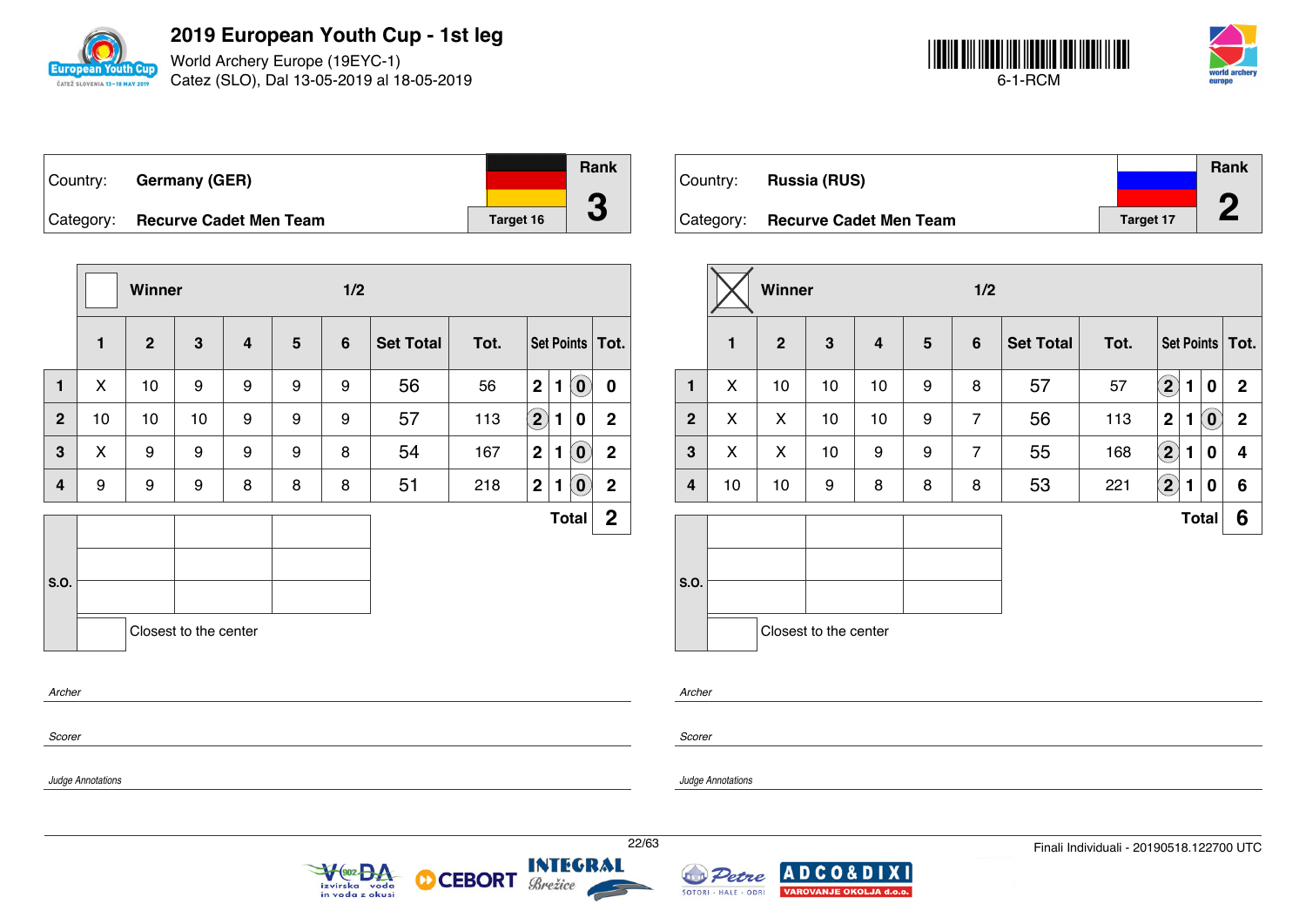

World Archery Europe (19EYC-1) Catez (SLO), Dal 13-05-2019 al 18-05-2019



| ∣Country: | <b>Germany (GER)</b>             |           | <b>Rank</b> |
|-----------|----------------------------------|-----------|-------------|
|           | Category: Recurve Cadet Men Team | Target 16 | J           |

|              |    | Winner       |                       |   |   | 1/2            |                  |      |                         |   |                            |                   |
|--------------|----|--------------|-----------------------|---|---|----------------|------------------|------|-------------------------|---|----------------------------|-------------------|
|              | 1  | $\mathbf{2}$ | 3                     | 4 | 5 | $6\phantom{1}$ | <b>Set Total</b> | Tot. |                         |   |                            | Set Points   Tot. |
| 1            | X  | 10           | 9                     | 9 | 9 | 9              | 56               | 56   | $\overline{\mathbf{2}}$ | 1 | $\overline{0}$             | $\bf{0}$          |
| $\mathbf{2}$ | 10 | 10           | 10                    | 9 | 9 | 9              | 57               | 113  | $\Large 2$              | 1 | 0                          | $\mathbf{2}$      |
| 3            | X  | 9            | 9                     | 9 | 9 | 8              | 54               | 167  | $\mathbf 2$             | 1 | $\left( \mathbf{0}\right)$ | $\mathbf 2$       |
| 4            | 9  | 9            | 9                     | 8 | 8 | 8              | 51               | 218  | $\mathbf{2}$            | 1 | $\left( \mathbf{0}\right)$ | $\mathbf{2}$      |
|              |    |              |                       |   |   |                |                  |      |                         |   | <b>Total</b>               | $\mathbf{2}$      |
| S.O.         |    |              |                       |   |   |                |                  |      |                         |   |                            |                   |
| Archer       |    |              | Closest to the center |   |   |                |                  |      |                         |   |                            |                   |
| Scorer       |    |              |                       |   |   |                |                  |      |                         |   |                            |                   |

V<sub>(902</sub> BA

izvirska voda<br>in voda z okusi

|             |                               |                  | Rank |
|-------------|-------------------------------|------------------|------|
| ∣Country: ⊥ | <b>Russia (RUS)</b>           |                  |      |
| Category:   | <b>Recurve Cadet Men Team</b> | <b>Target 17</b> | œ    |

|                |              |                |                       |    |                | 1/2            |                  |      |                    |                                 |                 |
|----------------|--------------|----------------|-----------------------|----|----------------|----------------|------------------|------|--------------------|---------------------------------|-----------------|
|                | $\mathbf{1}$ | $\overline{2}$ | 3                     | 4  | $5\phantom{1}$ | $6\phantom{1}$ | <b>Set Total</b> | Tot. |                    |                                 | Set Points Tot. |
| $\mathbf{1}$   | X            | 10             | 10                    | 10 | 9              | 8              | 57               | 57   | $\mathbf{2}$       | 1<br>0                          | $\mathbf 2$     |
| $\overline{2}$ | X            | X              | 10                    | 10 | 9              | $\overline{7}$ | 56               | 113  | $\mathbf 2$        | $\left( \mathbf{0}\right)$<br>1 | $\mathbf 2$     |
| 3              | X            | X              | 10                    | 9  | 9              | $\overline{7}$ | 55               | 168  | $\bf (2)$          | 0<br>1                          | 4               |
| 4              | 10           | 10             | 9                     | 8  | 8              | 8              | 53               | 221  | $\bf \overline{2}$ | 0<br>1                          | 6               |
|                |              |                |                       |    |                |                |                  |      |                    | <b>Total</b>                    | 6               |
| S.O.           |              |                | Closest to the center |    |                |                |                  |      |                    |                                 |                 |

*Archer*

*Scorer*

*Judge Annotations*

*Judge Annotations*

**INTEGRAL** 

Brežice

**CEBORT** 

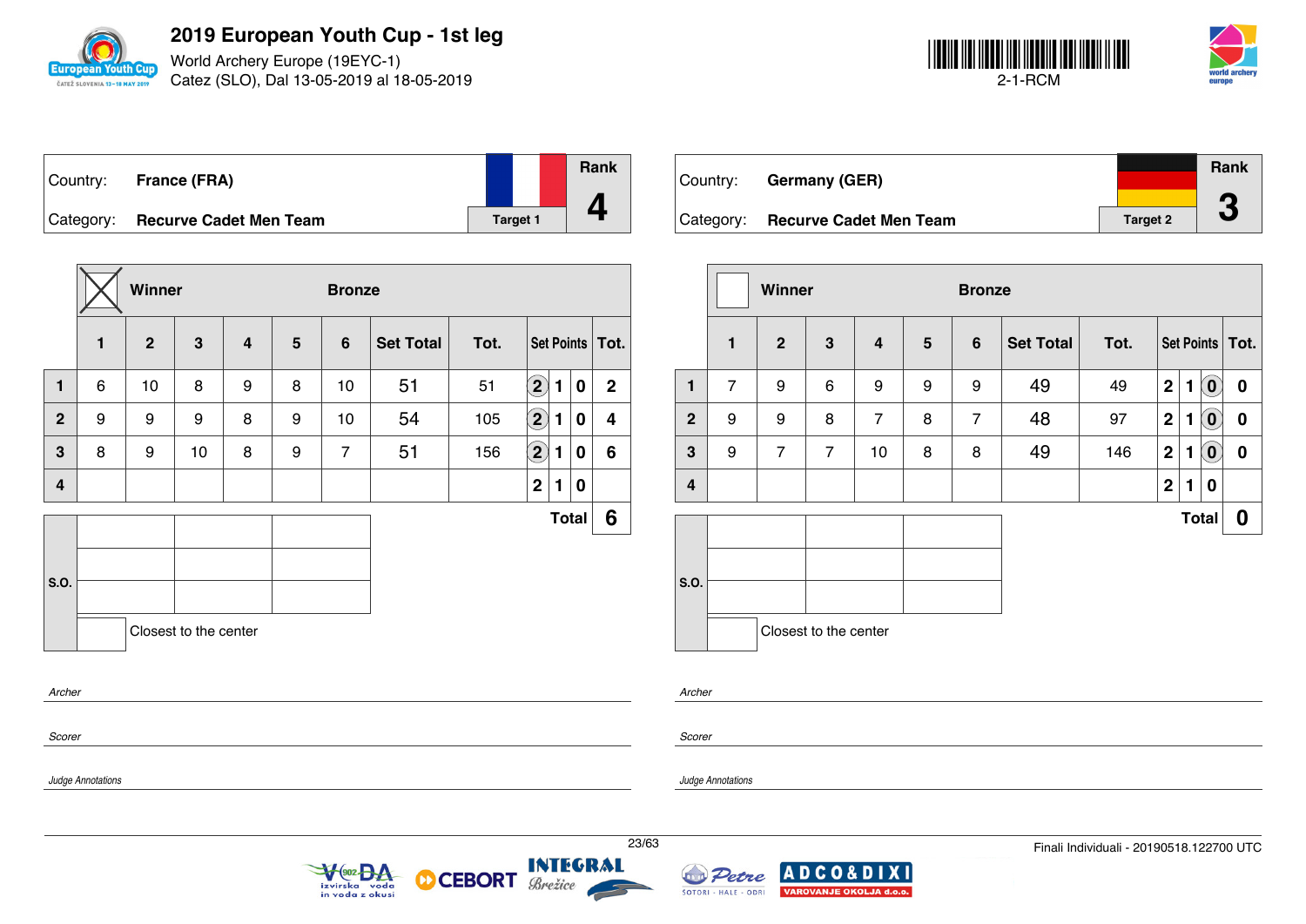

World Archery Europe (19EYC-1) Catez (SLO), Dal 13-05-2019 al 18-05-2019



|           | Country: France (FRA)         |          | Rank |
|-----------|-------------------------------|----------|------|
|           |                               |          |      |
| Category: | <b>Recurve Cadet Men Team</b> | Target 1 |      |

|              |        | Winner         |                       |                         |   | <b>Bronze</b>  |                  |      |                            |   |              |                   |
|--------------|--------|----------------|-----------------------|-------------------------|---|----------------|------------------|------|----------------------------|---|--------------|-------------------|
|              | 1      | $\overline{2}$ | $\mathbf{3}$          | $\overline{\mathbf{4}}$ | 5 | 6              | <b>Set Total</b> | Tot. |                            |   |              | Set Points   Tot. |
| $\mathbf{1}$ | 6      | 10             | 8                     | 9                       | 8 | 10             | 51               | 51   | $\left( \mathbf{2}\right)$ | 1 | 0            | $\mathbf{2}$      |
| $\mathbf{2}$ | 9      | 9              | 9                     | 8                       | 9 | 10             | 54               | 105  | $\bf (2)$                  | 1 | 0            | 4                 |
| 3            | 8      | 9              | 10                    | 8                       | 9 | $\overline{7}$ | 51               | 156  | $\bf \overline{2}$         | 1 | 0            | 6                 |
| 4            |        |                |                       |                         |   |                |                  |      | $\mathbf 2$                | 1 | 0            |                   |
|              |        |                |                       |                         |   |                |                  |      |                            |   | <b>Total</b> | 6                 |
| S.O.         |        |                |                       |                         |   |                |                  |      |                            |   |              |                   |
|              |        |                | Closest to the center |                         |   |                |                  |      |                            |   |              |                   |
| Archer       |        |                |                       |                         |   |                |                  |      |                            |   |              |                   |
|              | Scorer |                |                       |                         |   |                |                  |      |                            |   |              |                   |

| Country:  | <b>Germany (GER)</b>          |                 | <b>Rank</b> |
|-----------|-------------------------------|-----------------|-------------|
|           |                               |                 | ┏           |
| Category: | <b>Recurve Cadet Men Team</b> | <b>Target 2</b> |             |

|                         |                | Winner         |                       |                |                | <b>Bronze</b>  |                  |      |             |   |                |                   |
|-------------------------|----------------|----------------|-----------------------|----------------|----------------|----------------|------------------|------|-------------|---|----------------|-------------------|
|                         | $\mathbf{1}$   | $\mathbf{2}$   | 3                     | 4              | $5\phantom{1}$ | $6\phantom{1}$ | <b>Set Total</b> | Tot. |             |   |                | Set Points   Tot. |
| 1                       | $\overline{7}$ | 9              | 6                     | 9              | 9              | 9              | 49               | 49   | $\mathbf 2$ | 1 | $(\mathbf{0})$ | 0                 |
| $\mathbf{2}$            | 9              | 9              | 8                     | $\overline{7}$ | 8              | 7              | 48               | 97   | $\mathbf 2$ | 1 | $(\mathbf{0})$ | 0                 |
| $\mathbf{3}$            | 9              | $\overline{7}$ | $\overline{7}$        | 10             | 8              | 8              | 49               | 146  | $\mathbf 2$ | 1 | $(\mathbf{0})$ | $\boldsymbol{0}$  |
| $\overline{\mathbf{4}}$ |                |                |                       |                |                |                |                  |      | $\mathbf 2$ | 1 | 0              |                   |
|                         |                |                |                       |                |                |                |                  |      |             |   | <b>Total</b>   | 0                 |
|                         |                |                |                       |                |                |                |                  |      |             |   |                |                   |
| S.O.                    |                |                |                       |                |                |                |                  |      |             |   |                |                   |
|                         |                |                | Closest to the center |                |                |                |                  |      |             |   |                |                   |

*Archer*

*Scorer*

*Judge Annotations*



**CEBORT** 



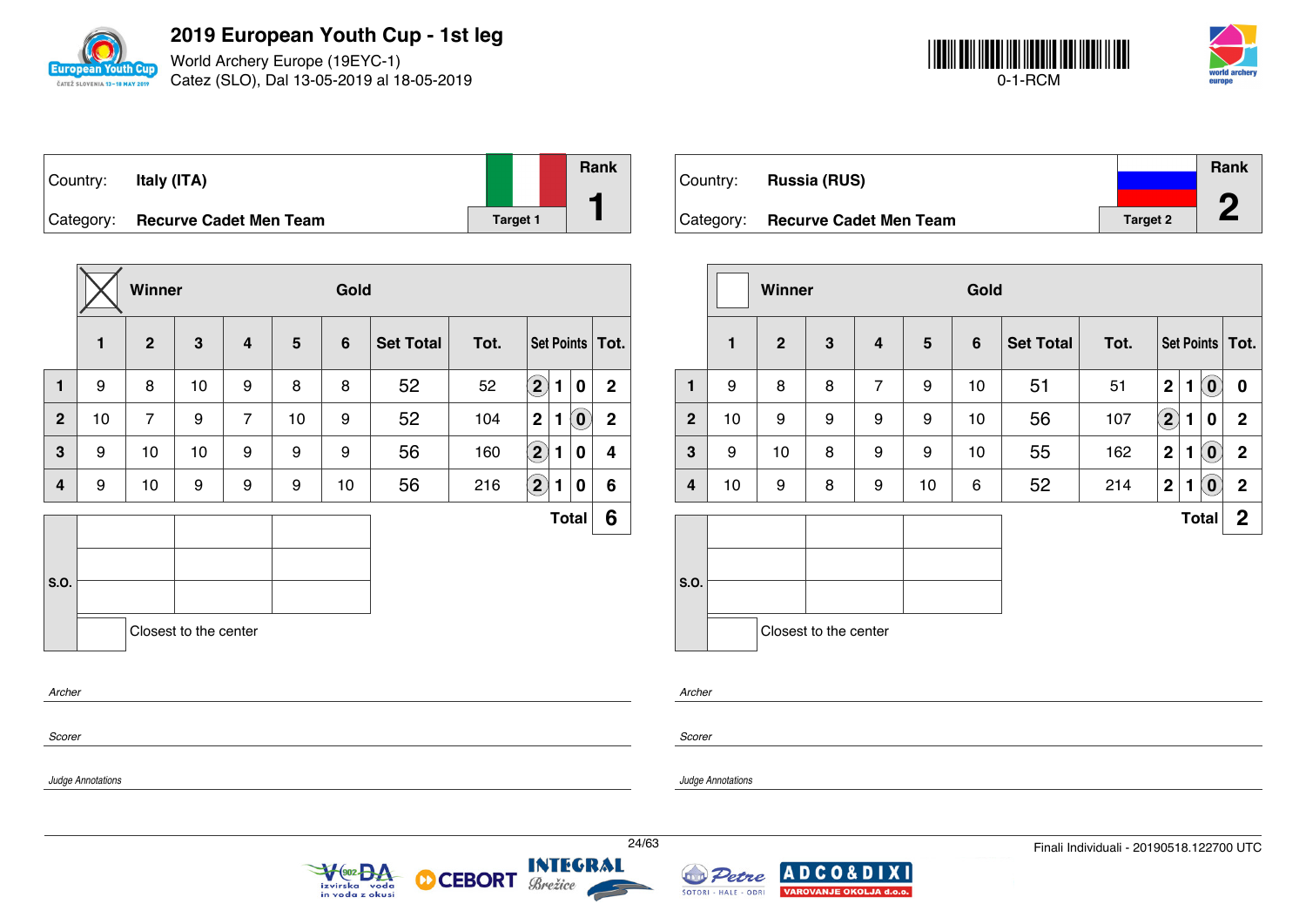

World Archery Europe (19EYC-1) Catez (SLO), Dal 13-05-2019 al 18-05-2019



| Country:  | Italy (ITA)                   |          | Rank |
|-----------|-------------------------------|----------|------|
| Category: | <b>Recurve Cadet Men Team</b> | Target 1 |      |

|              |              | Winner         |                       |                |                | Gold           |                  |      |                        |                                                |                   |  |  |
|--------------|--------------|----------------|-----------------------|----------------|----------------|----------------|------------------|------|------------------------|------------------------------------------------|-------------------|--|--|
|              | $\mathbf{1}$ | $\overline{2}$ | 3                     | $\overline{4}$ | $5\phantom{1}$ | $6\phantom{1}$ | <b>Set Total</b> | Tot. |                        |                                                | Set Points   Tot. |  |  |
| 1            | 9            | 8              | 10                    | 9              | 8              | 8              | 52               | 52   | $\bf (2)$<br>1         | 0                                              | $\mathbf{2}$      |  |  |
| $\mathbf{2}$ | 10           | $\overline{7}$ | 9                     | $\overline{7}$ | 10             | 9              | 52               | 104  | $\mathbf 2$<br>1       | $\left( \begin{matrix} 0 \end{matrix} \right)$ | $\mathbf 2$       |  |  |
| 3            | 9            | 10             | 10                    | 9              | 9              | 9              | 56               | 160  | $\bf \Omega$<br>1      | 0                                              | 4                 |  |  |
| 4            | 9            | 10             | 9                     | 9              | 9              | 10             | 56               | 216  | $\left( 2\right)$<br>1 | 0                                              | 6                 |  |  |
|              |              |                |                       |                |                |                |                  |      |                        | <b>Total</b>                                   | 6                 |  |  |
|              |              |                |                       |                |                |                |                  |      |                        |                                                |                   |  |  |
| <b>S.O.</b>  |              |                |                       |                |                |                |                  |      |                        |                                                |                   |  |  |
|              |              |                | Closest to the center |                |                |                |                  |      |                        |                                                |                   |  |  |
| Archer       |              |                |                       |                |                |                |                  |      |                        |                                                |                   |  |  |
| Scorer       |              |                |                       |                |                |                |                  |      |                        |                                                |                   |  |  |

 $\sqrt{\frac{902}{2}}$ 

izvirska voda<br>in voda z okusi

Country: **Russia (RUS)** Category: **Recurve Cadet Men Team Target 2** Target 2 **Rank 2**

|                |              | <b>Winner</b>  |                       |                         |    | Gold           |                  |      |                            |   |                            |                   |  |
|----------------|--------------|----------------|-----------------------|-------------------------|----|----------------|------------------|------|----------------------------|---|----------------------------|-------------------|--|
|                | $\mathbf{1}$ | $\overline{2}$ | 3                     | $\overline{\mathbf{4}}$ | 5  | $6\phantom{1}$ | <b>Set Total</b> | Tot. |                            |   |                            | Set Points   Tot. |  |
| $\mathbf{1}$   | 9            | 8              | 8                     | $\overline{7}$          | 9  | 10             | 51               | 51   | $\overline{2}$             | 1 | $\left( \mathbf{0}\right)$ | $\boldsymbol{0}$  |  |
| $\overline{2}$ | 10           | 9              | 9                     | 9                       | 9  | 10             | 56               | 107  | $\left( \mathbf{2}\right)$ | 1 | 0                          | $\mathbf{2}$      |  |
| $\mathbf{3}$   | 9            | 10             | 8                     | 9                       | 9  | 10             | 55               | 162  | $\mathbf 2$                | 1 | $\left( \mathbf{0}\right)$ | $\mathbf{2}$      |  |
| 4              | 10           | 9              | 8                     | 9                       | 10 | 6              | 52               | 214  | $\mathbf 2$                | 1 | $\left( \mathbf{0}\right)$ | $\mathbf 2$       |  |
|                |              |                |                       |                         |    |                |                  |      |                            |   | <b>Total</b>               | $\mathbf 2$       |  |
| S.O.           |              |                |                       |                         |    |                |                  |      |                            |   |                            |                   |  |
|                |              |                | Closest to the center |                         |    |                |                  |      |                            |   |                            |                   |  |

*Scorer*

*Judge Annotations*

*Archer*

*Judge Annotations*

**INTEGRAL** 

Brežice

**CEBORT** 

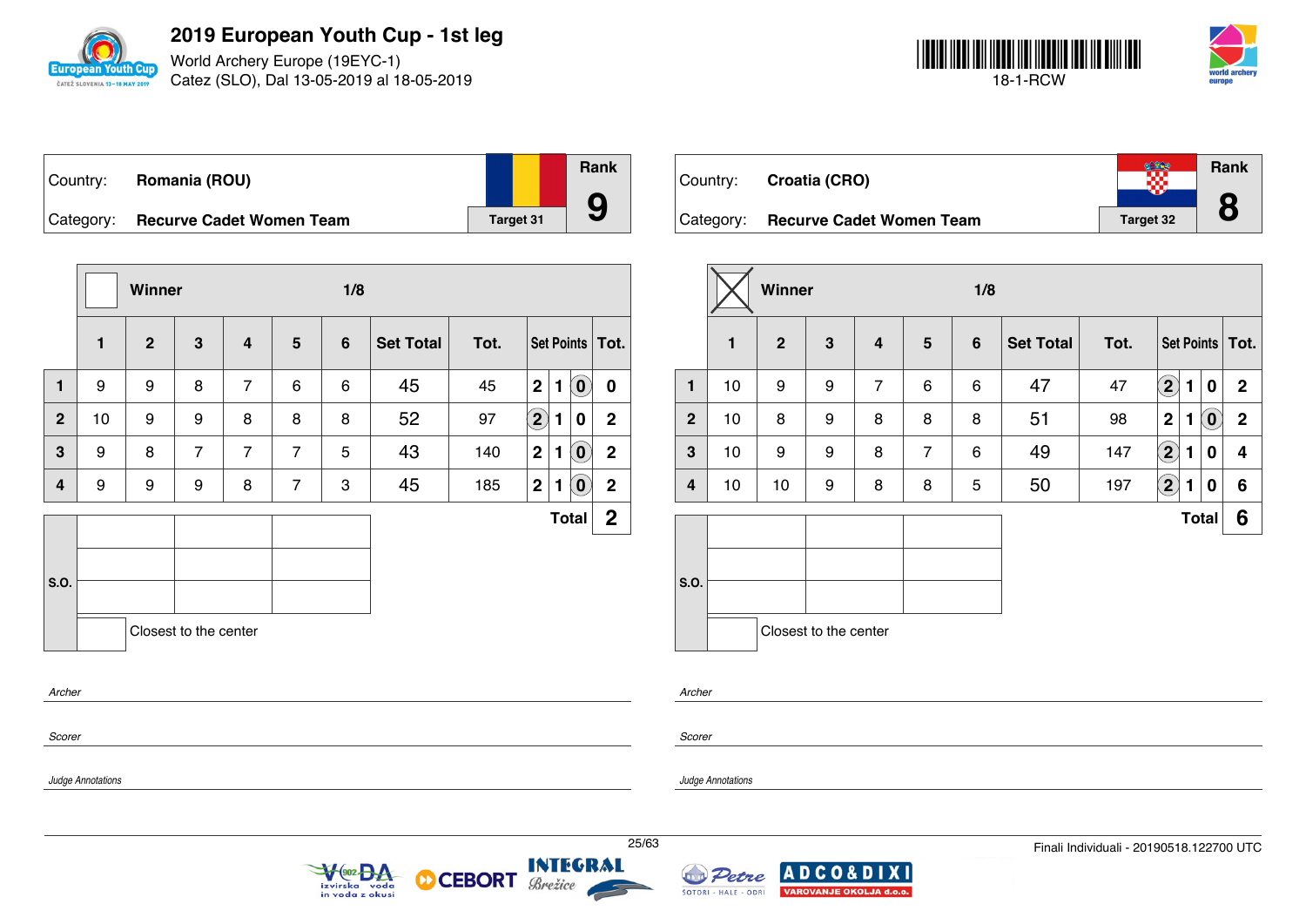

*Judge Annotations*

**2019 European Youth Cup - 1st leg**

World Archery Europe (19EYC-1) Catez (SLO), Dal 13-05-2019 al 18-05-2019



| ∣Country: | Romania (ROU)                   |                  | <b>Rank</b> |
|-----------|---------------------------------|------------------|-------------|
|           |                                 |                  |             |
| Category: | <b>Recurve Cadet Women Team</b> | <b>Target 31</b> |             |

|                |    | Winner       |                       |                |                |                 |                  |      |                    |   |                            |                   |
|----------------|----|--------------|-----------------------|----------------|----------------|-----------------|------------------|------|--------------------|---|----------------------------|-------------------|
|                | 1  | $\mathbf{2}$ | 3                     | 4              | 5              | $6\phantom{1}6$ | <b>Set Total</b> | Tot. |                    |   |                            | Set Points   Tot. |
| $\mathbf{1}$   | 9  | 9            | 8                     | $\overline{7}$ | 6              | 6               | 45               | 45   | $\mathbf{2}$       | 1 | $\left( \mathbf{0}\right)$ | $\mathbf 0$       |
| $\overline{2}$ | 10 | 9            | 9                     | 8              | 8              | 8               | 52               | 97   | $\bf \overline{2}$ | 1 | 0                          | $\mathbf 2$       |
| 3              | 9  | 8            | $\overline{7}$        | $\overline{7}$ | $\overline{7}$ | 5               | 43               | 140  | $\mathbf{2}$       | 1 | $\left( \mathbf{0}\right)$ | $\mathbf 2$       |
| 4              | 9  | 9            | 9                     | 8              | $\overline{7}$ | 3               | 45               | 185  | $\mathbf{2}$       | 1 | $\left( \mathbf{0}\right)$ | $\boldsymbol{2}$  |
|                |    |              |                       |                |                |                 |                  |      |                    |   | <b>Total</b>               | $\mathbf{2}$      |
| S.O.           |    |              |                       |                |                |                 |                  |      |                    |   |                            |                   |
| Archer         |    |              | Closest to the center |                |                |                 |                  |      |                    |   |                            |                   |
| Scorer         |    |              |                       |                |                |                 |                  |      |                    |   |                            |                   |

| Country:  | Croatia (CRO)                   |           | Rank |
|-----------|---------------------------------|-----------|------|
| Category: | <b>Recurve Cadet Women Team</b> | Target 32 |      |

|                |    | Winner         |                       |                |                 | 1/8            |                  |      |                            |   |                            |                   |  |  |
|----------------|----|----------------|-----------------------|----------------|-----------------|----------------|------------------|------|----------------------------|---|----------------------------|-------------------|--|--|
|                | 1  | $\overline{2}$ | $\mathbf{3}$          | 4              | $5\phantom{.0}$ | $6\phantom{1}$ | <b>Set Total</b> | Tot. |                            |   |                            | Set Points   Tot. |  |  |
| $\mathbf{1}$   | 10 | 9              | 9                     | $\overline{7}$ | 6               | 6              | 47               | 47   | $\left( \mathbf{2}\right)$ | 1 | $\boldsymbol{0}$           | $\mathbf{2}$      |  |  |
| $\overline{2}$ | 10 | 8              | 9                     | 8              | 8               | 8              | 51               | 98   | $\mathbf 2$                | 1 | $\left( \mathbf{0}\right)$ | $\overline{2}$    |  |  |
| $\mathbf{3}$   | 10 | 9              | 9                     | 8              | $\overline{7}$  | 6              | 49               | 147  | $\bf \overline{2}$         | 1 | 0                          | 4                 |  |  |
| 4              | 10 | 10             | 9                     | 8              | 8               | 5              | 50               | 197  | $\bf (2)$                  | 1 | $\boldsymbol{0}$           | 6                 |  |  |
|                |    |                |                       |                |                 |                |                  |      |                            |   | <b>Total</b>               | 6                 |  |  |
| S.O.           |    |                | Closest to the center |                |                 |                |                  |      |                            |   |                            |                   |  |  |
|                |    |                |                       |                |                 |                |                  |      |                            |   |                            |                   |  |  |

*Archer*

*Scorer*

**CEBORT** 

М

*Judge Annotations*



25/63 Finali Individuali - 20190518.122700 UTC



## **INTEGRAL** Brežice

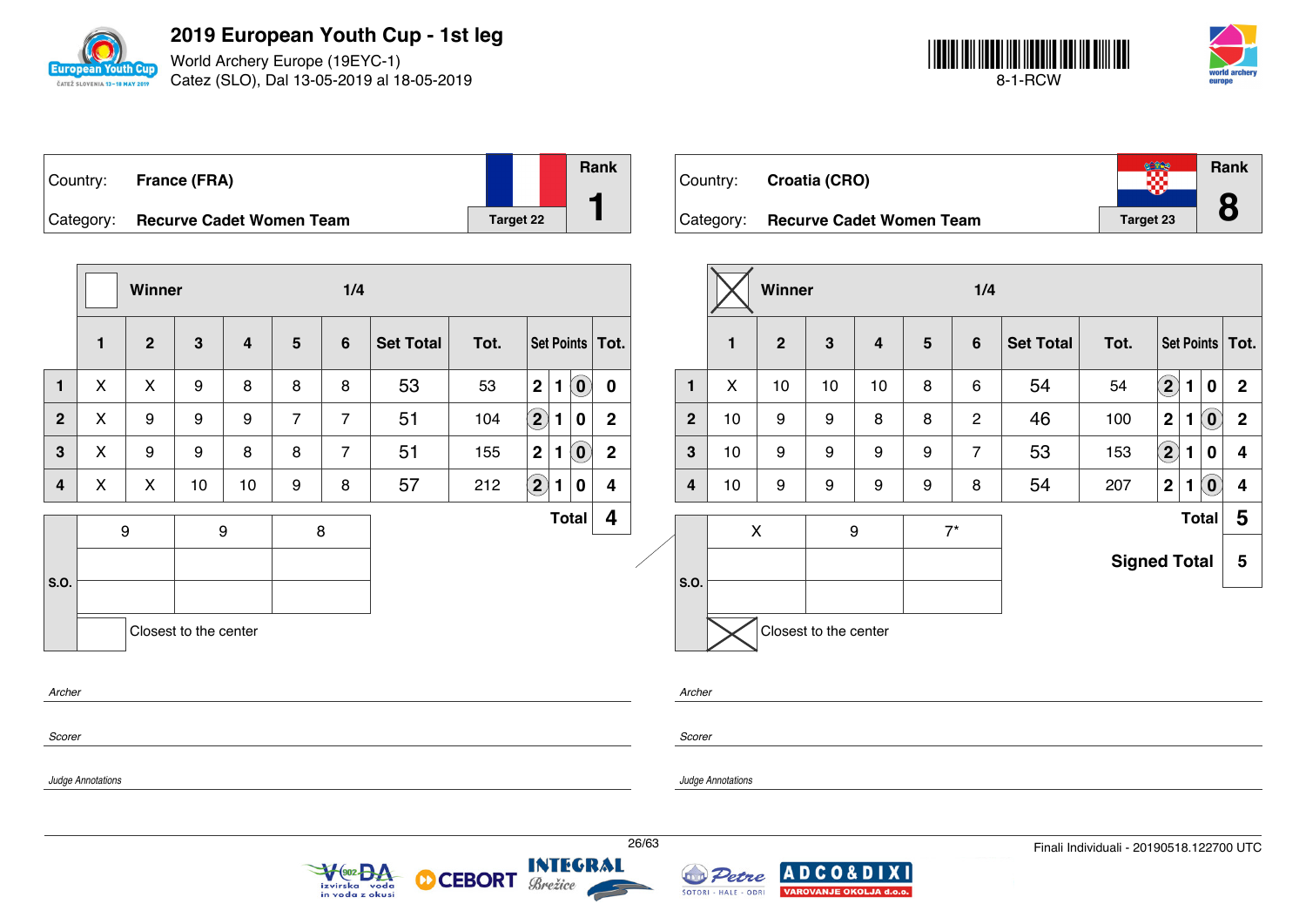

World Archery Europe (19EYC-1) Catez (SLO), Dal 13-05-2019 al 18-05-2019



| Country:  | France (FRA)                    |           | <b>Rank</b> |
|-----------|---------------------------------|-----------|-------------|
| Category: | <b>Recurve Cadet Women Team</b> | Target 22 |             |

|              |              |              | Winner                |                |                | 1/4            |                  |      |                            |              |                                   |                |  |                   |  |  |  |  |
|--------------|--------------|--------------|-----------------------|----------------|----------------|----------------|------------------|------|----------------------------|--------------|-----------------------------------|----------------|--|-------------------|--|--|--|--|
|              | $\mathbf{1}$ | $\mathbf{2}$ | 3                     | $\overline{4}$ | $5\phantom{1}$ | 6              | <b>Set Total</b> | Tot. |                            |              |                                   |                |  | Set Points   Tot. |  |  |  |  |
| $\mathbf{1}$ | X            | X            | 9                     | 8              | 8              | 8              | 53               | 53   | $\mathbf 2$                | 1            | $\left( \mathbf{0}\right)$        | $\mathbf 0$    |  |                   |  |  |  |  |
| $\mathbf{2}$ | X            | 9            | 9                     | 9              | $\overline{7}$ | $\overline{7}$ | 51               | 104  | $\left( 2\right)$          | $\mathbf{1}$ | 0                                 | $\overline{2}$ |  |                   |  |  |  |  |
| $\mathbf{3}$ | X            | 9            | 9                     | 8              | 8              | $\overline{7}$ | 51               | 155  | $\mathbf 2$                | $\mathbf{1}$ | $\left  \mathbf{0} \right\rangle$ | $\overline{2}$ |  |                   |  |  |  |  |
| 4            | X            | X            | 10                    | 10             | 9              | 8              | 57               | 212  | $\left( \mathbf{2}\right)$ | $\mathbf{1}$ | 0                                 | 4              |  |                   |  |  |  |  |
|              |              | 9            |                       | 9              |                | 8              |                  |      |                            |              | <b>Total</b>                      | 4              |  |                   |  |  |  |  |
|              |              |              |                       |                |                |                |                  |      |                            |              |                                   |                |  |                   |  |  |  |  |
| S.O.         |              |              |                       |                |                |                |                  |      |                            |              |                                   |                |  |                   |  |  |  |  |
|              |              |              | Closest to the center |                |                |                |                  |      |                            |              |                                   |                |  |                   |  |  |  |  |
|              |              |              |                       |                |                |                |                  |      |                            |              |                                   |                |  |                   |  |  |  |  |
| Archer       |              |              |                       |                |                |                |                  |      |                            |              |                                   |                |  |                   |  |  |  |  |

 $\sqrt{\frac{902}{902}}$ 

izvirska voda<br>in voda z okusi

**CEBORT** 

Brežice

М

| Country: Croatia (CRO)             |                  | <b>Rank</b> |
|------------------------------------|------------------|-------------|
| Category: Recurve Cadet Women Team | <b>Target 23</b> |             |

|                |    | Winner         |                       |    |       | 1/4            |                  |                     |              |   |                            |                   |
|----------------|----|----------------|-----------------------|----|-------|----------------|------------------|---------------------|--------------|---|----------------------------|-------------------|
|                | 1  | $\overline{2}$ | 3                     | 4  | 5     | $6\phantom{1}$ | <b>Set Total</b> | Tot.                |              |   |                            | Set Points   Tot. |
| 1              | X  | 10             | 10                    | 10 | 8     | 6              | 54               | 54                  | $\bf (2)$    | 1 | $\bf{0}$                   | $\mathbf{2}$      |
| $\overline{2}$ | 10 | 9              | 9                     | 8  | 8     | $\mathbf{2}$   | 46               | 100                 | $\mathbf{2}$ | 1 | $\left( 0\right)$          | $\mathbf{2}$      |
| 3              | 10 | 9              | 9                     | 9  | 9     | $\overline{7}$ | 53               | 153                 | $\bf \Omega$ | 1 | $\bf{0}$                   | 4                 |
| 4              | 10 | 9              | 9                     | 9  | 9     | 8              | 54               | 207                 | $\mathbf 2$  | 1 | $\left( \mathbf{0}\right)$ | 4                 |
|                |    | X              | 9                     |    | $7^*$ |                |                  |                     |              |   | <b>Total</b>               | 5                 |
|                |    |                |                       |    |       |                |                  | <b>Signed Total</b> |              |   |                            | 5                 |
| S.O.           |    |                |                       |    |       |                |                  |                     |              |   |                            |                   |
|                |    |                | Closest to the center |    |       |                |                  |                     |              |   |                            |                   |

*Scorer*

*Archer*

*Judge Annotations*

*Judge Annotations*

**INTEGRAL** 

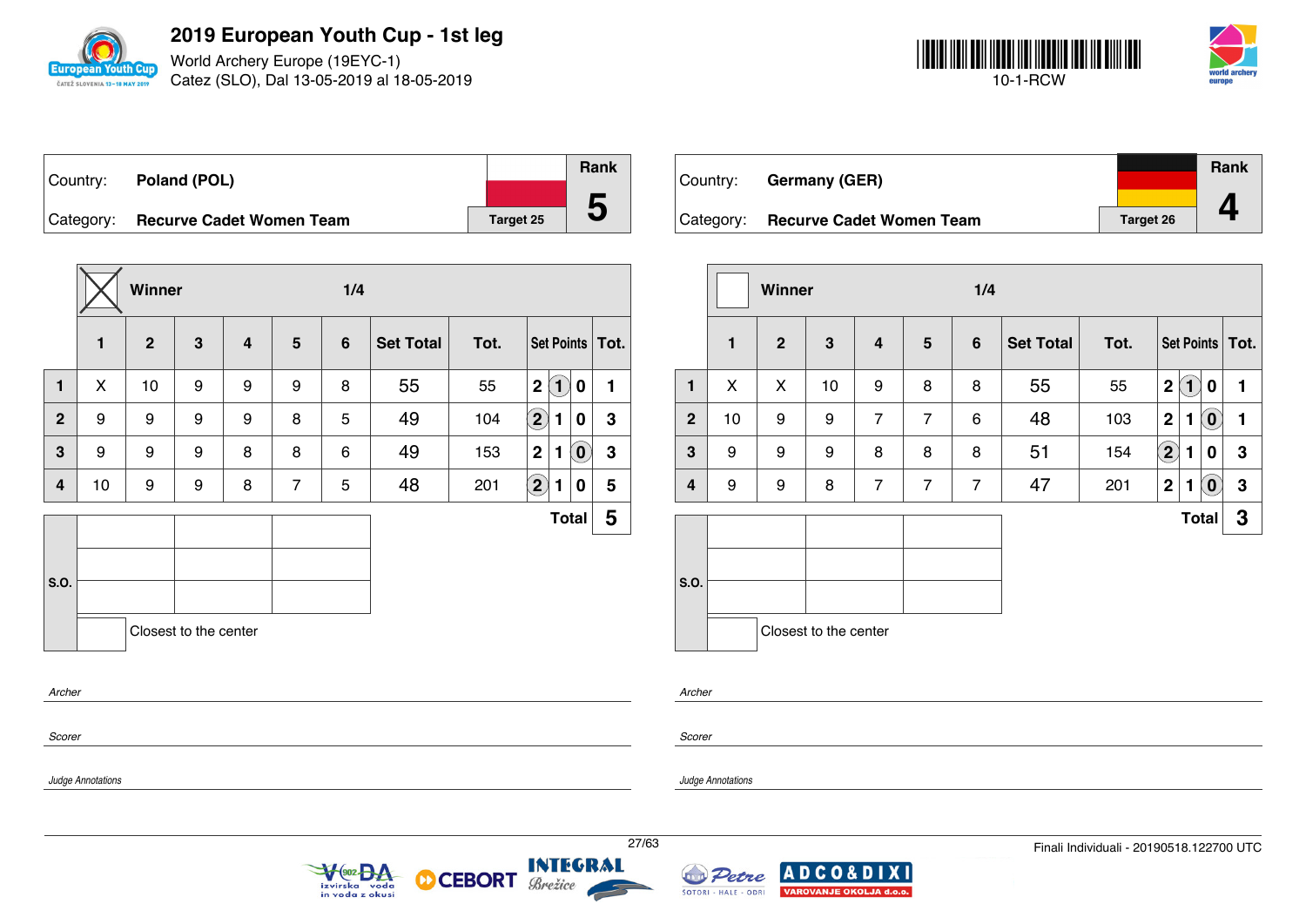

World Archery Europe (19EYC-1) Catez (SLO), Dal 13-05-2019 al 18-05-2019



| Country: Poland (POL)              |                  | Rank |
|------------------------------------|------------------|------|
|                                    |                  |      |
| Category: Recurve Cadet Women Team | <b>Target 25</b> | C    |

|                |              | Winner         |                       |   |                 | 1/4            |                  |      |                                            |                            |                   |
|----------------|--------------|----------------|-----------------------|---|-----------------|----------------|------------------|------|--------------------------------------------|----------------------------|-------------------|
|                | $\mathbf{1}$ | $\overline{2}$ | $\mathbf{3}$          | 4 | $5\phantom{.0}$ | $6\phantom{1}$ | <b>Set Total</b> | Tot. |                                            |                            | Set Points   Tot. |
| 1              | X            | 10             | 9                     | 9 | 9               | 8              | 55               | 55   | $\left  \mathbf{1} \right $<br>$\mathbf 2$ | 0                          | 1                 |
| $\overline{2}$ | 9            | 9              | 9                     | 9 | 8               | 5              | 49               | 104  | $\left( \mathbf{2}\right)$<br>1            | 0                          | 3                 |
| $\overline{3}$ | 9            | 9              | 9                     | 8 | 8               | 6              | 49               | 153  | $\mathbf{2}$<br>1                          | $\left( \mathbf{0}\right)$ | $\mathbf 3$       |
| 4              | 10           | 9              | 9                     | 8 | $\overline{7}$  | 5              | 48               | 201  | $\bf(2)$<br>1                              | 0                          | 5                 |
|                |              |                |                       |   |                 |                |                  |      |                                            | <b>Total</b>               | 5                 |
|                |              |                |                       |   |                 |                |                  |      |                                            |                            |                   |
| S.O.           |              |                |                       |   |                 |                |                  |      |                                            |                            |                   |
|                |              |                | Closest to the center |   |                 |                |                  |      |                                            |                            |                   |
| Archer         |              |                |                       |   |                 |                |                  |      |                                            |                            |                   |
|                |              |                |                       |   |                 |                |                  |      |                                            |                            |                   |

V<sub>(902</sub> BA

izvirska voda<br>in voda z okusi

| Country:  | <b>Germany (GER)</b>            |                  | <b>Rank</b> |
|-----------|---------------------------------|------------------|-------------|
| Category: | <b>Recurve Cadet Women Team</b> | <b>Target 26</b> |             |

|                |              | <b>Winner</b> |                       |                         |                | 1/4            |                  |      |                   |                   |                                                     |                   |
|----------------|--------------|---------------|-----------------------|-------------------------|----------------|----------------|------------------|------|-------------------|-------------------|-----------------------------------------------------|-------------------|
|                | $\mathbf{1}$ | $\mathbf{2}$  | 3                     | $\overline{\mathbf{4}}$ | $5\phantom{1}$ | $6\phantom{1}$ | <b>Set Total</b> | Tot. |                   |                   |                                                     | Set Points   Tot. |
| 1              | X            | X             | 10                    | 9                       | 8              | 8              | 55               | 55   | $\overline{2}$    | $\left( 1\right)$ | 0                                                   | 1                 |
| $\overline{2}$ | 10           | 9             | 9                     | $\overline{7}$          | $\overline{7}$ | 6              | 48               | 103  | $\mathbf 2$       | 1                 | $\tilde{\mathbf{0}}$                                | 1                 |
| $\mathbf{3}$   | 9            | 9             | 9                     | 8                       | 8              | 8              | 51               | 154  | $\left( 2\right)$ | 1                 | 0                                                   | 3                 |
| $\overline{4}$ | 9            | 9             | 8                     | $\overline{7}$          | $\overline{7}$ | $\overline{7}$ | 47               | 201  | $\overline{2}$    | 1                 | $\left( \begin{matrix} 0 \\ 0 \end{matrix} \right)$ | 3                 |
|                |              |               |                       |                         |                |                |                  |      |                   |                   | <b>Total</b>                                        | 3                 |
| S.O.           |              |               | Closest to the center |                         |                |                |                  |      |                   |                   |                                                     |                   |

*Scorer*

*Judge Annotations*

*Scorer*

*Archer*

**CEBORT** 

М

*Judge Annotations*



**INTEGRAL** 

Brežice

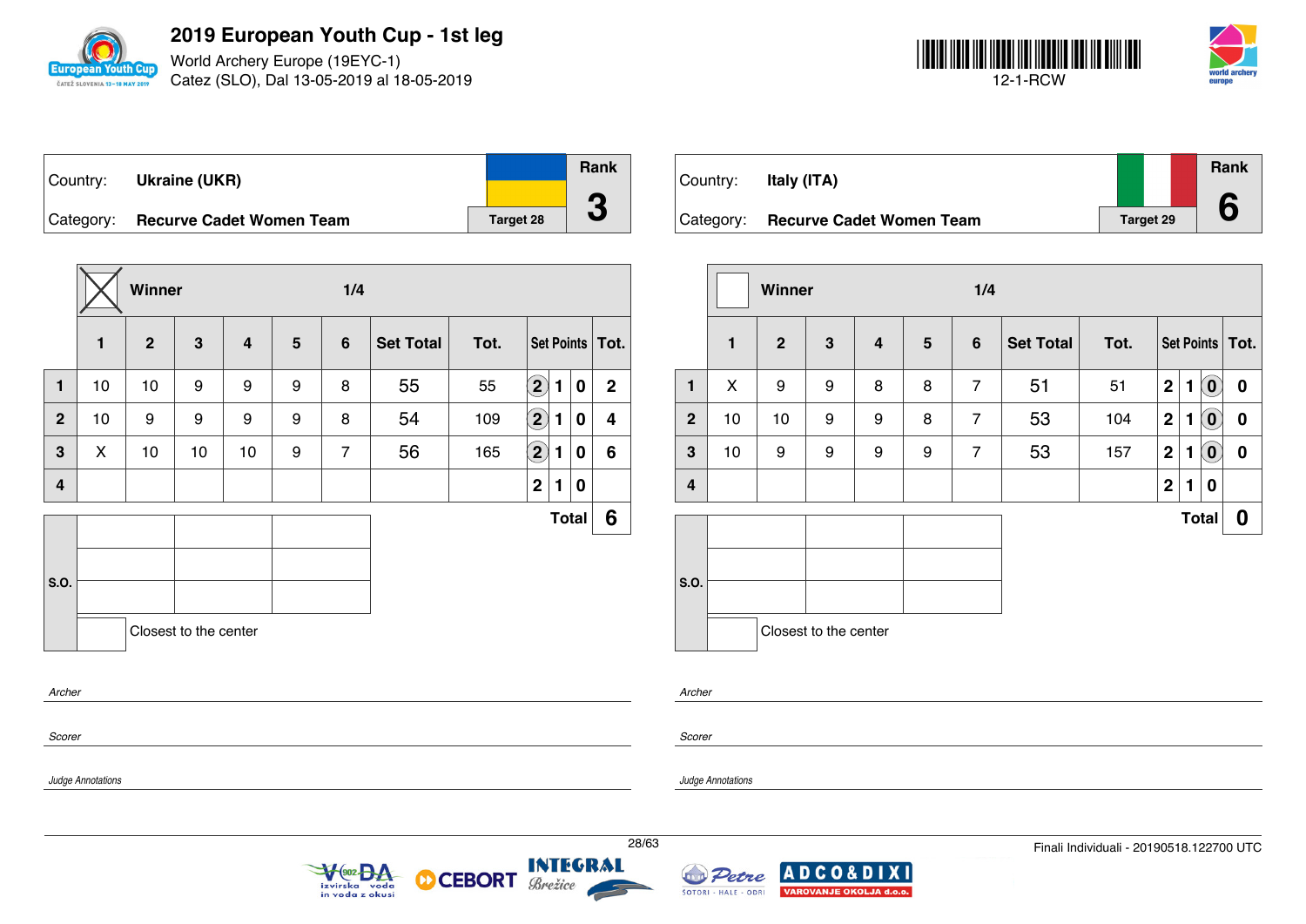

World Archery Europe (19EYC-1) Catez (SLO), Dal 13-05-2019 al 18-05-2019



Country: **Ukraine (UKR)** Category: **Recurve Cadet Women Team Target 28 Rank 3**

|              |              | Winner       |                       |                         |   | 1/4            |                  |      |                    |   |              |                         |
|--------------|--------------|--------------|-----------------------|-------------------------|---|----------------|------------------|------|--------------------|---|--------------|-------------------------|
|              | $\mathbf{1}$ | $\mathbf{2}$ | $\mathbf{3}$          | $\overline{\mathbf{4}}$ | 5 | $6\phantom{1}$ | <b>Set Total</b> | Tot. |                    |   |              | Set Points   Tot.       |
| $\mathbf{1}$ | 10           | 10           | 9                     | 9                       | 9 | 8              | 55               | 55   | $\mathbf{2}$       | 1 | $\bf{0}$     | $\overline{2}$          |
| $\mathbf{2}$ | 10           | 9            | 9                     | 9                       | 9 | 8              | 54               | 109  | $\bf \overline{2}$ | 1 | $\mathbf 0$  | $\overline{\mathbf{4}}$ |
| $\mathbf{3}$ | X            | 10           | 10                    | 10                      | 9 | $\overline{7}$ | 56               | 165  | $\bf \overline{2}$ | 1 | $\bf{0}$     | 6                       |
| 4            |              |              |                       |                         |   |                |                  |      | 2 <sup>1</sup>     | 1 | 0            |                         |
|              |              |              |                       |                         |   |                |                  |      |                    |   | <b>Total</b> | 6                       |
|              |              |              |                       |                         |   |                |                  |      |                    |   |              |                         |
| S.O.         |              |              |                       |                         |   |                |                  |      |                    |   |              |                         |
|              |              |              | Closest to the center |                         |   |                |                  |      |                    |   |              |                         |
| Archer       |              |              |                       |                         |   |                |                  |      |                    |   |              |                         |
|              |              |              |                       |                         |   |                |                  |      |                    |   |              |                         |

 $902<sub>0</sub> A$ 

izvirska voda<br>in voda z okusi

| Country:  | Italy (ITA)                     |                  | <b>Rank</b> |
|-----------|---------------------------------|------------------|-------------|
|           |                                 |                  |             |
| Category: | <b>Recurve Cadet Women Team</b> | <b>Target 29</b> |             |

|                |              | <b>Winner</b>  |                       |                         |                 | 1/4            |                  |      |              |              |                            |                   |  |
|----------------|--------------|----------------|-----------------------|-------------------------|-----------------|----------------|------------------|------|--------------|--------------|----------------------------|-------------------|--|
|                | $\mathbf{1}$ | $\overline{2}$ | $\mathbf{3}$          | $\overline{\mathbf{4}}$ | $5\phantom{.0}$ | $6\phantom{1}$ | <b>Set Total</b> | Tot. |              |              |                            | Set Points   Tot. |  |
| 1              | X            | 9              | 9                     | 8                       | 8               | $\overline{7}$ | 51               | 51   | $\mathbf 2$  | $\mathbf{1}$ | $\left( \mathbf{0}\right)$ | $\boldsymbol{0}$  |  |
| $\overline{2}$ | 10           | 10             | 9                     | 9                       | 8               | $\overline{7}$ | 53               | 104  | $\mathbf{2}$ | 1            | $\left( \mathbf{0}\right)$ | $\boldsymbol{0}$  |  |
| $\mathbf{3}$   | 10           | 9              | 9                     | 9                       | 9               | $\overline{7}$ | 53               | 157  | $\mathbf 2$  | 1            | $\left( \mathbf{0}\right)$ | $\boldsymbol{0}$  |  |
| $\overline{4}$ |              |                |                       |                         |                 |                |                  |      | $\mathbf 2$  | 1            | 0                          |                   |  |
|                |              |                |                       |                         |                 |                |                  |      |              |              | <b>Total</b>               | 0                 |  |
| S.O.           |              |                | Closest to the center |                         |                 |                |                  |      |              |              |                            |                   |  |

*Archer*

*Judge Annotations*

*Scorer*

*Judge Annotations*

**INTEGRAL** 

Brežice

**CEBORT** 

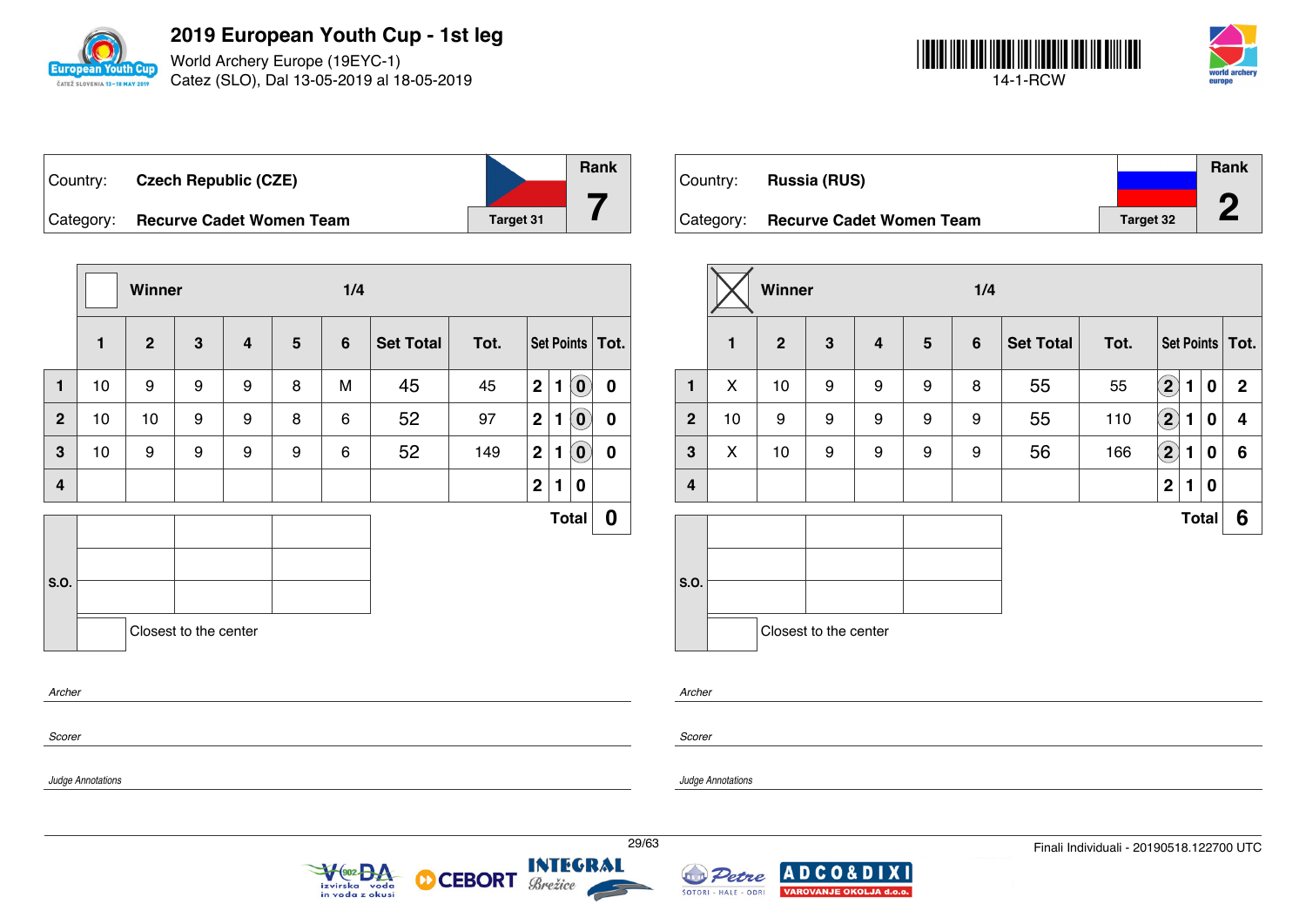

World Archery Europe (19EYC-1) Catez (SLO), Dal 13-05-2019 al 18-05-2019



| Country:  | <b>Czech Republic (CZE)</b>     |                  | <b>Rank</b> |
|-----------|---------------------------------|------------------|-------------|
| Category: | <b>Recurve Cadet Women Team</b> | <b>Target 31</b> |             |

|                |              | Winner       |                       |   |                |                |                  |      |             |   |                            |                   |
|----------------|--------------|--------------|-----------------------|---|----------------|----------------|------------------|------|-------------|---|----------------------------|-------------------|
|                | $\mathbf{1}$ | $\mathbf{2}$ | 3                     | 4 | $5\phantom{1}$ | $6\phantom{1}$ | <b>Set Total</b> | Tot. |             |   |                            | Set Points   Tot. |
| $\mathbf{1}$   | $10$         | 9            | 9                     | 9 | 8              | M              | 45               | 45   | $\mathbf 2$ | 1 | $\left( \mathbf{0}\right)$ | $\mathbf 0$       |
| $\overline{2}$ | 10           | 10           | 9                     | 9 | 8              | 6              | 52               | 97   | $\mathbf 2$ | 1 | $\left( \mathbf{0}\right)$ | 0                 |
| 3              | 10           | 9            | 9                     | 9 | 9              | 6              | 52               | 149  | $\mathbf 2$ | 1 | $\left[ \mathbf{0}\right]$ | 0                 |
| 4              |              |              |                       |   |                |                |                  |      | $\mathbf 2$ | 1 | $\bf{0}$                   |                   |
|                |              |              |                       |   |                |                |                  |      |             |   | <b>Total</b>               | 0                 |
| S.O.           |              |              |                       |   |                |                |                  |      |             |   |                            |                   |
|                |              |              | Closest to the center |   |                |                |                  |      |             |   |                            |                   |
| Archer         |              |              |                       |   |                |                |                  |      |             |   |                            |                   |
| Scorer         |              |              |                       |   |                |                |                  |      |             |   |                            |                   |

|           |                                 |                  | Rank |
|-----------|---------------------------------|------------------|------|
| Country:  | <b>Russia (RUS)</b>             |                  |      |
| Category: | <b>Recurve Cadet Women Team</b> | <b>Target 32</b> | œ    |

|                |              | Winner         |                       |                         |   | 1/4 |                  |      |                            |              |             |                   |
|----------------|--------------|----------------|-----------------------|-------------------------|---|-----|------------------|------|----------------------------|--------------|-------------|-------------------|
|                | $\mathbf{1}$ | $\overline{2}$ | $\mathbf{3}$          | $\overline{\mathbf{4}}$ | 5 | 6   | <b>Set Total</b> | Tot. |                            |              |             | Set Points   Tot. |
| 1              | X            | 10             | 9                     | 9                       | 9 | 8   | 55               | 55   | $\left( \mathbf{2}\right)$ | 1            | $\mathbf 0$ | $\mathbf{2}$      |
| $\overline{2}$ | 10           | 9              | 9                     | 9                       | 9 | 9   | 55               | 110  | $\left( \mathbf{2}\right)$ | 1            | 0           | 4                 |
| 3              | X            | 10             | 9                     | 9                       | 9 | 9   | 56               | 166  | $\boxed{2}$                | 1            | 0           | 6                 |
| 4              |              |                |                       |                         |   |     |                  |      | $\mathbf 2$                | 1            | 0           |                   |
|                |              |                |                       |                         |   |     |                  |      |                            | <b>Total</b> |             | 6                 |
| S.O.           |              |                |                       |                         |   |     |                  |      |                            |              |             |                   |
|                |              |                | Closest to the center |                         |   |     |                  |      |                            |              |             |                   |

*Archer*

*Scorer*

*Judge Annotations*

*Judge Annotations*



**CEBORT** 

М



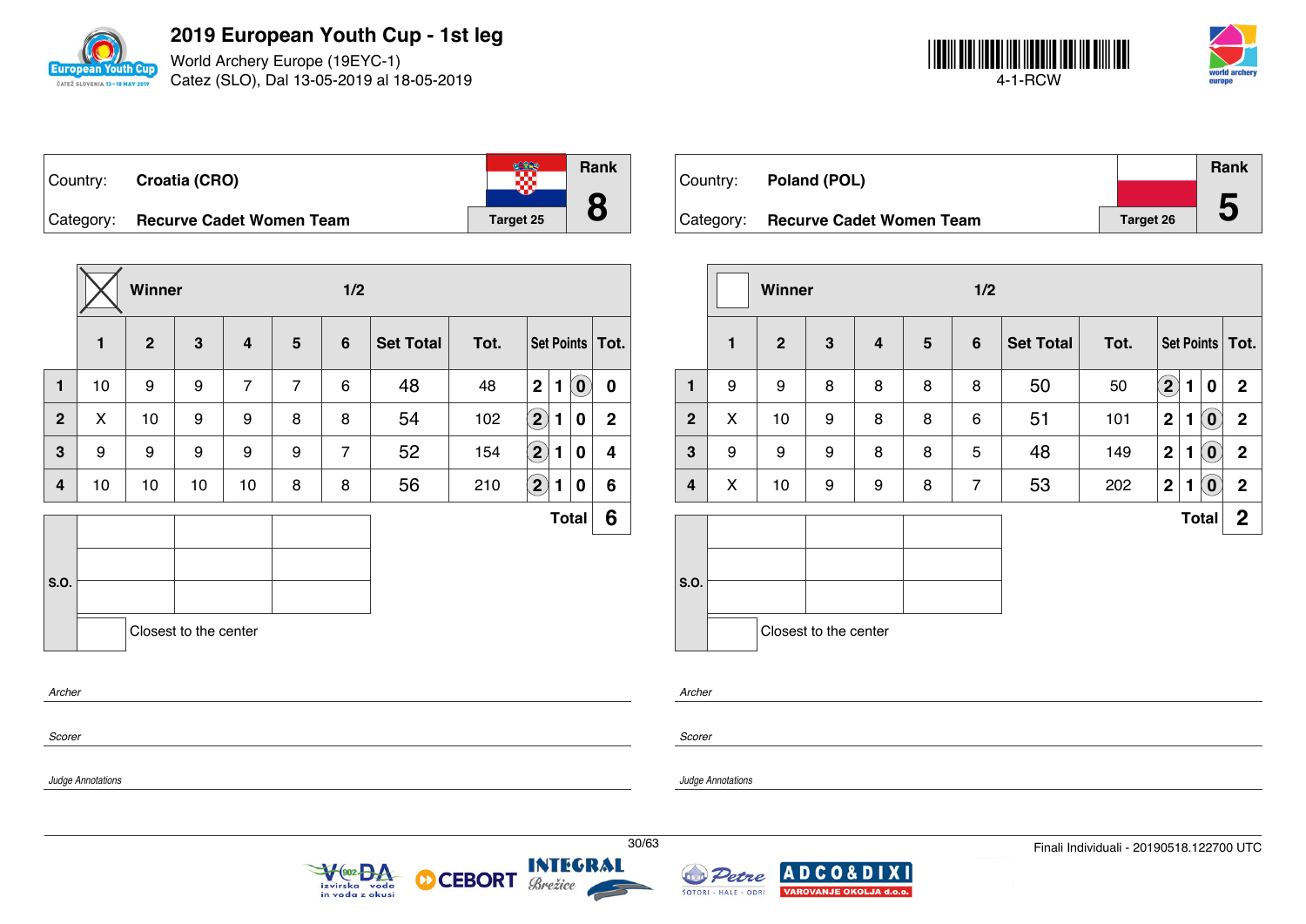

World Archery Europe (19EYC-1) Catez (SLO), Dal 13-05-2019 al 18-05-2019



|           | Country: Croatia (CRO)          |                  | <b>Rank</b> |
|-----------|---------------------------------|------------------|-------------|
| Category: | <b>Recurve Cadet Women Team</b> | <b>Target 25</b> |             |

|                |              | Winner       |                       |                         |                | 1/2             |                  |      |                            |              |                            |                   |
|----------------|--------------|--------------|-----------------------|-------------------------|----------------|-----------------|------------------|------|----------------------------|--------------|----------------------------|-------------------|
|                | $\mathbf{1}$ | $\mathbf{2}$ | $\mathbf{3}$          | $\overline{\mathbf{4}}$ | 5              | $6\phantom{1}6$ | <b>Set Total</b> | Tot. |                            |              |                            | Set Points   Tot. |
| $\mathbf{1}$   | 10           | 9            | 9                     | $\overline{7}$          | $\overline{7}$ | 6               | 48               | 48   | 2 <sup>1</sup>             | $\mathbf{1}$ | $\left( \textbf{0}\right)$ | $\mathbf 0$       |
| $\mathbf{2}$   | X            | 10           | 9                     | 9                       | 8              | 8               | 54               | 102  | $\Large{\textbf{2}}$       | 1            | 0                          | $\mathbf{2}$      |
| $\overline{3}$ | 9            | 9            | 9                     | 9                       | 9              | $\overline{7}$  | 52               | 154  | $\bf \Omega$               | 1            | 0                          | 4                 |
| 4              | 10           | 10           | 10                    | 10                      | 8              | 8               | 56               | 210  | $\left( \mathbf{2}\right)$ | 1            | 0                          | 6                 |
|                |              |              |                       |                         |                |                 |                  |      |                            |              | <b>Total</b>               | 6                 |
|                |              |              |                       |                         |                |                 |                  |      |                            |              |                            |                   |
| <b>S.O.</b>    |              |              |                       |                         |                |                 |                  |      |                            |              |                            |                   |
|                |              |              | Closest to the center |                         |                |                 |                  |      |                            |              |                            |                   |
| Archer         |              |              |                       |                         |                |                 |                  |      |                            |              |                            |                   |

*Scorer*

*Judge Annotations*

Country: **Poland (POL)** Category: **Recurve Cadet Women Team Target 26 Rank 5**

|                |              | <b>Winner</b>  |                       |   |   | 1/2            |                  |      |              |   |                            |                   |
|----------------|--------------|----------------|-----------------------|---|---|----------------|------------------|------|--------------|---|----------------------------|-------------------|
|                | $\mathbf{1}$ | $\overline{2}$ | $\mathbf{3}$          | 4 | 5 | $6\phantom{1}$ | <b>Set Total</b> | Tot. |              |   |                            | Set Points   Tot. |
| $\mathbf{1}$   | 9            | 9              | 8                     | 8 | 8 | 8              | 50               | 50   | $\mathbf{2}$ | 1 | 0                          | $\mathbf 2$       |
| $\overline{2}$ | X            | 10             | 9                     | 8 | 8 | 6              | 51               | 101  | $\mathbf 2$  | 1 | $\left( 0 \right)$         | $\mathbf 2$       |
| 3              | 9            | 9              | 9                     | 8 | 8 | 5              | 48               | 149  | $\mathbf 2$  | 1 | $\left( \mathbf{0}\right)$ | $\overline{2}$    |
| 4              | X            | 10             | 9                     | 9 | 8 | $\overline{7}$ | 53               | 202  | $\mathbf 2$  | 1 | $\left( \mathbf{0}\right)$ | $\mathbf 2$       |
|                |              |                |                       |   |   |                |                  |      |              |   | <b>Total</b>               | $\boldsymbol{2}$  |
| S.O.           |              |                | Closest to the center |   |   |                |                  |      |              |   |                            |                   |

*Archer*

*Scorer*

*Judge Annotations*







**XI**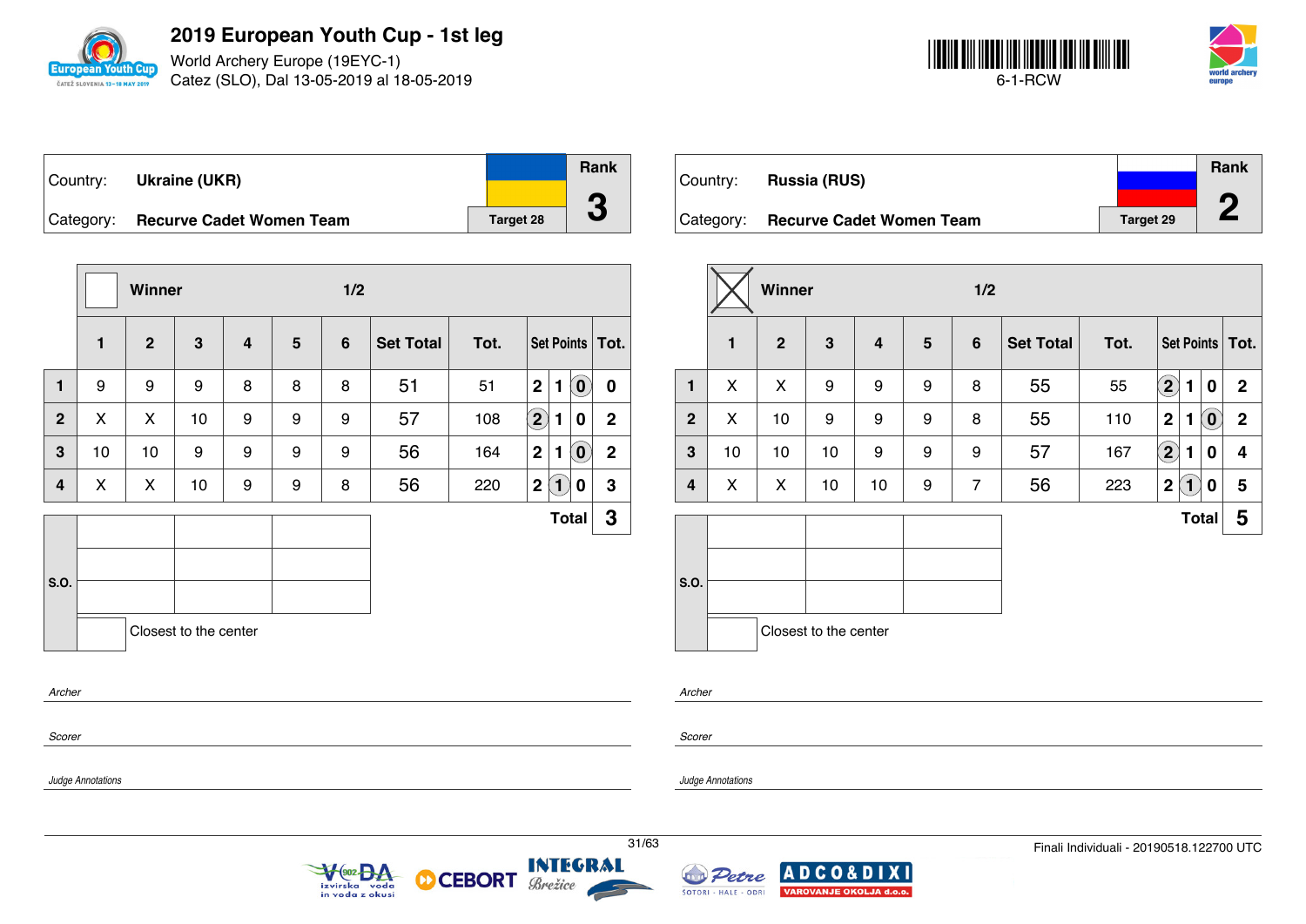

World Archery Europe (19EYC-1) Catez (SLO), Dal 13-05-2019 al 18-05-2019



| Country:  | <b>Ukraine (UKR)</b>            |                  | <b>Rank</b> |
|-----------|---------------------------------|------------------|-------------|
|           |                                 |                  |             |
| Category: | <b>Recurve Cadet Women Team</b> | <b>Target 28</b> |             |

|                |              | Winner         |                       |                |                | 1/2            |                  |      |                                                   |             |
|----------------|--------------|----------------|-----------------------|----------------|----------------|----------------|------------------|------|---------------------------------------------------|-------------|
|                | $\mathbf{1}$ | $\overline{2}$ | 3                     | $\overline{4}$ | $5\phantom{1}$ | $6\phantom{1}$ | <b>Set Total</b> | Tot. | Set Points   Tot.                                 |             |
| 1              | 9            | 9              | 9                     | 8              | 8              | 8              | 51               | 51   | $\mathbf 2$<br>$\left( \mathbf{0}\right)$<br>1    | 0           |
| $\overline{2}$ | X            | X              | 10                    | 9              | 9              | 9              | 57               | 108  | $\boxed{2}$<br>1<br>0                             | $\mathbf 2$ |
| $\mathbf{3}$   | 10           | 10             | 9                     | 9              | 9              | 9              | 56               | 164  | $\left( \mathbf{0}\right)$<br>2 <sup>1</sup><br>1 | $\mathbf 2$ |
| 4              | X            | X              | 10                    | 9              | 9              | 8              | 56               | 220  | $\mathbf{2}$<br>$\mathbf{1}$<br>0                 | $\mathbf 3$ |
|                |              |                |                       |                |                |                |                  |      | <b>Total</b>                                      | 3           |
|                |              |                |                       |                |                |                |                  |      |                                                   |             |
| S.O.           |              |                |                       |                |                |                |                  |      |                                                   |             |
|                |              |                | Closest to the center |                |                |                |                  |      |                                                   |             |
| Archer         |              |                |                       |                |                |                |                  |      |                                                   |             |
|                |              |                |                       |                |                |                |                  |      |                                                   |             |

|           |                                 |           | Rank |
|-----------|---------------------------------|-----------|------|
| Country:  | <b>Russia (RUS)</b>             |           |      |
|           |                                 |           | n    |
| Category: | <b>Recurve Cadet Women Team</b> | Target 29 |      |

|                |    | Winner         |                       |                |   | 1/2             |                  |      |                                                     |              |
|----------------|----|----------------|-----------------------|----------------|---|-----------------|------------------|------|-----------------------------------------------------|--------------|
|                | 1  | $\overline{2}$ | 3                     | $\overline{4}$ | 5 | $6\phantom{1}6$ | <b>Set Total</b> | Tot. | Set Points   Tot.                                   |              |
| $\mathbf{1}$   | X  | X              | 9                     | 9              | 9 | 8               | 55               | 55   | $\bf(2)$<br>1<br>0                                  | $\mathbf{2}$ |
| $\overline{2}$ | X  | 10             | 9                     | 9              | 9 | 8               | 55               | 110  | $\left( \mathbf{0}\right)$<br>$\boldsymbol{2}$<br>1 | $\mathbf{2}$ |
| 3              | 10 | 10             | 10                    | 9              | 9 | 9               | 57               | 167  | $\bf{(2)}$<br>$\mathbf 0$<br>1                      | 4            |
| 4              | X  | X              | 10                    | 10             | 9 | $\overline{7}$  | 56               | 223  | 2(1)<br>0                                           | 5            |
|                |    |                |                       |                |   |                 |                  |      | <b>Total</b>                                        | 5            |
| S.O.           |    |                | Closest to the center |                |   |                 |                  |      |                                                     |              |

*Archer*

*Scorer*

*Judge Annotations*

*Scorer*

*Judge Annotations*



М



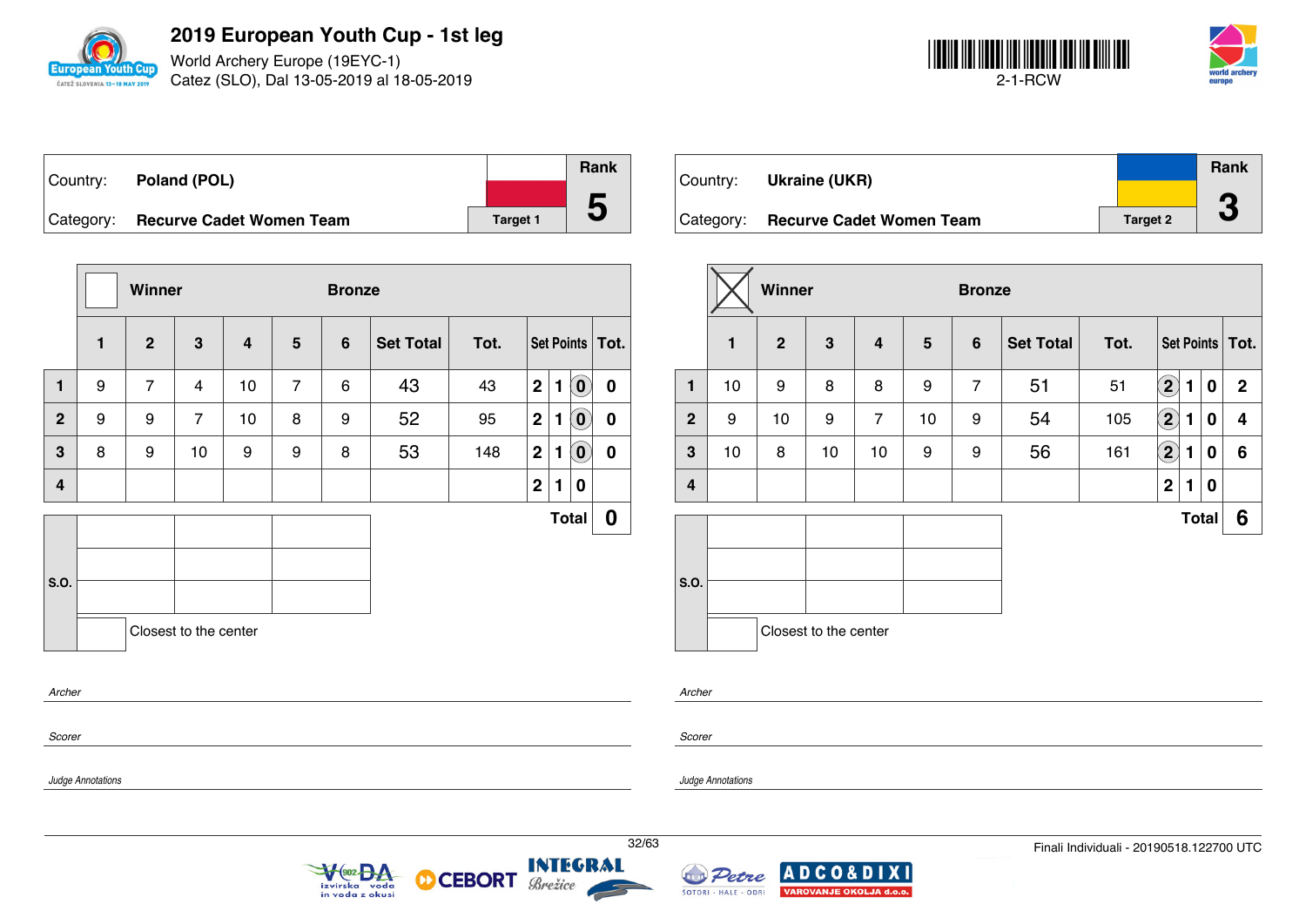

World Archery Europe (19EYC-1) Catez (SLO), Dal 13-05-2019 al 18-05-2019



|           | Country: Poland (POL)           |          | <b>Rank</b> |
|-----------|---------------------------------|----------|-------------|
|           |                                 |          |             |
| Category: | <b>Recurve Cadet Women Team</b> | Target 1 |             |

|                         |              | Winner         |                       |                         |                | <b>Bronze</b> |                  |      |                |              |                            |                   |
|-------------------------|--------------|----------------|-----------------------|-------------------------|----------------|---------------|------------------|------|----------------|--------------|----------------------------|-------------------|
|                         | $\mathbf{1}$ | $\overline{2}$ | $\mathbf{3}$          | $\overline{\mathbf{4}}$ | 5              | 6             | <b>Set Total</b> | Tot. |                |              |                            | Set Points   Tot. |
| $\mathbf{1}$            | 9            | $\overline{7}$ | $\overline{4}$        | 10                      | $\overline{7}$ | 6             | 43               | 43   | $\overline{2}$ | 1            | $\left( \mathbf{0}\right)$ | $\pmb{0}$         |
| 2 <sup>1</sup>          | 9            | 9              | $\overline{7}$        | 10                      | 8              | 9             | 52               | 95   | $\mathbf 2$    | 1            | $\left( 0\right)$          | 0                 |
| $3\phantom{a}$          | 8            | 9              | 10                    | 9                       | 9              | 8             | 53               | 148  | $\mathbf 2$    | 1            | $\left( \mathbf{0}\right)$ | 0                 |
| $\overline{\mathbf{4}}$ |              |                |                       |                         |                |               |                  |      | $\mathbf 2$    | 1            | 0                          |                   |
|                         |              |                |                       |                         |                |               |                  |      |                | <b>Total</b> |                            | $\boldsymbol{0}$  |
|                         |              |                |                       |                         |                |               |                  |      |                |              |                            |                   |
| S.O.                    |              |                |                       |                         |                |               |                  |      |                |              |                            |                   |
|                         |              |                | Closest to the center |                         |                |               |                  |      |                |              |                            |                   |
| Archer                  |              |                |                       |                         |                |               |                  |      |                |              |                            |                   |
| Scorer                  |              |                |                       |                         |                |               |                  |      |                |              |                            |                   |

Veoz BA

izvirska voda<br>in voda z okusi

**CEBORT** 

Brežice

М

| Country: _ | Ukraine (UKR)                   |                 | Rank                             |
|------------|---------------------------------|-----------------|----------------------------------|
| Category:  | <b>Recurve Cadet Women Team</b> | <b>Target 2</b> | $\sqrt{2}$<br>$\mathbf{\bullet}$ |

|                         |              | Winner         |                       |                |                 | <b>Bronze</b>  |                  |      |                        |              |   |                   |
|-------------------------|--------------|----------------|-----------------------|----------------|-----------------|----------------|------------------|------|------------------------|--------------|---|-------------------|
|                         | $\mathbf{1}$ | $\overline{2}$ | 3                     | $\overline{4}$ | $5\phantom{.0}$ | $6\phantom{1}$ | <b>Set Total</b> | Tot. |                        |              |   | Set Points   Tot. |
| 1                       | 10           | 9              | 8                     | 8              | 9               | 7              | 51               | 51   | $\mathbf{2}$           | 1            | 0 | $\mathbf{2}$      |
| $\overline{2}$          | 9            | 10             | 9                     | $\overline{7}$ | 10              | 9              | 54               | 105  | $\left( \bf{2}\right)$ | 1            | 0 | 4                 |
| $\mathbf{3}$            | 10           | 8              | 10                    | 10             | 9               | 9              | 56               | 161  | $\bf \Omega$           | 1            | 0 | 6                 |
| $\overline{\mathbf{4}}$ |              |                |                       |                |                 |                |                  |      | $\mathbf 2$            | 1            | 0 |                   |
|                         |              |                |                       |                |                 |                |                  |      |                        | <b>Total</b> |   | 6                 |
| S.O.                    |              |                |                       |                |                 |                |                  |      |                        |              |   |                   |
|                         |              |                | Closest to the center |                |                 |                |                  |      |                        |              |   |                   |

*Scorer*

*Scorer*

*Archer*

*Judge Annotations*

*Judge Annotations*



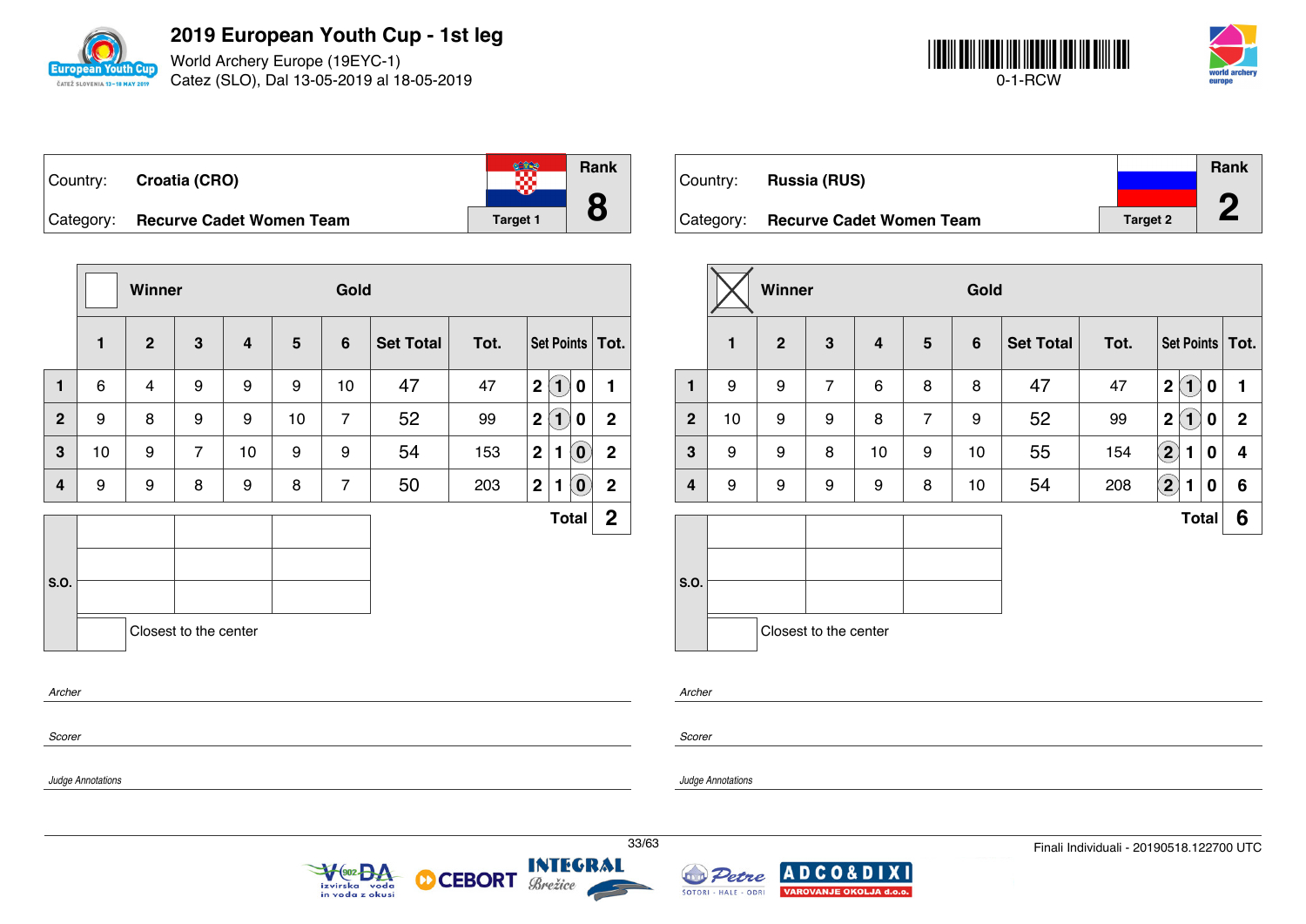

World Archery Europe (19EYC-1) Catez (SLO), Dal 13-05-2019 al 18-05-2019



| Country: Croatia (CRO)             |                 | Rank |
|------------------------------------|-----------------|------|
| Category: Recurve Cadet Women Team | <b>Target 1</b> | O    |

|                                 |    | Winner       |                |    |    | Gold |                  |      |             |              |                            |                   |
|---------------------------------|----|--------------|----------------|----|----|------|------------------|------|-------------|--------------|----------------------------|-------------------|
|                                 | 1  | $\mathbf{2}$ | 3              | 4  | 5  | 6    | <b>Set Total</b> | Tot. |             |              |                            | Set Points   Tot. |
| $\mathbf{1}$                    | 6  | 4            | 9              | 9  | 9  | 10   | 47               | 47   | $\mathbf 2$ | $\bf(1)$     | $\bf{0}$                   | 1                 |
| $\mathbf{2}$                    | 9  | 8            | 9              | 9  | 10 | 7    | 52               | 99   | $\mathbf 2$ | $\bf(1)$     | 0                          | $\mathbf 2$       |
| 3                               | 10 | 9            | $\overline{7}$ | 10 | 9  | 9    | 54               | 153  | $\mathbf 2$ | 1            | $\hat{\mathbf{0}}$         | $\mathbf 2$       |
| 4                               | 9  | 9            | 8              | 9  | 8  | 7    | 50               | 203  | $\mathbf 2$ | 1            | $\left[ \mathbf{0}\right]$ | $\mathbf 2$       |
|                                 |    |              |                |    |    |      |                  |      |             | <b>Total</b> |                            | $\mathbf 2$       |
| S.O.                            |    |              |                |    |    |      |                  |      |             |              |                            |                   |
| Closest to the center<br>Archer |    |              |                |    |    |      |                  |      |             |              |                            |                   |
| Scorer                          |    |              |                |    |    |      |                  |      |             |              |                            |                   |

|            |                                 |                 | Rank |
|------------|---------------------------------|-----------------|------|
| Country: _ | <b>Russia (RUS)</b>             |                 |      |
| Category:  | <b>Recurve Cadet Women Team</b> | <b>Target 2</b> |      |

|                         |              | Winner         |                       |    |                | Gold            |                  |      |                                    |             |
|-------------------------|--------------|----------------|-----------------------|----|----------------|-----------------|------------------|------|------------------------------------|-------------|
|                         | $\mathbf{1}$ | $\overline{2}$ | $\mathbf{3}$          | 4  | 5              | $6\phantom{1}6$ | <b>Set Total</b> | Tot. | Set Points   Tot.                  |             |
| $\mathbf{1}$            | 9            | 9              | $\overline{7}$        | 6  | 8              | 8               | 47               | 47   | $\mathbf 2$<br>$\mathbf{1}$<br>0   | 1           |
| $\overline{2}$          | 10           | 9              | 9                     | 8  | $\overline{7}$ | 9               | 52               | 99   | $\mathbf 2$<br>$\blacksquare$<br>0 | $\mathbf 2$ |
| 3                       | 9            | 9              | 8                     | 10 | 9              | 10              | 55               | 154  | $\Large{\textbf{2}}$<br>0<br>1     | 4           |
| $\overline{\mathbf{4}}$ | 9            | 9              | 9                     | 9  | 8              | 10              | 54               | 208  | $\mathbf{2}$<br>1<br>0             | 6           |
|                         |              |                |                       |    |                |                 |                  |      | <b>Total</b>                       | 6           |
|                         |              |                |                       |    |                |                 |                  |      |                                    |             |
| S.O.                    |              |                |                       |    |                |                 |                  |      |                                    |             |
|                         |              |                | Closest to the center |    |                |                 |                  |      |                                    |             |

| Arcn<br>۰.<br>×<br>v |  |
|----------------------|--|
|                      |  |

*Scorer*

*Judge Annotations*

*Judge Annotations*





**CEBORT** 

D

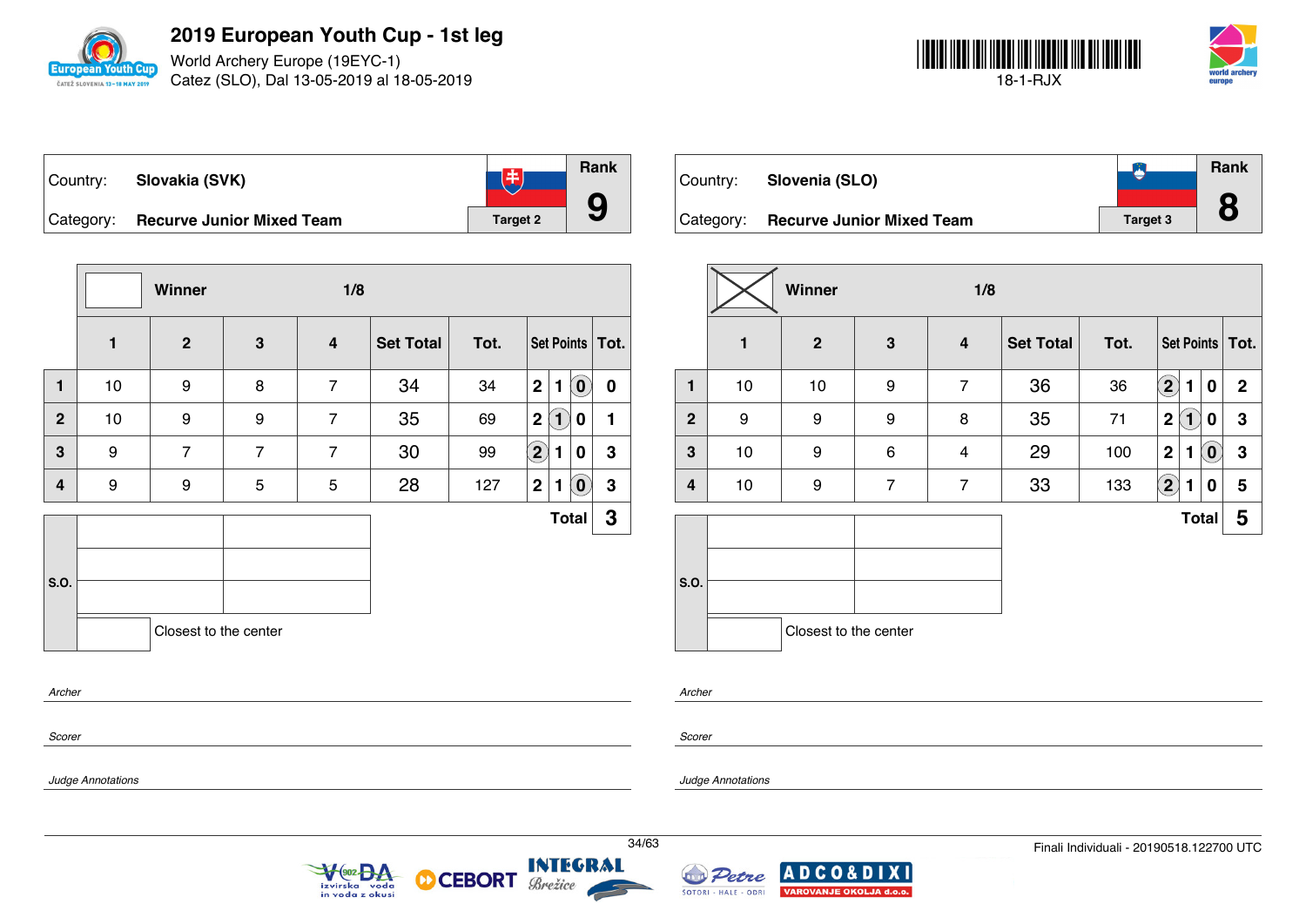

World Archery Europe (19EYC-1) Catez (SLO), Dal 13-05-2019 al 18-05-2019



| ∣Country: | Slovakia (SVK)                   | 中               | Rank |
|-----------|----------------------------------|-----------------|------|
| Category: | <b>Recurve Junior Mixed Team</b> | <b>Target 2</b> |      |

|                |    | Winner                |                | 1/8                     |                  |      |                        |                                   |                  |
|----------------|----|-----------------------|----------------|-------------------------|------------------|------|------------------------|-----------------------------------|------------------|
|                | 1  | $\mathbf{2}$          | $\mathbf{3}$   | $\overline{\mathbf{4}}$ | <b>Set Total</b> | Tot. | Set Points   Tot.      |                                   |                  |
| $\mathbf{1}$   | 10 | 9                     | 8              | $\overline{7}$          | 34               | 34   | $\mathbf{2}$<br>1      | $\left( \mathbf{0}\right)$        | $\boldsymbol{0}$ |
| $\overline{2}$ | 10 | 9                     | 9              | $\overline{7}$          | 35               | 69   | $\mathbf{1}$<br>2      | 0                                 | 1                |
| 3              | 9  | $\overline{7}$        | $\overline{7}$ | $\overline{7}$          | 30               | 99   | $\left( 2\right)$<br>1 | 0                                 | 3                |
| 4              | 9  | 9                     | 5              | 5                       | 28               | 127  | 2 <sup>1</sup><br>1    | $\left  \mathbf{0} \right\rangle$ | 3                |
|                |    |                       |                |                         |                  |      |                        | <b>Total</b>                      | 3                |
|                |    |                       |                |                         |                  |      |                        |                                   |                  |
| S.O.           |    |                       |                |                         |                  |      |                        |                                   |                  |
|                |    | Closest to the center |                |                         |                  |      |                        |                                   |                  |
|                |    |                       |                |                         |                  |      |                        |                                   |                  |

| Country: . | Slovenia (SLO)                   |          | <b>Rank</b> |
|------------|----------------------------------|----------|-------------|
| Category:  | <b>Recurve Junior Mixed Team</b> | Target 3 |             |

|              |    | Winner                | 1/8            |                |                  |      |                               |                            |                   |  |
|--------------|----|-----------------------|----------------|----------------|------------------|------|-------------------------------|----------------------------|-------------------|--|
|              | 1  | $\mathbf{2}$          | 3              | 4              | <b>Set Total</b> | Tot. |                               |                            | Set Points   Tot. |  |
| $\mathbf{1}$ | 10 | 10                    | 9              | $\overline{7}$ | 36               | 36   | $\bf(2)$<br>$\blacksquare$    | $\bf{0}$                   | $\mathbf{2}$      |  |
| $\mathbf{2}$ | 9  | 9                     | 9              | 8              | 35               | 71   | $\mathbf 2$<br>$\bf(1)$       | 0                          | 3                 |  |
| 3            | 10 | 9                     | 6              | 4              | 29               | 100  | $\mathbf 2$<br>1              | $\left( \mathbf{0}\right)$ | 3                 |  |
| 4            | 10 | 9                     | $\overline{7}$ | $\overline{7}$ | 33               | 133  | $\mathbf{2)}$<br>$\mathbf{1}$ | 0                          | 5                 |  |
|              |    |                       |                |                |                  |      |                               | <b>Total</b>               | 5                 |  |
| S.O.         |    | Closest to the center |                |                |                  |      |                               |                            |                   |  |

*Archer*

*Scorer*

*Scorer*

*Archer*

*Judge Annotations*

*Judge Annotations*



 $+(902 - 2)$ 



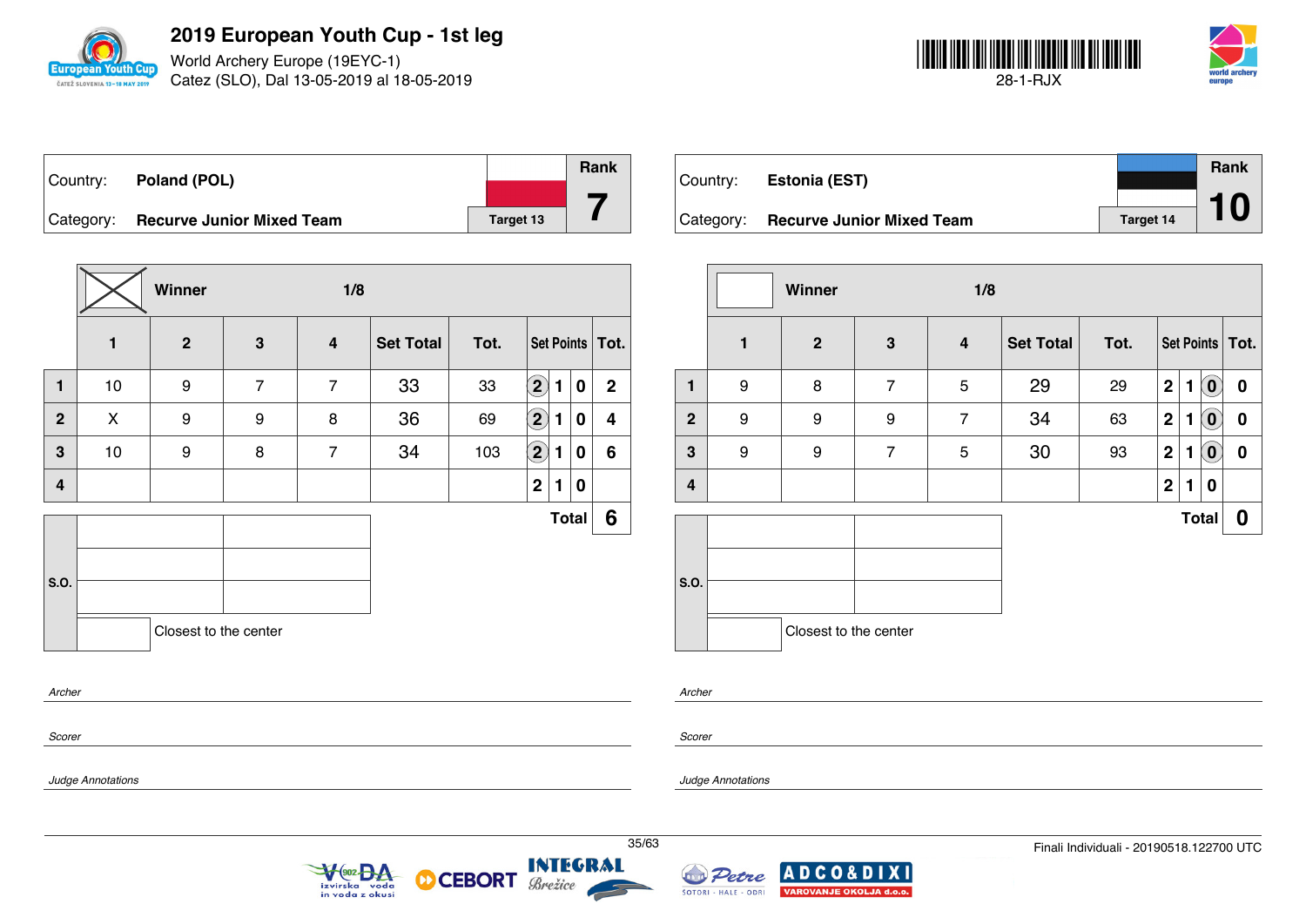

World Archery Europe (19EYC-1) Catez (SLO), Dal 13-05-2019 al 18-05-2019



| Country:  | Poland (POL)                     |           | Rank |
|-----------|----------------------------------|-----------|------|
|           |                                  |           |      |
| Category: | <b>Recurve Junior Mixed Team</b> | Target 13 |      |

|                |    | Winner                |                | 1/8                     |                  |      |                            |              |   |                |
|----------------|----|-----------------------|----------------|-------------------------|------------------|------|----------------------------|--------------|---|----------------|
|                | 1  | $\overline{2}$        | $\mathbf{3}$   | $\overline{\mathbf{4}}$ | <b>Set Total</b> | Tot. | Set Points   Tot.          |              |   |                |
| $\mathbf{1}$   | 10 | 9                     | $\overline{7}$ | $\overline{7}$          | 33               | 33   | $\left( 2\right)$          | 1            | 0 | $\overline{2}$ |
| $\overline{2}$ | X  | 9                     | 9              | 8                       | 36               | 69   | $\bf (2)$                  | 1            | 0 | 4              |
| 3              | 10 | 9                     | 8              | $\overline{7}$          | 34               | 103  | $\left( \mathbf{2}\right)$ | 1            | 0 | 6              |
| $\overline{4}$ |    |                       |                |                         |                  |      | $\overline{2}$             | 1            | 0 |                |
|                |    |                       |                |                         |                  |      |                            | <b>Total</b> |   | 6              |
|                |    |                       |                |                         |                  |      |                            |              |   |                |
| S.O.           |    |                       |                |                         |                  |      |                            |              |   |                |
|                |    | Closest to the center |                |                         |                  |      |                            |              |   |                |
| Archer         |    |                       |                |                         |                  |      |                            |              |   |                |
|                |    |                       |                |                         |                  |      |                            |              |   |                |

| Country:  | <b>Estonia (EST)</b>             |           | <b>Rank</b> |
|-----------|----------------------------------|-----------|-------------|
|           |                                  |           |             |
| Category: | <b>Recurve Junior Mixed Team</b> | Target 14 |             |

|                  |   | Winner                |                |                         |                  |      |                  |              |                            |                   |
|------------------|---|-----------------------|----------------|-------------------------|------------------|------|------------------|--------------|----------------------------|-------------------|
|                  | 1 | $\mathbf{2}$          | $\mathbf{3}$   | $\overline{\mathbf{4}}$ | <b>Set Total</b> | Tot. |                  |              |                            | Set Points   Tot. |
| $\mathbf{1}$     | 9 | 8                     | $\overline{7}$ | 5                       | 29               | 29   | $\mathbf 2$      | 1            | $\left( \mathbf{0}\right)$ | $\bf{0}$          |
| $\boldsymbol{2}$ | 9 | 9                     | 9              | $\overline{7}$          | 34               | 63   | $\mathbf{2}$     | 1            | $\tilde{(\mathbf{0})}$     | 0                 |
| $\mathbf 3$      | 9 | 9                     | $\overline{7}$ | 5                       | 30               | 93   | $\boldsymbol{2}$ | 1            | $\ddot{\mathbf{0}}$        | 0                 |
| 4                |   |                       |                |                         |                  |      | $\mathbf 2$      | 1            | 0                          |                   |
|                  |   |                       |                |                         |                  |      |                  | <b>Total</b> |                            | 0                 |
| S.O.             |   |                       |                |                         |                  |      |                  |              |                            |                   |
|                  |   | Closest to the center |                |                         |                  |      |                  |              |                            |                   |

*Archer*

*Scorer*

*Judge Annotations*

*Scorer*

*Judge Annotations*



**CEBORT** 

М





**XI**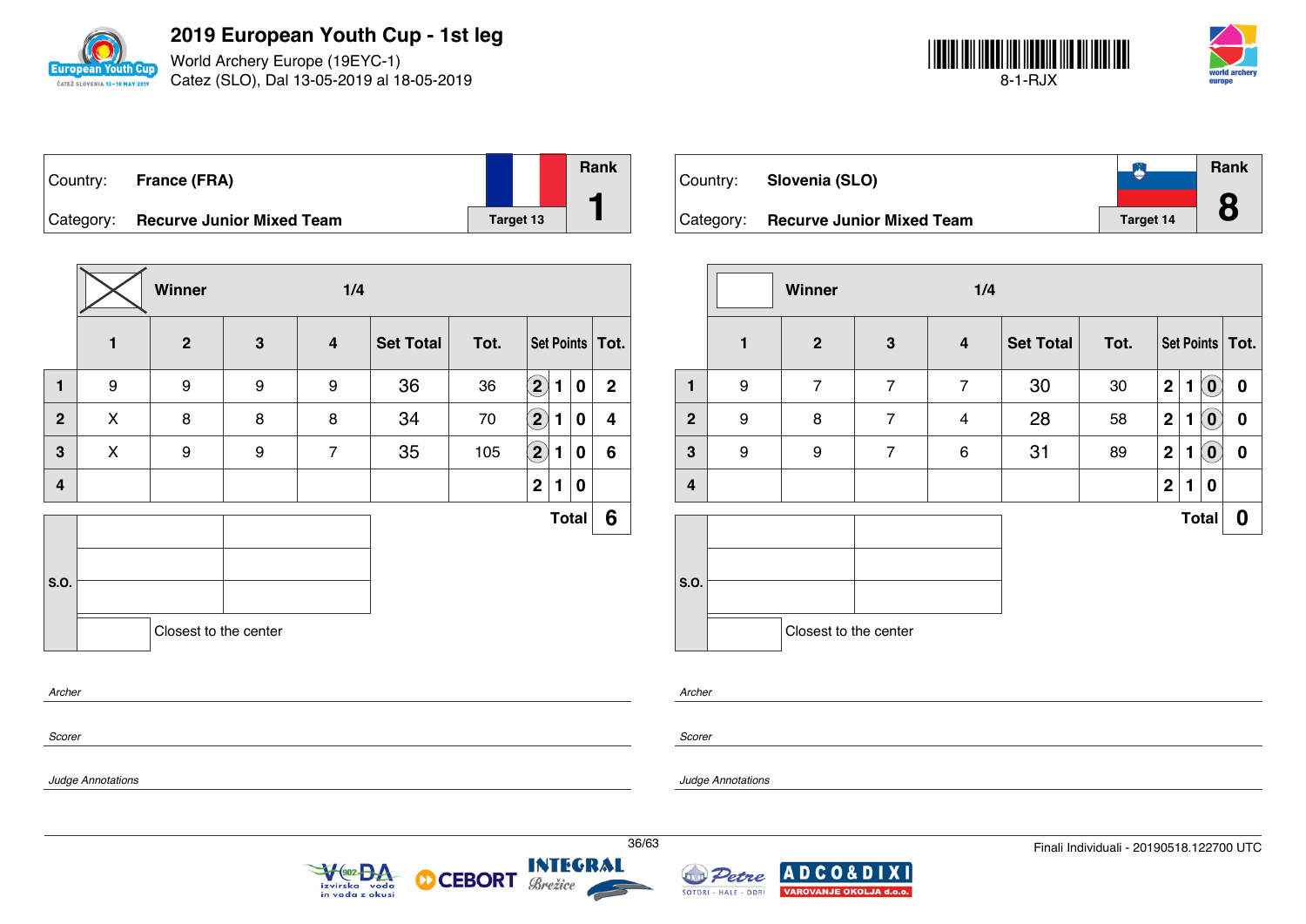

World Archery Europe (19EYC-1) Catez (SLO), Dal 13-05-2019 al 18-05-2019



| Country:  | France (FRA)                     |           | Rank |
|-----------|----------------------------------|-----------|------|
| Category: | <b>Recurve Junior Mixed Team</b> | Target 13 |      |

|              |              | Winner                |   | 1/4                     |                  |      |                            |   |              |                |
|--------------|--------------|-----------------------|---|-------------------------|------------------|------|----------------------------|---|--------------|----------------|
|              | $\mathbf{1}$ | $\mathbf{2}$          | 3 | $\overline{\mathbf{4}}$ | <b>Set Total</b> | Tot. | Set Points   Tot.          |   |              |                |
| $\mathbf{1}$ | 9            | 9                     | 9 | 9                       | 36               | 36   | $\left( \mathbf{2}\right)$ | 1 | $\bf{0}$     | $\overline{2}$ |
| $\mathbf{2}$ | X            | 8                     | 8 | 8                       | 34               | 70   | $\mathbf{2}$               | 1 | 0            | 4              |
| $\mathbf{3}$ | X            | 9                     | 9 | $\overline{7}$          | 35               | 105  | $\bigcirc$                 | 1 | 0            | 6              |
| 4            |              |                       |   |                         |                  |      | $\mathbf{2}$               | 1 | 0            |                |
|              |              |                       |   |                         |                  |      |                            |   | <b>Total</b> | 6              |
|              |              |                       |   |                         |                  |      |                            |   |              |                |
| S.O.         |              |                       |   |                         |                  |      |                            |   |              |                |
|              |              | Closest to the center |   |                         |                  |      |                            |   |              |                |
| Archer       |              |                       |   |                         |                  |      |                            |   |              |                |
|              |              |                       |   |                         |                  |      |                            |   |              |                |

| Country:  | Slovenia (SLO)                   |                  | Rank |
|-----------|----------------------------------|------------------|------|
| Category: | <b>Recurve Junior Mixed Team</b> | <b>Target 14</b> | 8    |

|              |              | <b>Winner</b>         |                | 1/4                     |                  |      |                |   |                            |                   |
|--------------|--------------|-----------------------|----------------|-------------------------|------------------|------|----------------|---|----------------------------|-------------------|
|              | $\mathbf{1}$ | $\mathbf{2}$          | $\mathbf{3}$   | $\overline{\mathbf{4}}$ | <b>Set Total</b> | Tot. |                |   |                            | Set Points   Tot. |
| 1            | 9            | $\overline{7}$        | $\overline{7}$ | $\overline{7}$          | 30               | 30   | $\mathbf 2$    | 1 | $\left( 0\right)$          | $\bf{0}$          |
| $\mathbf{2}$ | 9            | 8                     | $\overline{7}$ | $\overline{\mathbf{4}}$ | 28               | 58   | $\mathbf 2$    | 1 | $\left( \mathbf{0}\right)$ | 0                 |
| 3            | 9            | 9                     | $\overline{7}$ | 6                       | 31               | 89   | $\mathbf 2$    | 1 | $\left( \mathbf{0}\right)$ | $\boldsymbol{0}$  |
| 4            |              |                       |                |                         |                  |      | $\overline{2}$ | 1 | 0                          |                   |
|              |              |                       |                |                         |                  |      |                |   | <b>Total</b>               | 0                 |
| S.O.         |              |                       |                |                         |                  |      |                |   |                            |                   |
|              |              | Closest to the center |                |                         |                  |      |                |   |                            |                   |

*Archer*

*Scorer*

*Judge Annotations*

*Scorer*

*Judge Annotations*





**CEBORT** 

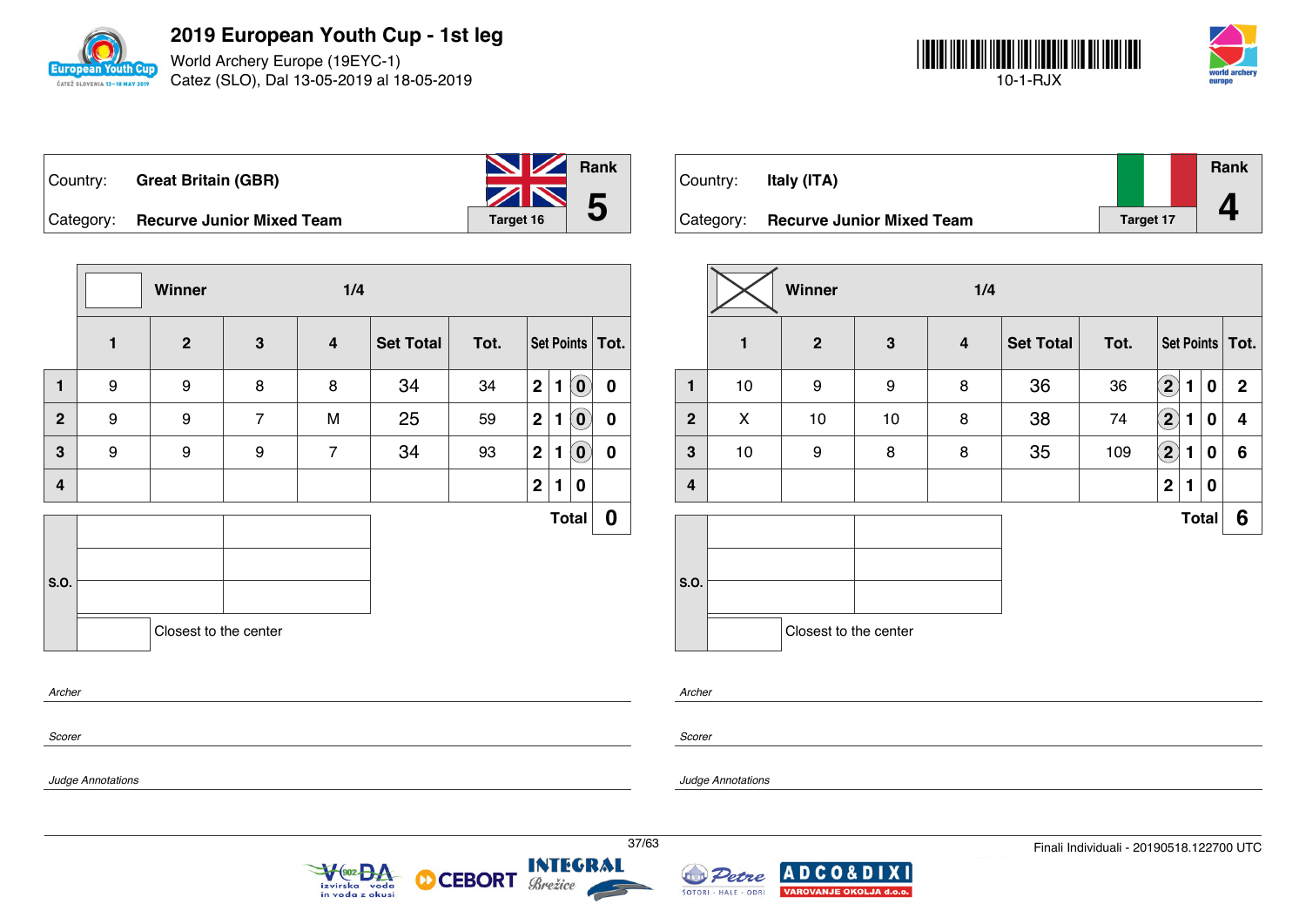

World Archery Europe (19EYC-1) Catez (SLO), Dal 13-05-2019 al 18-05-2019



| Country: _ | <b>Great Britain (GBR)</b>          | <b>No. 7 Rank</b>            |  |
|------------|-------------------------------------|------------------------------|--|
|            | Category: Recurve Junior Mixed Team | $\frac{1}{2}$ 5<br>Target 16 |  |

**Winner 1/4 1 2 3 4 Set Total Tot. Set Points Tot. 1** 9 9 8 8 34 34 **2 1 0 0 2** 9 9 7 M 25 59 **2 1 0 0 3** 9 9 9 7 34 93 **2 1 0 0 4 2 1 0 S.O. Total 0** Closest to the center

| Country:  | Italy (ITA)                      |           | Rank |
|-----------|----------------------------------|-----------|------|
| Category: | <b>Recurve Junior Mixed Team</b> | Target 17 |      |

|                         | Winner<br>1/4 |                       |    |                         |                  |      |                            |                   |   |                |
|-------------------------|---------------|-----------------------|----|-------------------------|------------------|------|----------------------------|-------------------|---|----------------|
|                         | $\mathbf{1}$  | $\overline{2}$        | 3  | $\overline{\mathbf{4}}$ | <b>Set Total</b> | Tot. |                            | Set Points   Tot. |   |                |
| 1                       | 10            | 9                     | 9  | 8                       | 36               | 36   | $\left( \mathbf{2}\right)$ | 1                 | 0 | $\mathbf{2}$   |
| $\overline{2}$          | X             | 10                    | 10 | 8                       | 38               | 74   | $\bf(2)$                   | 1                 | 0 | 4              |
| 3                       | 10            | 9                     | 8  | 8                       | 35               | 109  | $\bf \overline{2}$         | 1                 | 0 | $6\phantom{1}$ |
| $\overline{\mathbf{4}}$ |               |                       |    |                         |                  |      | $\mathbf 2$                | $\mathbf{1}$      | 0 |                |
|                         |               |                       |    |                         |                  |      |                            | <b>Total</b>      |   | 6              |
| S.O.                    |               |                       |    |                         |                  |      |                            |                   |   |                |
|                         |               | Closest to the center |    |                         |                  |      |                            |                   |   |                |

*Archer*

*Scorer*

*Scorer*

*Archer*

*Judge Annotations*

*Judge Annotations*





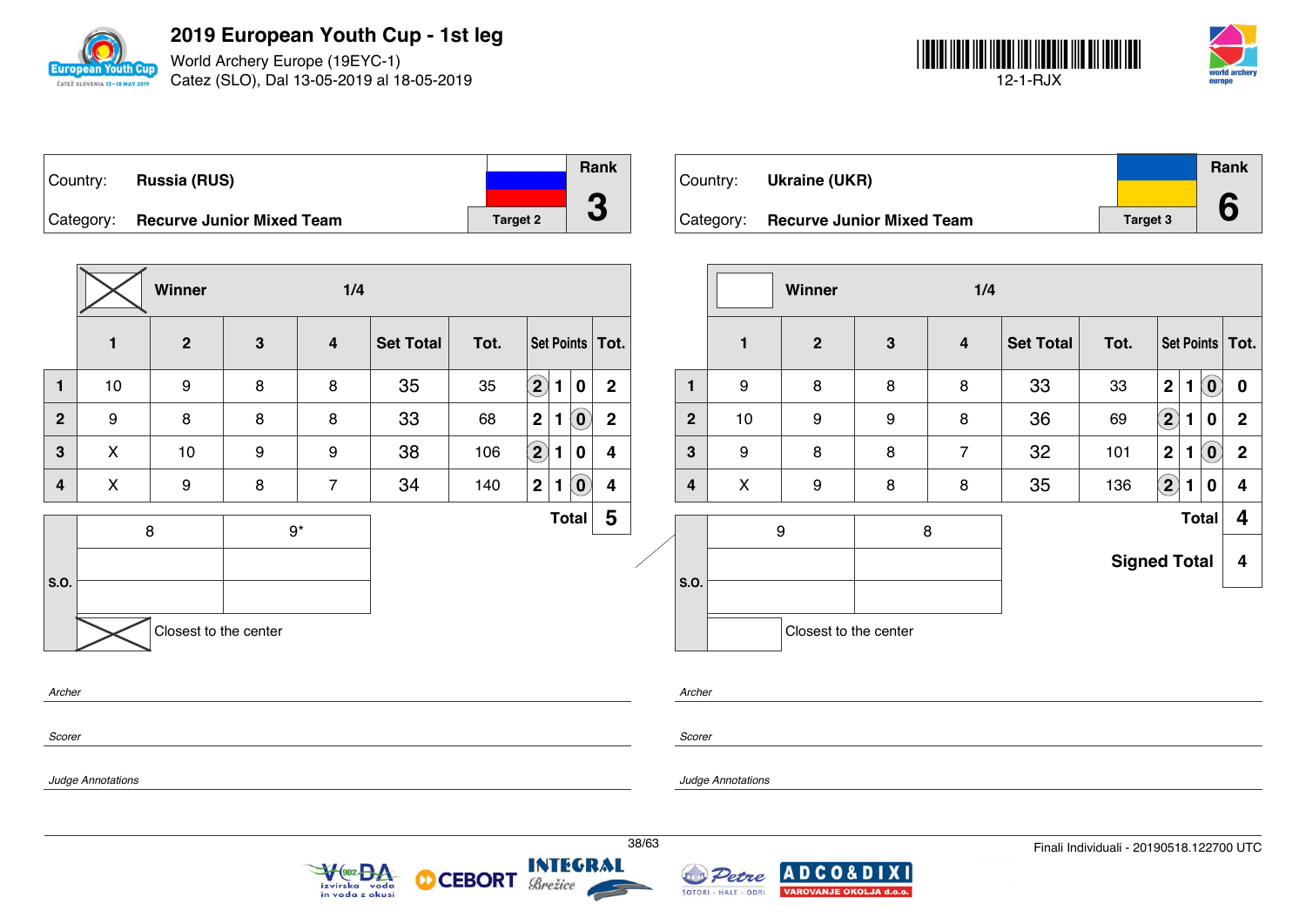

World Archery Europe (19EYC-1) Catez (SLO), Dal 13-05-2019 al 18-05-2019



| Country:  | <b>Russia (RUS)</b>              |                 | Rank |
|-----------|----------------------------------|-----------------|------|
|           |                                  |                 |      |
| Category: | <b>Recurve Junior Mixed Team</b> | <b>Target 2</b> |      |

**Winner 1/4 1 2 3 4 Set Total Tot. Set Points Tot. 1** | 10 | 9 | 8 | 8 | 35 | 35  $\boxed{2}$  **1** | 0 | 2 **2** 9 8 8 8 33 68 **2 1 0 2 3** X 10 9 9 38 106 **2 1 0 4 4** X 9 8 7 34 140 **2 1 0 4 S.O.** 8 9\* **Total 5** Closest to the center *Archer*

| Country:  | Ukraine (UKR)                    |                 | Rank |  |
|-----------|----------------------------------|-----------------|------|--|
| Category: | <b>Recurve Junior Mixed Team</b> | <b>Target 3</b> |      |  |

|              | <b>Winner</b><br>1/4 |                       |              |                |                  |                     |                   |              |                            |              |
|--------------|----------------------|-----------------------|--------------|----------------|------------------|---------------------|-------------------|--------------|----------------------------|--------------|
|              | 1                    | $\overline{2}$        | $\mathbf{3}$ | 4              | <b>Set Total</b> | Tot.                | Set Points   Tot. |              |                            |              |
| 1            | 9                    | 8                     | 8            | 8              | 33               | 33                  | $\mathbf 2$       | $\mathbf{1}$ | $\left( \mathbf{0}\right)$ | 0            |
| $\mathbf{2}$ | 10                   | $\boldsymbol{9}$      | 9            | 8              | 36               | 69                  | $\boxed{2}$       | 1            | $\bf{0}$                   | $\mathbf{2}$ |
| 3            | 9                    | 8                     | 8            | $\overline{7}$ | 32               | 101                 | $\mathbf 2$       | 1            | $\left( \mathbf{0}\right)$ | $\mathbf{2}$ |
| 4            | X                    | $\boldsymbol{9}$      | 8            | 8              | 35               | 136                 | $\left( 2\right)$ | 1            | 0                          | 4            |
|              |                      | 9                     |              | 8              |                  |                     |                   |              | <b>Total</b>               | 4            |
|              |                      |                       |              |                |                  | <b>Signed Total</b> |                   |              |                            | 4            |
| S.O.         |                      |                       |              |                |                  |                     |                   |              |                            |              |
|              |                      | Closest to the center |              |                |                  |                     |                   |              |                            |              |

*Scorer*

*Scorer*

*Archer*

*Judge Annotations*

*Judge Annotations*



**CEBORT** 

**INTEGRAL** Brežice

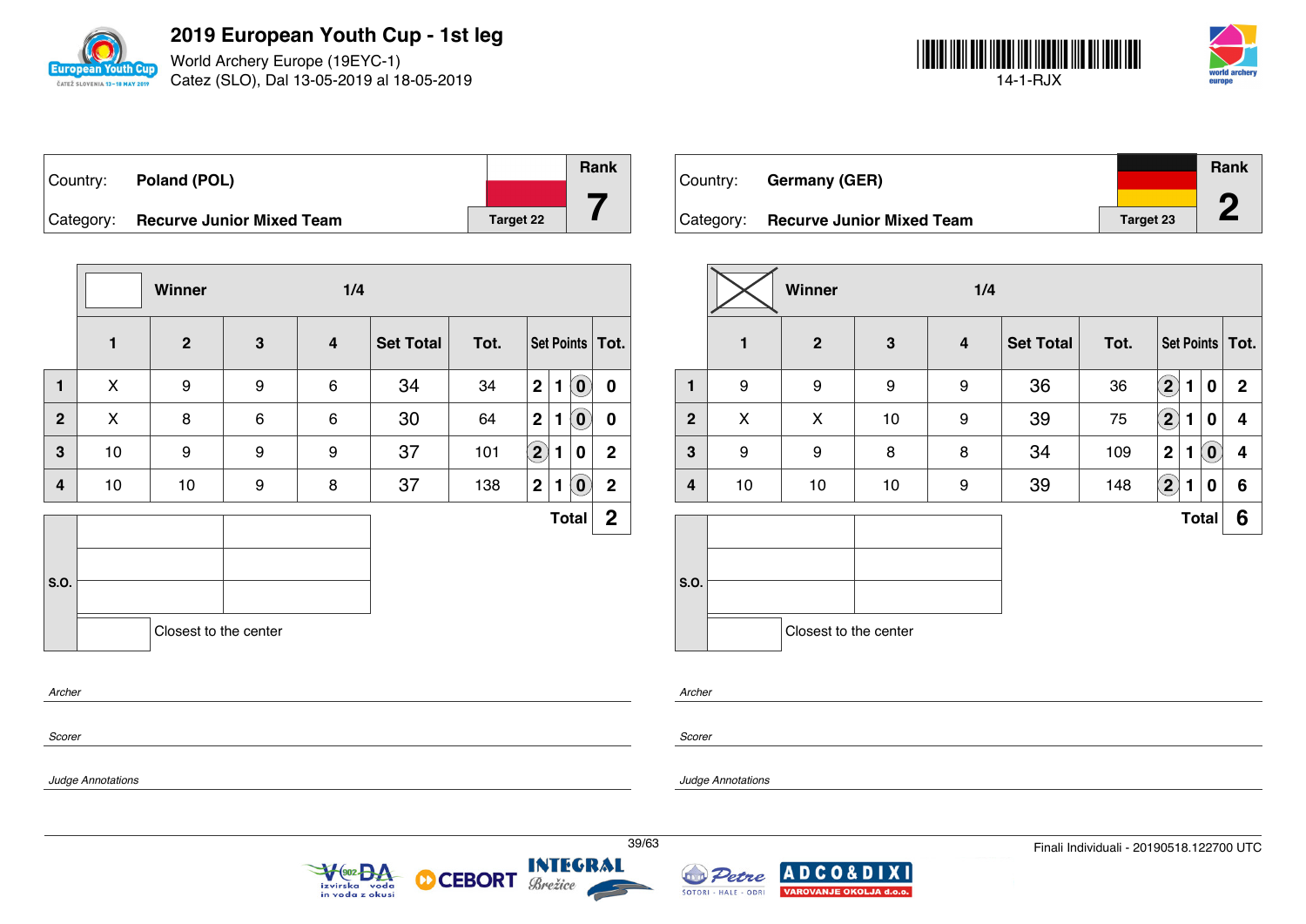

World Archery Europe (19EYC-1) Catez (SLO), Dal 13-05-2019 al 18-05-2019



| Country: Poland (POL)               |           | Rank |
|-------------------------------------|-----------|------|
|                                     |           |      |
| Category: Recurve Junior Mixed Team | Target 22 |      |

|                |              | Winner                |              | 1/4                     |                  |      |                   |                                          |              |
|----------------|--------------|-----------------------|--------------|-------------------------|------------------|------|-------------------|------------------------------------------|--------------|
|                | $\mathbf{1}$ | $\overline{2}$        | $\mathbf{3}$ | $\overline{\mathbf{4}}$ | <b>Set Total</b> | Tot. |                   | Set Points   Tot.                        |              |
| $\mathbf{1}$   | X            | 9                     | 9            | 6                       | 34               | 34   | $\mathbf 2$       | $\mathbf{O}$<br>1                        | $\mathbf 0$  |
| $\overline{2}$ | X            | 8                     | 6            | 6                       | 30               | 64   | 2                 | $\widetilde{\mathbf{0}}$<br>$\mathbf{1}$ | $\mathbf 0$  |
| 3              | 10           | 9                     | 9            | 9                       | 37               | 101  | $\left( 2\right)$ | 1<br>0                                   | $\mathbf{2}$ |
| 4              | 10           | 10                    | 9            | 8                       | 37               | 138  | $\mathbf{2}$      | $\left( 0 \right)$<br>1                  | $\mathbf{2}$ |
|                |              |                       |              |                         |                  |      |                   | <b>Total</b>                             | $\mathbf{2}$ |
|                |              |                       |              |                         |                  |      |                   |                                          |              |
| S.O.           |              |                       |              |                         |                  |      |                   |                                          |              |
|                |              | Closest to the center |              |                         |                  |      |                   |                                          |              |
| Archer         |              |                       |              |                         |                  |      |                   |                                          |              |

| Country: | Germany (GER)                       |                  | Rank |
|----------|-------------------------------------|------------------|------|
|          | Category: Recurve Junior Mixed Team | <b>Target 23</b> |      |

|              |    | Winner                |    | 1/4              |                  |      |                            |              |                            |                   |
|--------------|----|-----------------------|----|------------------|------------------|------|----------------------------|--------------|----------------------------|-------------------|
|              | 1  | $\boldsymbol{2}$      | 3  | $\boldsymbol{4}$ | <b>Set Total</b> | Tot. |                            |              |                            | Set Points   Tot. |
| 1            | 9  | 9                     | 9  | 9                | 36               | 36   | $\left( \mathbf{2}\right)$ | 1            | 0                          | $\mathbf{2}$      |
| $\mathbf{2}$ | X  | X                     | 10 | 9                | 39               | 75   | $\left( \mathbf{2}\right)$ | 1            | 0                          | 4                 |
| 3            | 9  | 9                     | 8  | 8                | 34               | 109  | $\mathbf 2$                | 1            | $\left( \mathbf{0}\right)$ | 4                 |
| 4            | 10 | 10                    | 10 | 9                | 39               | 148  | $\mathbf{2}$               | 1            | 0                          | 6                 |
|              |    |                       |    |                  |                  |      |                            | <b>Total</b> |                            | 6                 |
| S.O.         |    |                       |    |                  |                  |      |                            |              |                            |                   |
|              |    | Closest to the center |    |                  |                  |      |                            |              |                            |                   |

*Scorer*

*Scorer*

*Archer*

*Judge Annotations*

*Judge Annotations*



**CEBORT** 



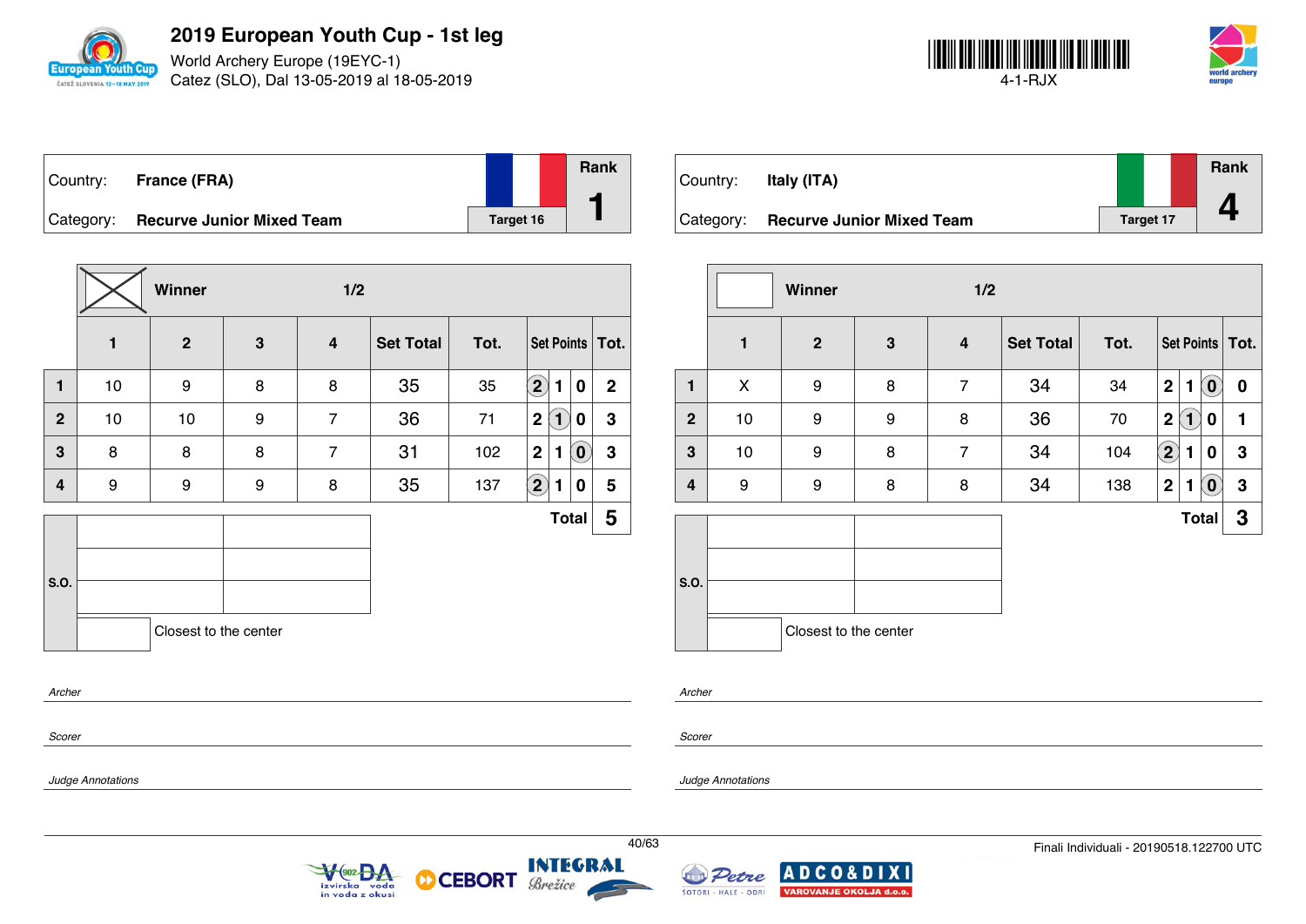

World Archery Europe (19EYC-1) Catez (SLO), Dal 13-05-2019 al 18-05-2019



| Country:  | France (FRA)                     |           | Rank |
|-----------|----------------------------------|-----------|------|
| Category: | <b>Recurve Junior Mixed Team</b> | Target 16 |      |

|                | Winner<br>1/2 |                       |              |                |                  |      |                             |                        |                         |
|----------------|---------------|-----------------------|--------------|----------------|------------------|------|-----------------------------|------------------------|-------------------------|
|                | 1             | $\mathbf{2}$          | $\mathbf{3}$ | 4              | <b>Set Total</b> | Tot. |                             |                        | Set Points   Tot.       |
| 1              | 10            | 9                     | 8            | 8              | 35               | 35   | $\left( 2\right)$<br>1      | 0                      | $\overline{2}$          |
| $\overline{2}$ | 10            | 10                    | 9            | $\overline{7}$ | 36               | 71   | 2(<br>$\bf(1)$              | 0                      | 3                       |
| 3              | 8             | 8                     | 8            | $\overline{7}$ | 31               | 102  | $\mathbf{2}$<br>1           | $\tilde{(\mathbf{0})}$ | $\mathbf 3$             |
| 4              | 9             | 9                     | 9            | 8              | 35               | 137  | $\left( \bf{2}\right)$<br>1 | 0                      | 5                       |
|                |               |                       |              |                |                  |      |                             | <b>Total</b>           | $\overline{\mathbf{5}}$ |
| S.O.           |               | Closest to the center |              |                |                  |      |                             |                        |                         |
| Archer         |               |                       |              |                |                  |      |                             |                        |                         |

 $\sqrt{\frac{902}{94}}$ 

izvirska voda<br>in voda z okusi

**CEBORT** 

Brežice

М

| Country:  | Italy (ITA)                      |                  | Rank |
|-----------|----------------------------------|------------------|------|
| Category: | <b>Recurve Junior Mixed Team</b> | <b>Target 17</b> |      |

|                | Winner<br>1/2 |                       |              |                |                  |      |                   |                         |                            |                   |
|----------------|---------------|-----------------------|--------------|----------------|------------------|------|-------------------|-------------------------|----------------------------|-------------------|
|                | 1             | $\boldsymbol{2}$      | $\mathbf{3}$ | 4              | <b>Set Total</b> | Tot. |                   |                         |                            | Set Points   Tot. |
| $\mathbf{1}$   | X             | 9                     | 8            | $\overline{7}$ | 34               | 34   | $\mathbf 2$       | 1                       | $\left[ \mathbf{0}\right]$ | 0                 |
| $\overline{2}$ | 10            | 9                     | 9            | 8              | 36               | 70   | $\mathbf 2$       | $\overline{\mathbf{1}}$ | 0                          | 1                 |
| 3              | 10            | 9                     | 8            | $\overline{7}$ | 34               | 104  | $\left( 2\right)$ | 1                       | 0                          | $\mathbf 3$       |
| 4              | 9             | 9                     | 8            | 8              | 34               | 138  | $\overline{2}$    | 1                       | $\left[ \mathbf{0}\right]$ | $\mathbf 3$       |
|                |               |                       |              |                |                  |      |                   |                         | <b>Total</b>               | 3                 |
| S.O.           |               | Closest to the center |              |                |                  |      |                   |                         |                            |                   |

*Archer*

*Scorer*

*Scorer*

*Archer*

*Judge Annotations*

*Judge Annotations*



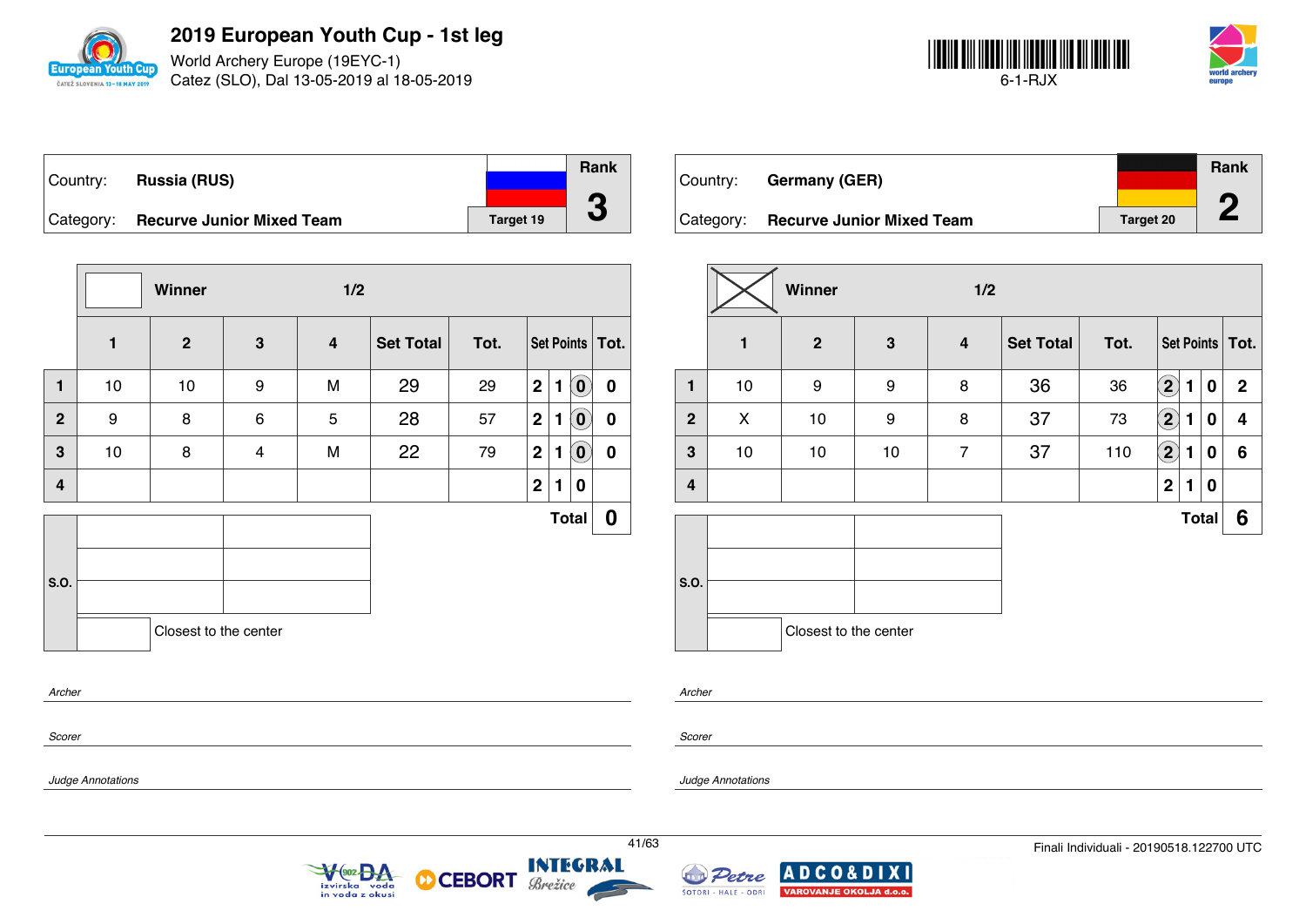

World Archery Europe (19EYC-1) Catez (SLO), Dal 13-05-2019 al 18-05-2019



|          |                                     |           | Rank |
|----------|-------------------------------------|-----------|------|
| Country: | <b>Russia (RUS)</b>                 |           |      |
|          | Category: Recurve Junior Mixed Team | Target 19 |      |

|                |              | Winner                |                         | 1/2                     |                  |      |                |              |                            |                   |
|----------------|--------------|-----------------------|-------------------------|-------------------------|------------------|------|----------------|--------------|----------------------------|-------------------|
|                | $\mathbf{1}$ | $\mathbf{2}$          | $\mathbf{3}$            | $\overline{\mathbf{4}}$ | <b>Set Total</b> | Tot. |                |              |                            | Set Points   Tot. |
| $\mathbf{1}$   | 10           | 10                    | 9                       | M                       | 29               | 29   | $\mathbf{2}$   | 1            | $\left( \mathbf{0}\right)$ | $\mathbf 0$       |
| $\mathbf{2}$   | 9            | 8                     | 6                       | 5                       | 28               | 57   | 2 <sup>1</sup> | $\mathbf{1}$ | $\left( \mathbf{0}\right)$ | $\mathbf 0$       |
| 3              | 10           | 8                     | $\overline{\mathbf{4}}$ | M                       | 22               | 79   | 2 <sup>1</sup> | $\mathbf{1}$ | $\left( \mathbf{0}\right)$ | $\mathbf 0$       |
| $\overline{4}$ |              |                       |                         |                         |                  |      | 2              | 1            | 0                          |                   |
|                |              |                       |                         |                         |                  |      |                |              | <b>Total</b>               | 0                 |
|                |              |                       |                         |                         |                  |      |                |              |                            |                   |
| S.O.           |              |                       |                         |                         |                  |      |                |              |                            |                   |
|                |              | Closest to the center |                         |                         |                  |      |                |              |                            |                   |
| $A$ values     |              |                       |                         |                         |                  |      |                |              |                            |                   |

| Country: | <b>Germany (GER)</b>                |           | Rank |  |
|----------|-------------------------------------|-----------|------|--|
|          | Category: Recurve Junior Mixed Team | Target 20 | T.   |  |

|                |    | Winner                |              | 1/2                     |                  |      |                            |   |              |                         |
|----------------|----|-----------------------|--------------|-------------------------|------------------|------|----------------------------|---|--------------|-------------------------|
|                | 1  | $\overline{2}$        | $\mathbf{3}$ | $\overline{\mathbf{4}}$ | <b>Set Total</b> | Tot. |                            |   |              | Set Points   Tot.       |
| 1              | 10 | 9                     | 9            | 8                       | 36               | 36   | $\boxed{2}$                | 1 | 0            | $\mathbf{2}$            |
| $\overline{2}$ | X  | 10                    | 9            | 8                       | 37               | 73   | $\left( \mathbf{2}\right)$ | 1 | 0            | $\overline{\mathbf{4}}$ |
| $\mathbf{3}$   | 10 | 10                    | 10           | $\overline{7}$          | 37               | 110  | $\left( 2\right)$          | 1 | 0            | $\boldsymbol{6}$        |
| 4              |    |                       |              |                         |                  |      | $\mathbf 2$                | 1 | 0            |                         |
|                |    |                       |              |                         |                  |      |                            |   | <b>Total</b> | 6                       |
| S.O.           |    | Closest to the center |              |                         |                  |      |                            |   |              |                         |

*Archer*

*Scorer*

*Scorer*

*Archer*

*Judge Annotations*

*Judge Annotations*





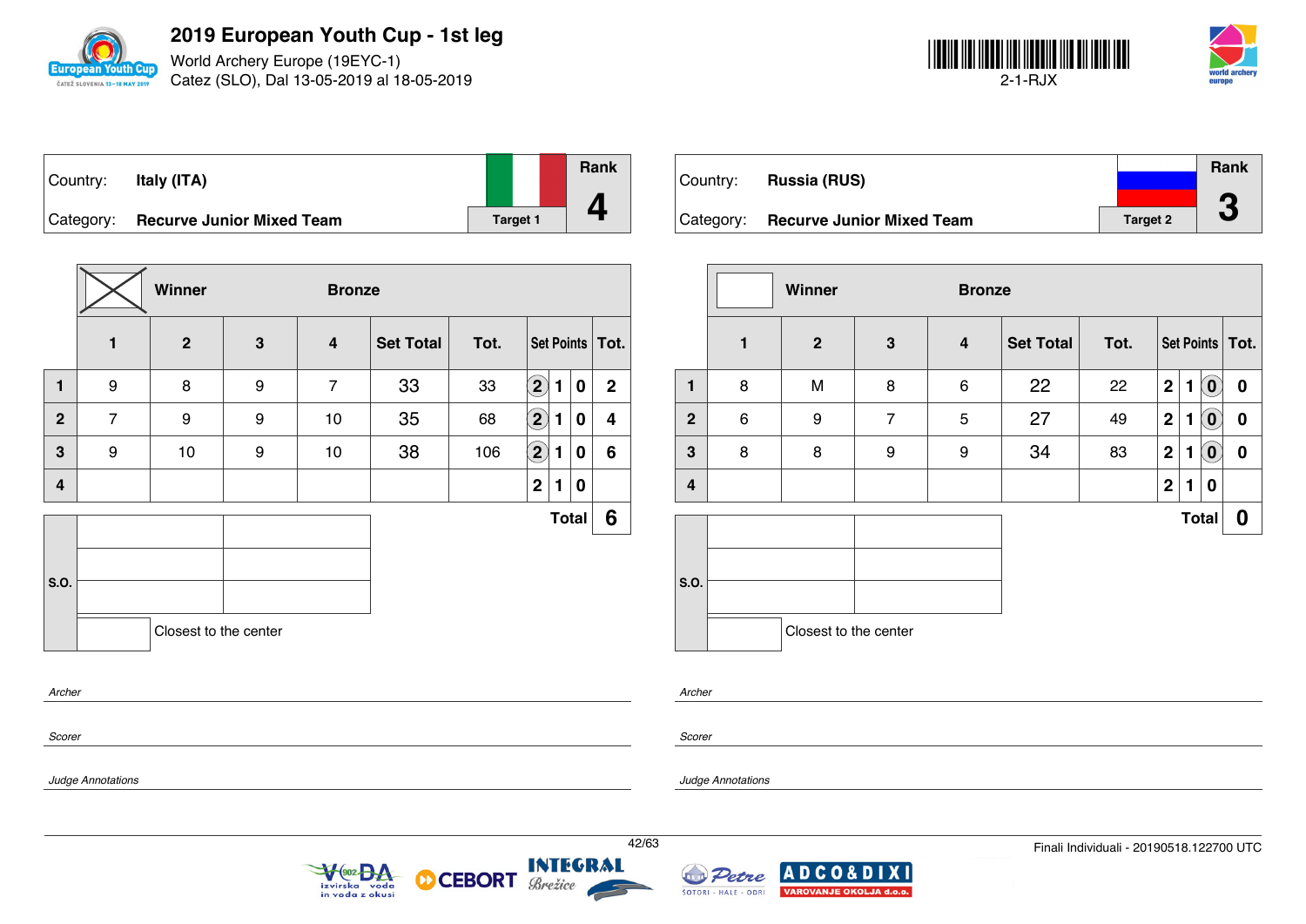

World Archery Europe (19EYC-1) Catez (SLO), Dal 13-05-2019 al 18-05-2019



| Country:  | Italy (ITA)                      |                 | Rank |
|-----------|----------------------------------|-----------------|------|
| Category: | <b>Recurve Junior Mixed Team</b> | <b>Target 1</b> |      |

|                |                | Winner                |   | <b>Bronze</b>           |                  |      |                            |   |              |                   |
|----------------|----------------|-----------------------|---|-------------------------|------------------|------|----------------------------|---|--------------|-------------------|
|                | 1              | $\overline{2}$        | 3 | $\overline{\mathbf{4}}$ | <b>Set Total</b> | Tot. |                            |   |              | Set Points   Tot. |
| $\blacksquare$ | 9              | 8                     | 9 | $\overline{7}$          | 33               | 33   | $\mathbf{2}$               | 1 | 0            | $\mathbf{2}$      |
| $\mathbf{2}$   | $\overline{7}$ | 9                     | 9 | 10                      | 35               | 68   | $\left( \mathbf{2}\right)$ | 1 | 0            | 4                 |
| 3              | 9              | $10$                  | 9 | 10                      | 38               | 106  | $\bf \overline{2}$         | 1 | 0            | 6                 |
| 4              |                |                       |   |                         |                  |      | $\mathbf{2}$               | 1 | 0            |                   |
|                |                |                       |   |                         |                  |      |                            |   | <b>Total</b> | 6                 |
|                |                |                       |   |                         |                  |      |                            |   |              |                   |
| S.O.           |                |                       |   |                         |                  |      |                            |   |              |                   |
|                |                | Closest to the center |   |                         |                  |      |                            |   |              |                   |
| Archer         |                |                       |   |                         |                  |      |                            |   |              |                   |
| Scorer         |                |                       |   |                         |                  |      |                            |   |              |                   |

| Country:  | <b>Russia (RUS)</b>              |                 | <b>Rank</b> |
|-----------|----------------------------------|-----------------|-------------|
|           |                                  |                 | ◚           |
| Category: | <b>Recurve Junior Mixed Team</b> | <b>Target 2</b> | J           |

|              |   | Winner                |                | <b>Bronze</b> |                  |      |                  |   |                            |                   |
|--------------|---|-----------------------|----------------|---------------|------------------|------|------------------|---|----------------------------|-------------------|
|              | 1 | $\overline{2}$        | $\mathbf{3}$   | 4             | <b>Set Total</b> | Tot. |                  |   |                            | Set Points   Tot. |
| 1            | 8 | M                     | 8              | 6             | 22               | 22   | $\boldsymbol{2}$ | 1 | $\left( \mathbf{0}\right)$ | 0                 |
| $\mathbf{2}$ | 6 | 9                     | $\overline{7}$ | 5             | 27               | 49   | $\mathbf 2$      | 1 | $\left( \mathbf{0}\right)$ | $\boldsymbol{0}$  |
| $\mathbf{3}$ | 8 | 8                     | 9              | 9             | 34               | 83   | $\mathbf 2$      | 1 | $\left( \textbf{0}\right)$ | $\boldsymbol{0}$  |
| 4            |   |                       |                |               |                  |      | $\mathbf 2$      | 1 | 0                          |                   |
|              |   |                       |                |               |                  |      |                  |   | <b>Total</b>               | 0                 |
| S.O.         |   |                       |                |               |                  |      |                  |   |                            |                   |
|              |   | Closest to the center |                |               |                  |      |                  |   |                            |                   |

*Archer*

*Scorer*

*Judge Annotations*

*Judge Annotations*



**CEBORT** 

М





**XI**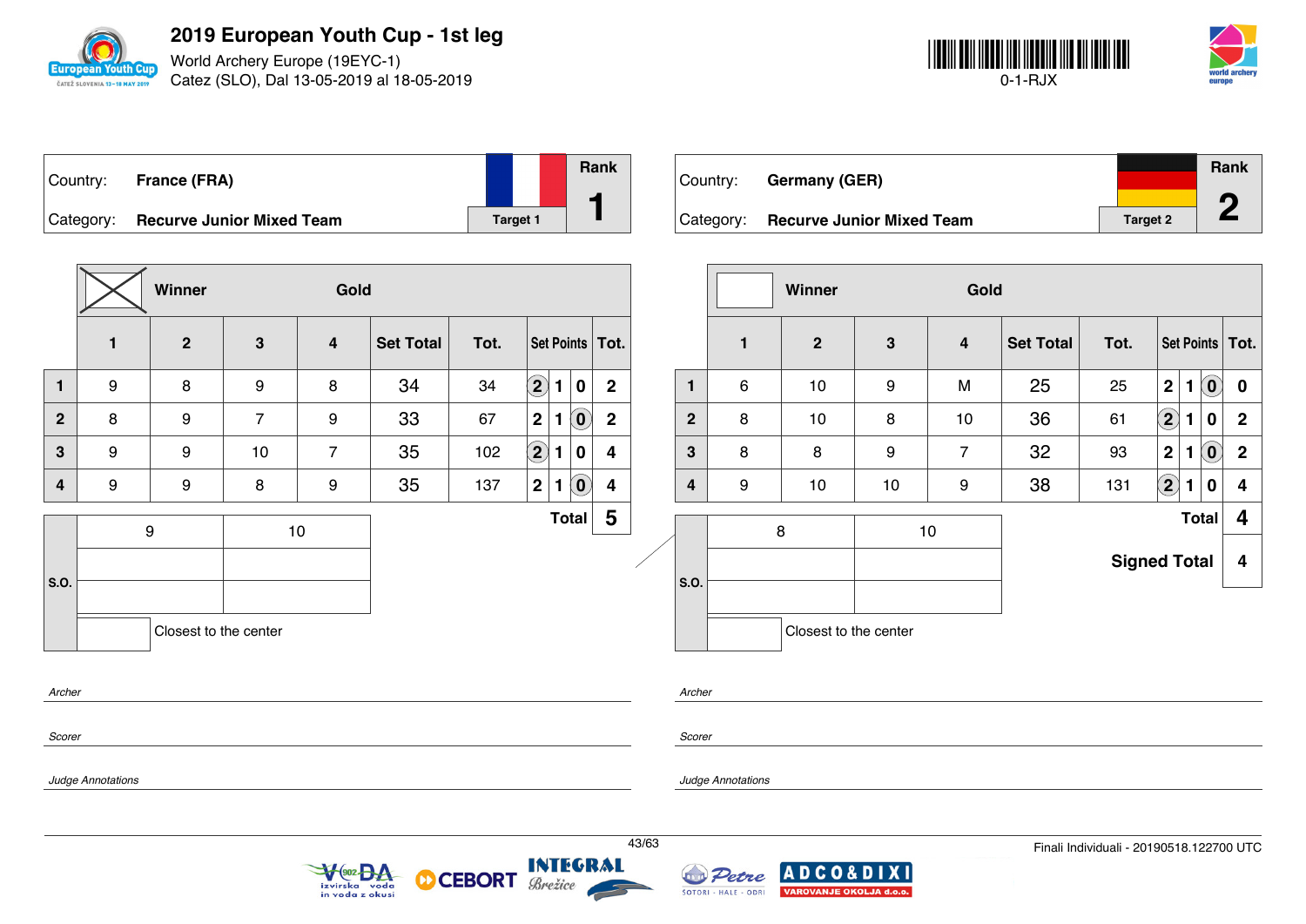

World Archery Europe (19EYC-1) Catez (SLO), Dal 13-05-2019 al 18-05-2019



| Country:  | <b>France (FRA)</b>              |                 | Rank |
|-----------|----------------------------------|-----------------|------|
| Category: | <b>Recurve Junior Mixed Team</b> | <b>Target 1</b> |      |

| ⊧Countrv:   | Germany (GER)                    |          | <b>Rank</b> |  |
|-------------|----------------------------------|----------|-------------|--|
| ' Categorv: | <b>Recurve Junior Mixed Team</b> | Target 2 |             |  |

|                         |                          | Winner                |                | Gold                        |                  |                         |                        |                                                         |                         |       |                |                      | Winner                                            |                | Gold                    |                  |                                          |                      |                                                              |                         |
|-------------------------|--------------------------|-----------------------|----------------|-----------------------------|------------------|-------------------------|------------------------|---------------------------------------------------------|-------------------------|-------|----------------|----------------------|---------------------------------------------------|----------------|-------------------------|------------------|------------------------------------------|----------------------|--------------------------------------------------------------|-------------------------|
|                         | $\mathbf{1}$             | $\overline{2}$        | $\mathbf{3}$   | $\overline{\mathbf{4}}$     | <b>Set Total</b> | Tot.                    |                        |                                                         | Set Points   Tot.       |       |                | 1                    | $\overline{2}$                                    | $3\phantom{a}$ | $\overline{\mathbf{4}}$ | <b>Set Total</b> | Tot.                                     |                      |                                                              | Set Points   Tot.       |
| $\mathbf{1}$            | 9                        | 8                     | 9              | 8                           | 34               | 34                      | $\bigcircled{2}$       | 1 0                                                     | $\overline{2}$          |       | $\mathbf{1}$   | 6                    | 10                                                | 9              | M                       | 25               | 25                                       | 2                    | $\left( \begin{matrix} \textbf{0} \end{matrix} \right)$<br>1 | $\mathbf 0$             |
| $\overline{2}$          | 8                        | 9                     | $\overline{7}$ | 9                           | 33               | 67                      | 2 <br>1                | $\left( \textbf{0} \right)$                             | $\overline{2}$          |       | $\overline{2}$ | 8                    | 10                                                | 8              | 10                      | 36               | 61                                       | $\Large{\textbf{2}}$ | 1<br>$\bf{0}$                                                | $\overline{2}$          |
| $\mathbf{3}$            | 9                        | 9                     | 10             | $\overline{7}$              | 35               | 102                     | $\bigcirc \!\! 2$<br>1 | $\mathbf 0$                                             | 4                       |       | $\mathbf{3}$   | 8                    | 8                                                 | 9              | $\overline{7}$          | 32               | 93                                       | 2 <sup>1</sup>       | $\left( \widehat{\mathbf{0}}\right)$<br>1                    | $\overline{2}$          |
| $\overline{\mathbf{4}}$ | 9                        | 9                     | 8              | 9                           | 35               | 137                     | 2 1                    | $\left( \begin{matrix} \textbf{0} \end{matrix} \right)$ | 4                       |       | 4              | 9                    | 10                                                | 10             | 9                       | 38               | 131                                      | $\Large{\textbf{2}}$ | $\mathbf 0$<br>1                                             | $\overline{\mathbf{4}}$ |
|                         |                          | 9                     | 10             |                             |                  |                         |                        | Total                                                   | $\overline{\mathbf{5}}$ |       |                |                      | 8                                                 |                | 10                      |                  |                                          |                      | <b>Total</b>                                                 | $\boldsymbol{4}$        |
| S.O.                    |                          |                       |                |                             |                  |                         |                        |                                                         |                         |       | S.O.           |                      |                                                   |                |                         |                  | <b>Signed Total</b>                      |                      |                                                              | $\overline{\mathbf{4}}$ |
|                         |                          | Closest to the center |                |                             |                  |                         |                        |                                                         |                         |       |                |                      | Closest to the center                             |                |                         |                  |                                          |                      |                                                              |                         |
| Archer                  |                          |                       |                |                             |                  |                         |                        |                                                         |                         |       | Archer         |                      |                                                   |                |                         |                  |                                          |                      |                                                              |                         |
| Scorer                  |                          |                       |                |                             |                  |                         |                        |                                                         |                         |       | Scorer         |                      |                                                   |                |                         |                  |                                          |                      |                                                              |                         |
|                         | <b>Judge Annotations</b> |                       |                |                             |                  |                         |                        |                                                         |                         |       |                | Judge Annotations    |                                                   |                |                         |                  |                                          |                      |                                                              |                         |
|                         |                          |                       |                | V 902 DA<br>in voda z okusi |                  | <b>O CEBORT Brezice</b> |                        |                                                         |                         | 43/63 |                | ŠOTORI - HALE - ODRI | Petre ADCO&DIXI<br><b>VAROVANJE OKOLJA d.o.o.</b> |                |                         |                  | Finali Individuali - 20190518.122700 UTC |                      |                                                              |                         |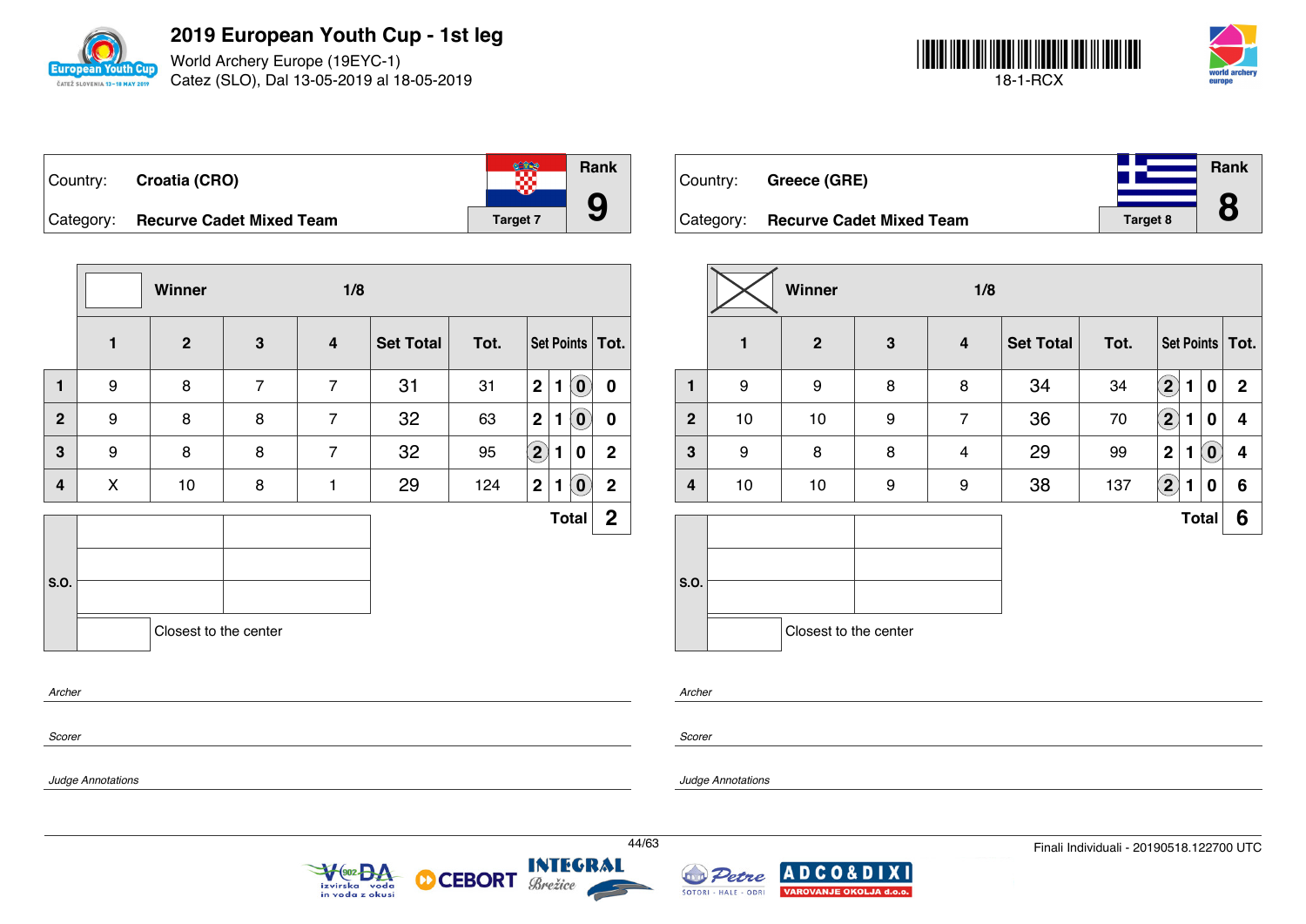

World Archery Europe (19EYC-1) Catez (SLO), Dal 13-05-2019 al 18-05-2019



| Country: Croatia (CRO)             |                 | <b>Rank</b> |
|------------------------------------|-----------------|-------------|
| Category: Recurve Cadet Mixed Team | <b>Target 7</b> |             |

|                |                | Winner                |                | 1/8                     |                  |      |                |              |                             |                   |
|----------------|----------------|-----------------------|----------------|-------------------------|------------------|------|----------------|--------------|-----------------------------|-------------------|
|                | $\blacksquare$ | $\mathbf{2}$          | 3              | $\overline{\mathbf{4}}$ | <b>Set Total</b> | Tot. |                |              |                             | Set Points   Tot. |
| $\blacksquare$ | 9              | 8                     | $\overline{7}$ | $\overline{7}$          | 31               | 31   | 2 <sup>1</sup> | $\mathbf{1}$ | $\left( \textbf{0} \right)$ | $\mathbf 0$       |
| $\overline{2}$ | 9              | 8                     | 8              | $\overline{7}$          | 32               | 63   | 2              | $\mathbf{1}$ | $\left( \mathbf{0}\right)$  | $\boldsymbol{0}$  |
| 3              | 9              | 8                     | 8              | $\overline{7}$          | 32               | 95   | $\boxed{2}$    | 1            | 0                           | $\mathbf{2}$      |
| $\overline{4}$ | X              | 10                    | 8              | 1                       | 29               | 124  | $\mathbf{2}$   | 1            | $\boxed{0}$                 | $\overline{2}$    |
|                |                |                       |                |                         |                  |      |                |              | <b>Total</b>                | 2 <sup>1</sup>    |
| S.O.           |                | Closest to the center |                |                         |                  |      |                |              |                             |                   |
| Archer         |                |                       |                |                         |                  |      |                |              |                             |                   |

 $\sqrt{\frac{902}{2}}$ 

izvirska voda<br>in voda z okusi

| Country:  | Greece (GRE)                    |                 | Rank |
|-----------|---------------------------------|-----------------|------|
|           |                                 |                 |      |
| Category: | <b>Recurve Cadet Mixed Team</b> | <b>Target 8</b> |      |

|                |    | Winner                |              | 1/8                     |                  |      |                   |   |                            |                   |
|----------------|----|-----------------------|--------------|-------------------------|------------------|------|-------------------|---|----------------------------|-------------------|
|                | 1  | $\overline{2}$        | $\mathbf{3}$ | 4                       | <b>Set Total</b> | Tot. |                   |   |                            | Set Points   Tot. |
| $\mathbf{1}$   | 9  | 9                     | 8            | 8                       | 34               | 34   | $\mathbf{2}$      | 1 | $\mathbf 0$                | $\mathbf{2}$      |
| $\overline{2}$ | 10 | 10                    | 9            | $\overline{7}$          | 36               | 70   | $\left( 2\right)$ | 1 | 0                          | 4                 |
| 3              | 9  | 8                     | 8            | $\overline{\mathbf{4}}$ | 29               | 99   | $\mathbf 2$       | 1 | $\left( \mathbf{0}\right)$ | 4                 |
| 4              | 10 | 10                    | 9            | 9                       | 38               | 137  | $\left( 2\right)$ | 1 | 0                          | 6                 |
|                |    |                       |              |                         |                  |      |                   |   | <b>Total</b>               | 6                 |
| S.O.           |    | Closest to the center |              |                         |                  |      |                   |   |                            |                   |

*Scorer*

*Scorer*

*Archer*

*Judge Annotations*

*Judge Annotations*



**INTEGRAL** 

Brežice

**CEBORT** 

D

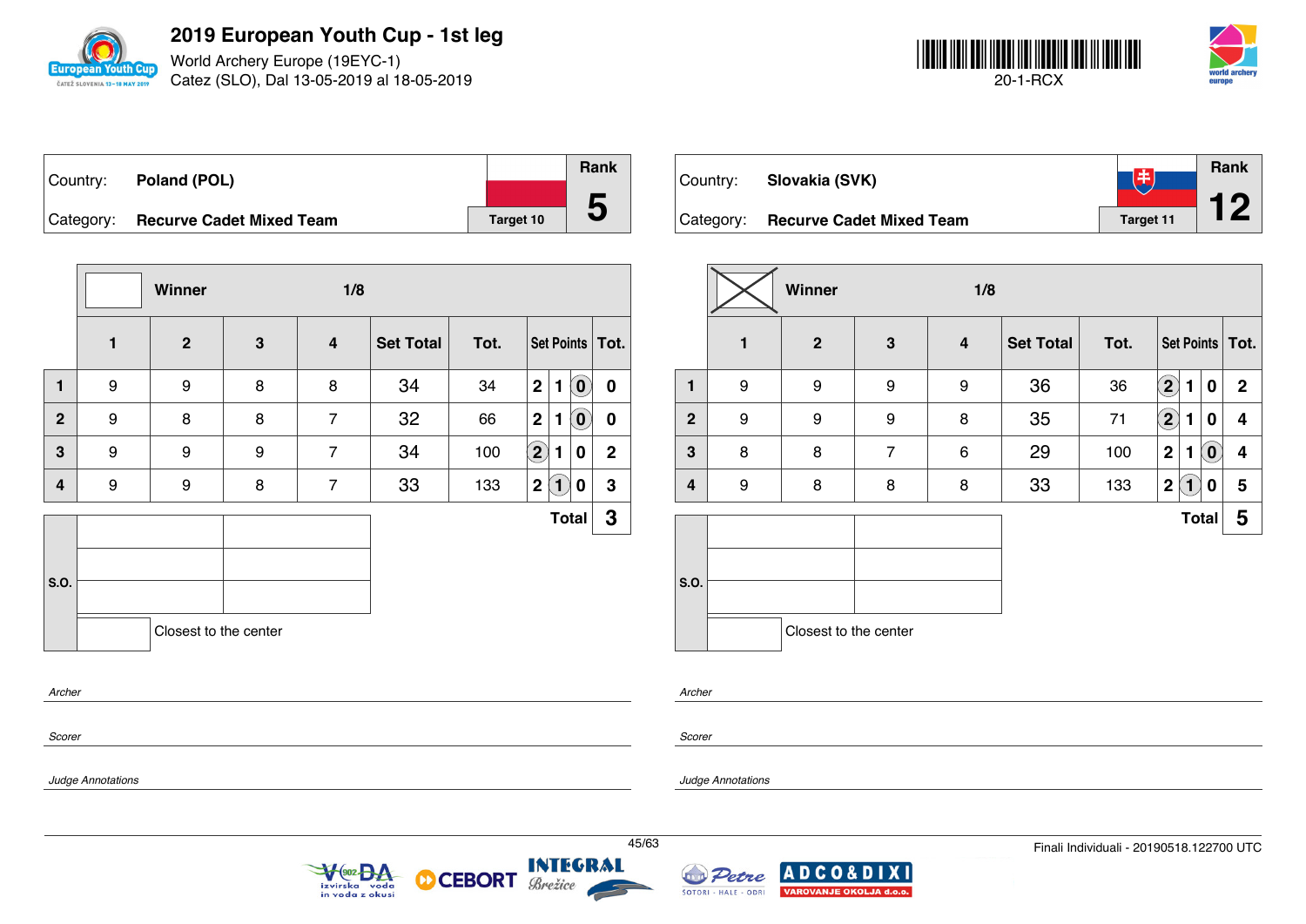

World Archery Europe (19EYC-1) Catez (SLO), Dal 13-05-2019 al 18-05-2019



| Country:  | Poland (POL)                    |           | <b>Rank</b>  |
|-----------|---------------------------------|-----------|--------------|
|           |                                 |           |              |
| Category: | <b>Recurve Cadet Mixed Team</b> | Target 10 | $\mathbf{D}$ |

|                |              | Winner                |              | 1/8                     |                  |      |                   |              |                            |                   |
|----------------|--------------|-----------------------|--------------|-------------------------|------------------|------|-------------------|--------------|----------------------------|-------------------|
|                | $\mathbf{1}$ | $\overline{2}$        | $\mathbf{3}$ | $\overline{\mathbf{4}}$ | <b>Set Total</b> | Tot. |                   |              |                            | Set Points   Tot. |
| $\mathbf{1}$   | 9            | 9                     | 8            | 8                       | 34               | 34   | 2                 | $\mathbf{1}$ | $\left( \mathbf{0}\right)$ | $\mathbf 0$       |
| $\overline{2}$ | 9            | 8                     | 8            | $\overline{7}$          | 32               | 66   | $\mathbf 2$       | 1            | $\mathbf{0}$               | $\boldsymbol{0}$  |
| 3              | 9            | 9                     | 9            | $\overline{7}$          | 34               | 100  | $\left( 2\right)$ | 1            | 0                          | $\mathbf 2$       |
| 4              | 9            | 9                     | 8            | $\overline{7}$          | 33               | 133  | 2                 | $\boxed{1}$  | 0                          | 3                 |
|                |              |                       |              |                         |                  |      |                   |              | <b>Total</b>               | $\mathbf 3$       |
| S.O.           |              |                       |              |                         |                  |      |                   |              |                            |                   |
|                |              | Closest to the center |              |                         |                  |      |                   |              |                            |                   |
| Archer         |              |                       |              |                         |                  |      |                   |              |                            |                   |

| Country:  | Slovakia (SVK)                  | EЗ        | <b>Rank</b> |
|-----------|---------------------------------|-----------|-------------|
| Category: | <b>Recurve Cadet Mixed Team</b> | Target 11 |             |

|                |                  | Winner                |                | 1/8                     |                  |      |                                    |                            |             |  |  |  |  |
|----------------|------------------|-----------------------|----------------|-------------------------|------------------|------|------------------------------------|----------------------------|-------------|--|--|--|--|
|                | $\mathbf{1}$     | $\mathbf{2}$          | $\mathbf{3}$   | $\overline{\mathbf{4}}$ | <b>Set Total</b> | Tot. | Set Points   Tot.                  |                            |             |  |  |  |  |
| 1              | $\boldsymbol{9}$ | 9                     | 9              | 9                       | 36               | 36   | $\left( \mathbf{2}\right)$<br>1    | $\mathbf 0$                | $\mathbf 2$ |  |  |  |  |
| $\overline{2}$ | 9                | 9                     | 9              | 8                       | 35               | 71   | $\left( \mathbf{2}\right)$<br>1    | 0                          | 4           |  |  |  |  |
| 3              | 8                | 8                     | $\overline{7}$ | 6                       | 29               | 100  | $\mathbf 2$<br>1                   | $\left( \mathbf{0}\right)$ | 4           |  |  |  |  |
| 4              | 9                | 8                     | 8              | 8                       | 33               | 133  | $\boldsymbol{2}$<br>$\blacksquare$ | 0                          | 5           |  |  |  |  |
|                |                  |                       |                |                         |                  |      |                                    | <b>Total</b>               | 5           |  |  |  |  |
| S.O.           |                  |                       |                |                         |                  |      |                                    |                            |             |  |  |  |  |
|                |                  | Closest to the center |                |                         |                  |      |                                    |                            |             |  |  |  |  |

*Archer*

*Scorer*

*Judge Annotations*

*Scorer*

*Judge Annotations*



**CEBORT** 



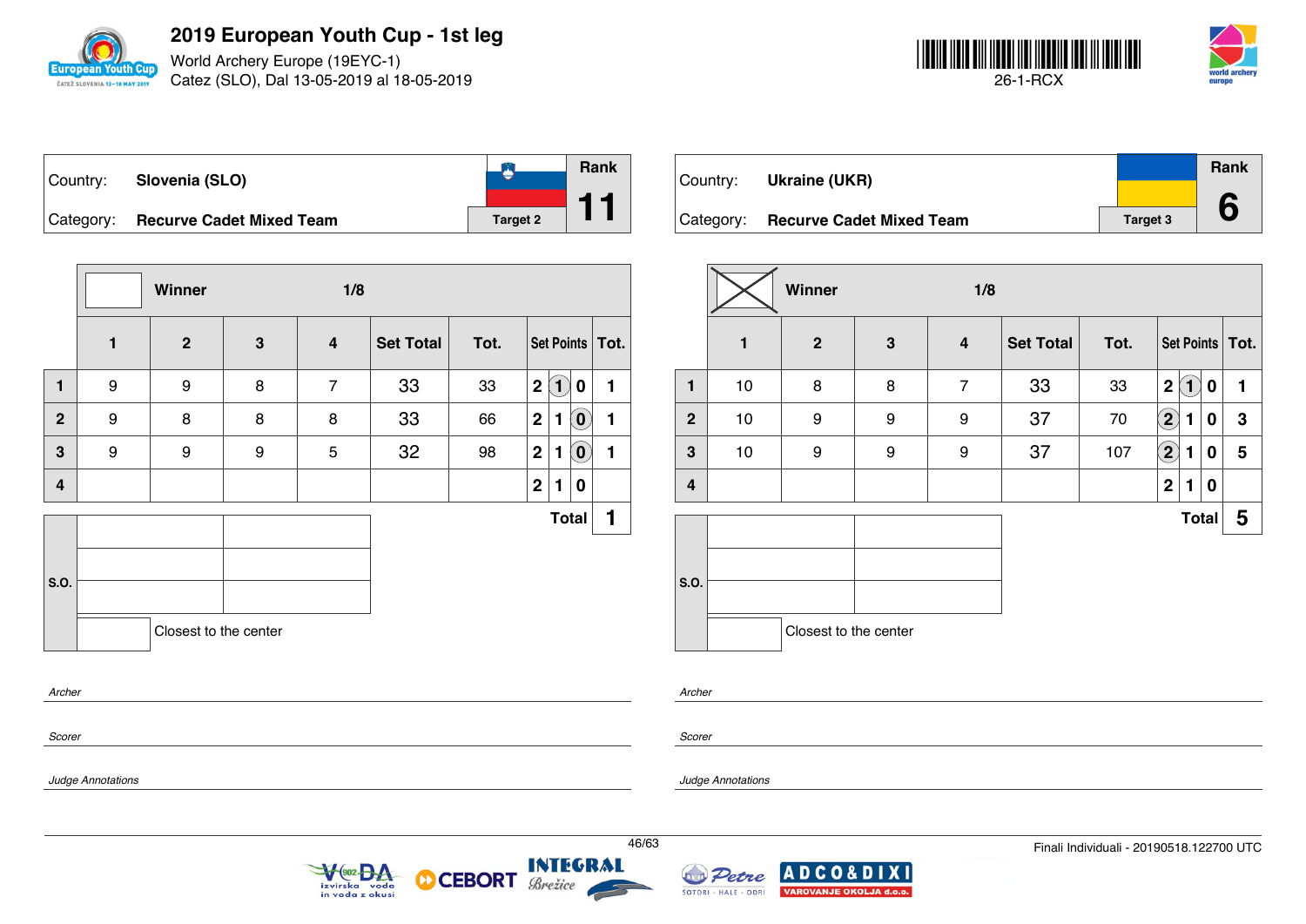

World Archery Europe (19EYC-1) Catez (SLO), Dal 13-05-2019 al 18-05-2019



|  | Country: Slovenia (SLO)            |                 | <b>Rank</b> |
|--|------------------------------------|-----------------|-------------|
|  | Category: Recurve Cadet Mixed Team | <b>Target 2</b> |             |

|                |                  | Winner                |              | 1/8                     |                  |      |                         |              |                            |                   |
|----------------|------------------|-----------------------|--------------|-------------------------|------------------|------|-------------------------|--------------|----------------------------|-------------------|
|                | $\blacksquare$   | $\overline{2}$        | $\mathbf{3}$ | $\overline{\mathbf{4}}$ | <b>Set Total</b> | Tot. |                         |              |                            | Set Points   Tot. |
| $\blacksquare$ | $\boldsymbol{9}$ | 9                     | 8            | $\overline{7}$          | 33               | 33   | 2                       | $\boxed{1}$  | 0                          | 1                 |
| $\overline{2}$ | 9                | 8                     | 8            | 8                       | 33               | 66   | 2                       | $\mathbf{1}$ | $\tilde{\mathbf{0}}$       | 1                 |
| 3              | 9                | 9                     | 9            | 5                       | 32               | 98   | 2 <sup>1</sup>          | 1            | $\left( \mathbf{0}\right)$ | 1                 |
| 4              |                  |                       |              |                         |                  |      | $\overline{\mathbf{2}}$ | 1            | 0                          |                   |
|                |                  |                       |              |                         |                  |      |                         |              | <b>Total</b>               | 1                 |
|                |                  |                       |              |                         |                  |      |                         |              |                            |                   |
| S.O.           |                  |                       |              |                         |                  |      |                         |              |                            |                   |
|                |                  | Closest to the center |              |                         |                  |      |                         |              |                            |                   |
| Archer         |                  |                       |              |                         |                  |      |                         |              |                            |                   |

| Country:  | Ukraine (UKR)                   |                 | Rank |
|-----------|---------------------------------|-----------------|------|
| Category: | <b>Recurve Cadet Mixed Team</b> | <b>Target 3</b> |      |

|              |      | Winner                |              | 1/8            |                  |      |                   |              |   |                   |  |  |
|--------------|------|-----------------------|--------------|----------------|------------------|------|-------------------|--------------|---|-------------------|--|--|
|              | 1    | $\mathbf{2}$          | $\mathbf{3}$ | 4              | <b>Set Total</b> | Tot. |                   |              |   | Set Points   Tot. |  |  |
| 1            | 10   | 8                     | 8            | $\overline{7}$ | 33               | 33   | $\mathbf 2$       | $\ket{1}$    | 0 | 1                 |  |  |
| $\mathbf{2}$ | 10   | 9                     | 9            | 9              | 37               | 70   | $\mathbf{2}$      | 1            | 0 | $\mathbf 3$       |  |  |
| 3            | $10$ | 9                     | 9            | 9              | 37               | 107  | $\left( 2\right)$ | 1            | 0 | 5                 |  |  |
| 4            |      |                       |              |                |                  |      | $\mathbf 2$       | 1            | 0 |                   |  |  |
|              |      |                       |              |                |                  |      |                   | <b>Total</b> |   | 5                 |  |  |
|              |      |                       |              |                |                  |      |                   |              |   |                   |  |  |
| S.O.         |      |                       |              |                |                  |      |                   |              |   |                   |  |  |
|              |      | Closest to the center |              |                |                  |      |                   |              |   |                   |  |  |

*Archer*

*Scorer*

*Judge Annotations*

*Scorer*

*Judge Annotations*



**CEBORT** 

М





**XI**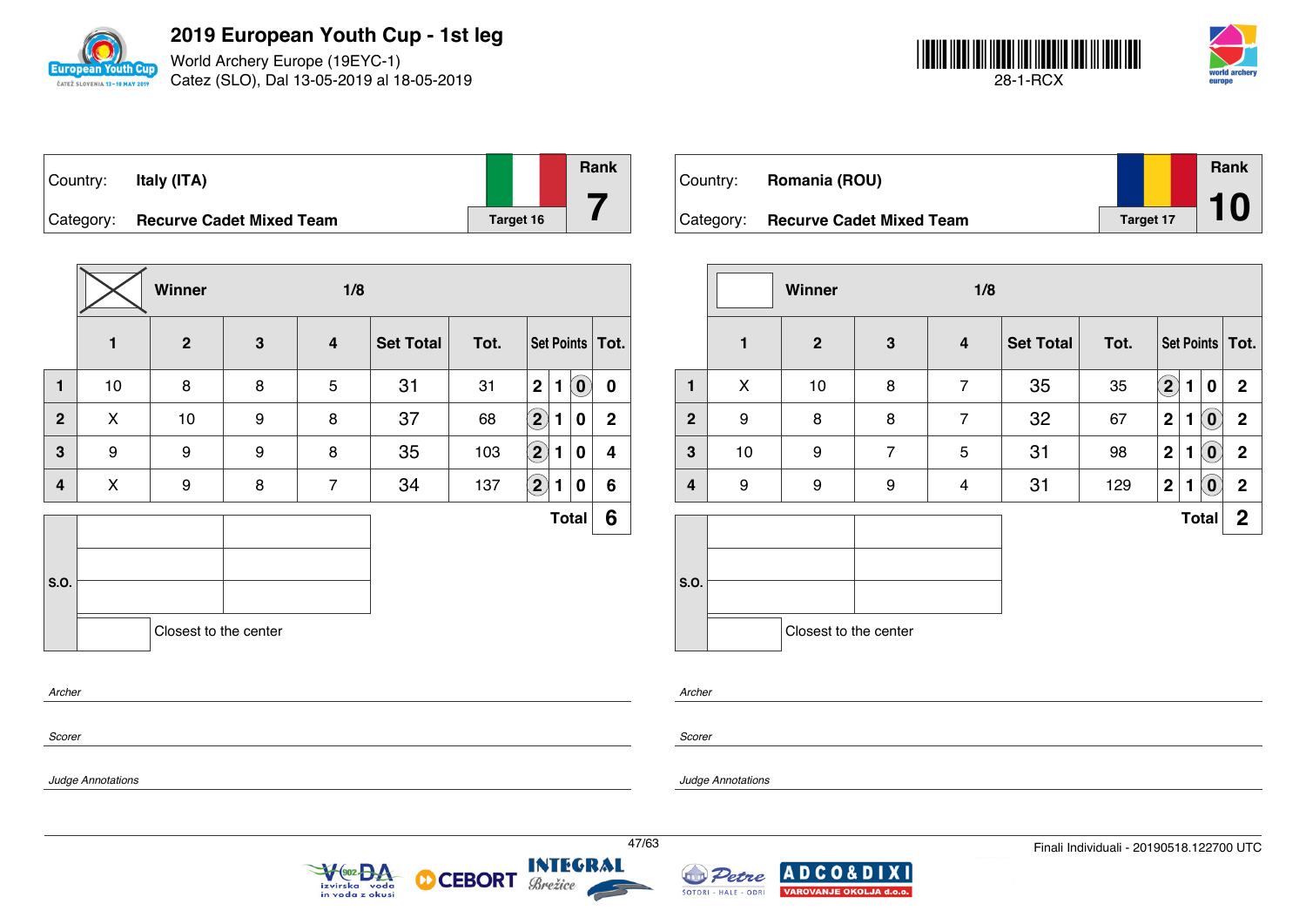

World Archery Europe (19EYC-1) Catez (SLO), Dal 13-05-2019 al 18-05-2019



| Country: | Italy (ITA)                        |           |  |
|----------|------------------------------------|-----------|--|
|          | Category: Recurve Cadet Mixed Team | Target 16 |  |

|              |    | Winner                |   | 1/8            |                  |      |                         |   |              |                   |
|--------------|----|-----------------------|---|----------------|------------------|------|-------------------------|---|--------------|-------------------|
|              | 1  | $\overline{2}$        | 3 | 4              | <b>Set Total</b> | Tot. |                         |   |              | Set Points   Tot. |
| $\mathbf{1}$ | 10 | 8                     | 8 | 5              | 31               | 31   | $\overline{\mathbf{2}}$ | 1 | $\mathbf{O}$ | $\mathbf 0$       |
| $\mathbf{2}$ | X  | 10                    | 9 | 8              | 37               | 68   | $\boxed{2}$             | 1 | 0            | $\mathbf{2}$      |
| 3            | 9  | 9                     | 9 | 8              | 35               | 103  | $\bf \overline{2}$      | 1 | 0            | 4                 |
| 4            | X  | 9                     | 8 | $\overline{7}$ | 34               | 137  | $\left( \bf{2}\right)$  | 1 | 0            | 6                 |
|              |    |                       |   |                |                  |      |                         |   | <b>Total</b> | 6                 |
|              |    |                       |   |                |                  |      |                         |   |              |                   |
| S.O.         |    |                       |   |                |                  |      |                         |   |              |                   |
|              |    | Closest to the center |   |                |                  |      |                         |   |              |                   |
| Archer       |    |                       |   |                |                  |      |                         |   |              |                   |

 $\sqrt{\frac{602}{2}}$ 

izvirska voda<br>in voda z okusi

**CEBORT** 

D

| Country:  | Romania (ROU)                   |                  | Rank |
|-----------|---------------------------------|------------------|------|
| Category: | <b>Recurve Cadet Mixed Team</b> | <b>Target 17</b> |      |

|              |              | Winner                |                | 1/8                     |                  |      |                            |   |                            |                   |  |  |  |
|--------------|--------------|-----------------------|----------------|-------------------------|------------------|------|----------------------------|---|----------------------------|-------------------|--|--|--|
|              | $\mathbf{1}$ | $\mathbf{2}$          | 3              | $\overline{\mathbf{4}}$ | <b>Set Total</b> | Tot. |                            |   |                            | Set Points   Tot. |  |  |  |
| 1            | X            | 10                    | 8              | $\overline{7}$          | 35               | 35   | $\left( \mathbf{2}\right)$ | 1 | $\bf{0}$                   | $\mathbf{2}$      |  |  |  |
| $\mathbf{2}$ | 9            | 8                     | 8              | $\overline{7}$          | 32               | 67   | $\mathbf 2$                | 1 | $\left( \mathbf{0}\right)$ | $\mathbf 2$       |  |  |  |
| $\mathbf 3$  | 10           | 9                     | $\overline{7}$ | 5                       | 31               | 98   | $\mathbf 2$                | 1 | $\left( \mathbf{0}\right)$ | $\mathbf 2$       |  |  |  |
| 4            | 9            | 9                     | 9              | 4                       | 31               | 129  | $\boldsymbol{2}$           | 1 | $(\mathbf{0})$             | $\boldsymbol{2}$  |  |  |  |
|              |              |                       |                |                         |                  |      |                            |   | <b>Total</b>               | $\mathbf{2}$      |  |  |  |
| S.O.         |              |                       |                |                         |                  |      |                            |   |                            |                   |  |  |  |
|              |              | Closest to the center |                |                         |                  |      |                            |   |                            |                   |  |  |  |

*Archer*

*Scorer*

*Scorer*

*Archer*

*Judge Annotations*

*Judge Annotations*



Brežice

**Rank**

**7**

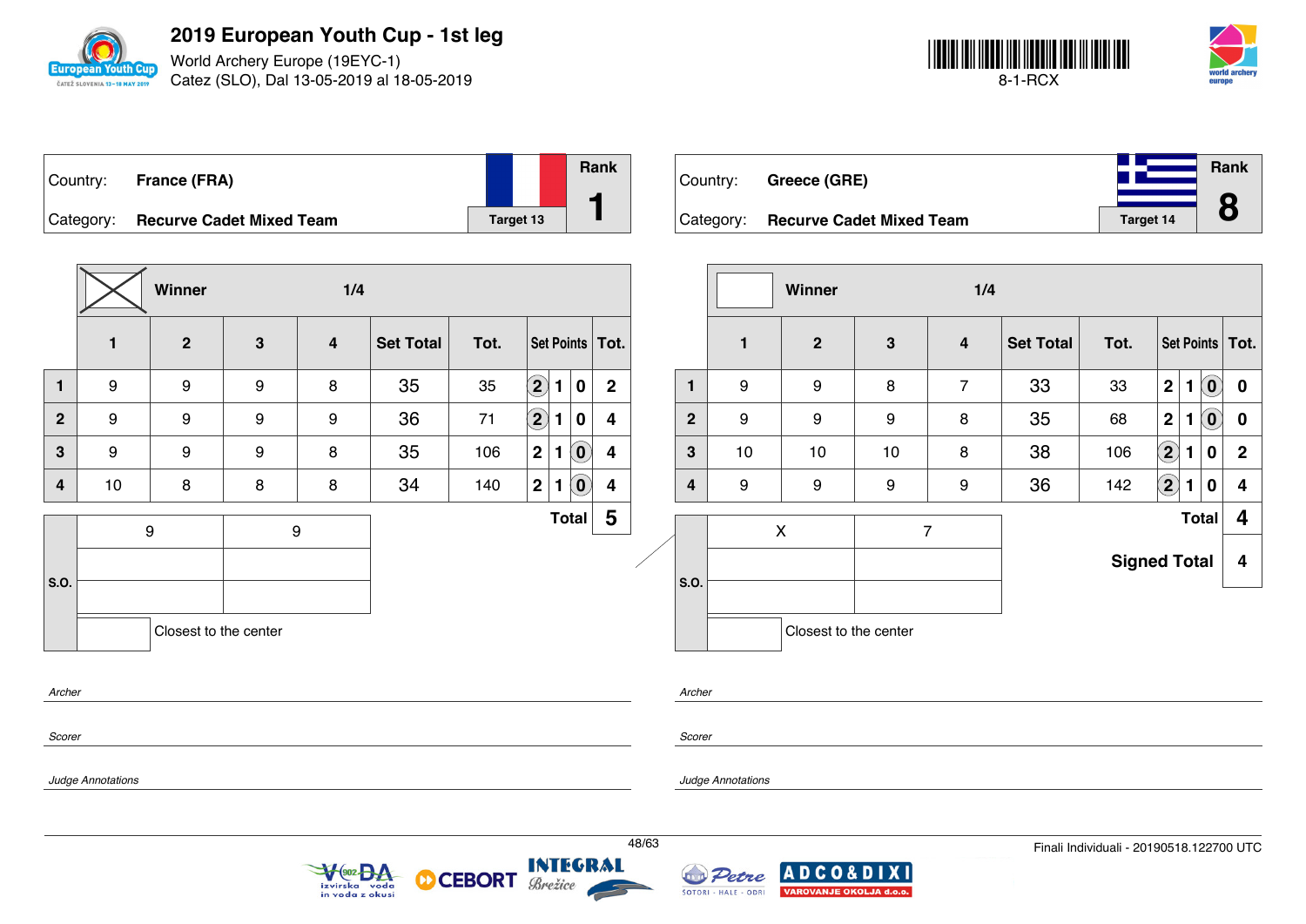

World Archery Europe (19EYC-1) Catez (SLO), Dal 13-05-2019 al 18-05-2019



| ∣Country: | <b>France (FRA)</b>             |           | <b>Rank</b> |
|-----------|---------------------------------|-----------|-------------|
| Category: | <b>Recurve Cadet Mixed Team</b> | Target 13 |             |

Country: **Greece (GRE)** Category: **Recurve Cadet Mixed Team Target 14 Rank 8**

|                         |                   | Winner                |              | 1/4                        |                  |                |                  |                                                              |                |       |                         |                               | Winner                                                 |    | 1/4                     |                  |                                          |                      |              |                                                         |                         |
|-------------------------|-------------------|-----------------------|--------------|----------------------------|------------------|----------------|------------------|--------------------------------------------------------------|----------------|-------|-------------------------|-------------------------------|--------------------------------------------------------|----|-------------------------|------------------|------------------------------------------|----------------------|--------------|---------------------------------------------------------|-------------------------|
|                         | $\mathbf{1}$      | $\mathbf{2}$          | $\mathbf{3}$ | $\overline{\mathbf{4}}$    | <b>Set Total</b> | Tot.           |                  | Set Points   Tot.                                            |                |       |                         | $\mathbf{1}$                  | $\overline{2}$                                         | 3  | $\overline{\mathbf{4}}$ | <b>Set Total</b> | Tot.                                     |                      |              |                                                         | Set Points Tot.         |
| $\mathbf{1}$            | 9                 | 9                     | 9            | 8                          | 35               | 35             | $\bigcircled{2}$ | $\overline{\mathbf{0}}$<br>1                                 | $\overline{2}$ |       | $\mathbf{1}$            | 9                             | 9                                                      | 8  | $\overline{7}$          | 33               | 33                                       | 2 1                  |              | $\left( \begin{matrix} \textbf{0} \end{matrix} \right)$ | $\mathbf 0$             |
| $\overline{2}$          | 9                 | 9                     | 9            | 9                          | 36               | 71             | $\bigcirc$       | $\mathbf 0$<br>1                                             | 4              |       | $\overline{2}$          | 9                             | 9                                                      | 9  | 8                       | 35               | 68                                       | 2 <sup>1</sup>       | 1            | $\left( \mathbf{0}\right)$                              | $\bf{0}$                |
| $\mathbf{3}$            | 9                 | 9                     | 9            | 8                          | 35               | 106            | 2                | $\left( \begin{matrix} 0 \end{matrix} \right)$<br>1          | 4              |       | 3                       | 10                            | 10                                                     | 10 | 8                       | 38               | 106                                      | $\bigcirc \!\! \! 2$ | 1            | $\bf{0}$                                                | $\overline{2}$          |
| $\overline{\mathbf{4}}$ | 10                | 8                     | 8            | 8                          | 34               | 140            | 2                | $\left( \begin{matrix} \textbf{0} \end{matrix} \right)$<br>1 | 4              |       | $\overline{\mathbf{4}}$ | 9                             | 9                                                      | 9  | 9                       | 36               | 142                                      | $\bigcircled{2}$     | $\mathbf{1}$ | $\bf{0}$                                                | $\overline{4}$          |
|                         |                   | 9                     |              | 9                          |                  |                |                  | Total                                                        | $5\phantom{1}$ |       |                         |                               | $\pmb{\mathsf{X}}$                                     |    | $\boldsymbol{7}$        |                  |                                          |                      | Total        |                                                         | $\overline{\mathbf{4}}$ |
| S.O.                    |                   |                       |              |                            |                  |                |                  |                                                              |                |       | so.                     |                               |                                                        |    |                         |                  | <b>Signed Total</b>                      |                      |              |                                                         | $\overline{\mathbf{4}}$ |
|                         |                   | Closest to the center |              |                            |                  |                |                  |                                                              |                |       |                         |                               | Closest to the center                                  |    |                         |                  |                                          |                      |              |                                                         |                         |
| Archer                  |                   |                       |              |                            |                  |                |                  |                                                              |                |       | Archer                  |                               |                                                        |    |                         |                  |                                          |                      |              |                                                         |                         |
| Scorer                  |                   |                       |              |                            |                  |                |                  |                                                              |                |       | Scorer                  |                               |                                                        |    |                         |                  |                                          |                      |              |                                                         |                         |
|                         | Judge Annotations |                       |              |                            |                  |                |                  |                                                              |                |       |                         | <b>Judge Annotations</b>      |                                                        |    |                         |                  |                                          |                      |              |                                                         |                         |
|                         |                   |                       |              | VOO2 DA<br>in voda z okusi | က                | CEBORT Brezice |                  |                                                              |                | 48/63 |                         | Petre<br>ŠOTORI - HALE - ODRI | <b>ADCO&amp;DIXI</b><br><b>VAROVANJE OKOLJA d.o.o.</b> |    |                         |                  | Finali Individuali - 20190518.122700 UTC |                      |              |                                                         |                         |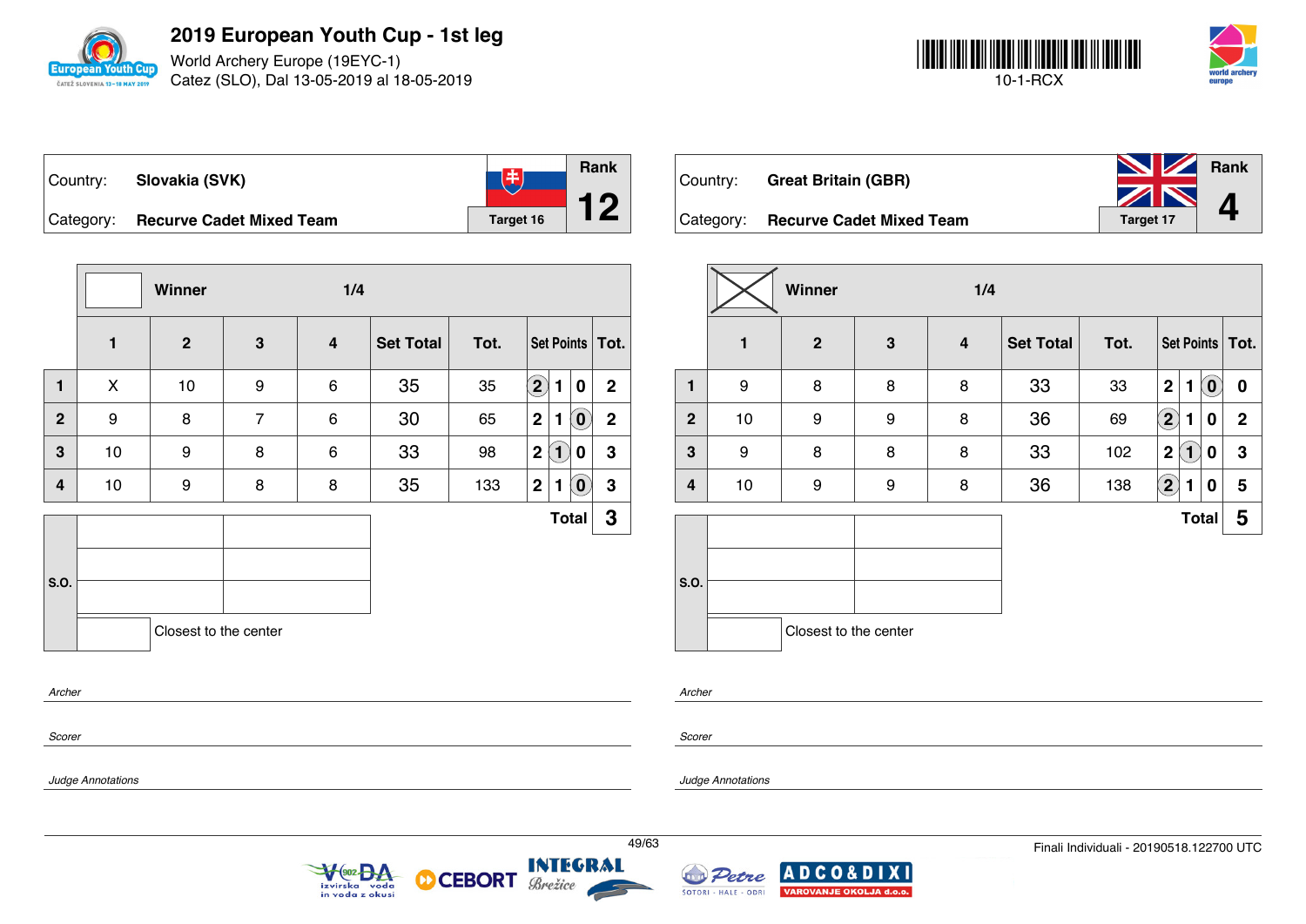

World Archery Europe (19EYC-1) Catez (SLO), Dal 13-05-2019 al 18-05-2019



| ∣Country: | Slovakia (SVK)                     | 圡         | <b>Rank</b> |
|-----------|------------------------------------|-----------|-------------|
|           | Category: Recurve Cadet Mixed Team | Target 16 |             |

|                |              | Winner                |                | 1/4                     |                  |      |                                                 |              |  |  |  |  |  |  |
|----------------|--------------|-----------------------|----------------|-------------------------|------------------|------|-------------------------------------------------|--------------|--|--|--|--|--|--|
|                | $\mathbf{1}$ | $\overline{2}$        | $\mathbf{3}$   | $\overline{\mathbf{4}}$ | <b>Set Total</b> | Tot. | Set Points   Tot.                               |              |  |  |  |  |  |  |
| $\mathbf{1}$   | X            | 10                    | 9              | 6                       | 35               | 35   | $\left( \mathbf{2}\right)$<br>1<br>$\bf{0}$     | $\mathbf{2}$ |  |  |  |  |  |  |
| $\overline{2}$ | 9            | 8                     | $\overline{7}$ | 6                       | 30               | 65   | $\mathbf{2}$<br>$\overline{\mathbf{0}}$<br>1    | $\mathbf{2}$ |  |  |  |  |  |  |
| 3              | 10           | 9                     | 8              | 6                       | 33               | 98   | $\left( 1\right)$<br>$\overline{2}$<br>0        | 3            |  |  |  |  |  |  |
| 4              | 10           | 9                     | 8              | 8                       | 35               | 133  | $\mathbf{2}$<br>$\left( \mathbf{0}\right)$<br>1 | 3            |  |  |  |  |  |  |
|                |              |                       |                |                         |                  |      | <b>Total</b>                                    | 3            |  |  |  |  |  |  |
| S.O.           |              |                       |                |                         |                  |      |                                                 |              |  |  |  |  |  |  |
|                |              |                       |                |                         |                  |      |                                                 |              |  |  |  |  |  |  |
|                |              | Closest to the center |                |                         |                  |      |                                                 |              |  |  |  |  |  |  |
|                |              |                       |                |                         |                  |      |                                                 |              |  |  |  |  |  |  |

 $\sqrt{\frac{602}{2}}$ 

izvirska voda<br>in voda z okusi

**CEBORT** 

Brežice

М

| Country:  | <b>Great Britain (GBR)</b>      | <b>No. 7 Rank</b> |  |
|-----------|---------------------------------|-------------------|--|
|           |                                 | ZN                |  |
| Category: | <b>Recurve Cadet Mixed Team</b> | Target 17         |  |

|              |              | Winner<br>1/4         |   |   |                  |      |                                        |                            |                   |  |  |
|--------------|--------------|-----------------------|---|---|------------------|------|----------------------------------------|----------------------------|-------------------|--|--|
|              | $\mathbf{1}$ | $\overline{2}$        | 3 | 4 | <b>Set Total</b> | Tot. |                                        |                            | Set Points   Tot. |  |  |
| 1            | 9            | 8                     | 8 | 8 | 33               | 33   | $\mathbf 2$<br>1                       | $\left( \mathbf{0}\right)$ | $\boldsymbol{0}$  |  |  |
| $\mathbf{2}$ | 10           | 9                     | 9 | 8 | 36               | 69   | $\bf (2)$<br>1                         | 0                          | $\mathbf 2$       |  |  |
| 3            | 9            | 8                     | 8 | 8 | 33               | 102  | $\mathbf 2$<br>$\overline{\mathbf{1}}$ | 0                          | $\mathbf 3$       |  |  |
| 4            | 10           | 9                     | 9 | 8 | 36               | 138  | $\mathbf{2}$<br>1                      | 0                          | 5                 |  |  |
|              |              |                       |   |   |                  |      |                                        | <b>Total</b>               | 5                 |  |  |
| S.O.         |              |                       |   |   |                  |      |                                        |                            |                   |  |  |
|              |              | Closest to the center |   |   |                  |      |                                        |                            |                   |  |  |

*Archer*

*Scorer*

*Scorer*

*Archer*

*Judge Annotations*

*Judge Annotations*



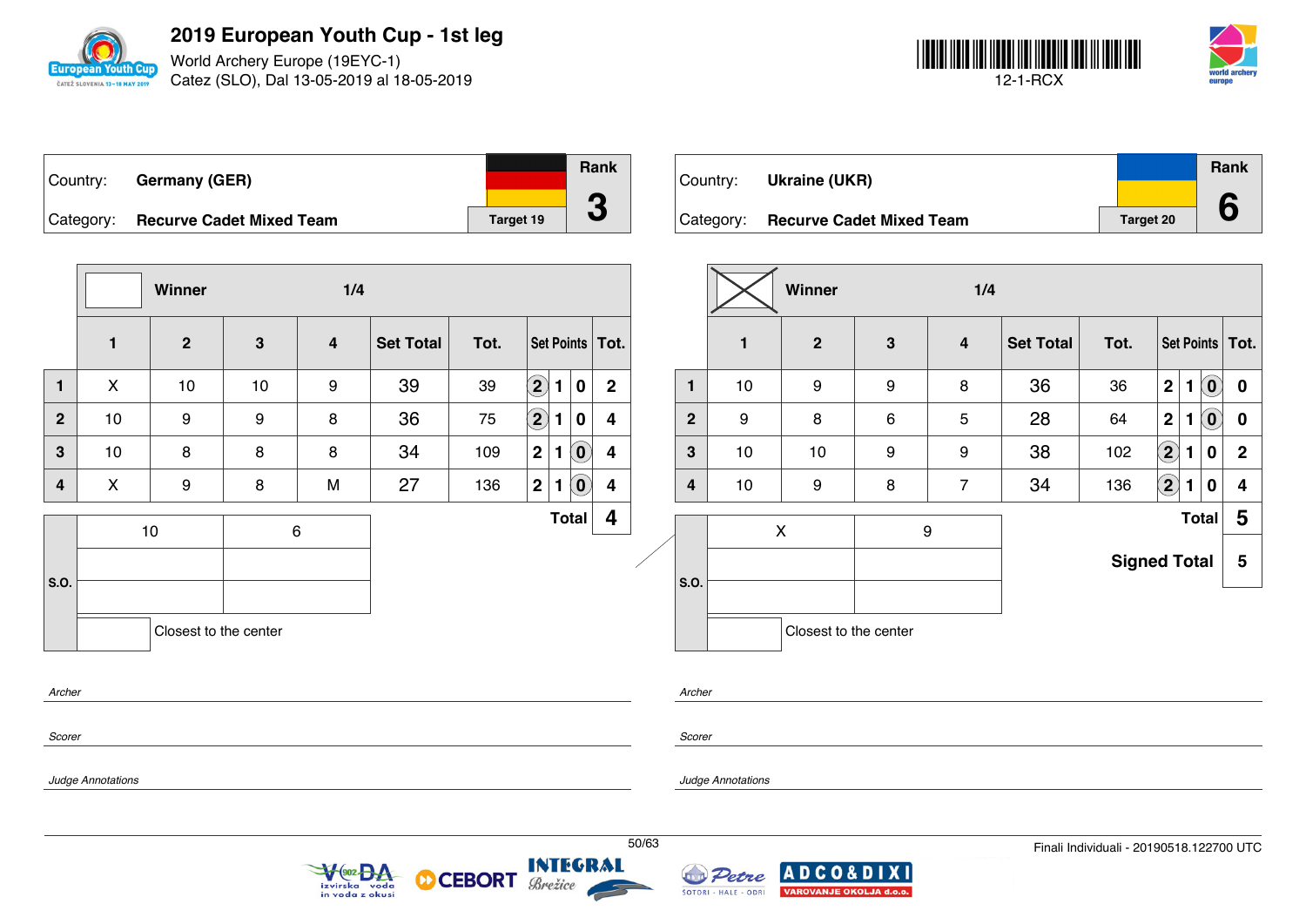

World Archery Europe (19EYC-1) Catez (SLO), Dal 13-05-2019 al 18-05-2019



| ∣Country: | <b>Germany (GER)</b>            |           | Rank       |
|-----------|---------------------------------|-----------|------------|
| Category: | <b>Recurve Cadet Mixed Team</b> | Target 19 | $\sqrt{2}$ |

Country: **Ukraine (UKR)** Category: **Recurve Cadet Mixed Team Target 20 Rank 6**

|                         | 1/4<br>Winner                          |                       |    |                            |                  |                          |                       |                                                         |                   |       |              |                      | Winner                                            |                 | 1/4                     |                     |                                          |                                   |                                                         |                         |
|-------------------------|----------------------------------------|-----------------------|----|----------------------------|------------------|--------------------------|-----------------------|---------------------------------------------------------|-------------------|-------|--------------|----------------------|---------------------------------------------------|-----------------|-------------------------|---------------------|------------------------------------------|-----------------------------------|---------------------------------------------------------|-------------------------|
|                         | $\mathbf{1}$                           | $\overline{2}$        | 3  | 4                          | <b>Set Total</b> | Tot.                     |                       |                                                         | Set Points   Tot. |       |              | $\mathbf{1}$         | $\overline{2}$                                    | $3\phantom{.0}$ | $\overline{\mathbf{4}}$ | <b>Set Total</b>    | Tot.                                     |                                   |                                                         | Set Points   Tot.       |
| $\mathbf{1}$            | X                                      | 10                    | 10 | 9                          | 39               | 39                       | $\odot$ 1             | $\bf{0}$                                                | $\mathbf{2}$      |       | $\mathbf{1}$ | 10                   | 9                                                 | 9               | 8                       | 36                  | 36                                       | 2 <sup>1</sup><br>$\mathbf{1}$    | $\cdot$ (0)                                             | $\mathbf 0$             |
| 2 <sup>2</sup>          | 10                                     | 9                     | 9  | 8                          | 36               | 75                       | $\bigcircled{2}$<br>1 | $\mathbf 0$                                             | 4                 |       | $\mathbf{2}$ | 9                    | 8                                                 | 6               | 5                       | 28                  | 64                                       | $\mathbf{2}$<br>1                 | $\left( \begin{matrix} \textbf{0} \end{matrix} \right)$ | $\mathbf 0$             |
| $\mathbf{3}$            | 10                                     | 8                     | 8  | 8                          | 34               | 109                      | 2 <sup>1</sup>        | $\left( \widehat{\mathbf{0}}\right)$                    | 4                 |       | $\mathbf{3}$ | 10                   | 10                                                | 9               | 9                       | 38                  | 102                                      | $\widehat{\mathbf{2}}$<br>-1      | $\mathbf 0$                                             | $\overline{2}$          |
| $\overline{\mathbf{4}}$ | $\mathsf{X}$                           | 9                     | 8  | M                          | 27               | 136                      | 2 <br>$\mathbf 1$     | $\left( \begin{matrix} \textbf{0} \end{matrix} \right)$ | 4                 |       | 4            | 10                   | 9                                                 | 8               | $\overline{7}$          | 34                  | 136                                      | $\left( 2\right)$<br>$\mathbf{1}$ | $\bf{0}$                                                | 4                       |
|                         |                                        | 10                    |    | 6                          |                  |                          |                       | Total                                                   | 4                 |       |              |                      | X                                                 |                 | 9                       |                     |                                          |                                   | Total                                                   | $\overline{\mathbf{5}}$ |
| <b>S.O.</b>             |                                        |                       |    |                            |                  |                          |                       |                                                         |                   |       | so.          |                      |                                                   |                 |                         | <b>Signed Total</b> |                                          |                                   |                                                         | $5\phantom{.0}$         |
|                         |                                        | Closest to the center |    |                            |                  |                          |                       |                                                         |                   |       |              |                      | Closest to the center                             |                 |                         |                     |                                          |                                   |                                                         |                         |
| Archer                  |                                        |                       |    |                            |                  |                          |                       |                                                         |                   |       | Archer       |                      |                                                   |                 |                         |                     |                                          |                                   |                                                         |                         |
| Scorer                  |                                        |                       |    |                            |                  |                          |                       |                                                         |                   |       | Scorer       |                      |                                                   |                 |                         |                     |                                          |                                   |                                                         |                         |
|                         | Judge Annotations<br>Judge Annotations |                       |    |                            |                  |                          |                       |                                                         |                   |       |              |                      |                                                   |                 |                         |                     |                                          |                                   |                                                         |                         |
|                         |                                        |                       |    | VOO2 DA<br>in voda z okusi |                  | <b>OD CEBORT Brežice</b> |                       |                                                         |                   | 50/63 |              | ŠOTORI - HALE - ODRI | Petre ADCO&DIXI<br><b>VAROVANJE OKOLJA d.o.o.</b> |                 |                         |                     | Finali Individuali - 20190518.122700 UTC |                                   |                                                         |                         |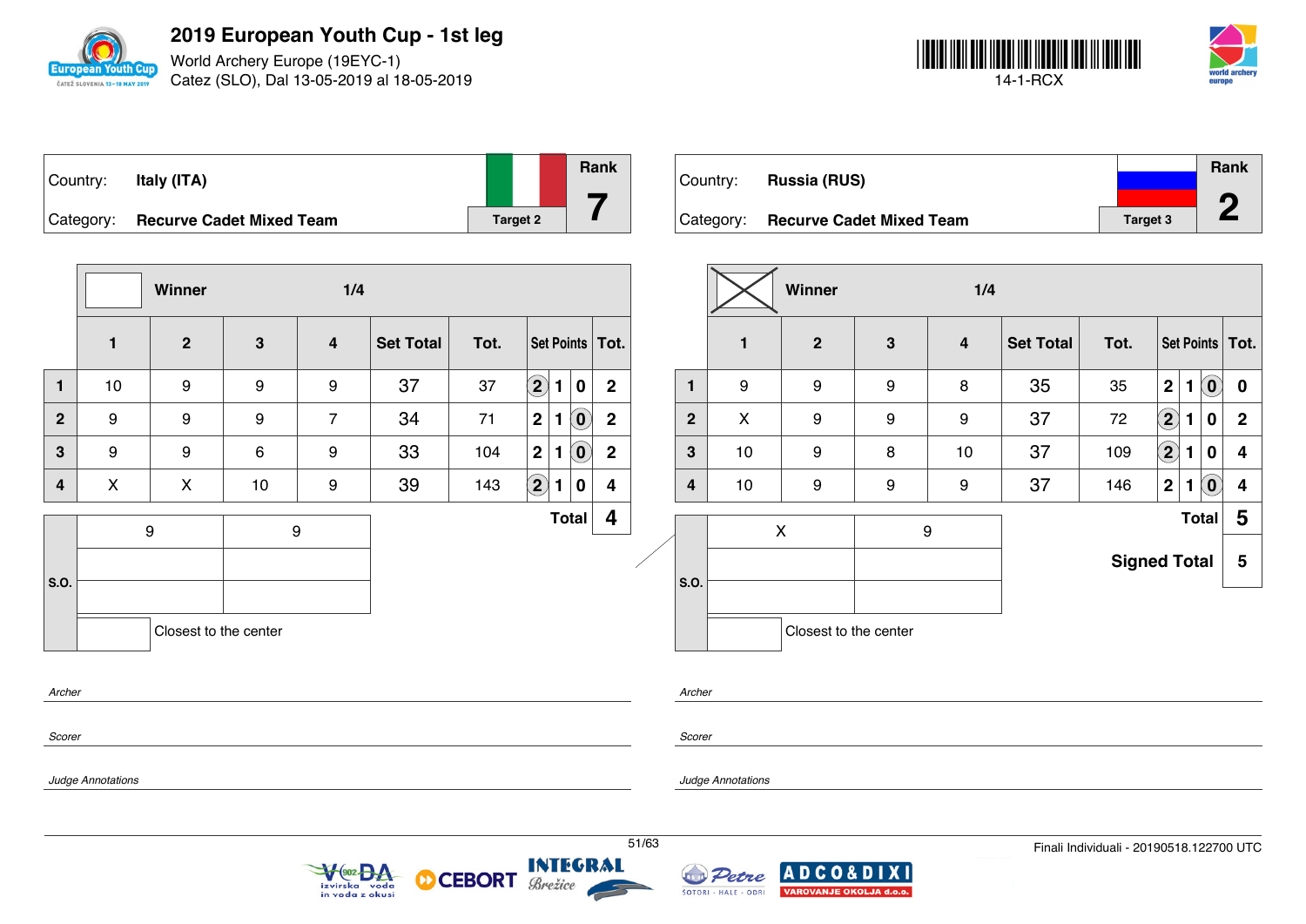

World Archery Europe (19EYC-1) Catez (SLO), Dal 13-05-2019 al 18-05-2019



| Country:  | Italy (ITA)                     |          | <b>Rank</b> |
|-----------|---------------------------------|----------|-------------|
| Category: | <b>Recurve Cadet Mixed Team</b> | Target 2 |             |

Country: **Russia (RUS)** Category: **Recurve Cadet Mixed Team Target 3 Rank 2**

|                         |                   | Winner                |              | 1/4                        |                  |                |                     |                                                         |                   |       |                |                               | Winner                                                 |   | 1/4              |                  |                                          |                  |              |             |                         |
|-------------------------|-------------------|-----------------------|--------------|----------------------------|------------------|----------------|---------------------|---------------------------------------------------------|-------------------|-------|----------------|-------------------------------|--------------------------------------------------------|---|------------------|------------------|------------------------------------------|------------------|--------------|-------------|-------------------------|
|                         | $\mathbf{1}$      | $\overline{2}$        | $\mathbf{3}$ | $\boldsymbol{4}$           | <b>Set Total</b> | Tot.           |                     |                                                         | Set Points   Tot. |       |                | $\mathbf{1}$                  | $\overline{2}$                                         | 3 | $\boldsymbol{4}$ | <b>Set Total</b> | Tot.                                     |                  |              |             | Set Points Tot.         |
| $\mathbf{1}$            | 10                | 9                     | 9            | 9                          | 37               | 37             | $\boxed{2}$ 1       | $\overline{\mathbf{0}}$                                 | $\overline{2}$    |       | $\mathbf{1}$   | 9                             | 9                                                      | 9 | 8                | 35               | 35                                       | 2 1 0            |              |             | $\mathbf 0$             |
| $\overline{2}$          | 9                 | 9                     | 9            | $\overline{7}$             | 34               | 71             | 2 <br>1             | $\left( \begin{matrix} \textbf{0} \end{matrix} \right)$ | $\mathbf{2}$      |       | 2 <sup>2</sup> | X                             | 9                                                      | 9 | 9                | 37               | 72                                       | $\bigcircled{2}$ | $\mathbf{1}$ | $\mathbf 0$ | $\overline{2}$          |
| $\mathbf{3}$            | 9                 | 9                     | 6            | 9                          | 33               | 104            | 2 <br>1             | $\left( \mathbf{0}\right)$                              | $\overline{2}$    |       | $\mathbf{3}$   | 10                            | 9                                                      | 8 | 10               | 37               | 109                                      | $\bigcirc$       | $\mathbf{1}$ | $\bf{0}$    | $\overline{\mathbf{4}}$ |
| $\overline{\mathbf{4}}$ | $\mathsf{X}$      | $\boldsymbol{X}$      | 10           | 9                          | 39               | 143            | $\left( 2\right) 1$ | $\overline{\mathbf{0}}$                                 | 4                 |       | 4              | 10                            | 9                                                      | 9 | 9                | 37               | 146                                      | 2                | 1(0)         |             | 4                       |
|                         |                   | 9                     |              | 9                          |                  |                |                     | Total                                                   | 4                 |       |                |                               | X                                                      |   | 9                |                  |                                          |                  | Total        |             | $5\phantom{1}$          |
| S.O.                    |                   |                       |              |                            |                  |                |                     |                                                         |                   |       | <b>S.O.</b>    |                               |                                                        |   |                  |                  | <b>Signed Total</b>                      |                  |              |             | $5\phantom{.0}$         |
|                         |                   | Closest to the center |              |                            |                  |                |                     |                                                         |                   |       |                |                               | Closest to the center                                  |   |                  |                  |                                          |                  |              |             |                         |
| Archer                  |                   |                       |              |                            |                  |                |                     |                                                         |                   |       | Archer         |                               |                                                        |   |                  |                  |                                          |                  |              |             |                         |
| Scorer                  |                   |                       |              |                            |                  |                |                     |                                                         |                   |       | Scorer         |                               |                                                        |   |                  |                  |                                          |                  |              |             |                         |
|                         | Judge Annotations |                       |              |                            |                  |                |                     |                                                         |                   |       |                | Judge Annotations             |                                                        |   |                  |                  |                                          |                  |              |             |                         |
|                         |                   |                       |              | VOO2 DA<br>in voda z okusi | စာ               | CEBORT Brezice |                     |                                                         |                   | 51/63 |                | Petre<br>ŠOTORI - HALE - ODRI | <b>ADCO&amp;DIXI</b><br><b>VAROVANJE OKOLJA d.o.o.</b> |   |                  |                  | Finali Individuali - 20190518.122700 UTC |                  |              |             |                         |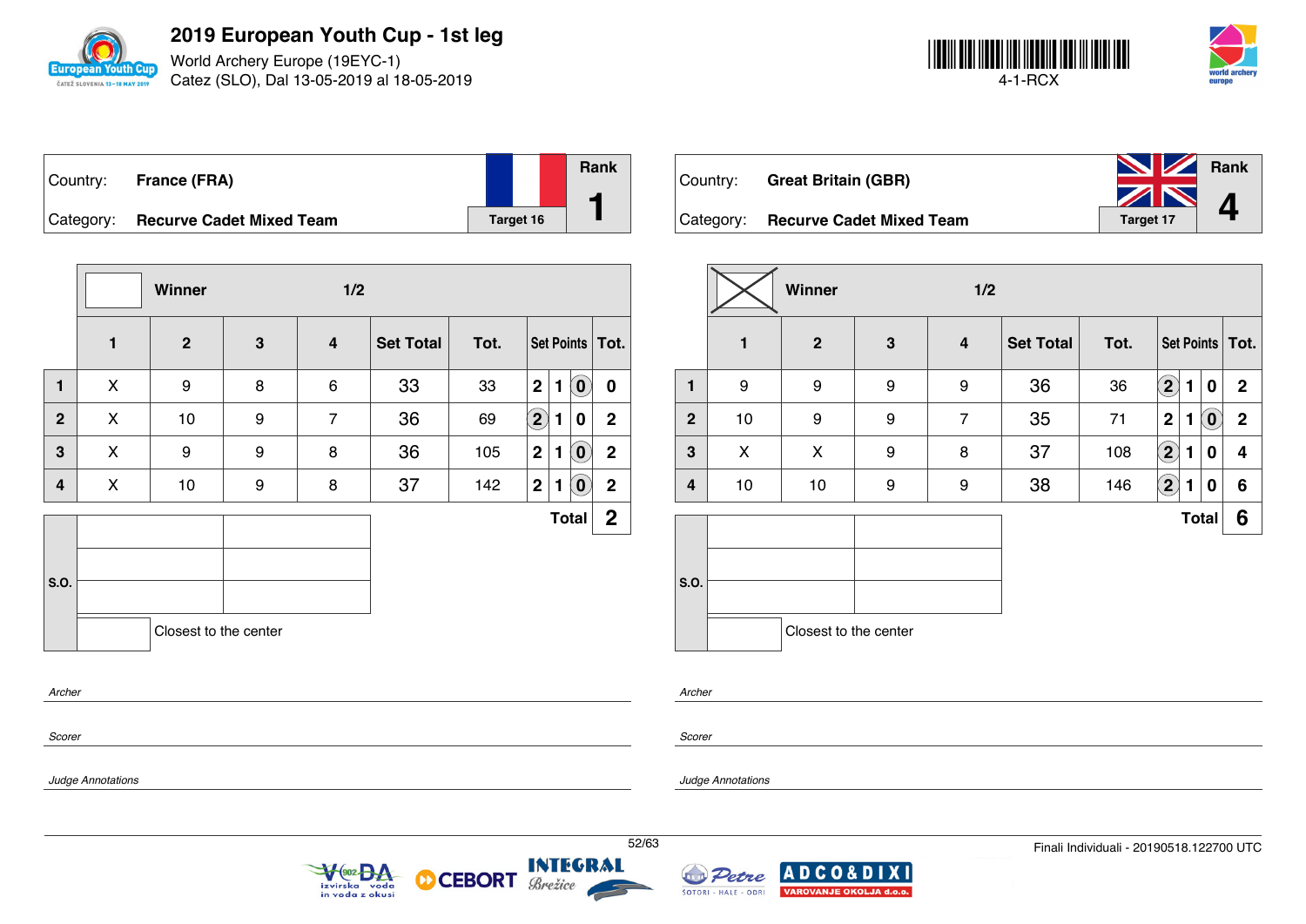

World Archery Europe (19EYC-1) Catez (SLO), Dal 13-05-2019 al 18-05-2019



|           | Country: France (FRA)           |           | <b>Rank</b> |
|-----------|---------------------------------|-----------|-------------|
|           |                                 |           |             |
| Category: | <b>Recurve Cadet Mixed Team</b> | Target 16 |             |

|              |              | Winner                |   | 1/2            |                  |      |                  |   |                            |                   |
|--------------|--------------|-----------------------|---|----------------|------------------|------|------------------|---|----------------------------|-------------------|
|              | $\mathbf{1}$ | $\mathbf{2}$          | 3 | 4              | <b>Set Total</b> | Tot. |                  |   |                            | Set Points   Tot. |
| $\mathbf{1}$ | X            | 9                     | 8 | 6              | 33               | 33   | $\mathbf{2}$     | 1 | $\left( \mathbf{0}\right)$ | $\mathbf 0$       |
| $\mathbf{2}$ | X            | 10                    | 9 | $\overline{7}$ | 36               | 69   | $\bigcircled{2}$ | 1 | 0                          | $\mathbf{2}$      |
| 3            | X            | 9                     | 9 | 8              | 36               | 105  | $\overline{2}$   | 1 | $\left( \mathbf{0}\right)$ | $\mathbf 2$       |
| 4            | X            | 10                    | 9 | 8              | 37               | 142  | $\mathbf{2}$     | 1 | $\mathbf{0}$               | $\overline{2}$    |
|              |              |                       |   |                |                  |      |                  |   | <b>Total</b>               | $\overline{2}$    |
|              |              |                       |   |                |                  |      |                  |   |                            |                   |
| S.O.         |              |                       |   |                |                  |      |                  |   |                            |                   |
|              |              | Closest to the center |   |                |                  |      |                  |   |                            |                   |
| Archer       |              |                       |   |                |                  |      |                  |   |                            |                   |

| Country: Great Britain (GBR)       | <b>NV</b> Rank |  |  |  |  |
|------------------------------------|----------------|--|--|--|--|
|                                    | ZN             |  |  |  |  |
| Category: Recurve Cadet Mixed Team | Target 17      |  |  |  |  |

|                |    | Winner                |   | 1/2            |                  |      |                                                            |              |
|----------------|----|-----------------------|---|----------------|------------------|------|------------------------------------------------------------|--------------|
|                | 1  | $\mathbf{2}$          | 3 | 4              | <b>Set Total</b> | Tot. | Set Points   Tot.                                          |              |
| $\mathbf{1}$   | 9  | 9                     | 9 | 9              | 36               | 36   | $\mathbf{2}$<br>$\mathbf{1}$<br>0                          | $\mathbf{2}$ |
| $\overline{2}$ | 10 | 9                     | 9 | $\overline{7}$ | 35               | 71   | $\mathbf{2}$<br>$\left( \mathbf{0}\right)$<br>$\mathbf{1}$ | $\mathbf 2$  |
| 3              | X  | X                     | 9 | 8              | 37               | 108  | $\bf(2)$<br>0<br>$\mathbf{1}$                              | 4            |
| 4              | 10 | 10                    | 9 | 9              | 38               | 146  | $\left( \mathbf{2}\right)$<br>0<br>$\mathbf{1}$            | 6            |
|                |    |                       |   |                |                  |      | <b>Total</b>                                               | 6            |
| S.O.           |    | Closest to the center |   |                |                  |      |                                                            |              |

*Scorer*

*Scorer*

*Archer*

*Judge Annotations*

*Judge Annotations*



М





**XI**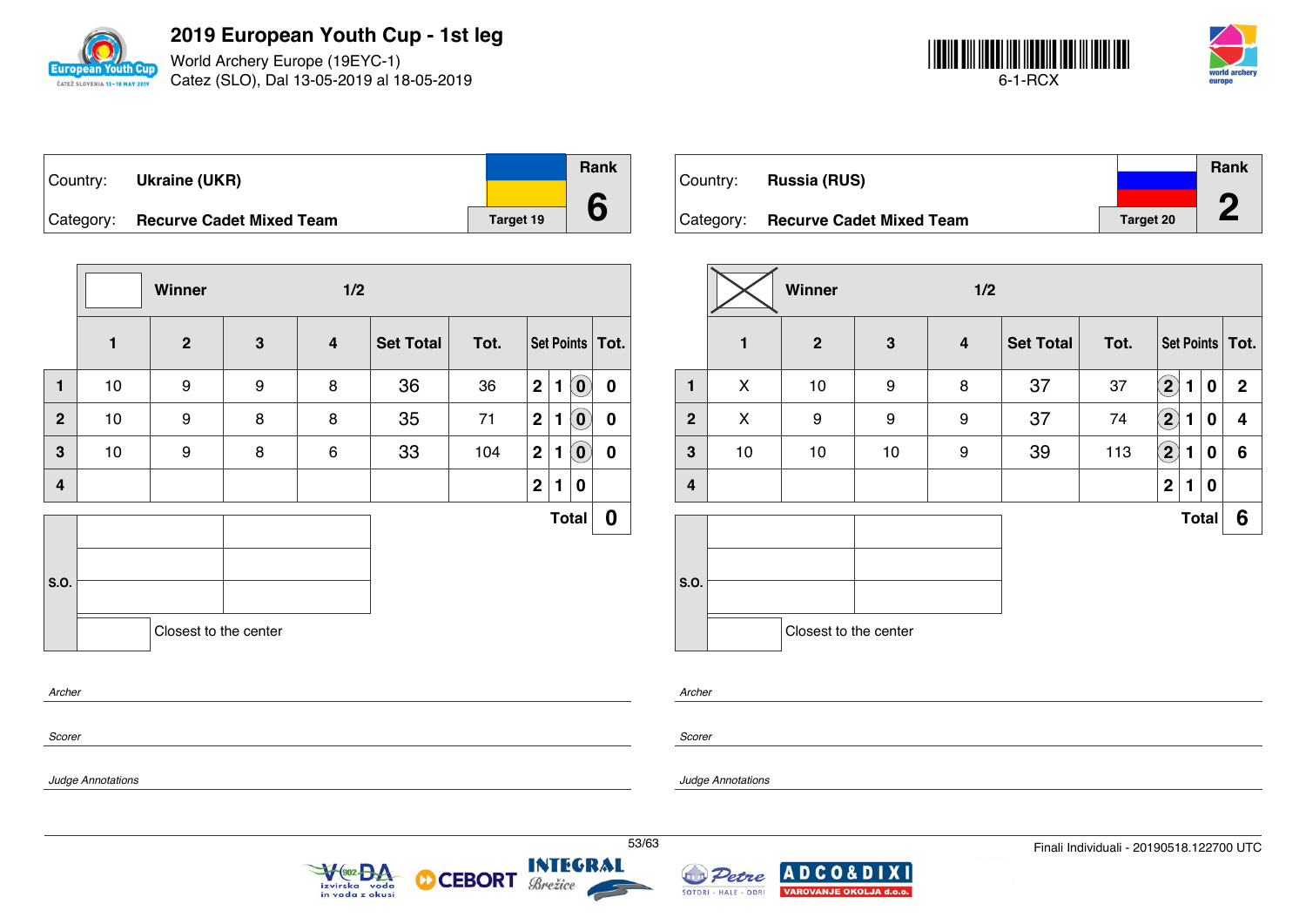

World Archery Europe (19EYC-1) Catez (SLO), Dal 13-05-2019 al 18-05-2019



| ∣Country: | <b>Ukraine (UKR)</b>               |           | Rank |
|-----------|------------------------------------|-----------|------|
|           | Category: Recurve Cadet Mixed Team | Target 19 |      |

|              |              | Winner                |   | 1/2                     |                  |      |                |              |                |                   |
|--------------|--------------|-----------------------|---|-------------------------|------------------|------|----------------|--------------|----------------|-------------------|
|              | $\mathbf{1}$ | $\mathbf{2}$          | 3 | $\overline{\mathbf{4}}$ | <b>Set Total</b> | Tot. |                |              |                | Set Points   Tot. |
| $\mathbf{1}$ | 10           | $\boldsymbol{9}$      | 9 | 8                       | 36               | 36   | 2              | $\mathbf{1}$ | $(\mathbf{0})$ | $\mathbf 0$       |
| $\mathbf{2}$ | 10           | 9                     | 8 | 8                       | 35               | 71   | $\mathbf{2}$   | 1            | $\bm{0}$       | 0                 |
| 3            | 10           | 9                     | 8 | 6                       | 33               | 104  | $\mathbf{2}$   | 1            | $\mathbf{0}$   | $\boldsymbol{0}$  |
| 4            |              |                       |   |                         |                  |      | 2 <sup>1</sup> | 1            | 0              |                   |
|              |              |                       |   |                         |                  |      |                |              | <b>Total</b>   | 0                 |
|              |              |                       |   |                         |                  |      |                |              |                |                   |
| S.O.         |              |                       |   |                         |                  |      |                |              |                |                   |
|              |              | Closest to the center |   |                         |                  |      |                |              |                |                   |
| Archer       |              |                       |   |                         |                  |      |                |              |                |                   |

|           |                                 |                  | <b>Rank</b> |  |
|-----------|---------------------------------|------------------|-------------|--|
| Country:  | <b>Russia (RUS)</b>             |                  | n           |  |
| Category: | <b>Recurve Cadet Mixed Team</b> | <b>Target 20</b> | -           |  |

|                | Winner<br>1/2 |                       |              |                  |           |      |                            |   |              |                   |
|----------------|---------------|-----------------------|--------------|------------------|-----------|------|----------------------------|---|--------------|-------------------|
|                | $\mathbf{1}$  | $\mathbf{2}$          | $\mathbf{3}$ | $\boldsymbol{4}$ | Set Total | Tot. |                            |   |              | Set Points   Tot. |
| 1              | X             | 10                    | 9            | 8                | 37        | 37   | $\left( \mathbf{2}\right)$ | 1 | 0            | $\mathbf{2}$      |
| $\overline{2}$ | X             | 9                     | 9            | 9                | 37        | 74   | $\bf (2)$                  | 1 | 0            | 4                 |
| 3              | 10            | 10                    | 10           | 9                | 39        | 113  | $\bf (2)$                  | 1 | 0            | 6                 |
| 4              |               |                       |              |                  |           |      | $\mathbf{2}$               | 1 | 0            |                   |
|                |               |                       |              |                  |           |      |                            |   | <b>Total</b> | 6                 |
| S.O.           |               | Closest to the center |              |                  |           |      |                            |   |              |                   |

*Archer*

*Scorer*

*Judge Annotations*

*Scorer*

*Judge Annotations*



**CEBORT** 

М



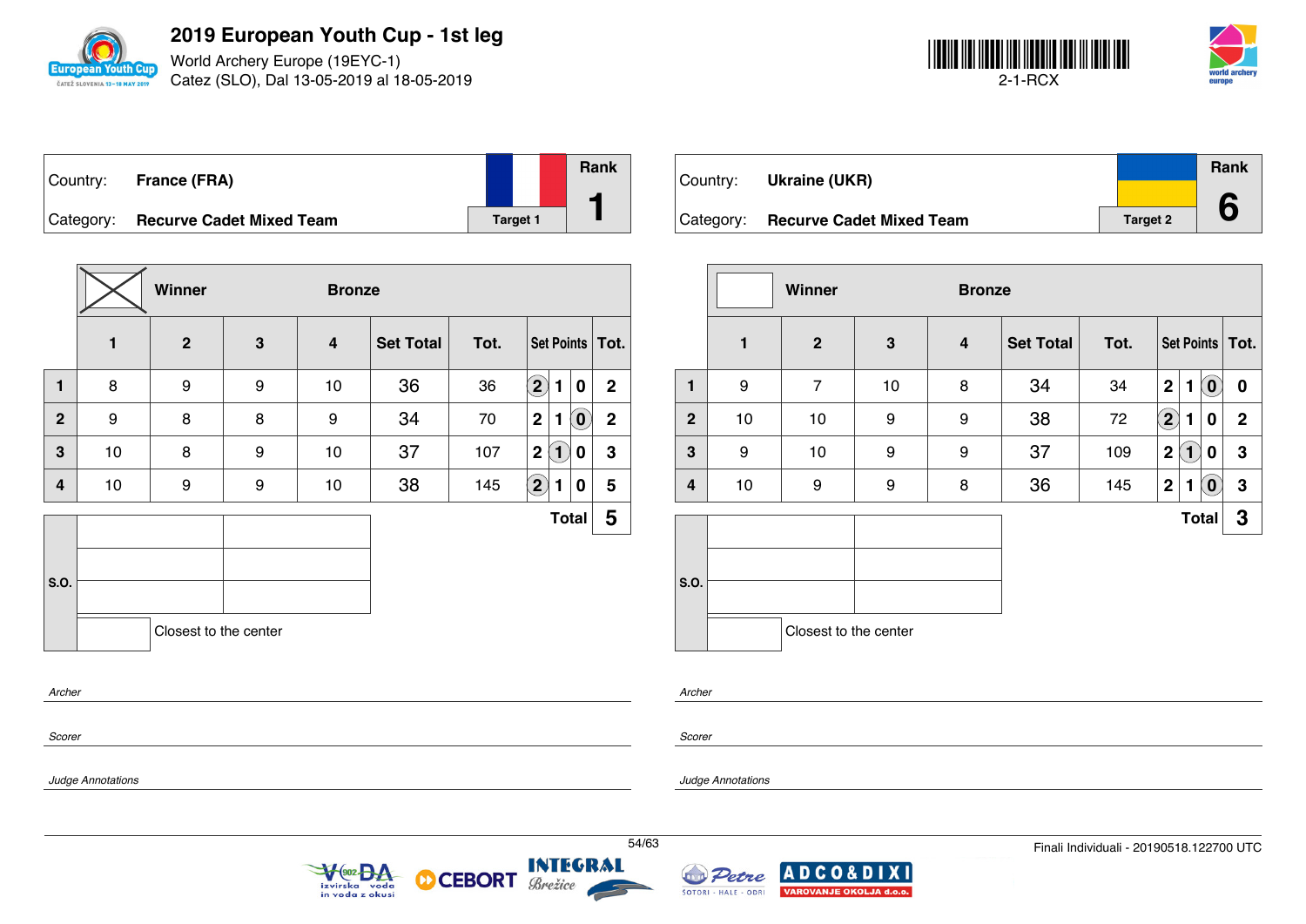

World Archery Europe (19EYC-1) Catez (SLO), Dal 13-05-2019 al 18-05-2019



| Country: France (FRA)              |                 | Rank |
|------------------------------------|-----------------|------|
| Category: Recurve Cadet Mixed Team | <b>Target 1</b> |      |

|                  |              | Winner                |   | <b>Bronze</b>           |                  |      |                                                 |              |
|------------------|--------------|-----------------------|---|-------------------------|------------------|------|-------------------------------------------------|--------------|
|                  | $\mathbf{1}$ | $\mathbf{2}$          | 3 | $\overline{\mathbf{4}}$ | <b>Set Total</b> | Tot. | Set Points   Tot.                               |              |
| $\mathbf{1}$     | 8            | 9                     | 9 | 10                      | 36               | 36   | $\mathbf{2}$<br>1<br>0                          | $\mathbf{2}$ |
| $\mathbf{2}$     | 9            | 8                     | 8 | 9                       | 34               | 70   | $\mathbf{2}$<br>$\left( \mathbf{0}\right)$<br>1 | $\mathbf 2$  |
| 3                | $10$         | 8                     | 9 | $10$                    | 37               | 107  | 2(1)<br>0                                       | $\mathbf 3$  |
| 4                | $10$         | 9                     | 9 | $10$                    | 38               | 145  | $\bigcirc$<br>1<br>0                            | 5            |
|                  |              |                       |   |                         |                  |      | <b>Total</b>                                    | 5            |
| S.O.             |              | Closest to the center |   |                         |                  |      |                                                 |              |
| Archer<br>Scorer |              |                       |   |                         |                  |      |                                                 |              |

| Country:  | Ukraine (UKR)                   |                 | Rank |
|-----------|---------------------------------|-----------------|------|
| Category: | <b>Recurve Cadet Mixed Team</b> | <b>Target 2</b> |      |

|                  |    | <b>Winner</b><br><b>Bronze</b> |    |   |                  |      |                            |              |                            |                   |
|------------------|----|--------------------------------|----|---|------------------|------|----------------------------|--------------|----------------------------|-------------------|
|                  | 1  | $\boldsymbol{2}$               | 3  | 4 | <b>Set Total</b> | Tot. |                            |              |                            | Set Points   Tot. |
| 1                | 9  | $\overline{7}$                 | 10 | 8 | 34               | 34   | $\mathbf 2$                | 1            | $\left( \mathbf{0}\right)$ | 0                 |
| $\boldsymbol{2}$ | 10 | 10                             | 9  | 9 | 38               | 72   | $\left( \mathbf{2}\right)$ | 1            | 0                          | $\mathbf{2}$      |
| 3                | 9  | 10                             | 9  | 9 | 37               | 109  | $\mathbf 2$                | $\mathbf{1}$ | 0                          | 3                 |
| 4                | 10 | 9                              | 9  | 8 | 36               | 145  | $\overline{2}$             | 1            | $\overline{0}$             | 3                 |
|                  |    |                                |    |   |                  |      |                            | <b>Total</b> |                            | 3                 |
| S.O.             |    | Closest to the center          |    |   |                  |      |                            |              |                            |                   |
|                  |    |                                |    |   |                  |      |                            |              |                            |                   |

*Archer*

*Scorer*

*Judge Annotations*

*Judge Annotations*



М



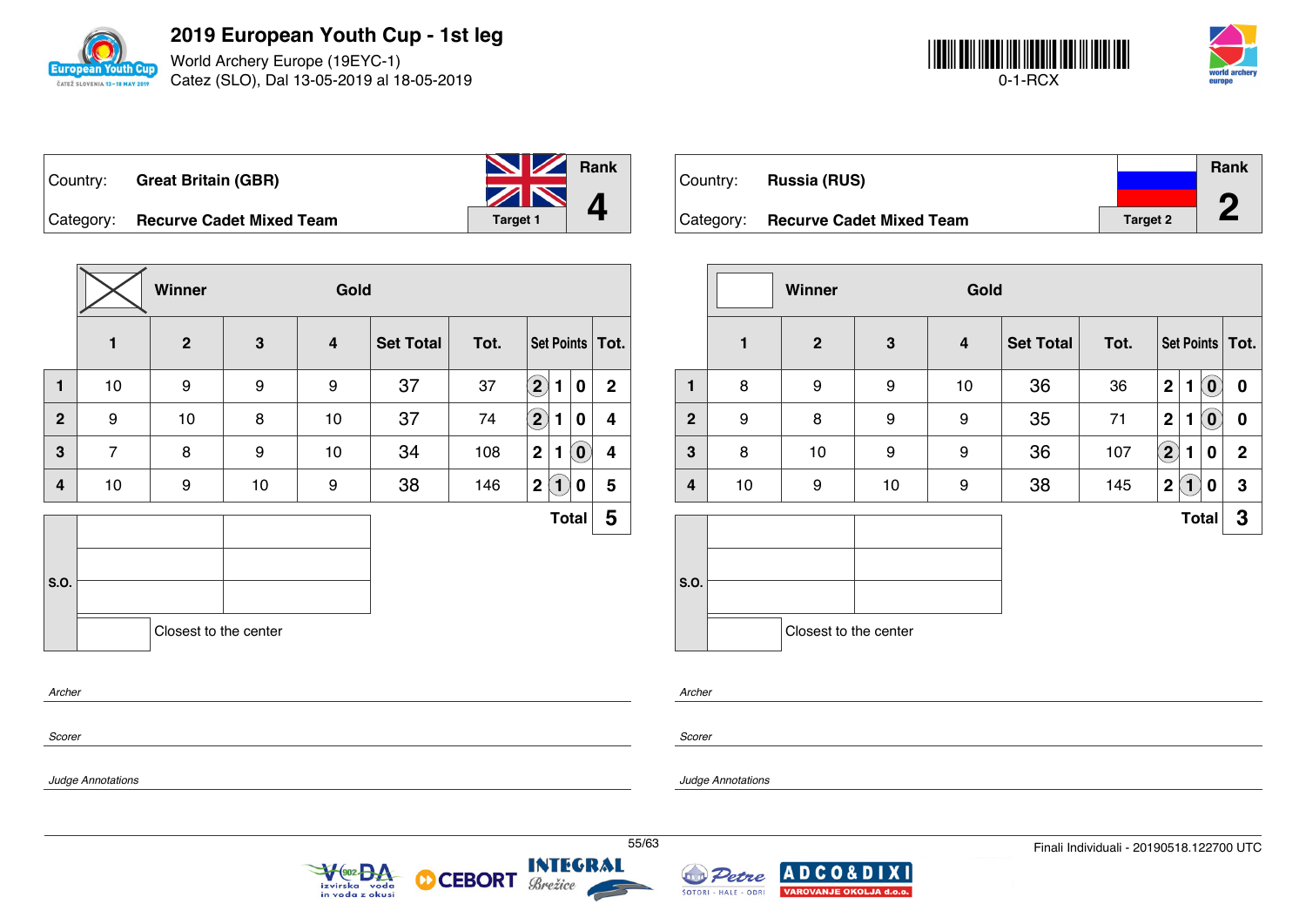

World Archery Europe (19EYC-1) Catez (SLO), Dal 13-05-2019 al 18-05-2019



| Country: Great Britain (GBR)       | <b>No. 7 Rank</b>          |  |
|------------------------------------|----------------------------|--|
|                                    | $\sum_{\text{Target 1}}$ 4 |  |
| Category: Recurve Cadet Mixed Team | Target 1                   |  |

**Winner Gold 1 2 3 4 Set Total Tot. Set Points Tot. 1** | 10 | 9 | 9 | 9 | 37 | 37  $\boxed{2}$  **1** | 0 | 2 **2** 9 10 8 10 37 74 **2 1 0 4 3** 7 8 9 10 34 108 **2 1 0 4 4** 10 9 10 9 38 146 **2 1 0 5 S.O. Total 5** Closest to the center

 $902<sub>0</sub>$ 

in voda z okusi

voda

izvirska

|          |                                    |                 | <b>Rank</b> |
|----------|------------------------------------|-----------------|-------------|
| Country: | <b>Russia (RUS)</b>                |                 |             |
|          | Category: Recurve Cadet Mixed Team | <b>Target 2</b> |             |

|                |    | Gold<br>Winner        |    |    |                  |      |                   |                             |                            |                   |
|----------------|----|-----------------------|----|----|------------------|------|-------------------|-----------------------------|----------------------------|-------------------|
|                | 1  | $\mathbf{2}$          | 3  | 4  | <b>Set Total</b> | Tot. |                   |                             |                            | Set Points   Tot. |
| $\mathbf{1}$   | 8  | 9                     | 9  | 10 | 36               | 36   | $\mathbf 2$       | 1                           | $\left( \mathbf{0}\right)$ | $\mathbf 0$       |
| $\overline{2}$ | 9  | 8                     | 9  | 9  | 35               | 71   | $\mathbf 2$       | 1                           | $\left( \mathbf{0}\right)$ | $\mathbf 0$       |
| 3              | 8  | 10                    | 9  | 9  | 36               | 107  | $\left( 2\right)$ | 1                           | 0                          | $\mathbf{2}$      |
| 4              | 10 | 9                     | 10 | 9  | 38               | 145  | $\mathbf 2$       | $\left  \mathbf{1} \right $ | 0                          | 3                 |
|                |    |                       |    |    |                  |      |                   | <b>Total</b>                |                            | $\mathbf{3}$      |
| S.O.           |    |                       |    |    |                  |      |                   |                             |                            |                   |
|                |    | Closest to the center |    |    |                  |      |                   |                             |                            |                   |

*Archer*

*Scorer*

*Scorer*

*Archer*

*Judge Annotations*

*Judge Annotations*



**INTEGRAL** 

Brežice

**CEBORT** 

М

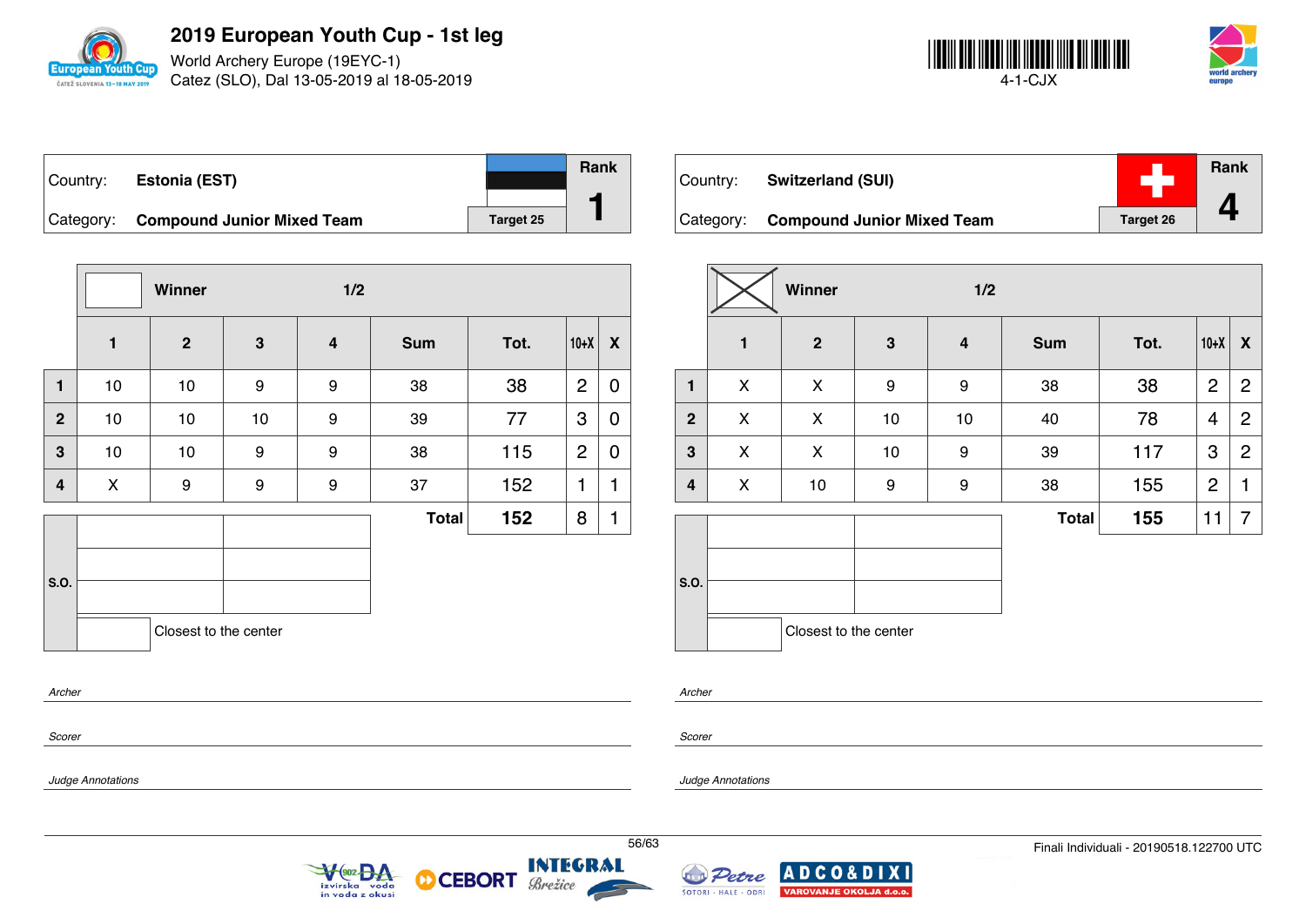

World Archery Europe (19EYC-1) Catez (SLO), Dal 13-05-2019 al 18-05-2019



| Country: | <b>Estonia (EST)</b>                 |           | <b>Rank</b> |
|----------|--------------------------------------|-----------|-------------|
|          | Category: Compound Junior Mixed Team | Target 25 |             |

|                         |      | Winner                |              | 1/2                     |              |      |                |             |
|-------------------------|------|-----------------------|--------------|-------------------------|--------------|------|----------------|-------------|
|                         | 1    | $\overline{2}$        | $\mathbf{3}$ | $\overline{\mathbf{4}}$ | <b>Sum</b>   | Tot. | $10+X$         | X           |
| $\blacksquare$          | $10$ | 10                    | 9            | $\boldsymbol{9}$        | 38           | 38   | $\overline{2}$ | $\mathbf 0$ |
| $\mathbf{2}$            | 10   | $10$                  | 10           | 9                       | 39           | 77   | 3              | 0           |
| $\mathbf{3}$            | 10   | 10                    | 9            | 9                       | 38           | 115  | $\overline{2}$ | $\mathbf 0$ |
| $\overline{\mathbf{4}}$ | X    | 9                     | 9            | 9                       | 37           | 152  | 1              | 1           |
|                         |      |                       |              |                         | <b>Total</b> | 152  | 8              | 1           |
| S.O.                    |      | Closest to the center |              |                         |              |      |                |             |
| Archer                  |      |                       |              |                         |              |      |                |             |

| Country: | <b>Switzerland (SUI)</b>             |                  | Rank |
|----------|--------------------------------------|------------------|------|
|          | Category: Compound Junior Mixed Team | <b>Target 26</b> |      |

|              |              | Winner                |              | 1/2              |              |      |                |                |
|--------------|--------------|-----------------------|--------------|------------------|--------------|------|----------------|----------------|
|              | $\mathbf{1}$ | $\overline{2}$        | $\mathbf{3}$ | $\boldsymbol{4}$ | <b>Sum</b>   | Tot. | $10+X$         | X              |
| 1            | X            | X                     | 9            | $\boldsymbol{9}$ | 38           | 38   | $\overline{2}$ | $\overline{2}$ |
| $\mathbf{2}$ | X            | X                     | $10$         | $10$             | 40           | 78   | 4              | $\overline{2}$ |
| $\mathbf{3}$ | X            | X                     | $10$         | 9                | 39           | 117  | 3              | $\overline{2}$ |
| 4            | X            | 10                    | 9            | 9                | 38           | 155  | $\overline{2}$ | 1              |
|              |              |                       |              |                  | <b>Total</b> | 155  | 11             | 7              |
| S.O.         |              |                       |              |                  |              |      |                |                |
|              |              | Closest to the center |              |                  |              |      |                |                |

*Scorer*

*Scorer*

*Archer*

*Judge Annotations*

*Judge Annotations*



М



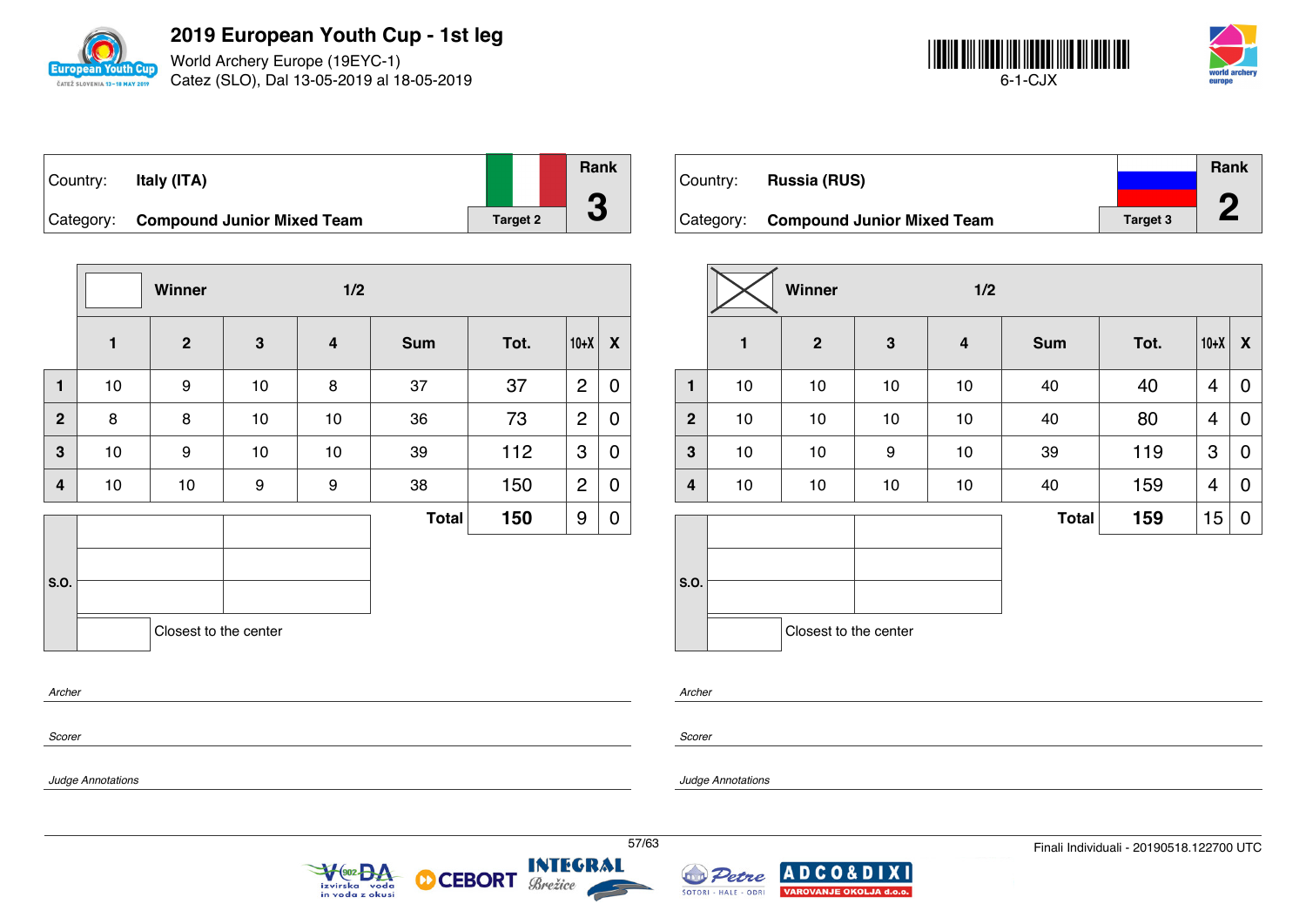

World Archery Europe (19EYC-1) Catez (SLO), Dal 13-05-2019 al 18-05-2019



| Country: | Italy (ITA)                          |                 | <b>Rank</b> |
|----------|--------------------------------------|-----------------|-------------|
|          |                                      |                 |             |
|          | Category: Compound Junior Mixed Team | <b>Target 2</b> |             |

|              |    | Winner                |             | 1/2 |              |      |                |                  |
|--------------|----|-----------------------|-------------|-----|--------------|------|----------------|------------------|
|              | 1  | $\overline{2}$        | $\mathbf 3$ | 4   | <b>Sum</b>   | Tot. | $10+X$         | X                |
| 1            | 10 | 9                     | 10          | 8   | 37           | 37   | $\overline{2}$ | $\boldsymbol{0}$ |
| $\mathbf{2}$ | 8  | 8                     | 10          | 10  | 36           | 73   | $\overline{2}$ | $\boldsymbol{0}$ |
| 3            | 10 | 9                     | 10          | 10  | 39           | 112  | 3              | 0                |
| 4            | 10 | 10                    | 9           | 9   | 38           | 150  | $\overline{c}$ | 0                |
|              |    |                       |             |     | <b>Total</b> | 150  | 9              | 0                |
| S.O.         |    | Closest to the center |             |     |              |      |                |                  |

 $\sqrt{\frac{602}{2}}$ 

izvirska voda<br>in voda z okusi

**CEBORT** 

М

|           |                                   |                 | <b>Rank</b> |
|-----------|-----------------------------------|-----------------|-------------|
| Country:  | <b>Russia (RUS)</b>               |                 |             |
|           |                                   |                 |             |
| Category: | <b>Compound Junior Mixed Team</b> | <b>Target 3</b> |             |

|                |              | Winner<br>1/2         |              |    |              |      |        |   |
|----------------|--------------|-----------------------|--------------|----|--------------|------|--------|---|
|                | $\mathbf{1}$ | $\boldsymbol{2}$      | $\mathbf{3}$ | 4  | <b>Sum</b>   | Tot. | $10+X$ | X |
| $\mathbf{1}$   | $10$         | 10                    | $10$         | 10 | 40           | 40   | 4      | 0 |
| $\overline{2}$ | $10$         | 10                    | $10$         | 10 | 40           | 80   | 4      | 0 |
| 3              | 10           | 10                    | 9            | 10 | 39           | 119  | 3      | 0 |
| 4              | $10$         | 10                    | $10$         | 10 | 40           | 159  | 4      | 0 |
|                |              |                       |              |    | <b>Total</b> | 159  | 15     | 0 |
| S.O.           |              |                       |              |    |              |      |        |   |
|                |              | Closest to the center |              |    |              |      |        |   |

*Archer*

*Scorer*

*Scorer*

*Archer*

*Judge Annotations*

*Judge Annotations*



Brežice

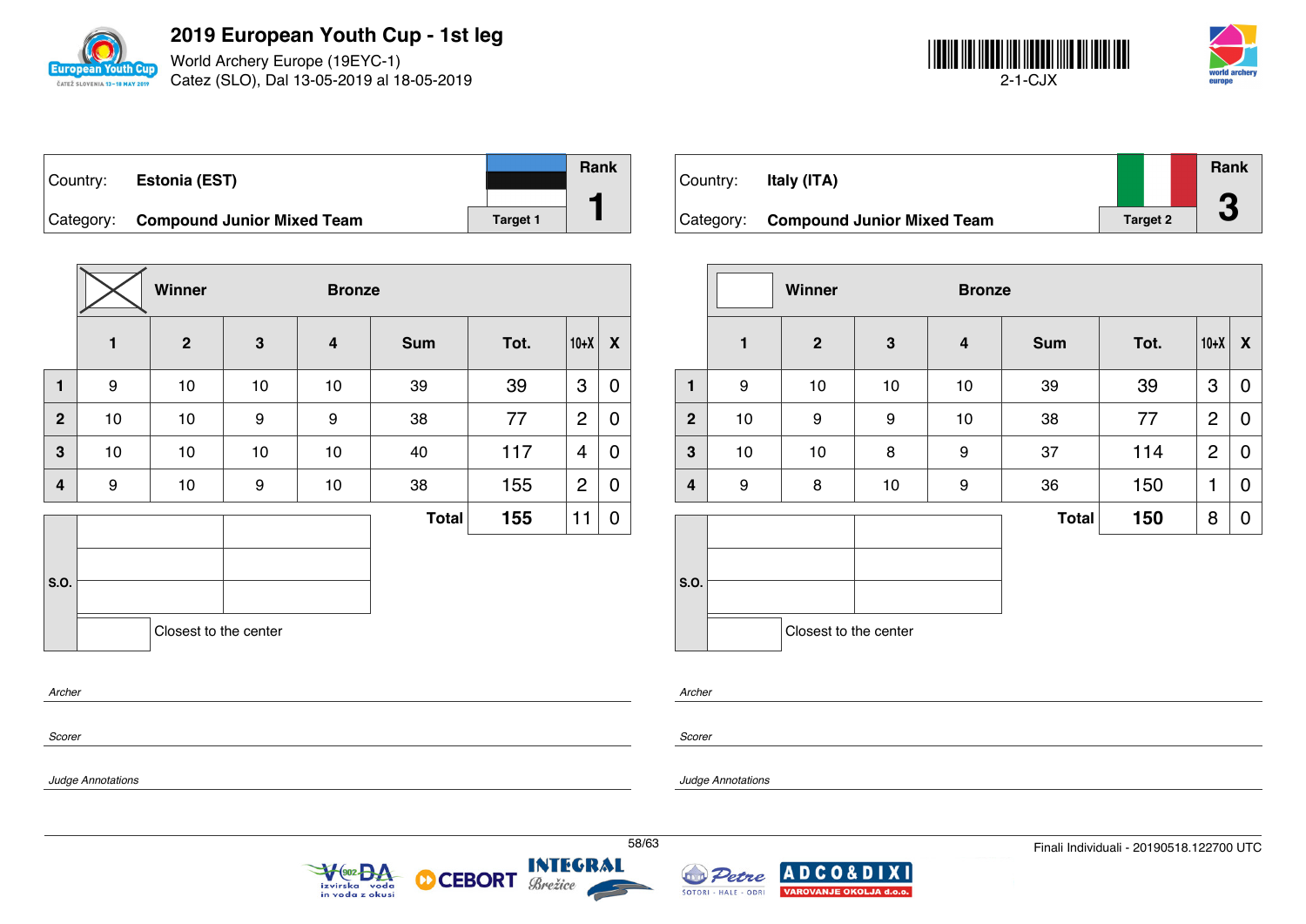

World Archery Europe (19EYC-1) Catez (SLO), Dal 13-05-2019 al 18-05-2019



| Country: | Estonia (EST)                        |                 | <b>Rank</b> |
|----------|--------------------------------------|-----------------|-------------|
|          | Category: Compound Junior Mixed Team | <b>Target 1</b> |             |

|                |    | Winner<br><b>Bronze</b> |              |                         |              |      |                |             |
|----------------|----|-------------------------|--------------|-------------------------|--------------|------|----------------|-------------|
|                | 1  | $\overline{2}$          | $\mathbf{3}$ | $\overline{\mathbf{4}}$ | <b>Sum</b>   | Tot. | $10+X$         | X           |
| 1              | 9  | 10                      | 10           | 10                      | 39           | 39   | 3              | 0           |
| $\overline{2}$ | 10 | 10                      | 9            | $\boldsymbol{9}$        | 38           | 77   | $\overline{2}$ | $\mathbf 0$ |
| 3              | 10 | 10                      | 10           | 10                      | 40           | 117  | 4              | 0           |
| 4              | 9  | 10                      | 9            | 10                      | 38           | 155  | $\overline{2}$ | 0           |
|                |    |                         |              |                         | <b>Total</b> | 155  | 11             | 0           |
| S.O.           |    | Closest to the center   |              |                         |              |      |                |             |
| Archer         |    |                         |              |                         |              |      |                |             |

| Country: | Italy (ITA)                          |                 | Rank<br>A |
|----------|--------------------------------------|-----------------|-----------|
|          | Category: Compound Junior Mixed Team | <b>Target 2</b> | J         |

|              | Winner       |                       |    | <b>Bronze</b>    |              |      |                |   |
|--------------|--------------|-----------------------|----|------------------|--------------|------|----------------|---|
|              | $\mathbf{1}$ | $\boldsymbol{2}$      | 3  | $\boldsymbol{4}$ | <b>Sum</b>   | Tot. | $10+X$         | X |
| 1            | 9            | 10                    | 10 | 10               | 39           | 39   | 3              | 0 |
| $\mathbf{2}$ | $10$         | 9                     | 9  | 10               | 38           | 77   | $\overline{2}$ | 0 |
| 3            | $10$         | 10                    | 8  | 9                | 37           | 114  | $\overline{2}$ | 0 |
| 4            | 9            | 8                     | 10 | 9                | 36           | 150  | 1              | 0 |
|              |              |                       |    |                  | <b>Total</b> | 150  | 8              | 0 |
| S.O.         |              | Closest to the center |    |                  |              |      |                |   |

*Scorer*

*Scorer*

*Archer*

*Judge Annotations*

*Judge Annotations*



М



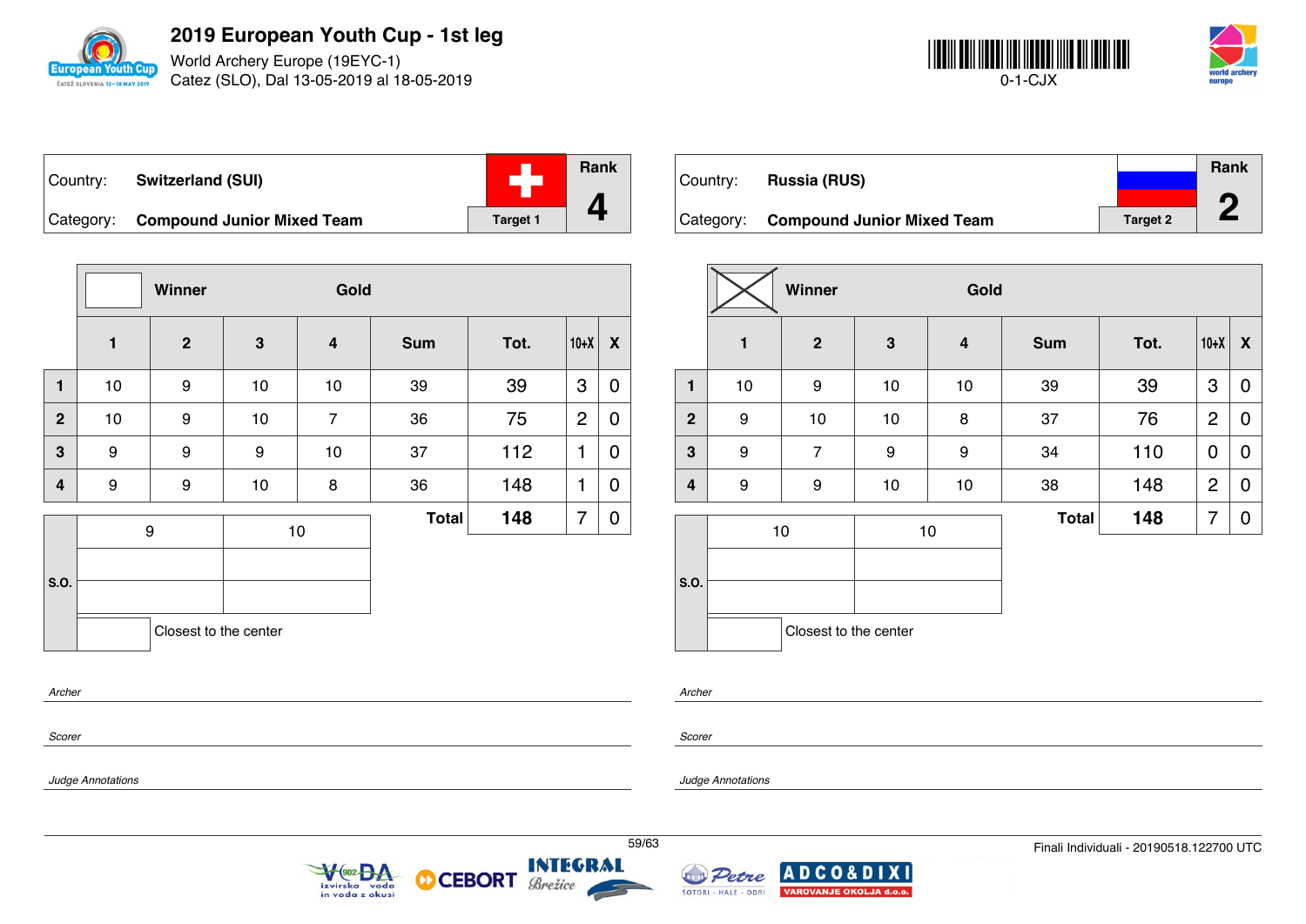

World Archery Europe (19EYC-1) Catez (SLO), Dal 13-05-2019 al 18-05-2019



| Country: | <b>Switzerland (SUI)</b>             |                 | Rank |
|----------|--------------------------------------|-----------------|------|
|          | Category: Compound Junior Mixed Team | <b>Target 1</b> |      |

|                |                       | Winner         |              | Gold                    |              |      |                |   |
|----------------|-----------------------|----------------|--------------|-------------------------|--------------|------|----------------|---|
|                | $\mathbf{1}$          | $\overline{2}$ | $\mathbf{3}$ | $\overline{\mathbf{4}}$ | <b>Sum</b>   | Tot. | $10+X$         | X |
| 1              | 10                    | 9              | 10           | 10                      | 39           | 39   | 3              | 0 |
| $\overline{2}$ | 10                    | 9              | $10$         | $\overline{7}$          | 36           | 75   | $\overline{c}$ | 0 |
| 3              | 9                     | 9              | 9            | 10                      | 37           | 112  | 1              | 0 |
| $\overline{4}$ | 9                     | 9              | 10           | 8                       | 36           | 148  | 1              | 0 |
|                | 9                     |                |              | 10                      | <b>Total</b> | 148  | 7              | 0 |
|                |                       |                |              |                         |              |      |                |   |
| S.O.           |                       |                |              |                         |              |      |                |   |
|                | Closest to the center |                |              |                         |              |      |                |   |
|                |                       |                |              |                         |              |      |                |   |

|          |                                      |                 | <b>Rank</b> |
|----------|--------------------------------------|-----------------|-------------|
| Country: | <b>Russia (RUS)</b>                  |                 |             |
|          |                                      |                 | ∕∩          |
|          | Category: Compound Junior Mixed Team | <b>Target 2</b> |             |

|                |              | Winner<br>Gold        |      |                         |              |      |                |             |
|----------------|--------------|-----------------------|------|-------------------------|--------------|------|----------------|-------------|
|                | $\mathbf{1}$ | $\boldsymbol{2}$      | 3    | $\overline{\mathbf{4}}$ | <b>Sum</b>   | Tot. | $10+X$         | X           |
| $\mathbf{1}$   | 10           | 9                     | $10$ | 10                      | 39           | 39   | 3              | $\mathbf 0$ |
| $\overline{2}$ | 9            | 10                    | $10$ | 8                       | 37           | 76   | $\overline{2}$ | 0           |
| 3              | 9            | $\overline{7}$        | 9    | 9                       | 34           | 110  | $\mathbf 0$    | 0           |
| 4              | 9            | 9                     | 10   | 10                      | 38           | 148  | $\overline{c}$ | 0           |
|                |              | $10$                  | 10   |                         | <b>Total</b> | 148  | 7              | 0           |
| S.O.           |              |                       |      |                         |              |      |                |             |
|                |              | Closest to the center |      |                         |              |      |                |             |

*Archer*

*Scorer*

*Scorer*

*Archer*

*Judge Annotations*

*Judge Annotations*





**CEBORT** 

D



**XI**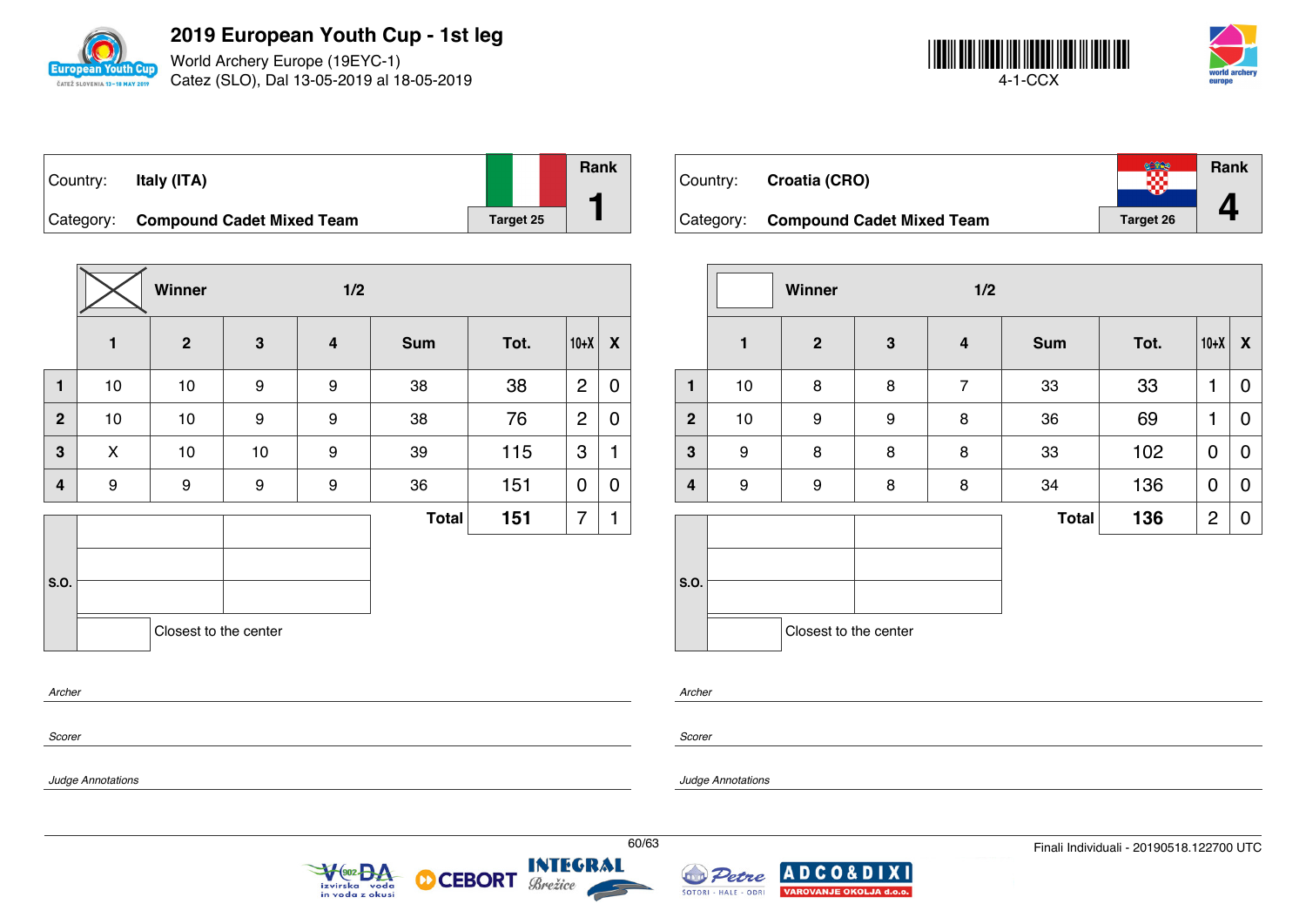

World Archery Europe (19EYC-1) Catez (SLO), Dal 13-05-2019 al 18-05-2019



| Country: | Italy (ITA)                         |           | <b>Rank</b> |
|----------|-------------------------------------|-----------|-------------|
|          | Category: Compound Cadet Mixed Team | Target 25 |             |

|                  |              | Winner                |    | 1/2 |              |      |                |             |
|------------------|--------------|-----------------------|----|-----|--------------|------|----------------|-------------|
|                  | $\mathbf{1}$ | $\overline{2}$        | 3  | 4   | <b>Sum</b>   | Tot. | $10+X$         | X           |
| $\mathbf{1}$     | 10           | 10                    | 9  | 9   | 38           | 38   | $\overline{2}$ | 0           |
| $\mathbf{2}$     | 10           | 10                    | 9  | 9   | 38           | 76   | $\overline{2}$ | $\mathbf 0$ |
| 3                | X            | 10                    | 10 | 9   | 39           | 115  | 3              | 1           |
| 4                | 9            | 9                     | 9  | 9   | 36           | 151  | $\mathbf 0$    | 0           |
|                  |              |                       |    |     | <b>Total</b> | 151  | 7              | 1           |
| S.O.             |              | Closest to the center |    |     |              |      |                |             |
| Archer<br>Scorer |              |                       |    |     |              |      |                |             |

| Country: | Croatia (CRO)                       |                  | <b>Rank</b> |
|----------|-------------------------------------|------------------|-------------|
|          | Category: Compound Cadet Mixed Team | <b>Target 26</b> |             |

|                         |              | Winner                |              | 1/2              |              |      |                |                    |
|-------------------------|--------------|-----------------------|--------------|------------------|--------------|------|----------------|--------------------|
|                         | $\mathbf{1}$ | $\mathbf{2}$          | $\mathbf{3}$ | $\boldsymbol{4}$ | <b>Sum</b>   | Tot. | $10+X$         | $\pmb{\mathsf{X}}$ |
| $\mathbf{1}$            | $10$         | 8                     | 8            | $\overline{7}$   | 33           | 33   | 1              | 0                  |
| $\overline{2}$          | 10           | 9                     | 9            | 8                | 36           | 69   | 1              | 0                  |
| 3                       | 9            | 8                     | 8            | 8                | 33           | 102  | $\mathbf 0$    | $\mathbf 0$        |
| $\overline{\mathbf{4}}$ | 9            | 9                     | 8            | 8                | 34           | 136  | 0              | 0                  |
|                         |              |                       |              |                  | <b>Total</b> | 136  | $\overline{2}$ | 0                  |
| S.O.                    |              |                       |              |                  |              |      |                |                    |
|                         |              | Closest to the center |              |                  |              |      |                |                    |

*Archer*

*Scorer*

*Judge Annotations*

*Judge Annotations*



М



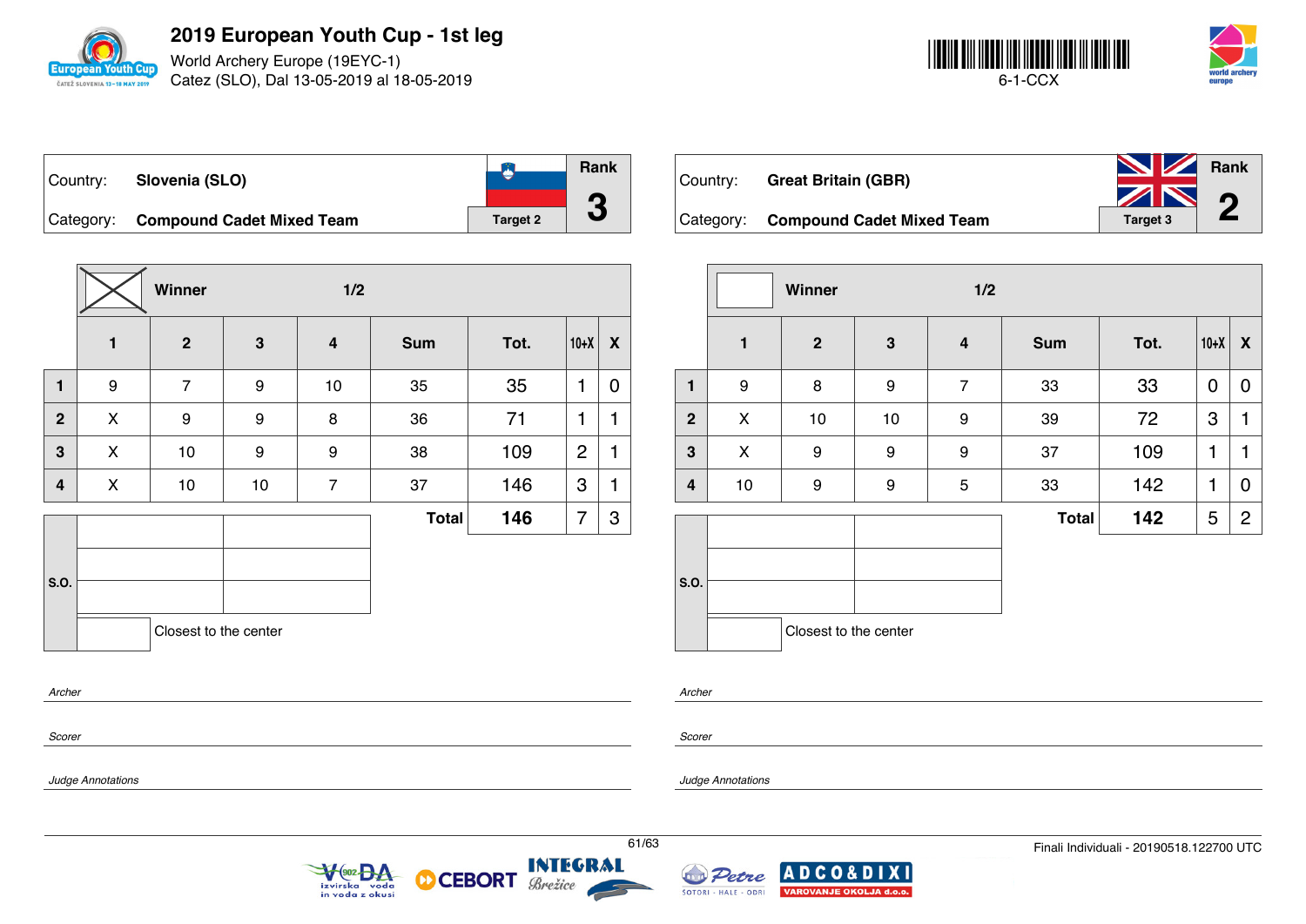

World Archery Europe (19EYC-1) Catez (SLO), Dal 13-05-2019 al 18-05-2019



| Country: | Slovenia (SLO)                      |                 | Rank |
|----------|-------------------------------------|-----------------|------|
|          |                                     |                 |      |
|          | Category: Compound Cadet Mixed Team | <b>Target 2</b> |      |

**Winner 1/2 1 2 3 4 Sum Tot. 10+X X 1** | 9 | 7 | 9 | 10 | 35 | 35 |1 | 0 **2** X 9 9 8 36 71 1 1 **3**  $\begin{array}{|c|c|c|c|c|c|}\n\hline\n\textbf{3} & \textbf{3} & \textbf{4} & \textbf{5} \\
\hline\n\textbf{4} & \textbf{5} & \textbf{6} & \textbf{7} & \textbf{8} \\
\hline\n\textbf{5} & \textbf{6} & \textbf{8} & \textbf{9} & \textbf{1} & \textbf{10} \\
\hline\n\textbf{6} & \textbf{7} & \textbf{8} & \textbf{1} & \textbf{10} & \textbf{10} \\
\hline\n\textbf{7} & \textbf{8} & \textbf{1} & \textbf{10$ **4** | X | 10 | 10 | 7 | 37 | 146 |3 |1 **S.O. Total 146**  $|7|3$ Closest to the center

| Country: | <b>Great Britain (GBR)</b>          | <b>No. 7 Rank</b><br>ZN 0 |  |
|----------|-------------------------------------|---------------------------|--|
|          | Category: Compound Cadet Mixed Team | <b>Target 3</b>           |  |

|                         | 1/2<br>Winner    |                       |    |                  |              |      |        |                           |
|-------------------------|------------------|-----------------------|----|------------------|--------------|------|--------|---------------------------|
|                         | $\mathbf{1}$     | $\boldsymbol{2}$      | 3  | $\boldsymbol{4}$ | <b>Sum</b>   | Tot. | $10+X$ | $\boldsymbol{\mathsf{X}}$ |
| $\mathbf{1}$            | $\boldsymbol{9}$ | 8                     | 9  | $\overline{7}$   | 33           | 33   | 0      | 0                         |
| $\overline{2}$          | X                | $10$                  | 10 | 9                | 39           | 72   | 3      | 1                         |
| 3                       | X                | 9                     | 9  | 9                | 37           | 109  | 1      | 1                         |
| $\overline{\mathbf{4}}$ | 10               | 9                     | 9  | 5                | 33           | 142  | 1      | 0                         |
|                         |                  |                       |    |                  | <b>Total</b> | 142  | 5      | $\overline{c}$            |
| S.O.                    |                  |                       |    |                  |              |      |        |                           |
|                         |                  | Closest to the center |    |                  |              |      |        |                           |

*Archer*

*Scorer*

*Judge Annotations*

*Archer*

*Scorer*

*Judge Annotations*





**CEBORT** 

м

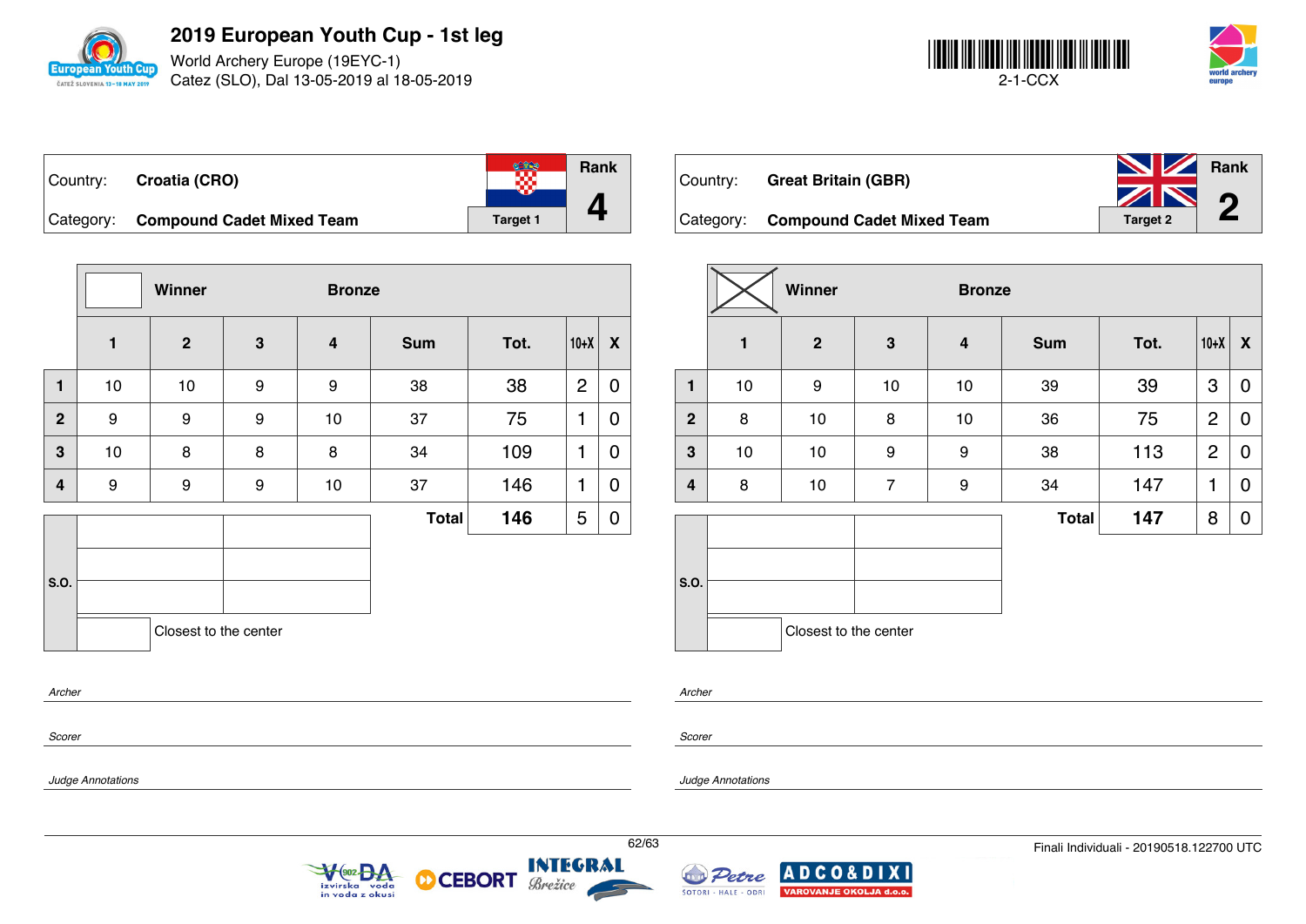

World Archery Europe (19EYC-1) Catez (SLO), Dal 13-05-2019 al 18-05-2019



| Country: Croatia (CRO)              |          | Rank |
|-------------------------------------|----------|------|
| Category: Compound Cadet Mixed Team | Target 1 |      |

|                |              | Winner                |                  | <b>Bronze</b>           |              |      |                |             |
|----------------|--------------|-----------------------|------------------|-------------------------|--------------|------|----------------|-------------|
|                | $\mathbf{1}$ | $\overline{2}$        | $\mathbf{3}$     | $\overline{\mathbf{4}}$ | <b>Sum</b>   | Tot. | $10+X$         | X           |
| $\mathbf{1}$   | 10           | $10$                  | $\boldsymbol{9}$ | 9                       | 38           | 38   | $\overline{2}$ | $\mathbf 0$ |
| $\overline{2}$ | 9            | 9                     | 9                | 10                      | 37           | 75   | 1              | 0           |
| 3              | 10           | 8                     | 8                | 8                       | 34           | 109  | 1              | 0           |
| 4              | 9            | 9                     | 9                | 10                      | 37           | 146  | 1              | 0           |
|                |              |                       |                  |                         | <b>Total</b> | 146  | 5              | 0           |
|                |              |                       |                  |                         |              |      |                |             |
| S.O.           |              |                       |                  |                         |              |      |                |             |
|                |              | Closest to the center |                  |                         |              |      |                |             |
| Archer         |              |                       |                  |                         |              |      |                |             |

| Country: | <b>Great Britain (GBR)</b>          | <b>No. 7 Rank</b><br>$\sqrt{N}$ | $\sqrt{2}$ |
|----------|-------------------------------------|---------------------------------|------------|
|          | Category: Compound Cadet Mixed Team | <b>Target 2</b>                 |            |

|                |                       | Winner       |                | <b>Bronze</b> |              |      |                |                           |
|----------------|-----------------------|--------------|----------------|---------------|--------------|------|----------------|---------------------------|
|                | $\mathbf{1}$          | $\mathbf{2}$ | 3              | 4             | <b>Sum</b>   | Tot. | $10+X$         | $\boldsymbol{\mathsf{X}}$ |
| $\mathbf{1}$   | 10                    | 9            | 10             | 10            | 39           | 39   | 3              | $\mathbf 0$               |
| $\overline{2}$ | 8                     | 10           | 8              | 10            | 36           | 75   | $\overline{2}$ | $\mathbf 0$               |
| 3              | 10                    | 10           | 9              | 9             | 38           | 113  | $\overline{2}$ | 0                         |
| 4              | 8                     | 10           | $\overline{7}$ | 9             | 34           | 147  | 1              | 0                         |
|                |                       |              |                |               | <b>Total</b> | 147  | 8              | 0                         |
| S.O.           |                       |              |                |               |              |      |                |                           |
|                | Closest to the center |              |                |               |              |      |                |                           |

*Scorer*

*Scorer*

*Archer*

*Judge Annotations*

*Judge Annotations*





**CEBORT** 

М



IX II